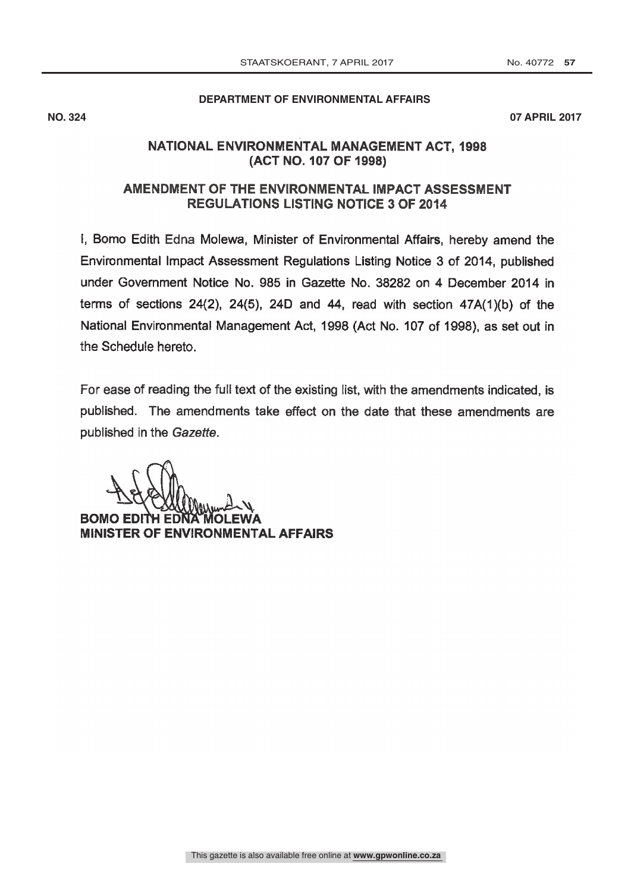### **DEPARTMENT OF ENVIRONMENTAL AFFAIRS**

**NO. 324 07 APRIL 2017**

# NATIONAL ENVIRONMENTAL MANAGEMENT ACT. 1998 (ACT NO. 107 OF 1998)

# AMENDMENT OF THE ENVIRONMENTAL IMPACT ASSESSMENT **REGULATIONS LISTING NOTICE 3 OF 2014**

I, Bomo Edith Edna Molewa, Minister of Environmental Affairs, hereby amend the Environmental Impact Assessment Regulations Listing Notice 3 of 2014, published under Government Notice No. 985 in Gazette No. 38282 on 4 December 2014 in terms of sections  $24(2)$ ,  $24(5)$ ,  $24D$  and  $44$ , read with section  $47A(1)(b)$  of the National Environmental Management Act, 1998 (Act No. 107 of 1998), as set out in the Schedule hereto.

For ease of reading the full text of the existing list, with the amendments indicated, is published. The amendments take effect on the date that these amendments are published in the Gazette.

 $\mathcal{W}_{\mathcal{D}_{\mathbf{m}}}$  , BOMO EDIT MINISTER OF ENVIRONMENTAL AFFAIRS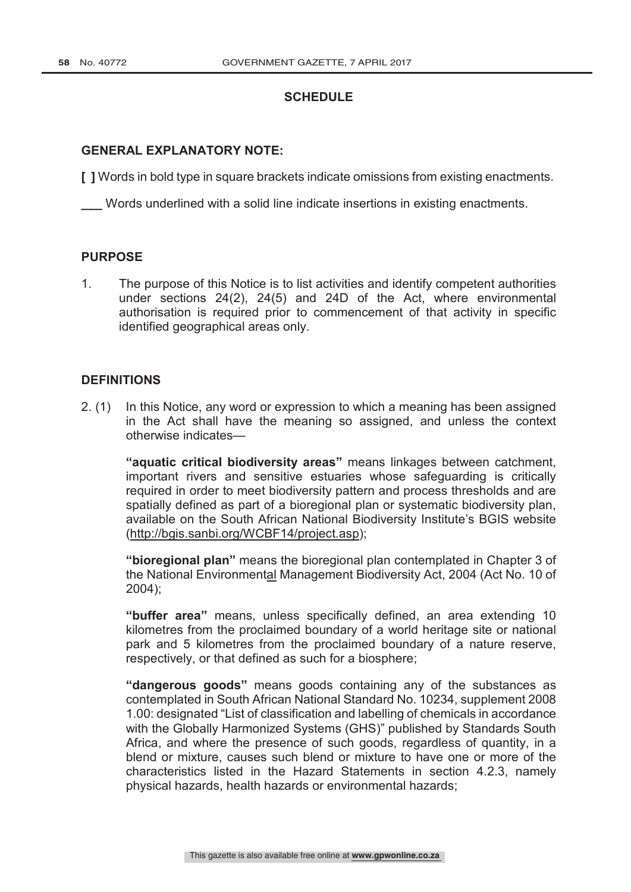## **SCHEDULE**

## **GENERAL EXPLANATORY NOTE:**

**[ ]** Words in bold type in square brackets indicate omissions from existing enactments.

**\_\_\_** Words underlined with a solid line indicate insertions in existing enactments.

#### **PURPOSE**

1. The purpose of this Notice is to list activities and identify competent authorities under sections 24(2), 24(5) and 24D of the Act, where environmental authorisation is required prior to commencement of that activity in specific identified geographical areas only.

### **DEFINITIONS**

2. (1) In this Notice, any word or expression to which a meaning has been assigned in the Act shall have the meaning so assigned, and unless the context otherwise indicates—

**"aquatic critical biodiversity areas"** means linkages between catchment, important rivers and sensitive estuaries whose safeguarding is critically required in order to meet biodiversity pattern and process thresholds and are spatially defined as part of a bioregional plan or systematic biodiversity plan, available on the South African National Biodiversity Institute's BGIS website (http://bgis.sanbi.org/WCBF14/project.asp);

**"bioregional plan"** means the bioregional plan contemplated in Chapter 3 of the National Environmental Management Biodiversity Act, 2004 (Act No. 10 of 2004);

**"buffer area"** means, unless specifically defined, an area extending 10 kilometres from the proclaimed boundary of a world heritage site or national park and 5 kilometres from the proclaimed boundary of a nature reserve, respectively, or that defined as such for a biosphere;

**"dangerous goods"** means goods containing any of the substances as contemplated in South African National Standard No. 10234, supplement 2008 1.00: designated "List of classification and labelling of chemicals in accordance with the Globally Harmonized Systems (GHS)" published by Standards South Africa, and where the presence of such goods, regardless of quantity, in a blend or mixture, causes such blend or mixture to have one or more of the characteristics listed in the Hazard Statements in section 4.2.3, namely physical hazards, health hazards or environmental hazards;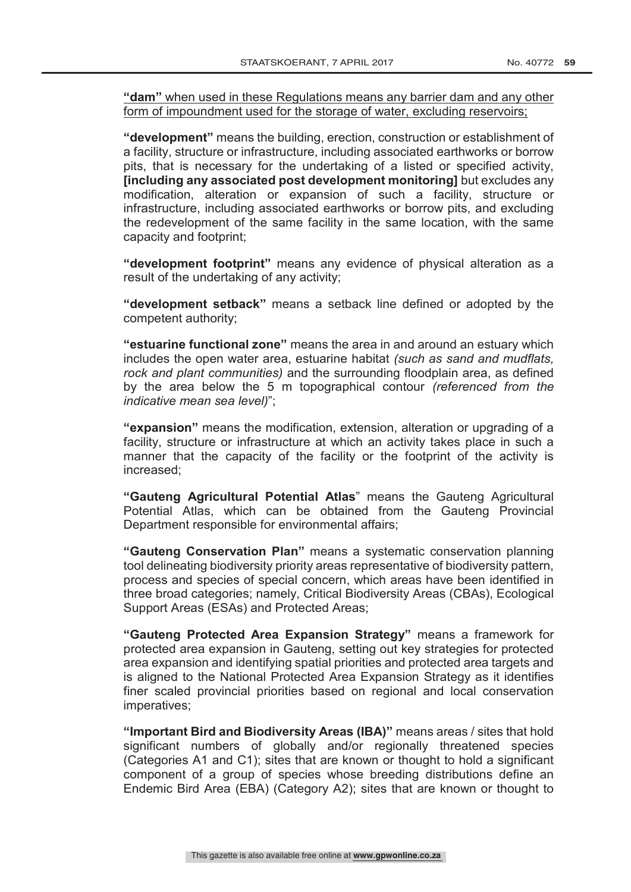**"dam"** when used in these Regulations means any barrier dam and any other form of impoundment used for the storage of water, excluding reservoirs;

**"development"** means the building, erection, construction or establishment of a facility, structure or infrastructure, including associated earthworks or borrow pits, that is necessary for the undertaking of a listed or specified activity, **[including any associated post development monitoring]** but excludes any modification, alteration or expansion of such a facility, structure or infrastructure, including associated earthworks or borrow pits, and excluding the redevelopment of the same facility in the same location, with the same capacity and footprint;

**"development footprint"** means any evidence of physical alteration as a result of the undertaking of any activity;

**"development setback"** means a setback line defined or adopted by the competent authority;

**"estuarine functional zone"** means the area in and around an estuary which includes the open water area, estuarine habitat *(such as sand and mudflats, rock and plant communities)* and the surrounding floodplain area, as defined by the area below the 5 m topographical contour *(referenced from the indicative mean sea level)*";

**"expansion"** means the modification, extension, alteration or upgrading of a facility, structure or infrastructure at which an activity takes place in such a manner that the capacity of the facility or the footprint of the activity is increased;

**"Gauteng Agricultural Potential Atlas**" means the Gauteng Agricultural Potential Atlas, which can be obtained from the Gauteng Provincial Department responsible for environmental affairs;

**"Gauteng Conservation Plan"** means a systematic conservation planning tool delineating biodiversity priority areas representative of biodiversity pattern, process and species of special concern, which areas have been identified in three broad categories; namely, Critical Biodiversity Areas (CBAs), Ecological Support Areas (ESAs) and Protected Areas;

**"Gauteng Protected Area Expansion Strategy"** means a framework for protected area expansion in Gauteng, setting out key strategies for protected area expansion and identifying spatial priorities and protected area targets and is aligned to the National Protected Area Expansion Strategy as it identifies finer scaled provincial priorities based on regional and local conservation imperatives;

**"Important Bird and Biodiversity Areas (IBA)"** means areas / sites that hold significant numbers of globally and/or regionally threatened species (Categories A1 and C1); sites that are known or thought to hold a significant component of a group of species whose breeding distributions define an Endemic Bird Area (EBA) (Category A2); sites that are known or thought to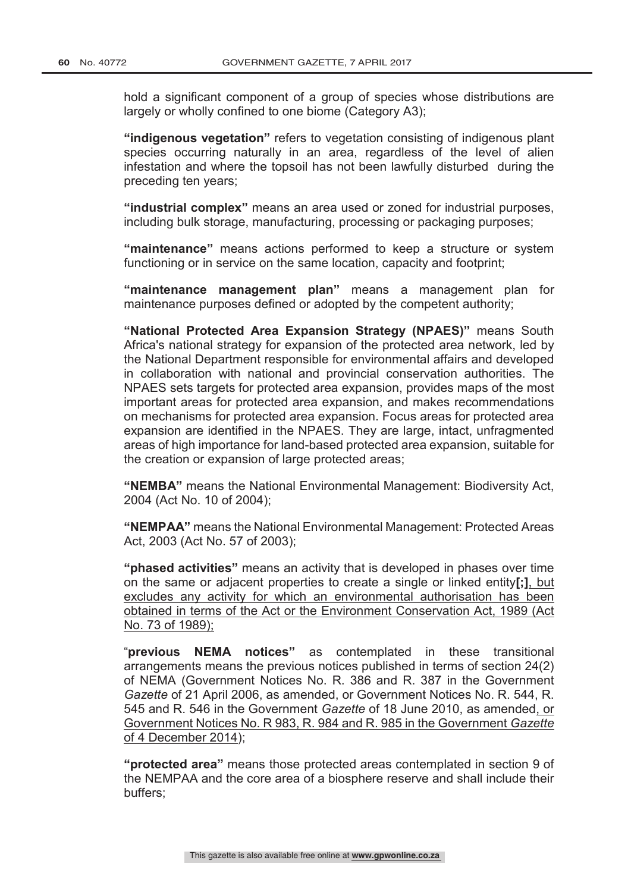hold a significant component of a group of species whose distributions are largely or wholly confined to one biome (Category A3);

**"indigenous vegetation"** refers to vegetation consisting of indigenous plant species occurring naturally in an area, regardless of the level of alien infestation and where the topsoil has not been lawfully disturbed during the preceding ten years;

**"industrial complex"** means an area used or zoned for industrial purposes, including bulk storage, manufacturing, processing or packaging purposes;

**"maintenance"** means actions performed to keep a structure or system functioning or in service on the same location, capacity and footprint;

**"maintenance management plan"** means a management plan for maintenance purposes defined or adopted by the competent authority;

**"National Protected Area Expansion Strategy (NPAES)"** means South Africa's national strategy for expansion of the protected area network, led by the National Department responsible for environmental affairs and developed in collaboration with national and provincial conservation authorities. The NPAES sets targets for protected area expansion, provides maps of the most important areas for protected area expansion, and makes recommendations on mechanisms for protected area expansion. Focus areas for protected area expansion are identified in the NPAES. They are large, intact, unfragmented areas of high importance for land-based protected area expansion, suitable for the creation or expansion of large protected areas;

**"NEMBA"** means the National Environmental Management: Biodiversity Act, 2004 (Act No. 10 of 2004);

**"NEMPAA"** means the National Environmental Management: Protected Areas Act, 2003 (Act No. 57 of 2003);

**"phased activities"** means an activity that is developed in phases over time on the same or adjacent properties to create a single or linked entity**[;]**, but excludes any activity for which an environmental authorisation has been obtained in terms of the Act or the Environment Conservation Act, 1989 (Act No. 73 of 1989);

"**previous NEMA notices"** as contemplated in these transitional arrangements means the previous notices published in terms of section 24(2) of NEMA (Government Notices No. R. 386 and R. 387 in the Government *Gazette* of 21 April 2006, as amended, or Government Notices No. R. 544, R. 545 and R. 546 in the Government *Gazette* of 18 June 2010, as amended, or Government Notices No. R 983, R. 984 and R. 985 in the Government *Gazette* of 4 December 2014);

**"protected area"** means those protected areas contemplated in section 9 of the NEMPAA and the core area of a biosphere reserve and shall include their buffers;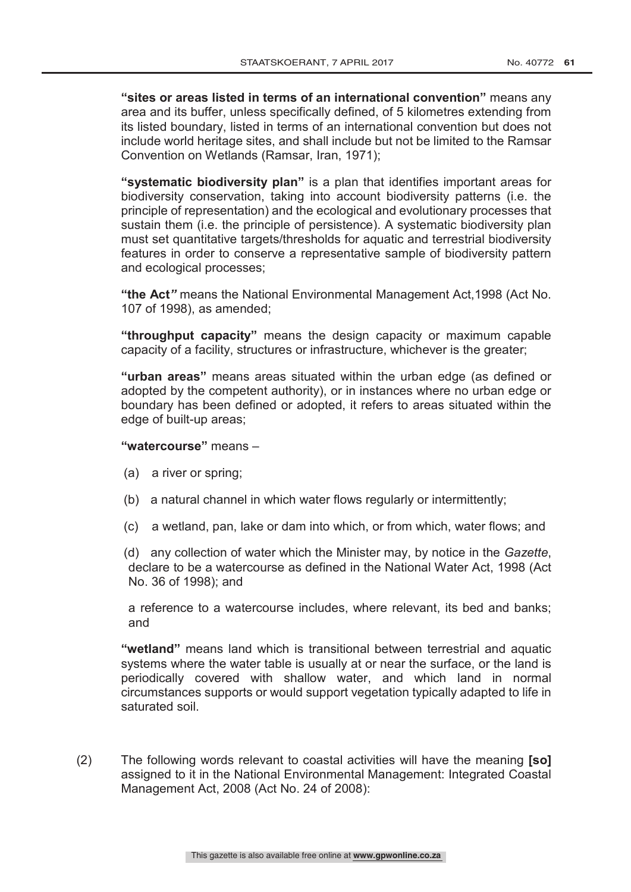**"sites or areas listed in terms of an international convention"** means any area and its buffer, unless specifically defined, of 5 kilometres extending from its listed boundary, listed in terms of an international convention but does not include world heritage sites, and shall include but not be limited to the Ramsar Convention on Wetlands (Ramsar, Iran, 1971);

**"systematic biodiversity plan"** is a plan that identifies important areas for biodiversity conservation, taking into account biodiversity patterns (i.e. the principle of representation) and the ecological and evolutionary processes that sustain them (i.e. the principle of persistence). A systematic biodiversity plan must set quantitative targets/thresholds for aquatic and terrestrial biodiversity features in order to conserve a representative sample of biodiversity pattern and ecological processes;

**"the Act***"* means the National Environmental Management Act,1998 (Act No. 107 of 1998), as amended;

**"throughput capacity"** means the design capacity or maximum capable capacity of a facility, structures or infrastructure, whichever is the greater;

**"urban areas"** means areas situated within the urban edge (as defined or adopted by the competent authority), or in instances where no urban edge or boundary has been defined or adopted, it refers to areas situated within the edge of built-up areas;

### **"watercourse"** means –

- (a) a river or spring;
- (b) a natural channel in which water flows regularly or intermittently;
- (c) a wetland, pan, lake or dam into which, or from which, water flows; and

(d) any collection of water which the Minister may, by notice in the *Gazette*, declare to be a watercourse as defined in the National Water Act, 1998 (Act No. 36 of 1998); and

a reference to a watercourse includes, where relevant, its bed and banks; and

**"wetland"** means land which is transitional between terrestrial and aquatic systems where the water table is usually at or near the surface, or the land is periodically covered with shallow water, and which land in normal circumstances supports or would support vegetation typically adapted to life in saturated soil.

(2) The following words relevant to coastal activities will have the meaning **[so]** assigned to it in the National Environmental Management: Integrated Coastal Management Act, 2008 (Act No. 24 of 2008):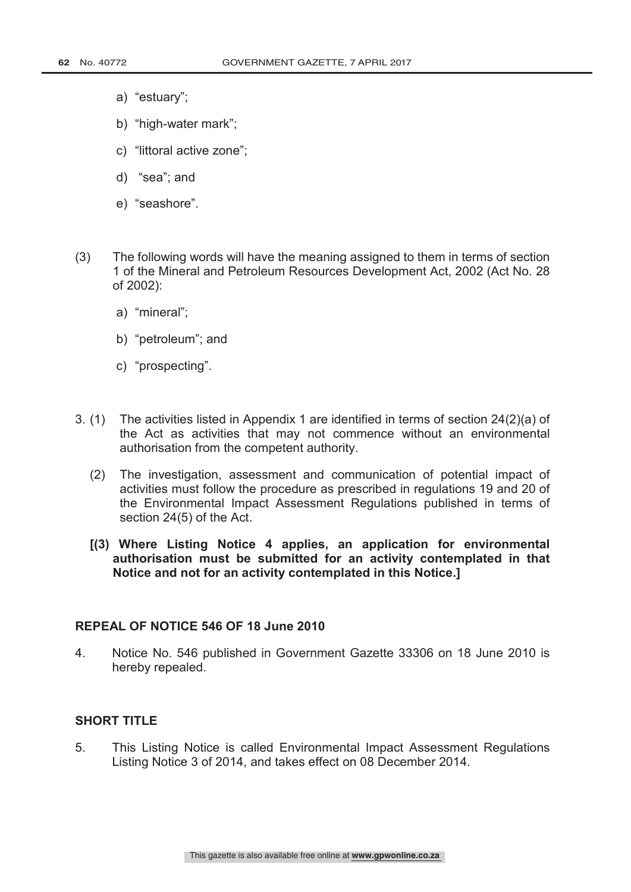- a) "estuary";
- b) "high-water mark";
- c) "littoral active zone";
- d) "sea"; and
- e) "seashore".
- (3) The following words will have the meaning assigned to them in terms of section 1 of the Mineral and Petroleum Resources Development Act, 2002 (Act No. 28 of 2002):
	- a) "mineral";
	- b) "petroleum"; and
	- c) "prospecting".
- 3. (1) The activities listed in Appendix 1 are identified in terms of section 24(2)(a) of the Act as activities that may not commence without an environmental authorisation from the competent authority.
	- (2) The investigation, assessment and communication of potential impact of activities must follow the procedure as prescribed in regulations 19 and 20 of the Environmental Impact Assessment Regulations published in terms of section 24(5) of the Act.
	- **[(3) Where Listing Notice 4 applies, an application for environmental authorisation must be submitted for an activity contemplated in that Notice and not for an activity contemplated in this Notice.]**

## **REPEAL OF NOTICE 546 OF 18 June 2010**

4. Notice No. 546 published in Government Gazette 33306 on 18 June 2010 is hereby repealed.

# **SHORT TITLE**

5. This Listing Notice is called Environmental Impact Assessment Regulations Listing Notice 3 of 2014, and takes effect on 08 December 2014.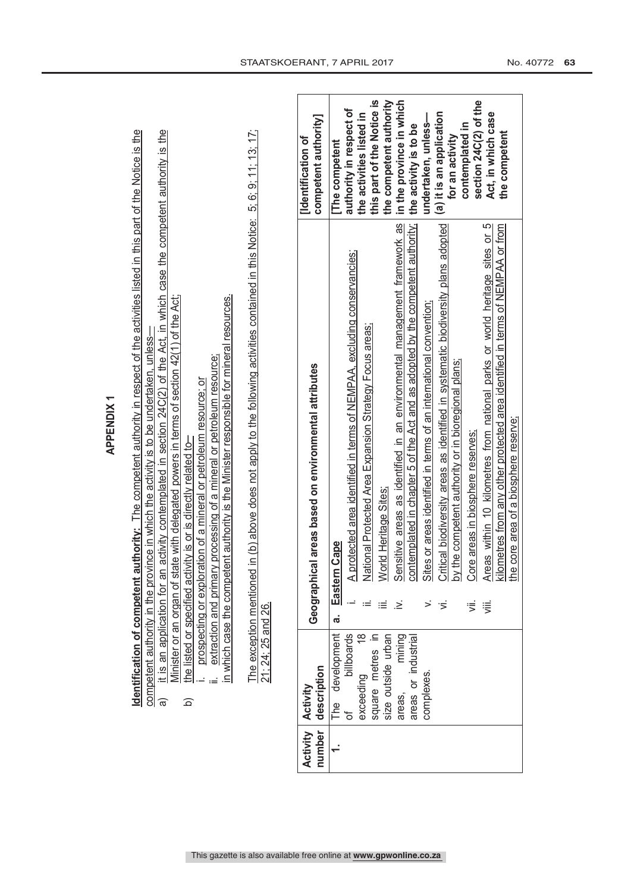|                                                                                                                                                                                                                                                                                                                                                                                                                                                                                                                    | competent authority]<br>[Identification of           | [The competent          | authority in respect of                                                     | this part of the Notice is<br>the activities listed in | the competent authority | in the province in which | the activity is to be | undertaken, unless- | (a) it is an application                                                                                                                                                                                                                | contemplated in<br>for an activity | section 24C(2) of the                  | Act, in which case                                                                                                                                                                                          | the competent |  |
|--------------------------------------------------------------------------------------------------------------------------------------------------------------------------------------------------------------------------------------------------------------------------------------------------------------------------------------------------------------------------------------------------------------------------------------------------------------------------------------------------------------------|------------------------------------------------------|-------------------------|-----------------------------------------------------------------------------|--------------------------------------------------------|-------------------------|--------------------------|-----------------------|---------------------|-----------------------------------------------------------------------------------------------------------------------------------------------------------------------------------------------------------------------------------------|------------------------------------|----------------------------------------|-------------------------------------------------------------------------------------------------------------------------------------------------------------------------------------------------------------|---------------|--|
| The exception mentioned in (b) above does not apply to the following activities contained in this Notice: 5; 6; 9; 11; 13; 17;<br>Winister or an organ of state with delegated powers in terms of section 42(1) of the Act;<br>in which case the competent authority is the Minister responsible for mineral resources.<br>extraction and primary processing of a mineral or petroleum resource;<br>ration of a mineral or petroleum resource; or<br>tivity is or is directly related to-<br>prospecting or explor | Geographical areas based on environmental attributes | n Cape<br>Eastern<br>ര് | protected area identified in terms of NEMPAA, excluding conservancies;<br>⋜ |                                                        |                         |                          |                       |                     | National Protected Area Expansion Strategy Focus areas;<br>World Heritage Sites;<br>Sensitive areas as identified in an environmental management framework as<br>contemplated in chapter 5 of the Act and as adopted by the competent a |                                    | Core areas in biosphere reserves;<br>⋚ | Areas within 10 kilometres from national parks or world heritage sites or 5<br>kilometres from any other protected area identified in terms of NEMPAA or from<br>the core area of a biosphere reserve;<br>這 |               |  |
| the listed or specified act<br>21; 24; 25 and 26.<br>$\widehat{\mathbf{d}}$                                                                                                                                                                                                                                                                                                                                                                                                                                        | description<br>Activity                              | development<br>The      | billboards                                                                  | $\frac{8}{1}$<br>square metres in<br>exceeding         | size outside urban      | mining<br>areas,         | areas or industrial   | complexes           |                                                                                                                                                                                                                                         |                                    |                                        |                                                                                                                                                                                                             |               |  |
|                                                                                                                                                                                                                                                                                                                                                                                                                                                                                                                    | Activity<br>number                                   |                         | ಕ                                                                           |                                                        |                         |                          |                       |                     |                                                                                                                                                                                                                                         |                                    |                                        |                                                                                                                                                                                                             |               |  |

**Identification of competent authority:** The competent authority in respect of the activities listed in this part of the Notice is the **Identification of competent authority:** The competent authority in respect of the activities listed in this part of the Notice is the

competent authority in the province in which the activity is to be undertaken, unless—

competent authority in the province in which the activity is to be undertaken, unless—<br>a) it is an application for an activity contemplated in section 24C(2) of the Act, in which case the competent authority is the<br>Ministe a) it is an application for an activity contemplated in section 24C(2) of the Act, in which case the competent authority is the Minister or an organ of state with delegated powers in terms of section 42(1) of the Act;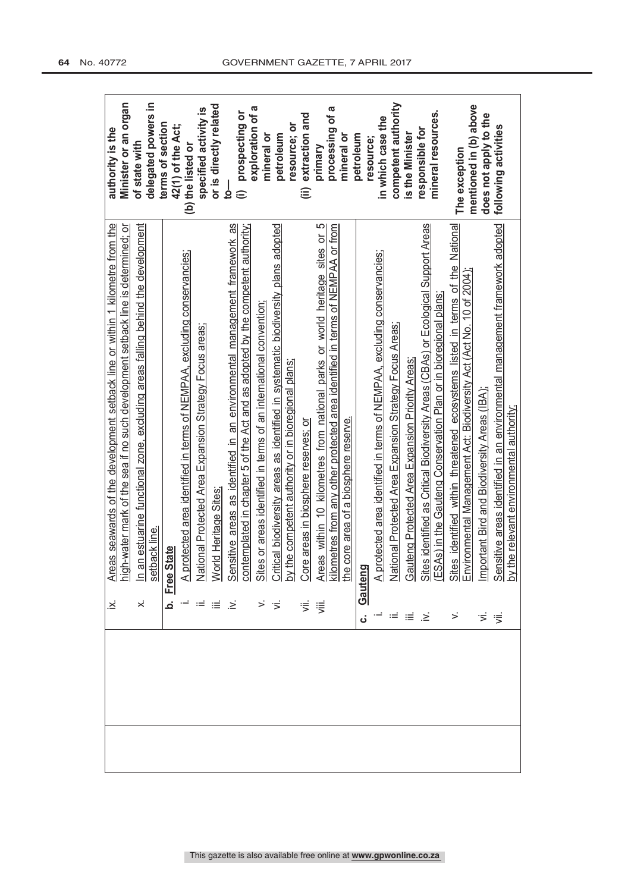|  | نح                          | Areas seawards of the development setback line or within 1 kilometre from the high-water mark of the sea if no such development setback line is determined; or high-water mark of the sea if no such development setback line                      | authority is the                |
|--|-----------------------------|----------------------------------------------------------------------------------------------------------------------------------------------------------------------------------------------------------------------------------------------------|---------------------------------|
|  |                             |                                                                                                                                                                                                                                                    | Minister or an organ            |
|  | ×                           |                                                                                                                                                                                                                                                    | of state with                   |
|  |                             |                                                                                                                                                                                                                                                    | delegated powers in             |
|  |                             |                                                                                                                                                                                                                                                    | terms of section                |
|  |                             | Free State                                                                                                                                                                                                                                         | 42(1) of the Act;               |
|  |                             |                                                                                                                                                                                                                                                    | (b) the listed or               |
|  |                             |                                                                                                                                                                                                                                                    | specified activity is           |
|  |                             |                                                                                                                                                                                                                                                    | or is directly related          |
|  |                             |                                                                                                                                                                                                                                                    | 9                               |
|  | $\mathcal{L} = \mathcal{L}$ |                                                                                                                                                                                                                                                    | prospecting or<br>$\widehat{=}$ |
|  |                             | i A <u>invidented area identified in terms of its MFMPAA, excluding conservancies:</u><br>In: <u>Norid Heritage Sites:</u><br>M. <u>National Protected Area Expansion Strategy Focus areas:</u><br>M. Sites or areas identified in terms of an int | exploration of a<br>mineral or  |
|  |                             |                                                                                                                                                                                                                                                    | petroleum                       |
|  |                             |                                                                                                                                                                                                                                                    | resource; or                    |
|  |                             |                                                                                                                                                                                                                                                    | extraction and<br>$\widehat{=}$ |
|  | ず<br>実                      |                                                                                                                                                                                                                                                    | primary                         |
|  |                             |                                                                                                                                                                                                                                                    | processing of a                 |
|  |                             |                                                                                                                                                                                                                                                    | mineral or                      |
|  |                             |                                                                                                                                                                                                                                                    | petroleum                       |
|  |                             |                                                                                                                                                                                                                                                    | in which case the<br>resource;  |
|  |                             |                                                                                                                                                                                                                                                    | competent authority             |
|  | → ⊨ 를 ≧                     |                                                                                                                                                                                                                                                    | is the Minister                 |
|  |                             |                                                                                                                                                                                                                                                    | responsible for                 |
|  |                             |                                                                                                                                                                                                                                                    | mineral resources.              |
|  |                             |                                                                                                                                                                                                                                                    | The exception                   |
|  |                             |                                                                                                                                                                                                                                                    | mentioned in (b) above          |
|  | ゙゚゚゠゙                       |                                                                                                                                                                                                                                                    | does not apply to the           |
|  |                             |                                                                                                                                                                                                                                                    | following activities            |
|  |                             |                                                                                                                                                                                                                                                    |                                 |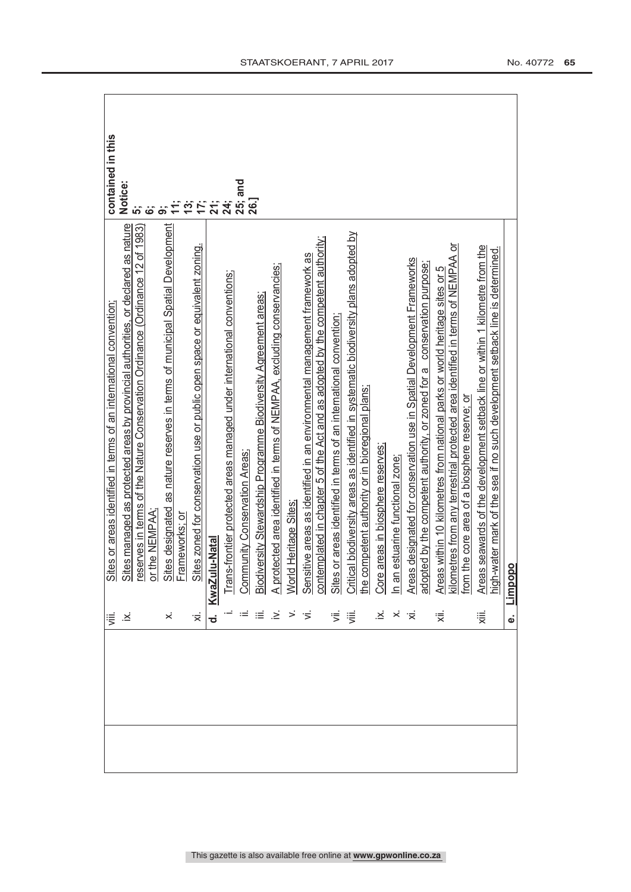| ≔.<br>'                  |                                                                                                                                                                                                                                                                                           | contained in this     |
|--------------------------|-------------------------------------------------------------------------------------------------------------------------------------------------------------------------------------------------------------------------------------------------------------------------------------------|-----------------------|
| $\dot{\varkappa}$        |                                                                                                                                                                                                                                                                                           | Notice:               |
|                          |                                                                                                                                                                                                                                                                                           | $\ddot{\mathbf{s}}$   |
|                          |                                                                                                                                                                                                                                                                                           |                       |
|                          |                                                                                                                                                                                                                                                                                           | တ်                    |
|                          |                                                                                                                                                                                                                                                                                           |                       |
|                          | Sites or areas identified in terms of an international convention;<br>Sites managed as protected areas by provincial authorities, or declared as nature<br>reserves in terms of the Nature Conservation Ordinance (Ordinance 12 of 1                                                      | おいたまま<br>おいたおき<br>おいち |
|                          | KwaZulu-Natal                                                                                                                                                                                                                                                                             |                       |
|                          | Trans-frontier protected areas managed under international conventions;                                                                                                                                                                                                                   |                       |
|                          | ii. Community Conservation Areas:<br>III. Biodiversity Stewardship Programme Biodiversity Agreement areas:<br>v. A protected area identified in terms of NEMPAA, excluding conservancies;<br>iv. Sensitive areas as identified in an en                                                   | 26.]                  |
| $\equiv$ $\equiv$ $\geq$ |                                                                                                                                                                                                                                                                                           |                       |
|                          |                                                                                                                                                                                                                                                                                           |                       |
|                          |                                                                                                                                                                                                                                                                                           |                       |
| $>$ $\leq$               |                                                                                                                                                                                                                                                                                           |                       |
|                          |                                                                                                                                                                                                                                                                                           |                       |
|                          |                                                                                                                                                                                                                                                                                           |                       |
| 引引                       |                                                                                                                                                                                                                                                                                           |                       |
|                          |                                                                                                                                                                                                                                                                                           |                       |
| $\dot{\varkappa}$        |                                                                                                                                                                                                                                                                                           |                       |
| $\ddot{\times}$          |                                                                                                                                                                                                                                                                                           |                       |
| · 文                      |                                                                                                                                                                                                                                                                                           |                       |
|                          |                                                                                                                                                                                                                                                                                           |                       |
|                          | etres from any terrestrial protected area identified in terms of NEMPAA or<br>Areas within 10 kilometres from national parks or world heritage sites or 5<br>kilometres from any terrestrial protected area identified in terms of NEMPA<br>from the core area of a biosphere reserve; or |                       |
|                          |                                                                                                                                                                                                                                                                                           |                       |
|                          | Areas seawards of the development setback line or within 1 kilometre from the<br>high-water mark of the sea if no such development setback line is determined.                                                                                                                            |                       |
|                          |                                                                                                                                                                                                                                                                                           |                       |
| نه                       | Limpopo                                                                                                                                                                                                                                                                                   |                       |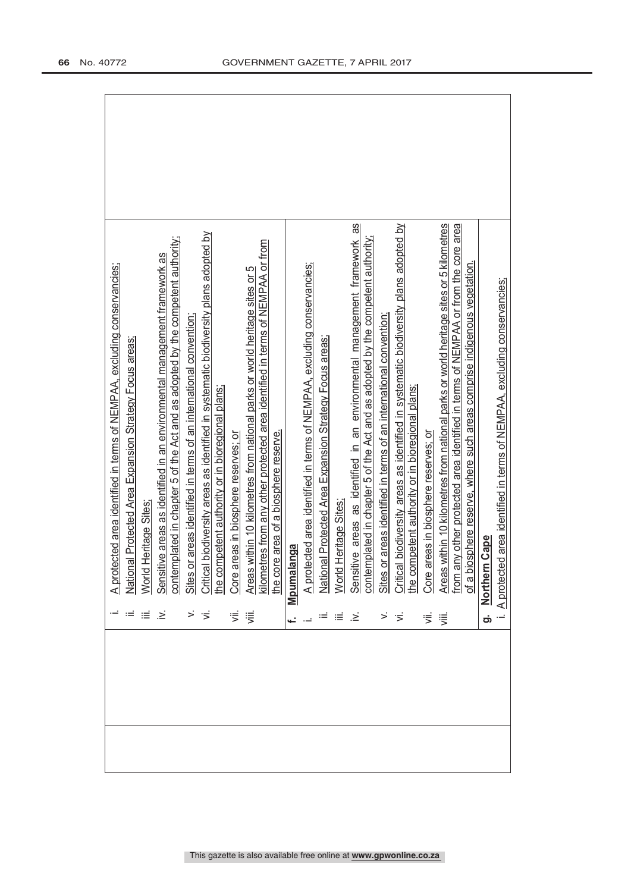| Nation<br>World<br>خ. | A protected area identified in terms of NEMPAA, excluding conservancies;<br>ial Protected Area Expansion Strategy Focus areas;<br>Heritage Sites              |
|-----------------------|---------------------------------------------------------------------------------------------------------------------------------------------------------------|
|                       |                                                                                                                                                               |
|                       |                                                                                                                                                               |
|                       |                                                                                                                                                               |
|                       | Sensitive areas as identified in an environmental management framework as                                                                                     |
|                       | contemplated in chapter 5 of the Act and as adopted by the competent authority;                                                                               |
|                       | Sites or areas identified in terms of an international convention,                                                                                            |
|                       | Critical biodiversity areas as identified in systematic biodiversity plans adopted by                                                                         |
|                       | the competent authority or in bioregional plans;                                                                                                              |
| ₹                     | Core areas in biosphere reserves; or                                                                                                                          |
| 這                     | Areas within 10 kilometres from national parks or world heritage sites or 5                                                                                   |
|                       | kilometres from any other protected area identified in terms of NEMPAA or from                                                                                |
|                       | the core area of a biosphere reserve.                                                                                                                         |
| Mpunal                | langa                                                                                                                                                         |
|                       | A protected area identified in terms of NEMPAA, excluding conservancies;                                                                                      |
|                       | National Protected Area Expansion Strategy Focus areas;                                                                                                       |
| World                 | Heritage Sites;                                                                                                                                               |
| Sensi<br>.≥ં          | 8<br>tive areas as identified in an environmental management framework                                                                                        |
|                       | contemplated in chapter 5 of the Act and as adopted by the competent authority;                                                                               |
| Sites                 | or areas identified in terms of an international convention;                                                                                                  |
| '≍                    | Critical biodiversity areas as identified in systematic biodiversity plans adopted by                                                                         |
|                       | the competent authority or in bioregional plans;                                                                                                              |
| ず                     | Core areas in biosphere reserves; or                                                                                                                          |
| 這                     | Areas within 10 kilometres from national parks or world heritage sites or 5 kilometres                                                                        |
|                       | from any other protected area identified in terms of NEMPAA or from the core area<br>of a biosphere reserve, where such areas comprise indigenous vegetation. |
|                       |                                                                                                                                                               |
| Norther<br>တ်         | n Cape                                                                                                                                                        |
| A protect             | ed area identified in terms of NEMPAA, excluding conservancies;                                                                                               |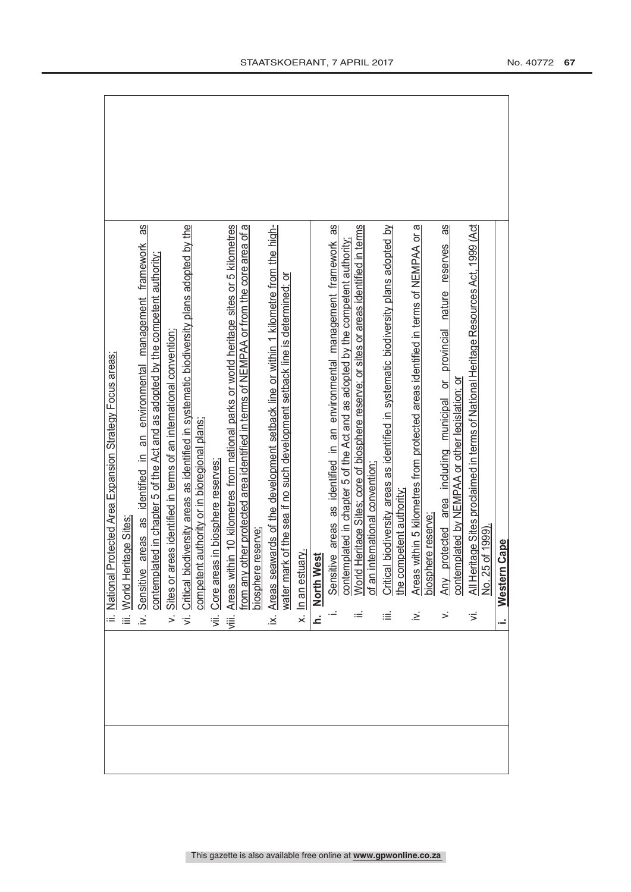|                                                         |                           | 8g                                                                                                                                                            |                                                                       |                                                                                              |                                                  |                                      |                                                                                                                                                                                      |                   |                                                                                     |                                                                             |                   |                            |                                                                           |                                                                                                                                                                           |                                      |                                                                                           |                                       |                                                                                   |                        | 8g                                                                             |                                                     |                                                                                           |                           |                                  |
|---------------------------------------------------------|---------------------------|---------------------------------------------------------------------------------------------------------------------------------------------------------------|-----------------------------------------------------------------------|----------------------------------------------------------------------------------------------|--------------------------------------------------|--------------------------------------|--------------------------------------------------------------------------------------------------------------------------------------------------------------------------------------|-------------------|-------------------------------------------------------------------------------------|-----------------------------------------------------------------------------|-------------------|----------------------------|---------------------------------------------------------------------------|---------------------------------------------------------------------------------------------------------------------------------------------------------------------------|--------------------------------------|-------------------------------------------------------------------------------------------|---------------------------------------|-----------------------------------------------------------------------------------|------------------------|--------------------------------------------------------------------------------|-----------------------------------------------------|-------------------------------------------------------------------------------------------|---------------------------|----------------------------------|
| National Protected Area Expansion Strategy Focus areas; | leritage Sites<br>World H | Sensitive areas as identified in an environmental management framework<br>plated in chapter 5 of the Act and as adopted by the competent authority;<br>contem | areas identified in terms of an international convention:<br>Sites or | biodiversity areas as identified in systematic biodiversity plans adopted by the<br>Critical | ent authority or in bioregional plans;<br>compet | eas in biosphere reserves<br>Core ar | Areas within 10 kilometres from national parks or world heritage sites or 5 kilometres<br>y other protected area identified in terms of NEMPAA or from the core area of a<br>from an | biosphere reserve | Areas seawards of the development setback line or within 1 kilometre from the high- | water mark of the sea if no such development setback line is determined; or | x. In an estuary. | West<br>North <sup>1</sup> | Sensitive areas as identified in an environmental management framework as | contemplated in chapter 5 of the Act and as adopted by the competent authority;<br>World Heritage Sites; core of biosphere reserve; or sites or areas identified in terms | n international convention;<br>of ar | cal biodiversity areas as identified in systematic biodiversity plans adopted by<br>Criti | competent authority<br>the $\epsilon$ | Areas within 5 kilometres from protected areas identified in terms of NEMPAA or a | phere reserve;<br>bios | protected area including municipal or provincial nature reserves<br><b>Any</b> | emplated by NEMPAA or other legislation; or<br>cont | leritage Sites proclaimed in terms of National Heritage Resources Act, 1999 (Act<br>AII H | 25 of 1999).<br>$\dot{g}$ | <b>I'm Cape</b><br><b>Wester</b> |
| E                                                       | iΞ                        | $\geq$                                                                                                                                                        | $\leq$                                                                | $\overline{5}$                                                                               |                                                  | ίË.                                  | ∛iii.                                                                                                                                                                                |                   | .×                                                                                  |                                                                             |                   | ċ                          |                                                                           |                                                                                                                                                                           |                                      | ≔                                                                                         |                                       | .≥                                                                                |                        | ≍                                                                              |                                                     | ≶                                                                                         |                           |                                  |
|                                                         |                           |                                                                                                                                                               |                                                                       |                                                                                              |                                                  |                                      |                                                                                                                                                                                      |                   |                                                                                     |                                                                             |                   |                            |                                                                           |                                                                                                                                                                           |                                      |                                                                                           |                                       |                                                                                   |                        |                                                                                |                                                     |                                                                                           |                           |                                  |
|                                                         |                           |                                                                                                                                                               |                                                                       |                                                                                              |                                                  |                                      |                                                                                                                                                                                      |                   |                                                                                     |                                                                             |                   |                            |                                                                           |                                                                                                                                                                           |                                      |                                                                                           |                                       |                                                                                   |                        |                                                                                |                                                     |                                                                                           |                           |                                  |

 $\mathsf{r}$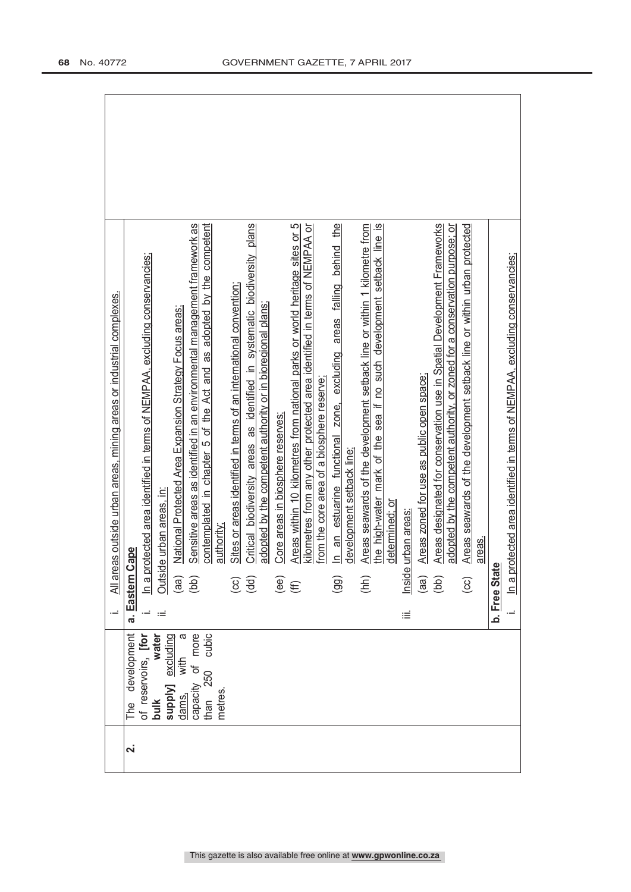| All areas outside urban areas, mining areas or industrial complexes. | Critical biodiversity areas as identified in systematic biodiversity plans<br>kilometres from any other protected area identified in terms of NEMPAA or<br>Sensitive areas as identified in an environmental management framework as<br>contemplated in chapter 5 of the Act and as adopted by the competent<br>Areas within 10 kilometres from national parks or world heritage sites or 5<br>zone, excluding areas falling behind the<br>Areas seawards of the development setback line or within 1 kilometre from<br><u>യ</u><br>Areas designated for conservation use in Spatial Development Frameworks<br>adopted by the competent authority, or zoned for a conservation purpose; or<br>Areas seawards of the development setback line or within urban protected<br>the high-water mark of the sea if no such development setback line<br>In a protected area identified in terms of NEMPAA, excluding conservancies;<br>rotected area identified in terms of NEMPAA, excluding conservancies;<br>Sites or areas identified in terms of an international convention;<br>adopted by the competent authority or in bioregional plans;<br>National Protected Area Expansion Strategy Focus areas: |
|----------------------------------------------------------------------|------------------------------------------------------------------------------------------------------------------------------------------------------------------------------------------------------------------------------------------------------------------------------------------------------------------------------------------------------------------------------------------------------------------------------------------------------------------------------------------------------------------------------------------------------------------------------------------------------------------------------------------------------------------------------------------------------------------------------------------------------------------------------------------------------------------------------------------------------------------------------------------------------------------------------------------------------------------------------------------------------------------------------------------------------------------------------------------------------------------------------------------------------------------------------------------------------|
|                                                                      | Areas zoned for use as public open space;<br>from the core area of a biosphere reserve;<br>Core areas in biosphere reserves;<br>an estuarine functional<br>development setback line;<br>le urban areas, in<br>determined: or<br>urban areas<br>authority<br>areas.<br>Cape<br>$\overline{a}$<br>b. Free State<br>Outsid<br>Inside<br>ln a pi<br>a. Eastern<br>(hh)<br>(aa)<br>(bb)<br>(dd)<br>(99)<br>$\widehat{\mathfrak{g}}$<br>(aa)<br>(bb)<br>$\left($ cc)<br>$\overline{\mathcal{C}}$<br>ιÉ                                                                                                                                                                                                                                                                                                                                                                                                                                                                                                                                                                                                                                                                                                     |
|                                                                      | water<br>capacity of more<br>σ<br>of reservoirs, ther<br>supply] excluding<br>250 cubic<br>The development<br>with<br>metres.<br>dams,<br>than<br>bulk                                                                                                                                                                                                                                                                                                                                                                                                                                                                                                                                                                                                                                                                                                                                                                                                                                                                                                                                                                                                                                               |
|                                                                      | $\dot{\mathbf{v}}$                                                                                                                                                                                                                                                                                                                                                                                                                                                                                                                                                                                                                                                                                                                                                                                                                                                                                                                                                                                                                                                                                                                                                                                   |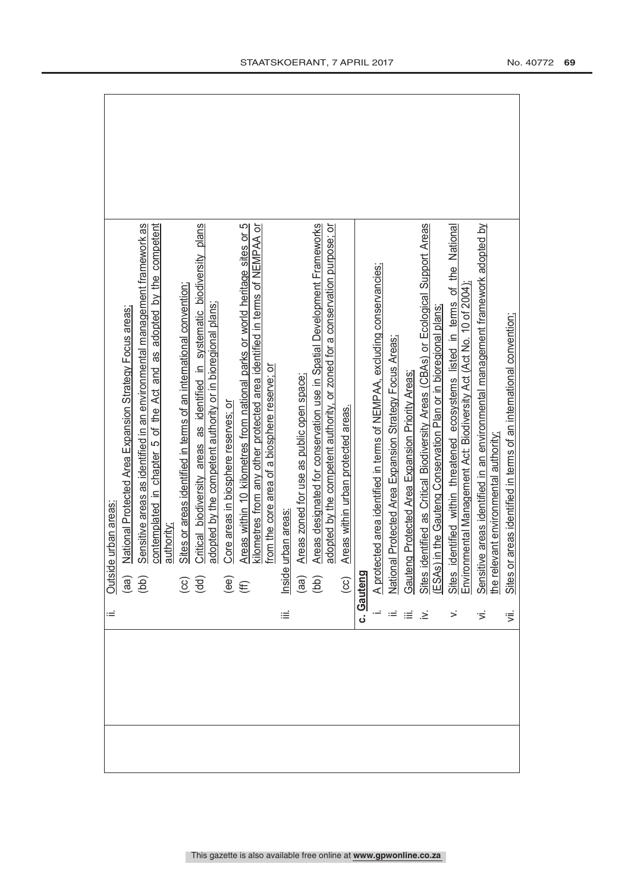| National Protected Area Expansion Strategy Focus areas<br>Outside urban areas: | Sensitive areas as identified in an environmental management framework as | contemplated in chapter 5 of the Act and as adopted by the competent | authority; | Sites or areas identified in terms of an international convention; | Critical biodiversity areas as identified in systematic biodiversity plans | adopted by the competent authority or in bioregional plans; | Core areas in biosphere reserves; or | Areas within 10 kilometres from national parks or world heritage sites or 5 | kilometres from any other protected area identified in terms of NEMPAA or<br>from the core area of a biosphere reserve; or |   | Areas zoned for use as public open space; | Areas designated for conservation use in Spatial Development Frameworks<br>Inside urban areas:<br>(aa) Areas zoned<br>(bb) Areas design | adopted by the competent authority, or zoned for a conservation purpose; or | Areas within urban protected areas. |            |  |     |  | i. A protected area identified in terms of NEMPAA, excluding conservancies;<br>ii. National Protected Area Expansion Strategy Focus Areas;<br>v. Sites identified as Critical Biodiversity Areas (CBAs) or Ecological Support Areas<br> |  | Sites or areas identified in terms of an international convention; |
|--------------------------------------------------------------------------------|---------------------------------------------------------------------------|----------------------------------------------------------------------|------------|--------------------------------------------------------------------|----------------------------------------------------------------------------|-------------------------------------------------------------|--------------------------------------|-----------------------------------------------------------------------------|----------------------------------------------------------------------------------------------------------------------------|---|-------------------------------------------|-----------------------------------------------------------------------------------------------------------------------------------------|-----------------------------------------------------------------------------|-------------------------------------|------------|--|-----|--|-----------------------------------------------------------------------------------------------------------------------------------------------------------------------------------------------------------------------------------------|--|--------------------------------------------------------------------|
|                                                                                | $\begin{pmatrix} 1 & 0 \\ 0 & 0 \\ 0 & 0 \end{pmatrix}$                   |                                                                      |            | $\left(\begin{matrix} 1 \\ 2 \\ 3 \end{matrix}\right)$             |                                                                            |                                                             | $\widehat{\mathfrak{g}}$             |                                                                             |                                                                                                                            |   |                                           |                                                                                                                                         |                                                                             | $\overline{\mathfrak{S}}$           | c. Gauteng |  |     |  |                                                                                                                                                                                                                                         |  |                                                                    |
| Ξ                                                                              |                                                                           |                                                                      |            |                                                                    |                                                                            |                                                             |                                      |                                                                             |                                                                                                                            | ≡ |                                           |                                                                                                                                         |                                                                             |                                     |            |  | ≋ ≋ |  |                                                                                                                                                                                                                                         |  | ξ                                                                  |
|                                                                                |                                                                           |                                                                      |            |                                                                    |                                                                            |                                                             |                                      |                                                                             |                                                                                                                            |   |                                           |                                                                                                                                         |                                                                             |                                     |            |  |     |  |                                                                                                                                                                                                                                         |  |                                                                    |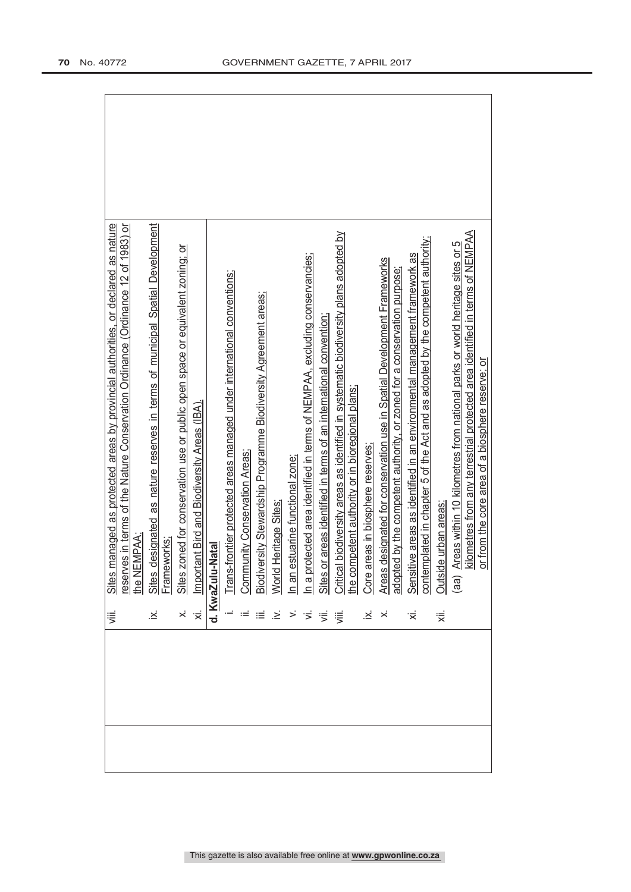|  | ΞÏ. | managed as protected areas by provincial authorities, or declared as nature                                                                                                                                                          |
|--|-----|--------------------------------------------------------------------------------------------------------------------------------------------------------------------------------------------------------------------------------------|
|  |     | res in terms of the Nature Conservation Ordinance (Ordinance 12 of 1983) or<br><u>Sites<br/>reserv</u><br>Leserv                                                                                                                     |
|  |     | EMPAA;                                                                                                                                                                                                                               |
|  |     | designated as nature reserves in terms of municipal Spatial Development                                                                                                                                                              |
|  |     |                                                                                                                                                                                                                                      |
|  |     |                                                                                                                                                                                                                                      |
|  |     |                                                                                                                                                                                                                                      |
|  |     |                                                                                                                                                                                                                                      |
|  |     |                                                                                                                                                                                                                                      |
|  |     |                                                                                                                                                                                                                                      |
|  |     |                                                                                                                                                                                                                                      |
|  |     |                                                                                                                                                                                                                                      |
|  |     |                                                                                                                                                                                                                                      |
|  |     |                                                                                                                                                                                                                                      |
|  |     |                                                                                                                                                                                                                                      |
|  |     | ix. Sites designated as nature reserves in terms of municipal Spatial Development<br>x. Sites zoned for conservation use or public open space or equivalent zoning; or<br>x. Instanting for conservation Areas.<br>1. Trans-frontier |
|  |     |                                                                                                                                                                                                                                      |
|  |     |                                                                                                                                                                                                                                      |
|  |     |                                                                                                                                                                                                                                      |
|  |     |                                                                                                                                                                                                                                      |
|  |     |                                                                                                                                                                                                                                      |
|  |     |                                                                                                                                                                                                                                      |
|  | हां | Outside urban areas:                                                                                                                                                                                                                 |
|  |     | Areas within 10 kilometres from national parks or world heritage sites or 5<br>(a)                                                                                                                                                   |
|  |     | kilometres from any terrestrial protected area identified in terms of NEMPAA                                                                                                                                                         |
|  |     | or from the core area of a biosphere reserve; or                                                                                                                                                                                     |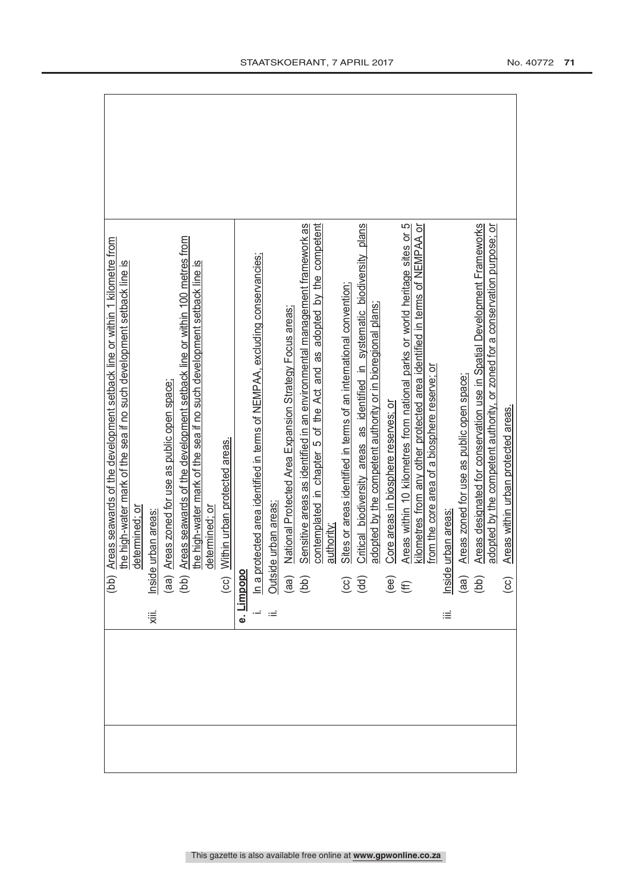|  | Sites or areas identified in terms of an international convention;<br>adopted by the competent authority or in bioregional plans;                                                                                                                                                                                                                                                                       | Core areas in biosphere reserves; or                                       | Areas zoned for use as public open space:                                                                                                                                                                                                                                   | Areas designated for conservation use in Spatial Development Frameworks<br>adopted by the competent authority, or zoned for a conservation purpose; or<br>Areas within urban protected areas. |
|--|---------------------------------------------------------------------------------------------------------------------------------------------------------------------------------------------------------------------------------------------------------------------------------------------------------------------------------------------------------------------------------------------------------|----------------------------------------------------------------------------|-----------------------------------------------------------------------------------------------------------------------------------------------------------------------------------------------------------------------------------------------------------------------------|-----------------------------------------------------------------------------------------------------------------------------------------------------------------------------------------------|
|  |                                                                                                                                                                                                                                                                                                                                                                                                         |                                                                            | Ξ                                                                                                                                                                                                                                                                           | $\bigodot$                                                                                                                                                                                    |
|  |                                                                                                                                                                                                                                                                                                                                                                                                         |                                                                            |                                                                                                                                                                                                                                                                             |                                                                                                                                                                                               |
|  | Sensitive areas as identified in an environmental management framework as<br>contemplated in chapter 5 of the Act and as adopted by the competent<br>e. Limpop<br>(cc) <u>Within urban protected areas:</u><br>i. In a protected area identified in terms of NEMPAA, excluding conservancies;<br>ii. <u>Outside urban areas:</u><br>(aa) National Protected Area Expansion Stratery F-<br>(bb) Sensitiv | Critical biodiversity areas as identified in systematic biodiversity plans | Areas within 10 kilometres from national parks or world heritage sites or 5<br>kilometres from any other protected area identified in terms of NEMPAA or<br>$\begin{array}{cc} (G\dot{G}) & \text{def} \\ (G\dot{G}) & \text{def} \\ (\text{def}) & \text{def} \end{array}$ | from the core area of a biosphere reserve; or<br>Inside urban areas:<br>(aa) Areas zoned<br>(bb) Areas design                                                                                 |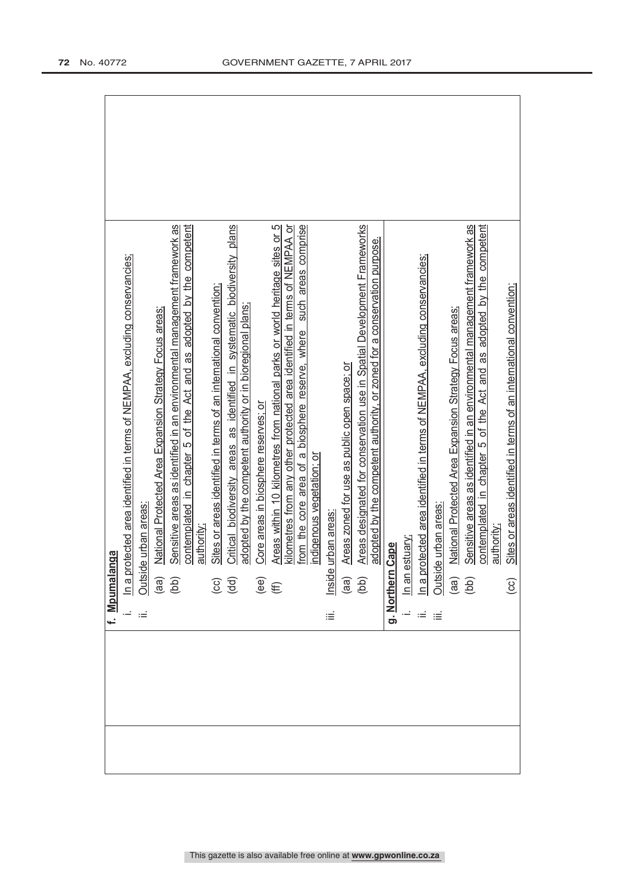| f. Mpumalanga                                                                                                                                   |
|-------------------------------------------------------------------------------------------------------------------------------------------------|
|                                                                                                                                                 |
| In a protected area identified in terms of NEMPAA, excluding conservancies;<br>Outside urban areas:                                             |
| National Protected Area Expansion Strategy Focus areas:<br>$\begin{pmatrix} 1 & 0 \\ 0 & 0 \end{pmatrix}$                                       |
| Sensitive areas as identified in an environmental management framework as                                                                       |
| contemplated in chapter 5 of the Act and as adopted by the competent                                                                            |
| authority;                                                                                                                                      |
| Sites or areas identified in terms of an international convention:<br>$\left(\begin{matrix} 0 \\ 0 \\ 0 \end{matrix}\right)$                    |
| Critical biodiversity areas as identified in systematic biodiversity plans                                                                      |
| adopted by the competent authority or in bioregional plans;                                                                                     |
| Core areas in biosphere reserves; or<br>$\widehat{\mathcal{E}}$                                                                                 |
| Areas within 10 kilometres from national parks or world heritage sites or 5                                                                     |
| kilometres from any other protected area identified in terms of NEMPAA or                                                                       |
| such areas comprise<br>from the core area of a biosphere reserve, where                                                                         |
| indigenous vegetation; or                                                                                                                       |
| Inside urban areas<br>iΞ                                                                                                                        |
| Areas zoned for use as public open space; or                                                                                                    |
| Areas designated for conservation use in Spatial Development Frameworks<br>$\begin{pmatrix} \text{d}\text{d} \\ \text{d}\text{d} \end{pmatrix}$ |
| adopted by the competent authority, or zoned for a conservation purpose.                                                                        |
| g. Northern Cape                                                                                                                                |
|                                                                                                                                                 |
|                                                                                                                                                 |
| <u>In an estuary:</u><br>In a protected area identified in terms of NEMPAA, excluding conservancies;<br>Outside urban areas:<br>$\equiv$        |
| National Protected Area Expansion Strategy Focus areas;<br>$\begin{pmatrix} \text{d}\text{d} \\ \text{d}\text{d} \end{pmatrix}$                 |
| Sensitive areas as identified in an environmental management framework as                                                                       |
| contemplated in chapter 5 of the Act and as adopted by the competent                                                                            |
| authority;                                                                                                                                      |
| Sites or areas identified in terms of an international convention;<br>$\overline{c}$                                                            |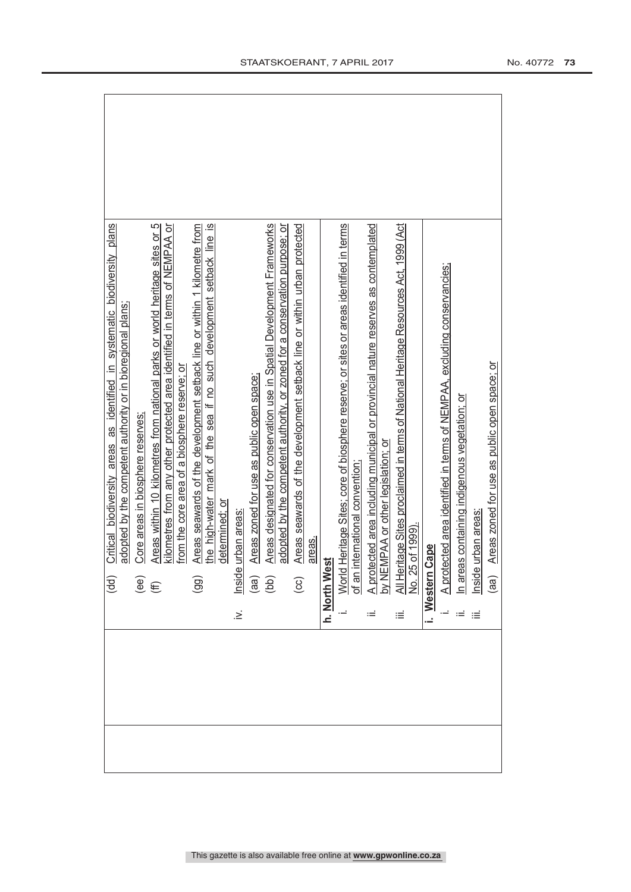| Critical biodiversity areas as identified in systematic biodiversity plans                                                       |  |
|----------------------------------------------------------------------------------------------------------------------------------|--|
| adopted by the competent authority or in bioregional plans;<br>(dd)                                                              |  |
|                                                                                                                                  |  |
| Core areas in biosphere reserves;                                                                                                |  |
| Areas within 10 kilometres from national parks or world heritage sites or 5<br>$\overset{\text{(e)}}{(\text{ff})}$               |  |
| kilometres from any other protected area identified in terms of NEMPAA or                                                        |  |
| from the core area of a biosphere reserve; or                                                                                    |  |
| Areas seawards of the development setback line or within 1 kilometre from<br>(99)                                                |  |
| the high-water mark of the sea if no such development setback line is                                                            |  |
| determined; or                                                                                                                   |  |
| urban areas:<br>Inside<br>$\geq$                                                                                                 |  |
| Areas zoned for use as public open space;<br>$\left($ aa)                                                                        |  |
| Areas designated for conservation use in Spatial Development Frameworks<br>(bb)                                                  |  |
| adopted by the competent authority, or zoned for a conservation purpose; or                                                      |  |
| Areas seawards of the development setback line or within urban protected<br>$\overline{c}$                                       |  |
| areas.                                                                                                                           |  |
| ភ្<br>h. North We                                                                                                                |  |
| World Heritage Sites; core of biosphere reserve; or sites or areas identified in terms                                           |  |
| international convention:<br>of an $\overline{1}$                                                                                |  |
|                                                                                                                                  |  |
| A protected area including municipal or provincial nature reserves as contemplated<br>by NEMPAA or other legislation; o <u>r</u> |  |
| All Heritage Sites proclaimed in terms of National Heritage Resources Act, 1999 (Act<br>No. 25 of 1999).<br>iΞ                   |  |
|                                                                                                                                  |  |
| i. Western Cape                                                                                                                  |  |
| A protected area identified in terms of NEMPAA, excluding conservancies;                                                         |  |
| n areas containing indigenous vegetation; or                                                                                     |  |
| nside urban areas<br>$\equiv$                                                                                                    |  |
| Areas zoned for use as public open space; or<br>(aa)                                                                             |  |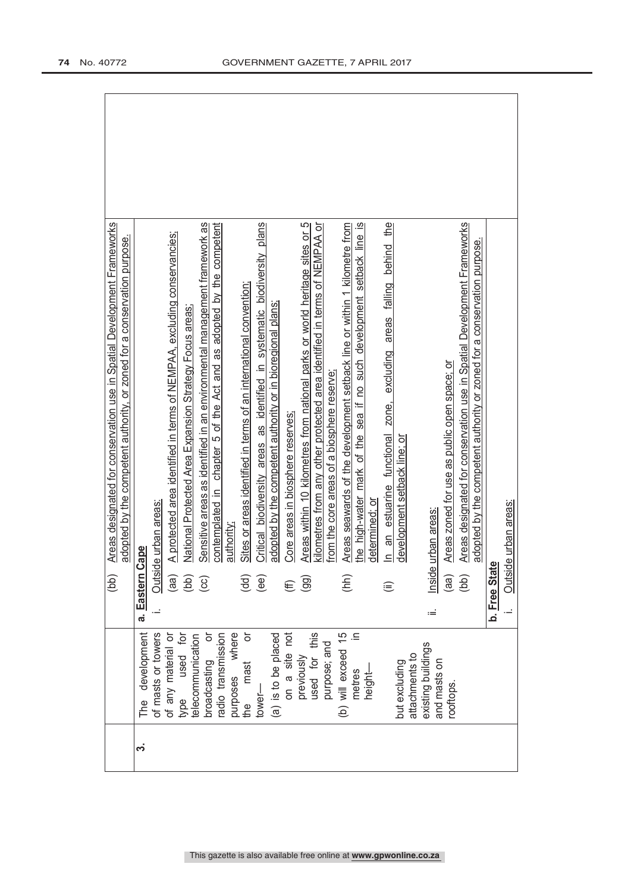| development<br>of masts or towers<br>of any material or<br>type used for<br>broadcasting or<br>purposes where<br>ŏ<br>telecommunication<br>radio transmission<br>(a) is to be placed<br>on a site not<br>used for this<br>purpose; and<br>previously<br>mast<br>$lower-$<br>이<br>그<br>the<br>က | a. Eastern<br>(aa)<br>(bb)<br>(dd)<br>(ee)<br>$\overline{c}$<br>(99)<br>E | Critical biodiversity areas as identified in systematic biodiversity plans<br>Areas within 10 kilometres from national parks or world heritage sites or 5<br>Sensitive areas as identified in an environmental management framework as<br>contemplated in chapter 5 of the Act and as adopted by the competent<br>kilometres from any other protected area identified in terms of NEMPAA or<br>A protected area identified in terms of NEMPAA, excluding conservancies;<br>adopted by the competent authority, or zoned for a conservation purpose.<br>Sites or areas identified in terms of an international convention;<br>adopted by the competent authority or in bioregional plans;<br>National Protected Area Expansion Strategy Focus areas;<br>Core areas in biosphere reserves:<br>Outside urban areas:<br>authority<br>Cape |
|------------------------------------------------------------------------------------------------------------------------------------------------------------------------------------------------------------------------------------------------------------------------------------------------|---------------------------------------------------------------------------|---------------------------------------------------------------------------------------------------------------------------------------------------------------------------------------------------------------------------------------------------------------------------------------------------------------------------------------------------------------------------------------------------------------------------------------------------------------------------------------------------------------------------------------------------------------------------------------------------------------------------------------------------------------------------------------------------------------------------------------------------------------------------------------------------------------------------------------|
| $\equiv$<br>(b) will exceed 15<br>existing buildings<br>attachments to<br>and masts on<br>but excluding<br>height—<br>metres<br>rooftops                                                                                                                                                       | b. Free Stat<br>Outsic<br>(hh)<br>(bb)<br>(aa)<br>(ii)<br>ïШ              | $\overline{\omega}$<br>excluding areas falling behind the<br>Areas designated for conservation use in Spatial Development Frameworks<br>Areas seawards of the development setback line or within 1 kilometre from<br>the high-water mark of the sea if no such development setback line<br>adopted by the competent authority or zoned for a conservation purpose.<br>Areas zoned for use as public open space; or<br>from the core areas of a biosphere reserve<br>estuarine functional zone,<br>development setback line; or<br>de urban areas:<br>determined: or<br>Inside urban areas<br>an<br>$\equiv$<br>ω                                                                                                                                                                                                                      |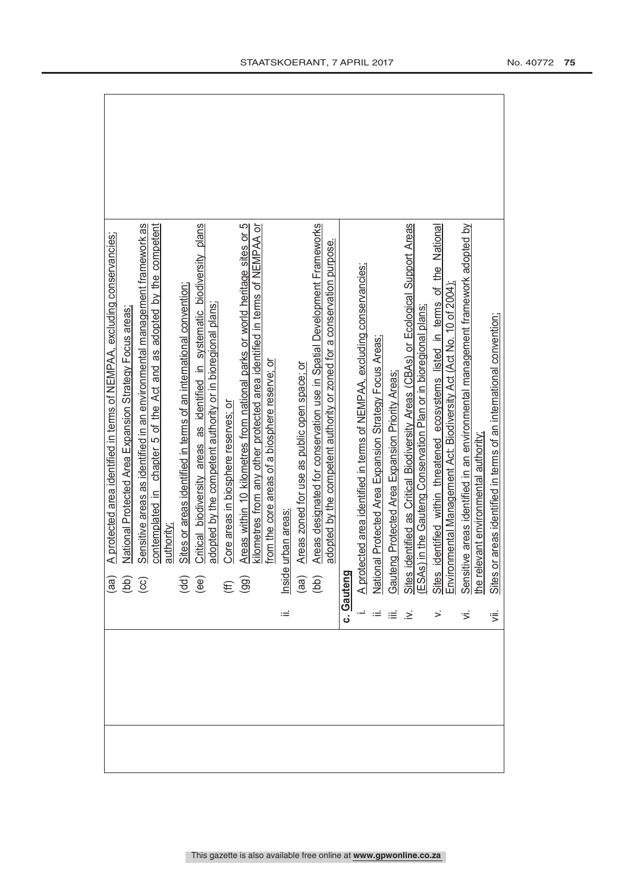|            | A protected area identified in terms of NEMPAA, excluding conservancies;                                                                                                                                               |
|------------|------------------------------------------------------------------------------------------------------------------------------------------------------------------------------------------------------------------------|
|            | National Protected Area Expansion Strategy Focus areas                                                                                                                                                                 |
|            | Sensitive areas as identified in an environmental management framework as                                                                                                                                              |
|            | contemplated in chapter 5 of the Act and as adopted by the competent                                                                                                                                                   |
|            | authority                                                                                                                                                                                                              |
|            | Sites or areas identified in terms of an international convention<br>$\overline{\mathsf{ge}}$                                                                                                                          |
|            | Critical biodiversity areas as identified in systematic biodiversity plans                                                                                                                                             |
|            | adopted by the competent authority or in bioregional plans;                                                                                                                                                            |
|            | Core areas in biosphere reserves: or                                                                                                                                                                                   |
|            | Areas within 10 kilometres from national parks or world heritage sites or 5<br>$\widehat{\Xi}$                                                                                                                         |
|            | kilometres from any other protected area identified in terms of NEMPAA or<br>from the core areas of a biosphere reserve; or                                                                                            |
|            |                                                                                                                                                                                                                        |
|            | urban areas<br>Inside                                                                                                                                                                                                  |
|            | Areas zoned for use as public open space; or<br>$\begin{pmatrix} a & b \\ c & d \end{pmatrix}$                                                                                                                         |
|            | Areas designated for conservation use in Spatial Development Frameworks                                                                                                                                                |
|            | adopted by the competent authority or zoned for a conservation purpose.                                                                                                                                                |
| c. Gauteng |                                                                                                                                                                                                                        |
|            |                                                                                                                                                                                                                        |
|            | A protected area identified in terms of NEMPAA, excluding conservancies;<br>National Protected Area Expansion Strategy Focus Areas;<br>Gauteng Protected Area Expansion Priority Areas;                                |
|            |                                                                                                                                                                                                                        |
| .≥         | identified as Critical Biodiversity Areas (CBAs) or Ecological Support Areas<br>Sites identified as Critical Biodiversity Areas (CBAs) or Ecologic<br>(ESAs) in the Gauteng Conservation Plan or in bioregional plans; |
|            |                                                                                                                                                                                                                        |
|            | identified within threatened ecosystems listed in terms of the National<br>Sites identified within threatened ecosystems listed in terms of<br>Environmental Management Act: Biodiversity Act (Act No. 10 of 2004),    |
|            |                                                                                                                                                                                                                        |
| ιή.        | Sensitive areas identified in an environmental management framework adopted by<br>the relevant environmental authority;                                                                                                |
|            |                                                                                                                                                                                                                        |
| ゙゙゚゙゚      | or areas identified in terms of an international convention;<br><b>Sites</b>                                                                                                                                           |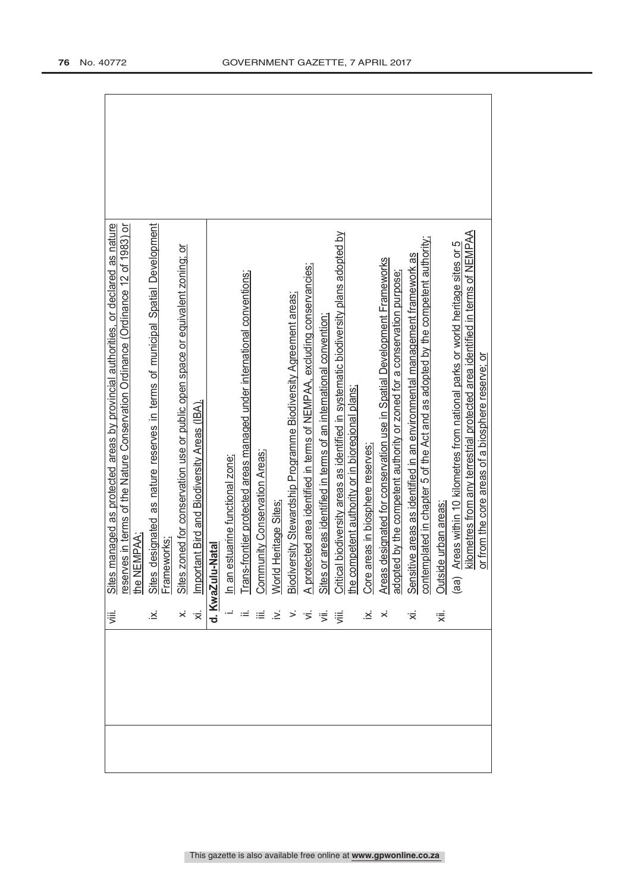| ≔.<br>⊽                                                     | managed as protected areas by provincial authorities, or declared as nature                                                                                                                                                                   |
|-------------------------------------------------------------|-----------------------------------------------------------------------------------------------------------------------------------------------------------------------------------------------------------------------------------------------|
|                                                             | res in terms of the Nature Conservation Ordinance (Ordinance 12 of 1983) or<br>EMPAA:<br>Sites<br><u>reserv</u><br>the NE                                                                                                                     |
|                                                             | designated as nature reserves in terms of municipal Spatial Development                                                                                                                                                                       |
|                                                             |                                                                                                                                                                                                                                               |
|                                                             | zoned for conservation use or public open space or equivalent zoning; or                                                                                                                                                                      |
|                                                             | tant Bird and Biodiversity Areas (IBA).                                                                                                                                                                                                       |
|                                                             | ix. Sites designat<br>Frameworks:<br>x. Sites zoned fo<br>xi. Important Bird<br><b>d. <u>KwaZulu-Natal</u></b>                                                                                                                                |
|                                                             |                                                                                                                                                                                                                                               |
|                                                             |                                                                                                                                                                                                                                               |
|                                                             |                                                                                                                                                                                                                                               |
| $\geq$                                                      |                                                                                                                                                                                                                                               |
|                                                             |                                                                                                                                                                                                                                               |
| $>$ $\frac{1}{2}$ $\frac{1}{2}$ $\frac{1}{2}$ $\frac{1}{2}$ |                                                                                                                                                                                                                                               |
|                                                             |                                                                                                                                                                                                                                               |
|                                                             | i. In an estuarine functional zone:<br>ii. In an estuarine functional zone:<br>v. World Heirtage Sites:<br>v. World Heirtage Sites:<br>1. A protected area identified in terms of NEMPAA, excluding conservancies;<br>ii. A protected area id |
| $\dot{\varkappa}$                                           |                                                                                                                                                                                                                                               |
|                                                             |                                                                                                                                                                                                                                               |
|                                                             |                                                                                                                                                                                                                                               |
| '≍                                                          |                                                                                                                                                                                                                                               |
| हां                                                         | Outside urban areas                                                                                                                                                                                                                           |
|                                                             |                                                                                                                                                                                                                                               |
|                                                             | Areas within 10 kilometres from national parks or world heritage sites or 5<br>(aa)                                                                                                                                                           |
|                                                             | kilometres from any terrestrial protected area identified in terms of NEMPAA<br>or from the core areas of a biosphere reserve; or                                                                                                             |
|                                                             |                                                                                                                                                                                                                                               |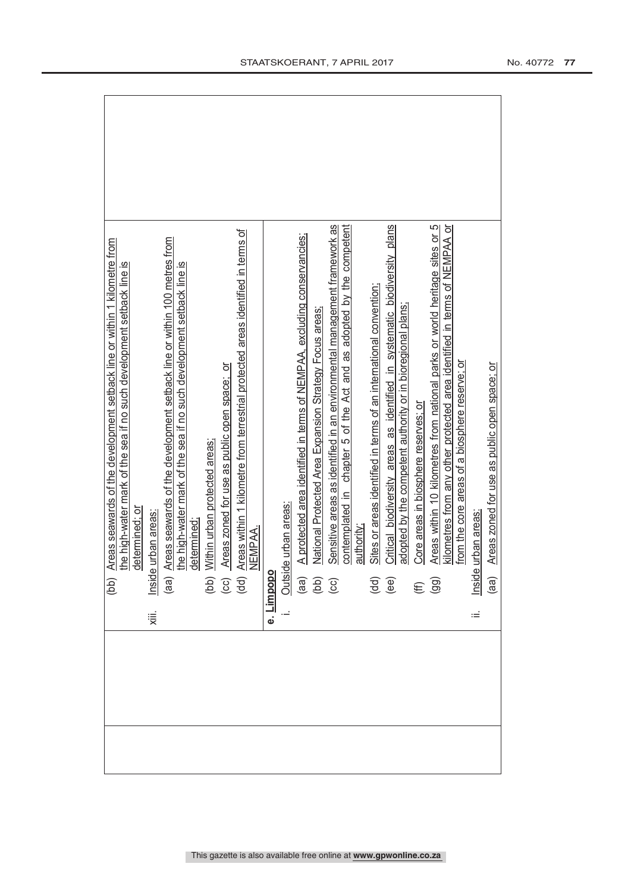| Areas seawards of the development setback line or within 1 kilometre from<br>(bb)                                                                                               |
|---------------------------------------------------------------------------------------------------------------------------------------------------------------------------------|
| the high-water mark of the sea if no such development setback line is                                                                                                           |
| determined; or                                                                                                                                                                  |
| Inside urban areas:<br>χiii.                                                                                                                                                    |
| Areas seawards of the development setback line or within 100 metres from<br>(aa)                                                                                                |
| the high-water mark of the sea if no such development setback line is                                                                                                           |
| determined;                                                                                                                                                                     |
| Within urban protected areas;                                                                                                                                                   |
| Areas zoned for use as public open space; or                                                                                                                                    |
| Areas within 1 kilometre from terrestrial protected areas identified in terms of<br>$\frac{1}{2}$                                                                               |
| NEMPAA.                                                                                                                                                                         |
| e. Limpopo                                                                                                                                                                      |
|                                                                                                                                                                                 |
| A protected area identified in terms of NEMPAA, excluding conservancies;<br><u>Outside urban areas:</u><br>(aa) A protected are<br>(bb) National Protec<br>(cc) Sensitive areas |
| National Protected Area Expansion Strategy Focus areas:                                                                                                                         |
| Sensitive areas as identified in an environmental management framework as                                                                                                       |
| contemplated in chapter 5 of the Act and as adopted by the competent                                                                                                            |
| authority;                                                                                                                                                                      |
| Sites or areas identified in terms of an international convention;<br>$\begin{pmatrix} 1 \\ 0 \\ 0 \\ 0 \end{pmatrix}$                                                          |
| Critical biodiversity areas as identified in systematic biodiversity plans                                                                                                      |
| adopted by the competent authority or in bioregional plans;                                                                                                                     |
| Core areas in biosphere reserves; or<br>$(E \n99)$                                                                                                                              |
| Areas within 10 kilometres from national parks or world heritage sites or 5                                                                                                     |
| kilometres from any other protected area identified in terms of NEMPAA or                                                                                                       |
| from the core areas of a biosphere reserve; or                                                                                                                                  |
| urban areas<br>Inside<br>Ξ                                                                                                                                                      |
| Areas zoned for use as public open space; or<br>(a)                                                                                                                             |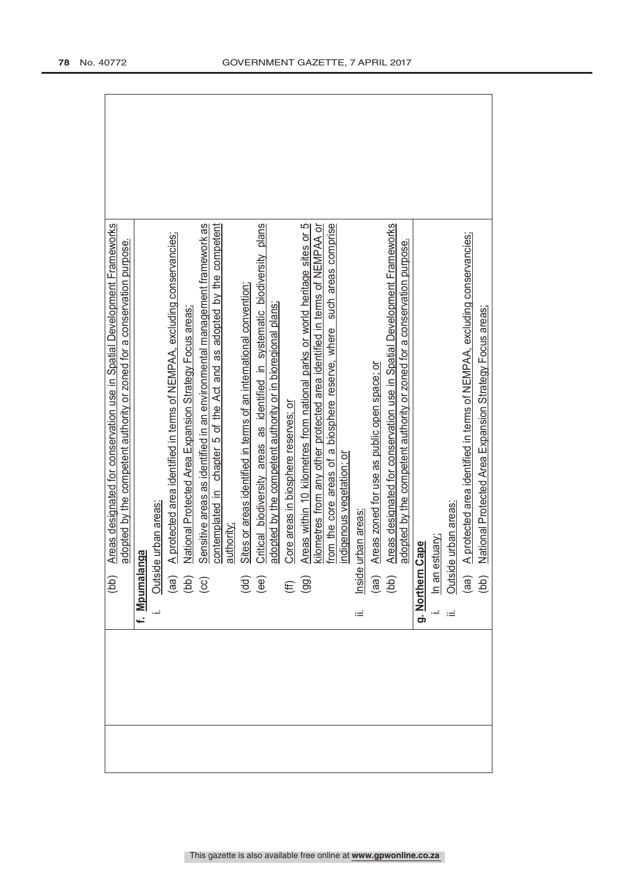| Areas designated for conservation use in Spatial Development Frameworks<br>(dd)                                                   |
|-----------------------------------------------------------------------------------------------------------------------------------|
| adopted by the competent authority or zoned for a conservation purpose.                                                           |
| f. Mpumalanga                                                                                                                     |
| de urban areas:<br>$\frac{\text{Total}}{\text{(aa)}}$<br>(ad)<br>(cc)                                                             |
| A protected area identified in terms of NEMPAA, excluding conservancies;                                                          |
| National Protected Area Expansion Strategy Focus areas                                                                            |
| Sensitive areas as identified in an environmental management framework as                                                         |
| chapter 5 of the Act and as adopted by the competent<br>contemplated in                                                           |
| authority                                                                                                                         |
| Sites or areas identified in terms of an international convention;<br>$\begin{pmatrix} d & d \\ e & e \end{pmatrix}$              |
| Critical biodiversity areas as identified in systematic biodiversity plans                                                        |
| adopted by the competent authority or in bioregional plans;                                                                       |
| Core areas in biosphere reserves; or<br>$(E \n99)$                                                                                |
| Areas within 10 kilometres from national parks or world heritage sites or 5                                                       |
| kilometres from any other protected area identified in terms of NEMPAA or                                                         |
| such areas comprise<br>from the core areas of a biosphere reserve, where                                                          |
| indigenous vegetation; or                                                                                                         |
| urban areas<br>Inside<br>Ξ                                                                                                        |
| Areas zoned for use as public open space; or<br>$\begin{array}{c} \text{(ge)}\\ \text{(left)} \end{array}$                        |
| Areas designated for conservation use in Spatial Development Frameworks                                                           |
| adopted by the competent authority or zoned for a conservation purpose.                                                           |
| Cape<br>g. <u>Northern</u>                                                                                                        |
| estuary                                                                                                                           |
| de urban areas:                                                                                                                   |
| A protected area identified in terms of NEMPAA, excluding conservancies;                                                          |
| National Protected Area Expansion Strategy Focus areas;<br>$\frac{\sin \theta}{\sin \theta}$<br>$\frac{\sin \theta}{\sin \theta}$ |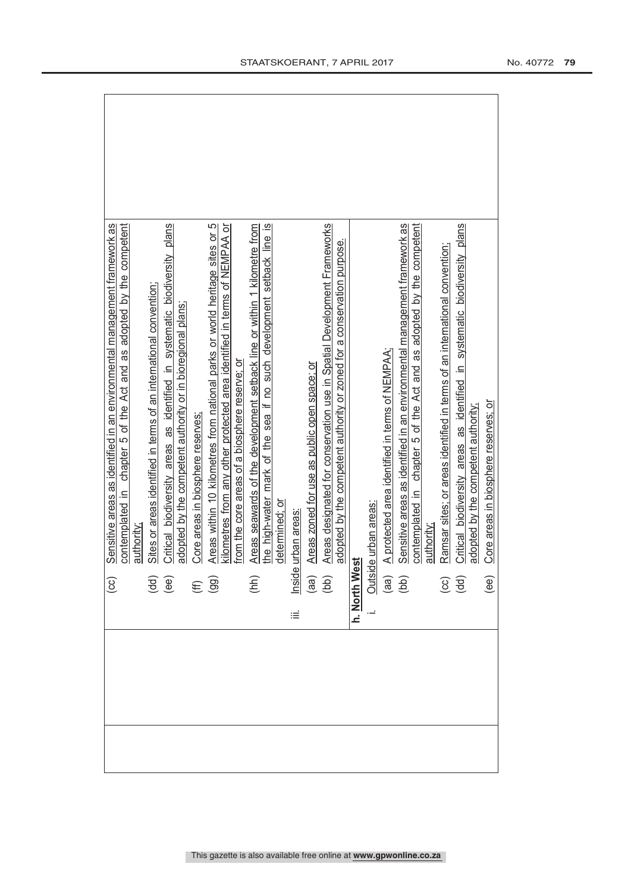|  | $\left( \infty \right)$                                   | Sensitive areas as identified in an environmental management framework as             |
|--|-----------------------------------------------------------|---------------------------------------------------------------------------------------|
|  |                                                           | contemplated in chapter 5 of the Act and as adopted by the competent                  |
|  |                                                           | authority                                                                             |
|  | $\overline{3}$<br>$\overline{3}$                          | Sites or areas identified in terms of an international convention;                    |
|  |                                                           | Critical biodiversity areas as identified in systematic biodiversity plans            |
|  |                                                           | adopted by the competent authority or in bioregional plans;                           |
|  | $(E \n99)$                                                | Core areas in biosphere reserves:                                                     |
|  |                                                           | Areas within 10 kilometres from national parks or world heritage sites or 5           |
|  |                                                           | kilometres from any other protected area identified in terms of NEMPAA or             |
|  |                                                           | from the core areas of a biosphere reserve; or                                        |
|  | (hh)                                                      | Areas seawards of the development setback line or within 1 kilometre from             |
|  |                                                           | the high-water mark of the sea if no such development setback line is                 |
|  |                                                           | determined; or                                                                        |
|  | iΞ                                                        | urban areas                                                                           |
|  |                                                           | Areas zoned for use as public open space; or<br>lnside<br>(aa)<br>(bb)                |
|  |                                                           | Areas designated for conservation use in Spatial Development Frameworks               |
|  |                                                           | adopted by the competent authority or zoned for a conservation purpose.               |
|  | h. North We                                               | ಕ                                                                                     |
|  |                                                           | le urban areas:                                                                       |
|  |                                                           | A protected area identified in terms of NEMPAA<br>$\frac{\text{Outsid}}{\text{(aa)}}$ |
|  |                                                           | Sensitive areas as identified in an environmental management framework as             |
|  |                                                           | contemplated in chapter 5 of the Act and as adopted by the competent                  |
|  |                                                           | authority                                                                             |
|  | $\left(\begin{matrix} 1 & 0 \\ 0 & 0 \end{matrix}\right)$ | Ramsar sites; or areas identified in terms of an international convention;            |
|  |                                                           | Critical biodiversity areas as identified in systematic biodiversity plans            |
|  |                                                           | adopted by the competent authority;                                                   |
|  | (ee)                                                      | Core areas in biosphere reserves; or                                                  |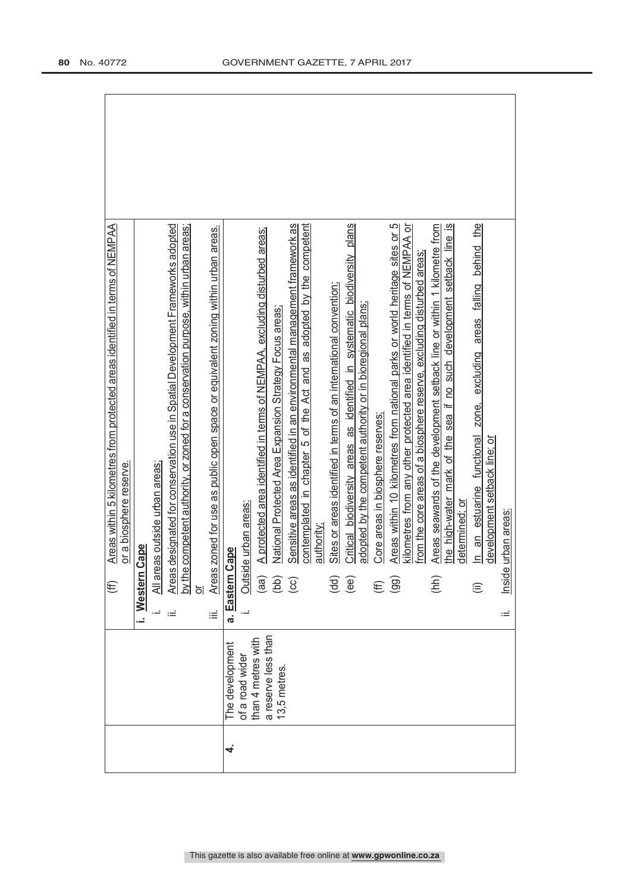| Areas designated for conservation use in Spatial Development Frameworks adopted<br>Areas within 5 kilometres from protected areas identified in terms of NEMPAA<br>by the competent authority, or zoned for a conservation purpose, within urban areas;<br>Areas zoned for use as public open space or equivalent zoning within urban areas.<br>or a biosphere reserve.<br>eas outside urban areas.<br>Cape<br>i. Western<br>$\frac{2}{\sqrt{2}}$<br>€<br>$\frac{1}{2}$<br>iΞ<br>Ξ | Critical biodiversity areas as identified in systematic biodiversity plans<br>Areas within 10 kilometres from national parks or world heritage sites or 5<br>Sensitive areas as identified in an environmental management framework as<br>contemplated in chapter 5 of the Act and as adopted by the competent<br>kilometres from any other protected area identified in terms of NEMPAA or<br>Areas seawards of the development setback line or within 1 kilometre from<br>the high-water mark of the sea if no such development setback line is<br>the<br>A protected area identified in terms of NEMPAA, excluding disturbed areas;<br>In an estuarine functional zone, excluding areas falling behind<br>from the core areas of a biosphere reserve, excluding disturbed areas<br>Sites or areas identified in terms of an international convention;<br>adopted by the competent authority or in bioregional plans;<br>National Protected Area Expansion Strategy Focus areas<br>Core areas in biosphere reserves:<br>development setback line; or<br>determined; or<br>Outside urban areas:<br>Inside urban areas:<br>authority:<br>Cape<br>a. Eastern<br>(hh)<br>(aa)<br>(dd)<br>(bb)<br>(ee)<br>$\bigodot$<br>(99)<br>$\widehat{\mathbf{f}}$<br>⊜<br>Ξ |
|------------------------------------------------------------------------------------------------------------------------------------------------------------------------------------------------------------------------------------------------------------------------------------------------------------------------------------------------------------------------------------------------------------------------------------------------------------------------------------|---------------------------------------------------------------------------------------------------------------------------------------------------------------------------------------------------------------------------------------------------------------------------------------------------------------------------------------------------------------------------------------------------------------------------------------------------------------------------------------------------------------------------------------------------------------------------------------------------------------------------------------------------------------------------------------------------------------------------------------------------------------------------------------------------------------------------------------------------------------------------------------------------------------------------------------------------------------------------------------------------------------------------------------------------------------------------------------------------------------------------------------------------------------------------------------------------------------------------------------------------------------|
|                                                                                                                                                                                                                                                                                                                                                                                                                                                                                    | a reserve less than<br>than 4 metres with<br>The development<br>of a road wider<br>13,5 metres                                                                                                                                                                                                                                                                                                                                                                                                                                                                                                                                                                                                                                                                                                                                                                                                                                                                                                                                                                                                                                                                                                                                                                |
|                                                                                                                                                                                                                                                                                                                                                                                                                                                                                    | 4                                                                                                                                                                                                                                                                                                                                                                                                                                                                                                                                                                                                                                                                                                                                                                                                                                                                                                                                                                                                                                                                                                                                                                                                                                                             |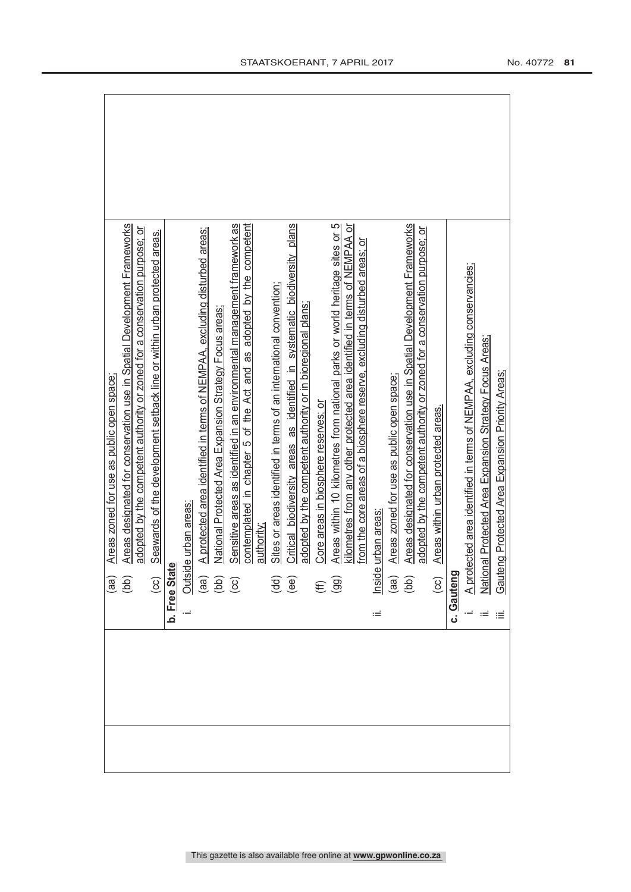| (aa)                                                       | Areas zoned for use as public open space;                                          |
|------------------------------------------------------------|------------------------------------------------------------------------------------|
| (bb)                                                       | Areas designated for conservation use in Spatial Development Frameworks            |
|                                                            | adopted by the competent authority or zoned for a conservation purpose; or         |
| $\overline{\mathcal{C}}$                                   | Seawards of the development setback line or within urban protected areas.          |
| b. Free Stat                                               |                                                                                    |
| Outsid                                                     | le urban areas:                                                                    |
|                                                            | A protected area identified in terms of NEMPAA, excluding disturbed areas;         |
| (ad)<br>(d)<br>(G)                                         | National Protected Area Expansion Strategy Focus areas;                            |
|                                                            | Sensitive areas as identified in an environmental management framework as          |
|                                                            | contemplated in chapter 5 of the Act and as adopted by the competent<br>authority; |
|                                                            |                                                                                    |
|                                                            | Sites or areas identified in terms of an international convention;                 |
| $\begin{pmatrix} d & d \\ e & e \end{pmatrix}$             | Critical biodiversity areas as identified in systematic biodiversity plans         |
|                                                            | adopted by the competent authority or in bioregional plans;                        |
|                                                            | Core areas in biosphere reserves; or                                               |
| $\oplus$ $\stackrel{\frown}{\oplus}$                       | Areas within 10 kilometres from national parks or world heritage sites or 5        |
|                                                            | kilometres from any other protected area identified in terms of NEMPAA or          |
|                                                            | from the core areas of a biosphere reserve, excluding disturbed areas; or          |
| Inside<br>Ξ                                                | urban areas                                                                        |
| $\begin{array}{c} \text{(ge)}\\ \text{(left)} \end{array}$ | Areas zoned for use as public open space;                                          |
|                                                            | Areas designated for conservation use in Spatial Development Frameworks            |
|                                                            | adopted by the competent authority or zoned for a conservation purpose; or         |
| $\overline{c}$                                             | Areas within urban protected areas.                                                |
| c. Gauteng                                                 |                                                                                    |
|                                                            | A protected area identified in terms of NEMPAA, excluding conservancies;           |
|                                                            | National Protected Area Expansion Strategy Focus Areas;                            |
|                                                            | Gauteng Protected Area Expansion Priority Areas;                                   |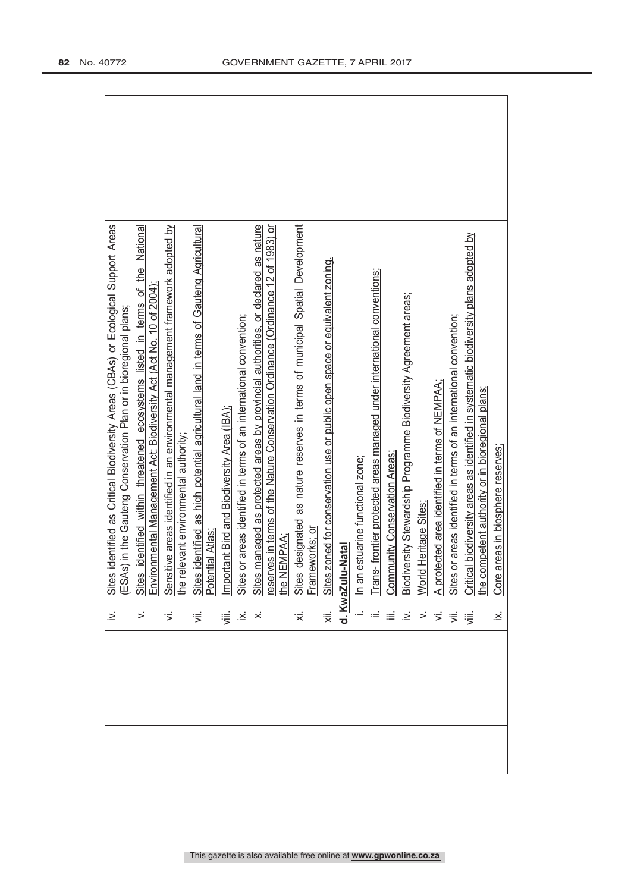| identified within threatened ecosystems listed in terms of the National<br>ronmental Management Act: Biodiversity Act (Act No. 10 of 2004) |                |                                                                                                                                                                                                                                           |         |     |   |                                                                                                                                                                                                                                         |                  |    | d Heritage Sites | otected area identified in terms of NEMPAA;                                                                                                                                                                                      | or areas identified in terms of an international convention; |                                   | areas in biosphere reserves;                                                                                                              |
|--------------------------------------------------------------------------------------------------------------------------------------------|----------------|-------------------------------------------------------------------------------------------------------------------------------------------------------------------------------------------------------------------------------------------|---------|-----|---|-----------------------------------------------------------------------------------------------------------------------------------------------------------------------------------------------------------------------------------------|------------------|----|------------------|----------------------------------------------------------------------------------------------------------------------------------------------------------------------------------------------------------------------------------|--------------------------------------------------------------|-----------------------------------|-------------------------------------------------------------------------------------------------------------------------------------------|
|                                                                                                                                            |                |                                                                                                                                                                                                                                           |         |     |   |                                                                                                                                                                                                                                         |                  |    |                  |                                                                                                                                                                                                                                  |                                                              |                                   | Core                                                                                                                                      |
|                                                                                                                                            |                |                                                                                                                                                                                                                                           |         | ∵≍́ | ₹ |                                                                                                                                                                                                                                         |                  | .≥ |                  |                                                                                                                                                                                                                                  |                                                              | ≔.                                | .≚                                                                                                                                        |
|                                                                                                                                            |                |                                                                                                                                                                                                                                           |         |     |   |                                                                                                                                                                                                                                         |                  |    |                  |                                                                                                                                                                                                                                  |                                                              |                                   |                                                                                                                                           |
|                                                                                                                                            | Sites<br>Envir | Sensitive areas identified in an environmental management framework adopted by<br>the relevant environmental authority;<br>Sites identified as high potential agricultural land in terms of Gauteng Agricultural<br>Potential Atlas;<br>ぎ | ≔ੂਂ .×ਂ |     |   | Important Bird and Biodiversity Area (IBA);<br>Sites or areas identified in terms of an international convention;<br>Sites managed as protected areas by provincial authorities, or declared as nature<br>reserves in terms of the Natu | d. KwaZulu-Natal |    |                  | In an estuarine functional zone;<br>Trans- frontier protected areas managed under international conventions;<br>Community Conservation Areas;<br>Biodiversity Stewardship Programme Biodiversity Agreement areas;<br><b>Worl</b> |                                                              | $rac{\text{A pro}}{\text{Sites}}$ | Critical biodiversity areas as identified in systematic biodiversity plans adopted by<br>the competent authority or in bioregional plans; |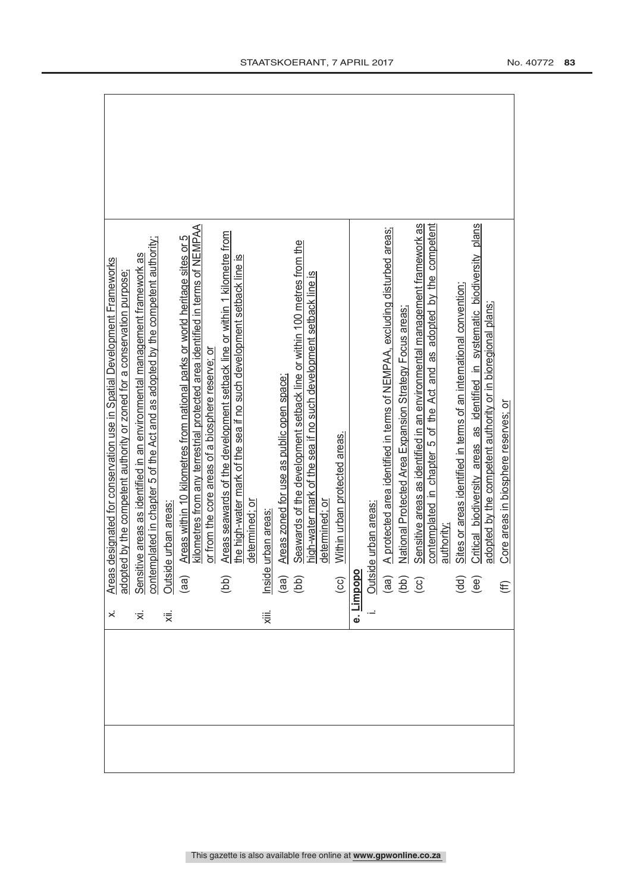| $\dot{\times}$ | designated for conservation use in Spatial Development Frameworks<br>Areas designated for conservation use in Spatial Development Framewo<br>adopted by the competent authority or zoned for a conservation purpose |
|----------------|---------------------------------------------------------------------------------------------------------------------------------------------------------------------------------------------------------------------|
|                |                                                                                                                                                                                                                     |
| ₹              | Sensitive areas as identified in an environmental management framework as<br>contemplated in chapter 5 of the Act and as adopted by the competent authority;                                                        |
| '≅             | le urban areas<br>Outsid                                                                                                                                                                                            |
|                | Areas within 10 kilometres from national parks or world heritage sites or 5<br>(a)                                                                                                                                  |
|                | kilometres from any terrestrial protected area identified in terms of NEMPAA                                                                                                                                        |
|                | or from the core areas of a biosphere reserve; or                                                                                                                                                                   |
|                | Areas seawards of the development setback line or within 1 kilometre from<br>$\overline{1}$                                                                                                                         |
|                | the high-water mark of the sea if no such development setback line is                                                                                                                                               |
|                | determined: or                                                                                                                                                                                                      |
| χiii.          | urban areas<br>Inside                                                                                                                                                                                               |
|                | Areas zoned for use as public open space;<br>$\begin{pmatrix} \text{d}\text{d}\end{pmatrix}$                                                                                                                        |
|                | Seawards of the development setback line or within 100 metres from the                                                                                                                                              |
|                | high-water mark of the sea if no such development setback line is                                                                                                                                                   |
|                | determined: or                                                                                                                                                                                                      |
|                | Within urban protected areas.<br>$\left($ CC $\right)$                                                                                                                                                              |
|                | e. Limpopo                                                                                                                                                                                                          |
|                | le urban areas:                                                                                                                                                                                                     |
|                | A protected area identified in terms of NEMPAA, excluding disturbed areas;                                                                                                                                          |
|                | National Protected Area Expansion Strategy Focus areas:                                                                                                                                                             |
|                | Sensitive areas as identified in an environmental management framework as<br>Outsid<br>(aa)<br>(cc)<br>(cc)                                                                                                         |
|                | contemplated in chapter 5 of the Act and as adopted by the competent                                                                                                                                                |
|                | authority;                                                                                                                                                                                                          |
|                | Sites or areas identified in terms of an international convention;                                                                                                                                                  |
|                | Critical biodiversity areas as identified in systematic biodiversity plans<br>$\begin{pmatrix} d & d \\ e & e \end{pmatrix}$                                                                                        |
|                | adopted by the competent authority or in bioregional plans;                                                                                                                                                         |
|                | Core areas in biosphere reserves; or<br>$\widehat{\mathbf{f}}$                                                                                                                                                      |
|                |                                                                                                                                                                                                                     |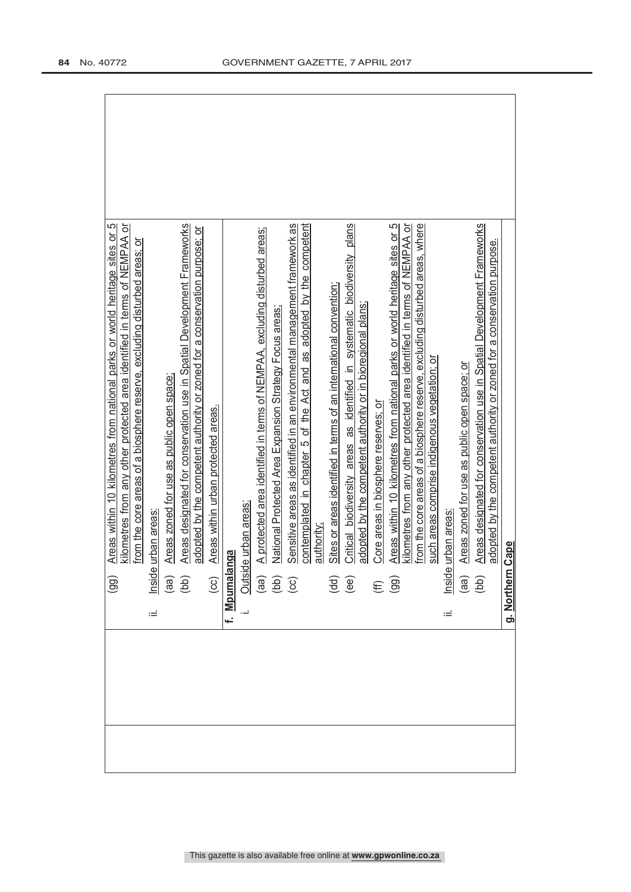|                    | ഥ<br>kilometres from any other protected area identified in terms of NEMPAA or<br>Areas within 10 kilometres from national parks or world heritage sites or<br>$\left($ 99)                             |
|--------------------|---------------------------------------------------------------------------------------------------------------------------------------------------------------------------------------------------------|
|                    | from the core areas of a biosphere reserve, excluding disturbed areas; or                                                                                                                               |
| ιÉ                 | urban areas<br>Inside                                                                                                                                                                                   |
|                    | Areas zoned for use as public open space;                                                                                                                                                               |
|                    | Areas designated for conservation use in Spatial Development Frameworks<br>adopted by the competent authority or zoned for a conservation purpose; or<br>$\begin{pmatrix} a & b \\ c & d \end{pmatrix}$ |
|                    | Areas within urban protected areas.<br>$\overline{c}$                                                                                                                                                   |
|                    | f. Mpumalanga                                                                                                                                                                                           |
|                    |                                                                                                                                                                                                         |
|                    | A protected area identified in terms of NEMPAA, excluding disturbed areas;<br>Outside urban areas:<br>(aa) A protected are<br>(bb) National Protec<br>(cc) Sensitive areas                              |
|                    | National Protected Area Expansion Strategy Focus areas:                                                                                                                                                 |
|                    | Sensitive areas as identified in an environmental management framework as                                                                                                                               |
|                    | contemplated in chapter 5 of the Act and as adopted by the competent                                                                                                                                    |
|                    | authority                                                                                                                                                                                               |
|                    | Sites or areas identified in terms of an international convention;                                                                                                                                      |
|                    | Critical biodiversity areas as identified in systematic biodiversity plans<br>$\begin{pmatrix} d & d \\ e & e \end{pmatrix}$                                                                            |
|                    | adopted by the competent authority or in bioregional plans;                                                                                                                                             |
|                    | Core areas in biosphere reserves; or                                                                                                                                                                    |
|                    | Areas within 10 kilometres from national parks or world heritage sites or 5<br>$(E \n99)$                                                                                                               |
|                    | kilometres from any other protected area identified in terms of NEMPAA or                                                                                                                               |
|                    | from the core areas of a biosphere reserve, excluding disturbed areas, where<br>such areas comprise indigenous vegetation; or                                                                           |
| Ξ                  | urban areas<br>nside                                                                                                                                                                                    |
|                    |                                                                                                                                                                                                         |
|                    | Areas zoned for use as public open space; or<br>$\begin{pmatrix} aq \\ bq \end{pmatrix}$                                                                                                                |
|                    | Areas designated for conservation use in Spatial Development Frameworks                                                                                                                                 |
|                    | adopted by the competent authority or zoned for a conservation purpose.                                                                                                                                 |
| <u>g. Northern</u> | Cape                                                                                                                                                                                                    |
|                    |                                                                                                                                                                                                         |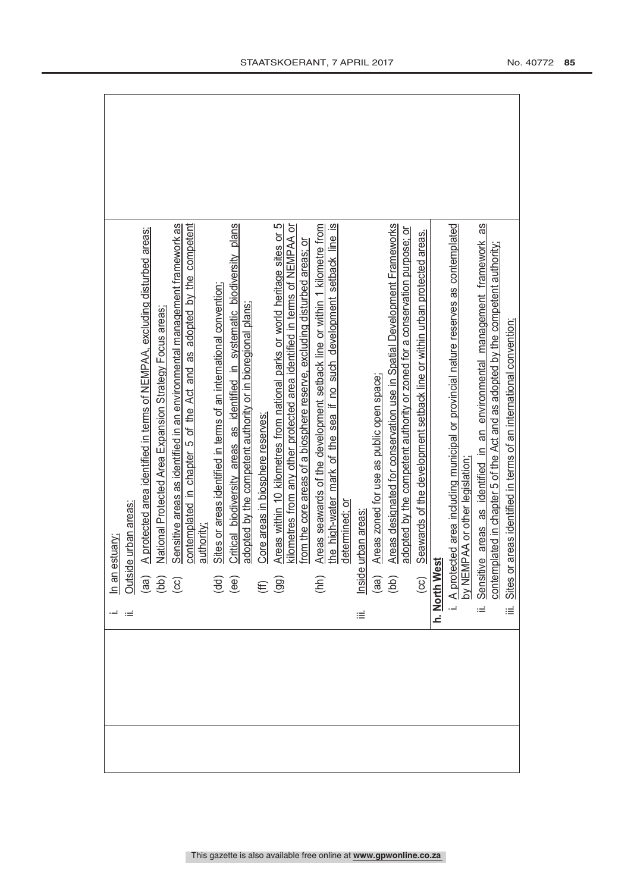|   |                                                                                                             | estuary;                                                                                                              |
|---|-------------------------------------------------------------------------------------------------------------|-----------------------------------------------------------------------------------------------------------------------|
|   | $\equiv$                                                                                                    | de urban areas:                                                                                                       |
|   |                                                                                                             | A protected area identified in terms of NEMPAA, excluding disturbed areas;                                            |
|   | $\frac{\sin \theta}{\sin \theta}$<br>$\frac{\sin \theta}{\sin \theta}$<br>$\frac{\sin \theta}{\cos \theta}$ | National Protected Area Expansion Strategy Focus areas:                                                               |
|   |                                                                                                             | Sensitive areas as identified in an environmental management framework as                                             |
|   |                                                                                                             | contemplated in chapter 5 of the Act and as adopted by the competent                                                  |
|   |                                                                                                             | authority:                                                                                                            |
|   |                                                                                                             | Sites or areas identified in terms of an international convention;                                                    |
|   | $\overline{\mathbf{H}}$<br>$\mathbf{H}$                                                                     | Critical biodiversity areas as identified in systematic biodiversity plans                                            |
|   |                                                                                                             | adopted by the competent authority or in bioregional plans;                                                           |
|   | $(E \n9$                                                                                                    | Core areas in biosphere reserves;                                                                                     |
|   |                                                                                                             | Areas within 10 kilometres from national parks or world heritage sites or 5                                           |
|   |                                                                                                             | kilometres from any other protected area identified in terms of NEMPAA or                                             |
|   |                                                                                                             | from the core areas of a biosphere reserve, excluding disturbed areas; or                                             |
|   | $(\hbar h)$                                                                                                 | Areas seawards of the development setback line or within 1 kilometre from                                             |
|   |                                                                                                             | the high-water mark of the sea if no such development setback line is                                                 |
|   |                                                                                                             | determined: or                                                                                                        |
| ≝ |                                                                                                             | nside urban areas                                                                                                     |
|   | $\begin{pmatrix} \text{d}\text{d} \\ \text{d}\text{d} \end{pmatrix}$                                        | Areas zoned for use as public open space;                                                                             |
|   |                                                                                                             | Areas designated for conservation use in Spatial Development Frameworks                                               |
|   |                                                                                                             | adopted by the competent authority or zoned for a conservation purpose; or                                            |
|   | (cc)                                                                                                        | Seawards of the development setback line or within urban protected areas.                                             |
|   | h. North West                                                                                               |                                                                                                                       |
|   |                                                                                                             | A protected area including municipal or provincial nature reserves as contemplated<br>by NEMPAA or other legislation; |
|   |                                                                                                             |                                                                                                                       |
|   | Sensiti<br>.≟                                                                                               | SB<br>ive areas as identified in an environmental management framework                                                |
|   |                                                                                                             | contemplated in chapter 5 of the Act and as adopted by the competent authority;                                       |
|   | iΞ                                                                                                          | Sites or areas identified in terms of an international convention;                                                    |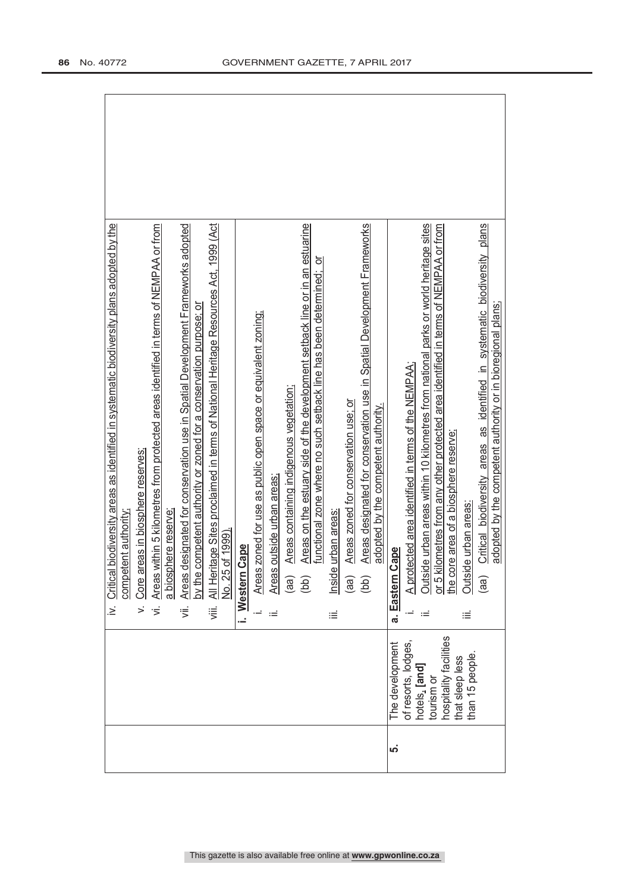| iv. Critical biodiversity areas as identified in systematic biodiversity plans adopted by the<br>designated for conservation use in Spatial Development Frameworks adopted<br>All Heritage Sites proclaimed in terms of National Heritage Resources Act, 1999 (Act<br>Areas within 5 kilometres from protected areas identified in terms of NEMPAA or from<br>by the competent authority or zoned for a conservation purpose; or<br>Core areas in biosphere reserves;<br>a biosphere reserve<br>competent authority.<br>No. 25 of 1999).<br>Areas<br>$\overline{5}$<br>≔<br>⊽<br>$\mathbf{r}$<br>ιË. | Areas on the estuary side of the development setback line or in an estuarine<br>Areas designated for conservation use in Spatial Development Frameworks<br>ㅎ<br>functional zone where no such setback line has been determined;<br>Areas zoned for use as public open space or equivalent zoning;<br>Areas containing indigenous vegetation;<br>Areas zoned for conservation use; or<br>adopted by the competent authority.<br>Areas outside urban areas;<br>e urban areas<br>i. Western Cape<br>lnside<br>(aa)<br>(bb)<br>(bb)<br>(aa)<br>÷<br>≡ | Outside urban areas within 10 kilometres from national parks or world heritage sites<br>or 5 kilometres from any other protected area identified in terms of NEMPAA or from<br>Critical biodiversity areas as identified in systematic biodiversity plans<br>adopted by the competent authority or in bioregional plans;<br>A protected area identified in terms of the NEMPAA;<br>the core area of a biosphere reserve;<br>ide urban areas:<br>Cape<br><b>Outsi</b><br>a. Eastern<br>(aa)<br>≝ |
|------------------------------------------------------------------------------------------------------------------------------------------------------------------------------------------------------------------------------------------------------------------------------------------------------------------------------------------------------------------------------------------------------------------------------------------------------------------------------------------------------------------------------------------------------------------------------------------------------|---------------------------------------------------------------------------------------------------------------------------------------------------------------------------------------------------------------------------------------------------------------------------------------------------------------------------------------------------------------------------------------------------------------------------------------------------------------------------------------------------------------------------------------------------|-------------------------------------------------------------------------------------------------------------------------------------------------------------------------------------------------------------------------------------------------------------------------------------------------------------------------------------------------------------------------------------------------------------------------------------------------------------------------------------------------|
|                                                                                                                                                                                                                                                                                                                                                                                                                                                                                                                                                                                                      |                                                                                                                                                                                                                                                                                                                                                                                                                                                                                                                                                   | hospitality facilities<br>The development<br>of resorts, lodges<br>than 15 people.<br>that sleep less<br>hotels, [and]<br>tourism or                                                                                                                                                                                                                                                                                                                                                            |
|                                                                                                                                                                                                                                                                                                                                                                                                                                                                                                                                                                                                      |                                                                                                                                                                                                                                                                                                                                                                                                                                                                                                                                                   | ယ္ပ                                                                                                                                                                                                                                                                                                                                                                                                                                                                                             |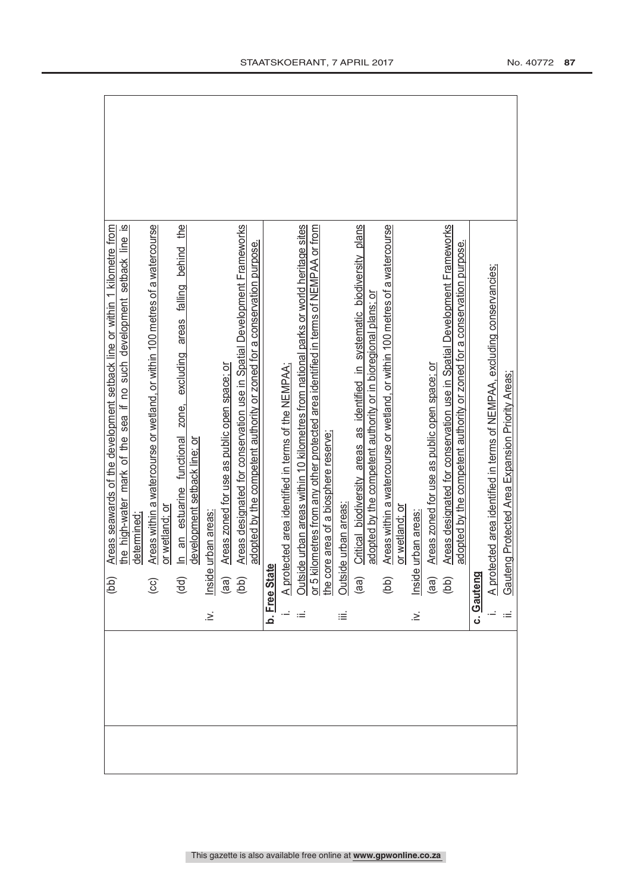|  |             | Areas seawards of the development setback line or within 1 kilometre from<br>(bb)                                                                                                                    |
|--|-------------|------------------------------------------------------------------------------------------------------------------------------------------------------------------------------------------------------|
|  |             | the high-water mark of the sea if no such development setback line is                                                                                                                                |
|  |             | determined                                                                                                                                                                                           |
|  |             | Areas within a watercourse or wetland, or within 100 metres of a watercourse<br>$\odot$                                                                                                              |
|  |             | or wetland; or                                                                                                                                                                                       |
|  |             | In an estuarine functional zone, excluding areas falling behind the<br>$\overline{d}$                                                                                                                |
|  |             | development setback line; or                                                                                                                                                                         |
|  | $\leq$      | urban areas<br>Inside                                                                                                                                                                                |
|  |             | Areas zoned for use as public open space; or                                                                                                                                                         |
|  |             | Areas designated for conservation use in Spatial Development Frameworks<br>adopted by the competent authority or zoned for a conservation purpose.<br>$\begin{pmatrix} a & b \\ c & d \end{pmatrix}$ |
|  |             | b. Free State                                                                                                                                                                                        |
|  |             | A protected area identified in terms of the NEMPAA:                                                                                                                                                  |
|  |             |                                                                                                                                                                                                      |
|  |             | Outside urban areas within 10 kilometres from national parks or world heritage sites<br>or 5 kilometres from any other protected area identified in terms of NEMPAA or from                          |
|  |             | he core area of a biosphere reserve;                                                                                                                                                                 |
|  | iΞ          | le urban areas:<br>Outsid                                                                                                                                                                            |
|  |             | Critical biodiversity areas as identified in systematic biodiversity plans<br>(aa)                                                                                                                   |
|  |             | adopted by the competent authority or in bioregional plans; or                                                                                                                                       |
|  |             | Areas within a watercourse or wetland, or within 100 metres of a watercourse<br>(bb)                                                                                                                 |
|  |             | or wetland; or                                                                                                                                                                                       |
|  | $\dot{\ge}$ | urban areas<br>Inside                                                                                                                                                                                |
|  |             | Areas zoned for use as public open space; or                                                                                                                                                         |
|  |             | Areas designated for conservation use in Spatial Development Frameworks<br>$\begin{pmatrix} 1 & 0 \\ 0 & 0 \end{pmatrix}$                                                                            |
|  |             | adopted by the competent authority or zoned for a conservation purpose.                                                                                                                              |
|  |             | c. Gauteng                                                                                                                                                                                           |
|  |             | A protected area identified in terms of NEMPAA, excluding conservancies;                                                                                                                             |
|  |             | Gauteng Protected Area Expansion Priority Areas;                                                                                                                                                     |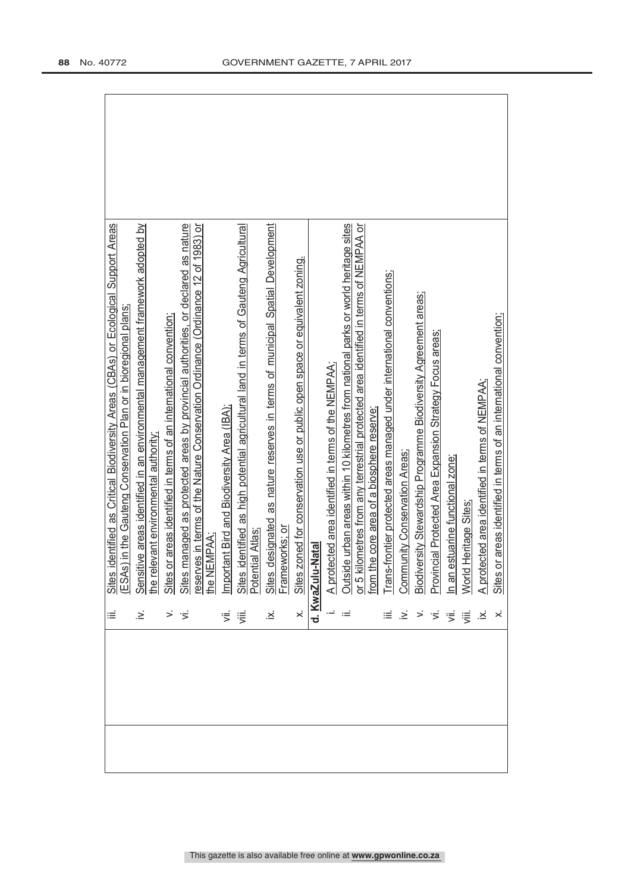|  |                                                               | iii. Sites identified as Culuca processoration Pian or in bioregional planes.<br>ICSAs) in the Gauteng Conservation Pian or in bioregional planes.<br>Iv. Sensitive areas identified in an environmental management framework adopte |  |
|--|---------------------------------------------------------------|--------------------------------------------------------------------------------------------------------------------------------------------------------------------------------------------------------------------------------------|--|
|  |                                                               |                                                                                                                                                                                                                                      |  |
|  |                                                               |                                                                                                                                                                                                                                      |  |
|  |                                                               |                                                                                                                                                                                                                                      |  |
|  |                                                               |                                                                                                                                                                                                                                      |  |
|  |                                                               |                                                                                                                                                                                                                                      |  |
|  |                                                               |                                                                                                                                                                                                                                      |  |
|  |                                                               |                                                                                                                                                                                                                                      |  |
|  |                                                               |                                                                                                                                                                                                                                      |  |
|  |                                                               |                                                                                                                                                                                                                                      |  |
|  |                                                               |                                                                                                                                                                                                                                      |  |
|  |                                                               |                                                                                                                                                                                                                                      |  |
|  |                                                               |                                                                                                                                                                                                                                      |  |
|  |                                                               |                                                                                                                                                                                                                                      |  |
|  |                                                               |                                                                                                                                                                                                                                      |  |
|  |                                                               |                                                                                                                                                                                                                                      |  |
|  |                                                               |                                                                                                                                                                                                                                      |  |
|  |                                                               |                                                                                                                                                                                                                                      |  |
|  | $\equiv \ \geq$                                               |                                                                                                                                                                                                                                      |  |
|  |                                                               |                                                                                                                                                                                                                                      |  |
|  |                                                               |                                                                                                                                                                                                                                      |  |
|  |                                                               |                                                                                                                                                                                                                                      |  |
|  | $\vec{p} \cdot \vec{p} \cdot \vec{p} = \vec{p} \cdot \vec{p}$ |                                                                                                                                                                                                                                      |  |
|  |                                                               |                                                                                                                                                                                                                                      |  |
|  |                                                               | i. A protected area identified in terms of the NEMPAA;<br>ii. Outside urban areas within 10 kilometres from national parks or world heritage sites<br>or 5 kilometres from any terrestrial protected area identified in terms of NEM |  |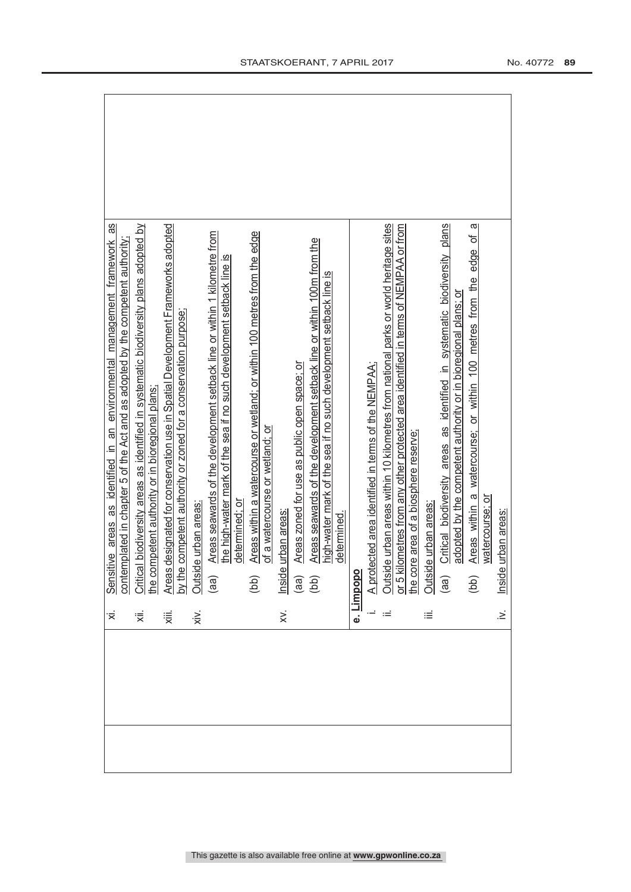| ≅                | Sβ<br>Sensitive areas as identified in an environmental management framework                                                                                                |
|------------------|-----------------------------------------------------------------------------------------------------------------------------------------------------------------------------|
|                  | contemplated in chapter 5 of the Act and as adopted by the competent authority;                                                                                             |
| ₹                | Critical biodiversity areas as identified in systematic biodiversity plans adopted by                                                                                       |
|                  | he competent authority or in bioregional plans;                                                                                                                             |
| 、                | Areas designated for conservation use in Spatial Development Frameworks adopted                                                                                             |
|                  | competent authority or zoned for a conservation purpose;<br>by the                                                                                                          |
| xiv.             | e urban areas:<br>Outsid                                                                                                                                                    |
|                  | Areas seawards of the development setback line or within 1 kilometre from<br>(a)                                                                                            |
|                  | the high-water mark of the sea if no such development setback line is<br>determined; or                                                                                     |
|                  | Areas within a watercourse or wetland; or within 100 metres from the edge<br>(bb)                                                                                           |
|                  | of a watercourse or wetland; or                                                                                                                                             |
| $\ddot{\approx}$ | urban areas<br>Inside                                                                                                                                                       |
|                  | Areas zoned for use as public open space; or<br>(a)                                                                                                                         |
|                  | Areas seawards of the development setback line or within 100m from the<br>(bb)                                                                                              |
|                  | high-water mark of the sea if no such development setback line is                                                                                                           |
|                  | determined.                                                                                                                                                                 |
|                  | e. Limpopo                                                                                                                                                                  |
|                  | A protected area identified in terms of the NEMPAA;                                                                                                                         |
| ≔                | Outside urban areas within 10 kilometres from national parks or world heritage sites<br>or 5 kilometres from any other protected area identified in terms of NEMPAA or from |
|                  |                                                                                                                                                                             |
|                  | he core area of a biosphere reserve;                                                                                                                                        |
| iΞ               | le urban areas:<br>Outsid                                                                                                                                                   |
|                  | Critical biodiversity areas as identified in systematic biodiversity plans<br>(aa)                                                                                          |
|                  | adopted by the competent authority or in bioregional plans; or                                                                                                              |
|                  | ω<br>Areas within a watercourse; or within 100 metres from the edge of<br>(bb)                                                                                              |
|                  | watercourse; or                                                                                                                                                             |
| $\geq$           | urban areas:<br>Inside                                                                                                                                                      |
|                  |                                                                                                                                                                             |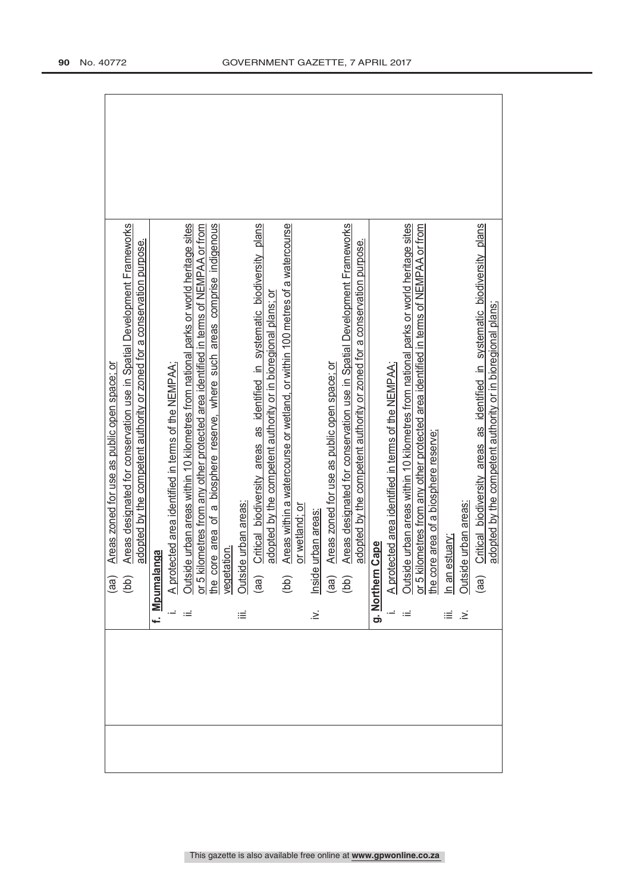|        | Areas zoned for use as public open space; or                                                                                                                                                                                                  |  |
|--------|-----------------------------------------------------------------------------------------------------------------------------------------------------------------------------------------------------------------------------------------------|--|
|        | Areas designated for conservation use in Spatial Development Frameworks<br>adopted by the competent authority or zoned for a conservation purpose.<br>(dd)                                                                                    |  |
|        | f. Mpumalanga                                                                                                                                                                                                                                 |  |
|        | A protected area identified in terms of the NEMPAA:                                                                                                                                                                                           |  |
| ≔      | Outside urban areas within 10 kilometres from national parks or world heritage sites<br>or 5 kilometres from any other protected area identified in terms of NEMPAA or from<br>the core area of a biosphere reserve, where such area          |  |
|        |                                                                                                                                                                                                                                               |  |
|        |                                                                                                                                                                                                                                               |  |
| ≝      | de urban areas<br>Outsi                                                                                                                                                                                                                       |  |
|        | Critical biodiversity areas as identified in systematic biodiversity plans<br>(a)                                                                                                                                                             |  |
|        | adopted by the competent authority or in bioregional plans; or                                                                                                                                                                                |  |
|        | Areas within a watercourse or wetland, or within 100 metres of a watercourse<br>(bb)                                                                                                                                                          |  |
|        | or wetland; or                                                                                                                                                                                                                                |  |
| $\geq$ | Inside urban areas                                                                                                                                                                                                                            |  |
|        | Areas zoned for use as public open space; or                                                                                                                                                                                                  |  |
|        | Areas designated for conservation use in Spatial Development Frameworks<br>$\begin{array}{c} \text{(ge)}\\ \text{(be)} \end{array}$                                                                                                           |  |
|        | adopted by the competent authority or zoned for a conservation purpose.                                                                                                                                                                       |  |
|        | <b>Cape</b><br>g. Northerr                                                                                                                                                                                                                    |  |
|        | A protected area identified in terms of the NEMPAA;                                                                                                                                                                                           |  |
|        |                                                                                                                                                                                                                                               |  |
|        |                                                                                                                                                                                                                                               |  |
|        |                                                                                                                                                                                                                                               |  |
| щĖ,    | Outside urban areas within 10 kilometres from national parks or world heritage sites<br>or 5 kilometres from any other protected area identified in terms of NEMPAA or from<br>the core area of a biosphere reserve <u>;</u><br>Outside urban |  |
| $\geq$ |                                                                                                                                                                                                                                               |  |
|        | Critical biodiversity areas as identified in systematic biodiversity plans<br>(a)                                                                                                                                                             |  |
|        | adopted by the competent authority or in bioregional plans;                                                                                                                                                                                   |  |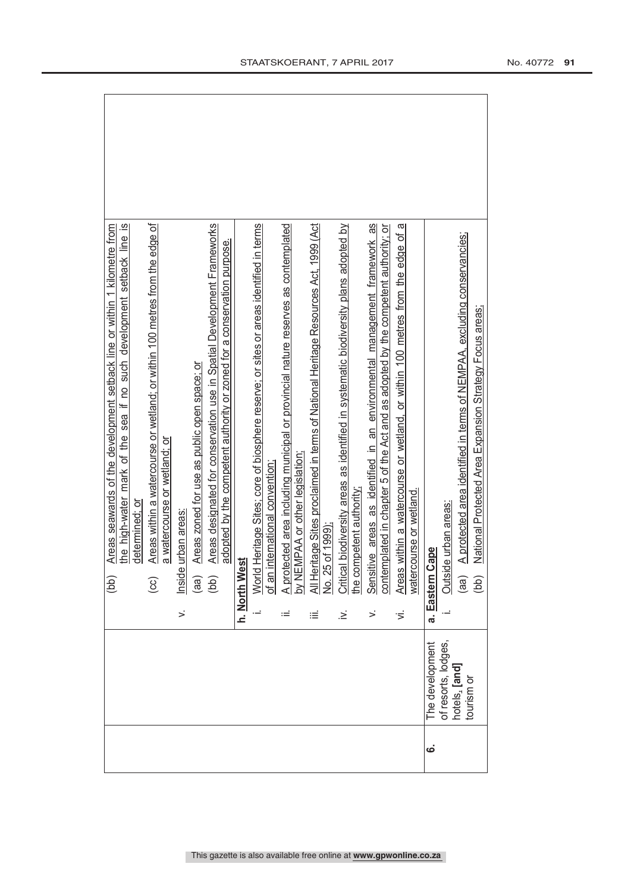| Areas within a watercourse or wetland; or within 100 metres from the edge of<br>$\overline{\mathbf{z}}$<br>Areas designated for conservation use in Spatial Development Frameworks<br>Areas seawards of the development setback line or within 1 kilometre from<br>the high-water mark of the sea if no such development setback line<br>adopted by the competent authority or zoned for a conservation purpose.<br>Areas zoned for use as public open space; or<br>a watercourse or wetland; or<br>determined: or<br>Inside urban areas<br>(bb)<br>(aa)<br>$\odot$<br>$\overline{5}$<br>$\leq$ | <u>of an international convention;</u><br>A protected area including municipal or provincial nature reserves as contemplated<br>All Heritage Sites proclaimed in terms of National Heritage Resources Act, 1999 (Act<br>No. 25 of 1999);<br>World Heritage Sites; core of biosphere reserve; or sites or areas identified in terms<br>Sensitive areas as identified in an environmental management framework as<br>Critical biodiversity areas as identified in systematic biodiversity plans adopted by<br>the competent authority;<br>Areas within a watercourse or wetland, or within 100 metres from the edge of a<br>contemplated in chapter 5 of the Act and as adopted by the competent authority; or<br>watercourse or wetland<br>West<br>h. North<br>$\leq$<br>≔<br>≔<br>.≥ં<br>Ξ, | A protected area identified in terms of NEMPAA, excluding conservancies;<br>National Protected Area Expansion Strategy Focus areas;<br>Outside urban areas:<br>a. Eastern Cape<br>$\left($ aa)<br>(bb) |
|-------------------------------------------------------------------------------------------------------------------------------------------------------------------------------------------------------------------------------------------------------------------------------------------------------------------------------------------------------------------------------------------------------------------------------------------------------------------------------------------------------------------------------------------------------------------------------------------------|---------------------------------------------------------------------------------------------------------------------------------------------------------------------------------------------------------------------------------------------------------------------------------------------------------------------------------------------------------------------------------------------------------------------------------------------------------------------------------------------------------------------------------------------------------------------------------------------------------------------------------------------------------------------------------------------------------------------------------------------------------------------------------------------|--------------------------------------------------------------------------------------------------------------------------------------------------------------------------------------------------------|
|                                                                                                                                                                                                                                                                                                                                                                                                                                                                                                                                                                                                 |                                                                                                                                                                                                                                                                                                                                                                                                                                                                                                                                                                                                                                                                                                                                                                                             | of resorts, lodges,<br>The development<br>hotels, [and]<br>tourism or                                                                                                                                  |
|                                                                                                                                                                                                                                                                                                                                                                                                                                                                                                                                                                                                 |                                                                                                                                                                                                                                                                                                                                                                                                                                                                                                                                                                                                                                                                                                                                                                                             | .<br>ف                                                                                                                                                                                                 |

 $\sqrt{2}$ 

 $\overline{\phantom{a}}$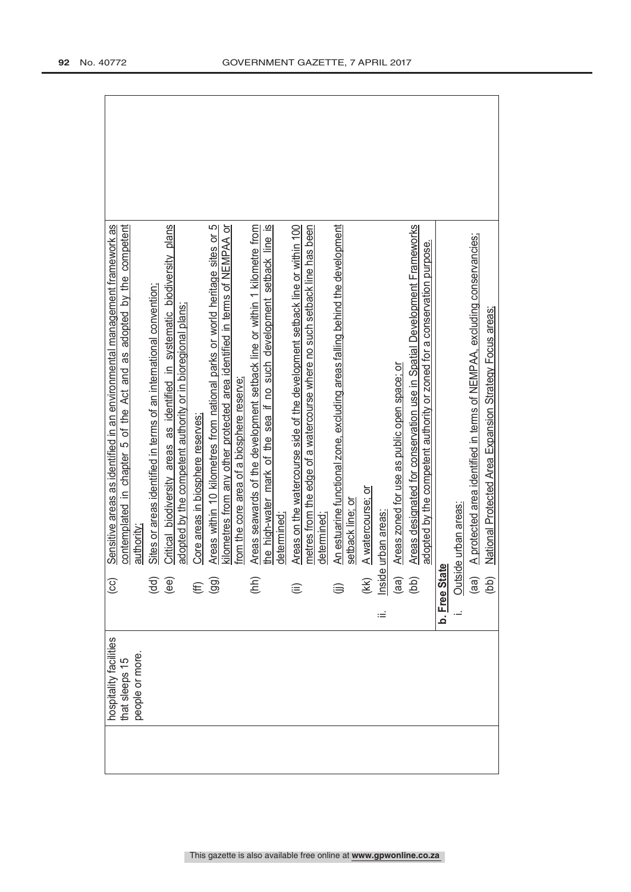| hospitality facilities<br>that sleeps 15 | $\overline{c}$      | Sensitive areas as identified in an environmental management framework as<br>as adopted by the competent<br>contemplated in chapter 5 of the Act and |
|------------------------------------------|---------------------|------------------------------------------------------------------------------------------------------------------------------------------------------|
| people or more.                          |                     | authority;                                                                                                                                           |
|                                          | (dd)                | Sites or areas identified in terms of an international convention:                                                                                   |
|                                          | (ee)                | Critical biodiversity areas as identified in systematic biodiversity plans                                                                           |
|                                          |                     | adopted by the competent authority or in bioregional plans;                                                                                          |
|                                          | €                   | Core areas in biosphere reserves:                                                                                                                    |
|                                          | (99)                | Areas within 10 kilometres from national parks or world heritage sites or 5                                                                          |
|                                          |                     | kilometres from any other protected area identified in terms of NEMPAA or<br>from the core area of a biosphere reserve                               |
|                                          | (hh)                | Areas seawards of the development setback line or within 1 kilometre from                                                                            |
|                                          |                     | the high-water mark of the sea if no such development setback line is<br>determined:                                                                 |
|                                          |                     |                                                                                                                                                      |
|                                          | ⊜                   | Areas on the watercourse side of the development setback line or within 100                                                                          |
|                                          |                     | metres from the edge of a watercourse where no such setback line has been<br>determined;                                                             |
|                                          |                     | An estuarine functional zone, excluding areas falling behind the development                                                                         |
|                                          |                     | setback line; or                                                                                                                                     |
|                                          | (kk)<br>Inside      | A watercourse; or                                                                                                                                    |
|                                          | ьĖ                  | urban areas                                                                                                                                          |
|                                          | (a)                 | Areas zoned for use as public open space; or                                                                                                         |
|                                          | (bb)                | Areas designated for conservation use in Spatial Development Frameworks                                                                              |
|                                          |                     | adopted by the competent authority or zoned for a conservation purpose.                                                                              |
|                                          | <b>b.</b> Free Stat |                                                                                                                                                      |
|                                          | Outsic              | le urban areas:                                                                                                                                      |
|                                          | (aa)                | A protected area identified in terms of NEMPAA, excluding conservancies;                                                                             |
|                                          | (bb)                | National Protected Area Expansion Strategy Focus areas;                                                                                              |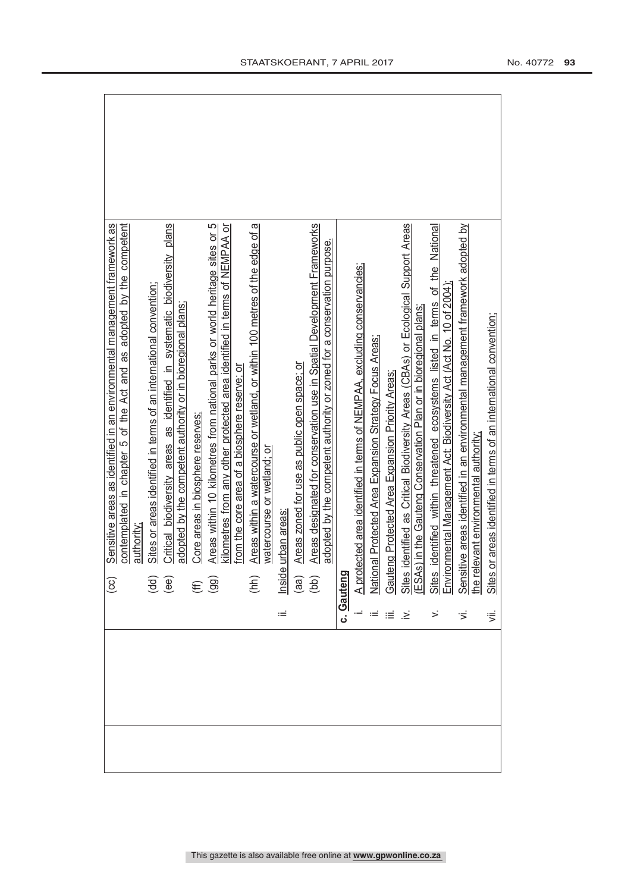|                | Sensitive areas as identified in an environmental management framework as<br>$\left( \infty \right)$                                                                                                       |
|----------------|------------------------------------------------------------------------------------------------------------------------------------------------------------------------------------------------------------|
|                | contemplated in chapter 5 of the Act and as adopted by the competent                                                                                                                                       |
|                | authority                                                                                                                                                                                                  |
|                | Sites or areas identified in terms of an international convention;                                                                                                                                         |
|                | Critical biodiversity areas as identified in systematic biodiversity plans<br>$\overline{\mathsf{ge}}$                                                                                                     |
|                | adopted by the competent authority or in bioregional plans;                                                                                                                                                |
|                | Core areas in biosphere reserves:                                                                                                                                                                          |
|                | Areas within 10 kilometres from national parks or world heritage sites or 5<br>$(E\bigoplus$                                                                                                               |
|                | kilometres from any other protected area identified in terms of NEMPAA or                                                                                                                                  |
|                | from the core area of a biosphere reserve; or                                                                                                                                                              |
|                | Areas within a watercourse or wetland, or within 100 metres of the edge of a<br>$(\hbar h)$                                                                                                                |
|                | watercourse or wetland; or                                                                                                                                                                                 |
|                | urban areas<br>Inside                                                                                                                                                                                      |
|                | Areas zoned for use as public open space; or<br>$\begin{array}{c} \text{(ge)}\\ \text{(bb)} \end{array}$                                                                                                   |
|                | Areas designated for conservation use in Spatial Development Frameworks                                                                                                                                    |
|                | adopted by the competent authority or zoned for a conservation purpose.                                                                                                                                    |
|                | c. Gauteng                                                                                                                                                                                                 |
|                |                                                                                                                                                                                                            |
|                | A protected area identified in terms of NEMPAA, excluding conservancies;<br>National Protected Area Expansion Strategy Focus Areas;                                                                        |
| ∷≣∴≥           | Gauteng Protected Area Expansion Priority Areas;<br>Sites identified as Critical Biodiversity Areas (CBAs) or Ecological Support Areas<br>(ESAs) in the Gauteng Conservation Plan or in bioregional plans; |
|                |                                                                                                                                                                                                            |
|                |                                                                                                                                                                                                            |
|                | Sites identified within threatened ecosystems listed in terms of the National<br>Environmental Management Act: Biodiversity Act (Act No. 10 of 2004);                                                      |
|                |                                                                                                                                                                                                            |
| $\overline{5}$ | Sensitive areas identified in an environmental management framework adopted by<br>the relevant environmental authority;                                                                                    |
|                |                                                                                                                                                                                                            |
| 、              | Sites or areas identified in terms of an international convention;                                                                                                                                         |
|                |                                                                                                                                                                                                            |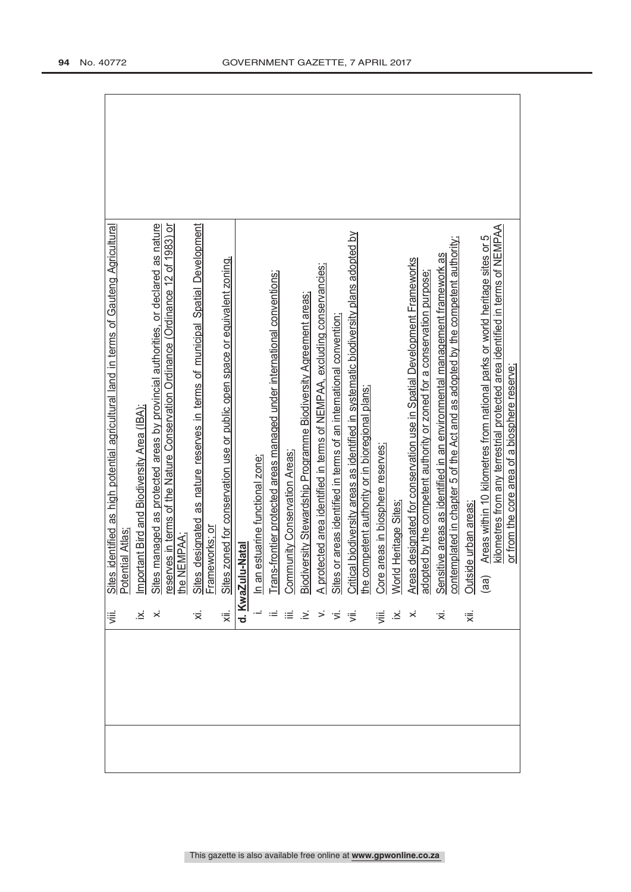|--|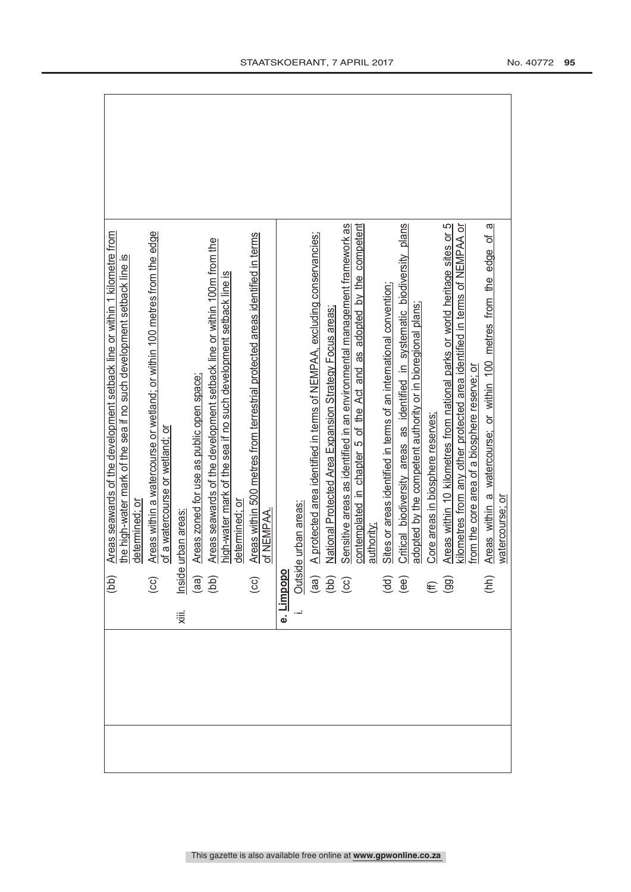|                                                                              | (bb)                                           | Areas seawards of the development setback line or within 1 kilometre from    |
|------------------------------------------------------------------------------|------------------------------------------------|------------------------------------------------------------------------------|
|                                                                              |                                                | the high-water mark of the sea if no such development setback line is        |
|                                                                              |                                                | determined; or                                                               |
|                                                                              | $\odot$                                        | Areas within a watercourse or wetland; or within 100 metres from the edge    |
|                                                                              |                                                | of a watercourse or wetland; or                                              |
| χiii.                                                                        |                                                | urban areas                                                                  |
|                                                                              |                                                | Areas zoned for use as public open space;                                    |
|                                                                              | lnside<br>(aa)<br>(bb)                         | Areas seawards of the development setback line or within 100m from the       |
|                                                                              |                                                | high-water mark of the sea if no such development setback line is            |
|                                                                              |                                                | determined: or                                                               |
|                                                                              | $\left($ CC $\right)$                          | Areas within 500 metres from terrestrial protected areas identified in terms |
|                                                                              |                                                | of NEMPAA.                                                                   |
|                                                                              |                                                |                                                                              |
|                                                                              |                                                | e urban areas:                                                               |
|                                                                              |                                                | A protected area identified in terms of NEMPAA, excluding conservancies;     |
| <b>e. <u>Limpopo</u></b><br><b>i.</b> <u>Outside</u><br>(aa)<br>(aa)<br>(cc) |                                                | National Protected Area Expansion Strategy Focus areas;                      |
|                                                                              |                                                | Sensitive areas as identified in an environmental management framework as    |
|                                                                              |                                                | contemplated in chapter 5 of the Act and as adopted by the competent         |
|                                                                              |                                                | authority;                                                                   |
|                                                                              | $\begin{pmatrix} d & d \\ e & e \end{pmatrix}$ | Sites or areas identified in terms of an international convention;           |
|                                                                              |                                                | Critical biodiversity areas as identified in systematic biodiversity plans   |
|                                                                              |                                                | adopted by the competent authority or in bioregional plans;                  |
|                                                                              | $\widehat{f}(\widehat{f})$                     | Core areas in biosphere reserves;                                            |
|                                                                              |                                                | Areas within 10 kilometres from national parks or world heritage sites or 5  |
|                                                                              |                                                | kilometres from any other protected area identified in terms of NEMPAA or    |
|                                                                              |                                                | from the core area of a biosphere reserve; or                                |
|                                                                              | (hh)                                           | ā<br>Areas within a watercourse; or within 100 metres from the edge of       |
|                                                                              |                                                | watercourse; or                                                              |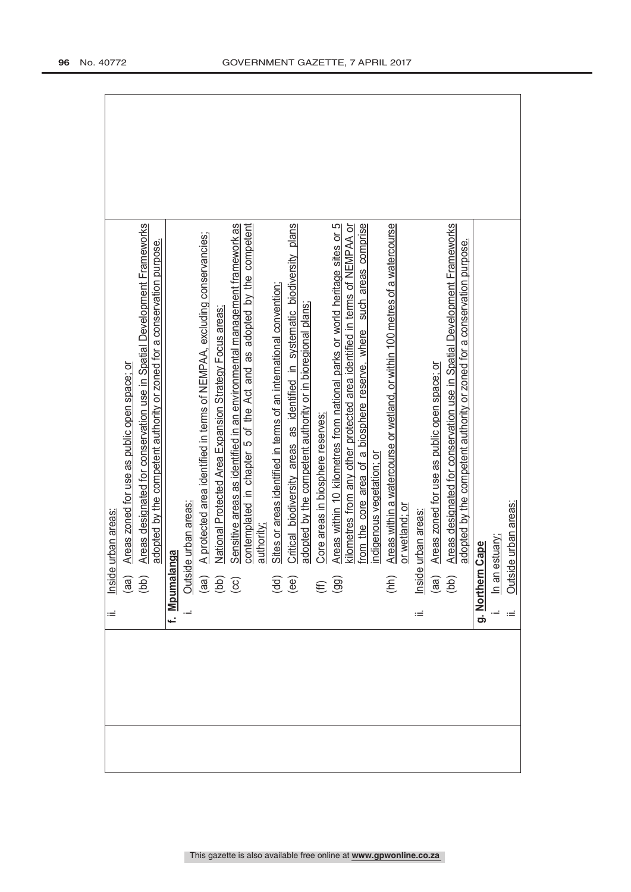| urban areas<br>Inside                                                                                                                              |
|----------------------------------------------------------------------------------------------------------------------------------------------------|
| Areas zoned for use as public open space; or<br>$\begin{pmatrix} 1 & 0 \\ 0 & 0 \end{pmatrix}$                                                     |
| Areas designated for conservation use in Spatial Development Frameworks                                                                            |
| adopted by the competent authority or zoned for a conservation purpose.                                                                            |
| nga<br>f. Mpumalaı                                                                                                                                 |
| e urban areas:<br>Outsid                                                                                                                           |
| A protected area identified in terms of NEMPAA, excluding conservancies;                                                                           |
| National Protected Area Expansion Strategy Focus areas;<br>$\begin{array}{c} \n\text{(a)} \\ \n\text{(b)} \\ \n\text{(c)} \n\end{array}$           |
| Sensitive areas as identified in an environmental management framework as                                                                          |
| contemplated in chapter 5 of the Act and as adopted by the competent<br>authority:                                                                 |
| Sites or areas identified in terms of an international convention;                                                                                 |
| Critical biodiversity areas as identified in systematic biodiversity plans<br>$\begin{pmatrix} d & d \\ e & e \end{pmatrix}$                       |
| adopted by the competent authority or in bioregional plans;                                                                                        |
| Core areas in biosphere reserves;                                                                                                                  |
| Areas within 10 kilometres from national parks or world heritage sites or 5<br>$(E \n99)$                                                          |
| kilometres from any other protected area identified in terms of NEMPAA or<br>from the core area of a biosphere reserve, where such areas comprise  |
| indigenous vegetation; or                                                                                                                          |
| Areas within a watercourse or wetland, or within 100 metres of a watercourse<br>(hh)                                                               |
| or wetland; or                                                                                                                                     |
| urban areas<br>Inside<br>Ξ                                                                                                                         |
| Areas zoned for use as public open space; or<br>$\begin{pmatrix} a & b \\ c & d \end{pmatrix}$                                                     |
| Areas designated for conservation use in Spatial Development Frameworks<br>adopted by the competent authority or zoned for a conservation purpose. |
| Cape<br>g. Northern                                                                                                                                |
| In an estuary;                                                                                                                                     |
| Outside urban areas:                                                                                                                               |
|                                                                                                                                                    |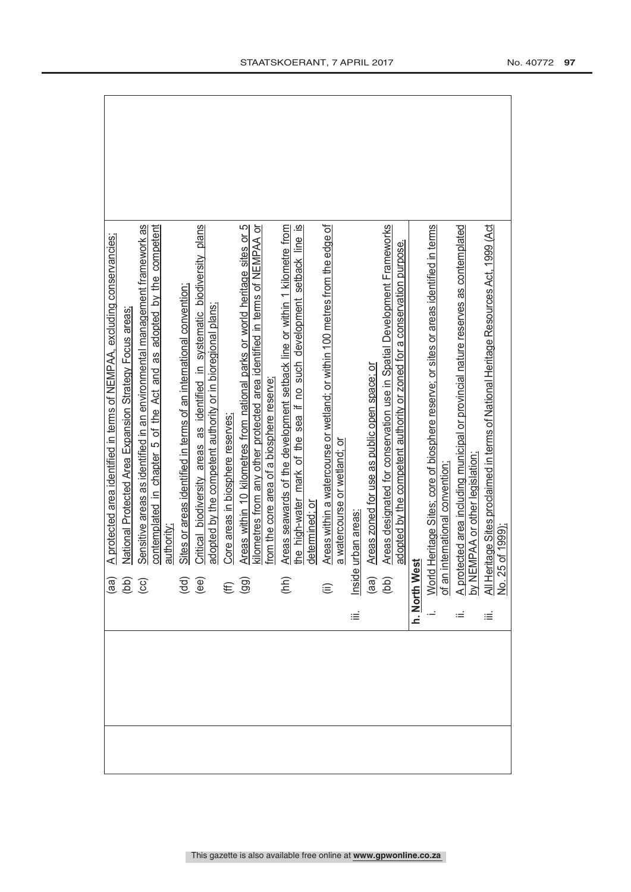|                                                            | A protected area identified in terms of NEMPAA, excluding conservancies;                                              |
|------------------------------------------------------------|-----------------------------------------------------------------------------------------------------------------------|
| Gaj<br>Gaj<br>Gaj                                          | National Protected Area Expansion Strategy Focus areas;                                                               |
|                                                            | Sensitive areas as identified in an environmental management framework as                                             |
|                                                            | contemplated in chapter 5 of the Act and as adopted by the competent                                                  |
|                                                            | authority.                                                                                                            |
| $\begin{pmatrix} 1 \\ 0 \\ 0 \\ 0 \end{pmatrix}$           | Sites or areas identified in terms of an international convention;                                                    |
|                                                            | Critical biodiversity areas as identified in systematic biodiversity plans                                            |
|                                                            | adopted by the competent authority or in bioregional plans;                                                           |
| $(E \n99)$                                                 | Core areas in biosphere reserves:                                                                                     |
|                                                            | 5<br>Areas within 10 kilometres from national parks or world heritage sites or                                        |
|                                                            | kilometres from any other protected area identified in terms of NEMPAA or                                             |
|                                                            | from the core area of a biosphere reserve                                                                             |
|                                                            | Areas seawards of the development setback line or within 1 kilometre from<br>(hh)                                     |
|                                                            | the high-water mark of the sea if no such development setback line is<br>determined; or                               |
|                                                            |                                                                                                                       |
| $\widehat{\equiv}$                                         | Areas within a watercourse or wetland; or within 100 metres from the edge of                                          |
|                                                            | a watercourse or wetland; or                                                                                          |
| iΞ                                                         | urban areas<br>Inside                                                                                                 |
| $\begin{array}{c} \text{(ge)}\\ \text{(left)} \end{array}$ | Areas zoned for use as public open space; or                                                                          |
|                                                            | Areas designated for conservation use in Spatial Development Frameworks                                               |
|                                                            | adopted by the competent authority or zoned for a conservation purpose.                                               |
| h. North We                                                | ā                                                                                                                     |
|                                                            | World Heritage Sites; core of biosphere reserve; or sites or areas identified in terms                                |
|                                                            | international convention<br>of an i                                                                                   |
|                                                            | A protected area including municipal or provincial nature reserves as contemplated<br>by NEMPAA or other legislation: |
|                                                            |                                                                                                                       |
| ≝                                                          | All Heritage Sites proclaimed in terms of National Heritage Resources Act, 1999 (Act<br>No. 25 of 1999)               |
|                                                            |                                                                                                                       |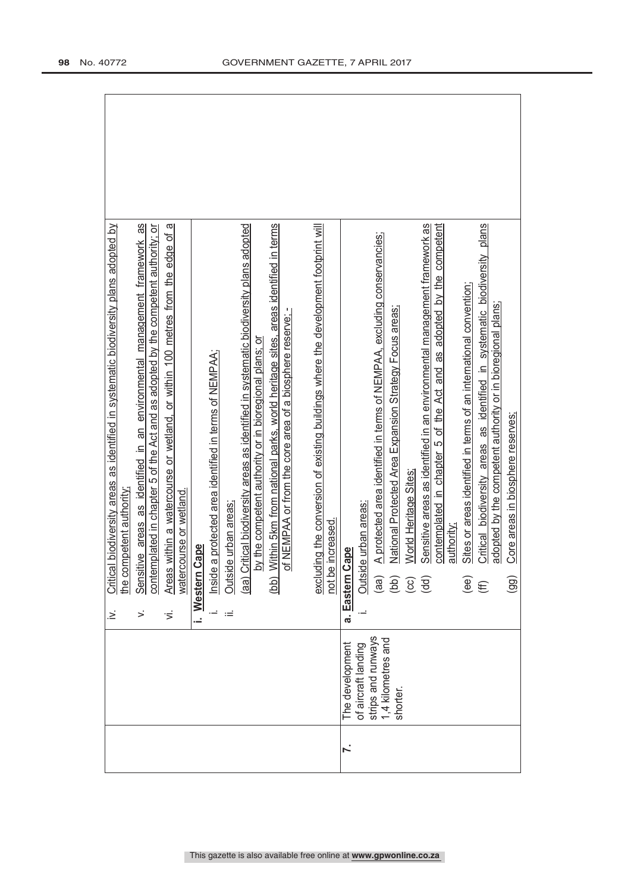|    |                                          | $\geq$       | Critical biodiversity areas as identified in systematic biodiversity plans adopted by                                                                           |
|----|------------------------------------------|--------------|-----------------------------------------------------------------------------------------------------------------------------------------------------------------|
|    |                                          |              | the competent authority;                                                                                                                                        |
|    |                                          | $\mathbf{r}$ | Sensitive areas as identified in an environmental management framework as<br>contemplated in chapter 5 of the Act and as adopted by the competent authority; or |
|    |                                          | ιÌ.          | Areas within a watercourse or wetland, or within 100 metres from the edge of a                                                                                  |
|    |                                          |              | watercourse or wetland.                                                                                                                                         |
|    |                                          | i. Western   | Cape                                                                                                                                                            |
|    |                                          |              | Inside a protected area identified in terms of NEMPAA;                                                                                                          |
|    |                                          | Ξ            | Outside urban areas;                                                                                                                                            |
|    |                                          |              | Critical biodiversity areas as identified in systematic biodiversity plans adopted<br>(aab)                                                                     |
|    |                                          |              | by the competent authority or in bioregional plans; or                                                                                                          |
|    |                                          |              | Within 5km from national parks, world heritage sites, areas identified in terms<br>(bb)                                                                         |
|    |                                          |              | of NEMPAA or from the core area of a biosphere reserve; -                                                                                                       |
|    |                                          |              |                                                                                                                                                                 |
|    |                                          |              | excluding the conversion of existing buildings where the development footprint will<br>not be increased.                                                        |
| ŕ. | The development                          | a. Eastern   | Cape                                                                                                                                                            |
|    |                                          |              |                                                                                                                                                                 |
|    | of aircraft landing                      |              | de urban areas:<br>Outsic                                                                                                                                       |
|    | strips and runways<br>1,4 kilometres and |              | A protected area identified in terms of NEMPAA, excluding conservancies;                                                                                        |
|    | shorter.                                 |              | National Protected Area Expansion Strategy Focus areas;                                                                                                         |
|    |                                          |              | World Heritage Sites                                                                                                                                            |
|    |                                          |              | Sensitive areas as identified in an environmental management framework as<br>(dd)                                                                               |
|    |                                          |              | contemplated in chapter 5 of the Act and as adopted by the competent                                                                                            |
|    |                                          |              | authority:                                                                                                                                                      |
|    |                                          |              | Sites or areas identified in terms of an international convention<br>(ee)                                                                                       |
|    |                                          |              | Critical biodiversity areas as identified in systematic biodiversity plans<br>$\widehat{\mathfrak{m}}$                                                          |
|    |                                          |              | adopted by the competent authority or in bioregional plans;                                                                                                     |
|    |                                          |              | Core areas in biosphere reserves;<br>(99)                                                                                                                       |
|    |                                          |              |                                                                                                                                                                 |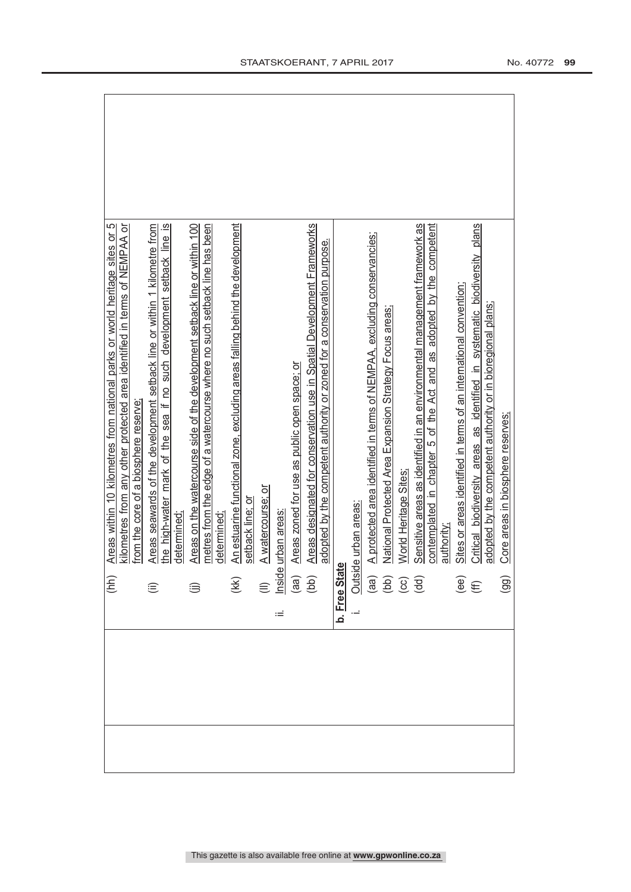| (hh)                                       | ഥ<br>Areas within 10 kilometres from national parks or world heritage sites or                                                                                             |
|--------------------------------------------|----------------------------------------------------------------------------------------------------------------------------------------------------------------------------|
|                                            | kilometres from any other protected area identified in terms of NEMPAA or                                                                                                  |
|                                            | from the core of a biosphere reserve                                                                                                                                       |
| ⊜                                          | Areas seawards of the development setback line or within 1 kilometre from                                                                                                  |
|                                            | the high-water mark of the sea if no such development setback line is                                                                                                      |
|                                            | determined:                                                                                                                                                                |
|                                            | Areas on the watercourse side of the development setback line or within 100                                                                                                |
|                                            | metres from the edge of a watercourse where no such setback line has been                                                                                                  |
|                                            | determined                                                                                                                                                                 |
| (K)                                        | An estuarine functional zone, excluding areas falling behind the development                                                                                               |
|                                            | setback line; o                                                                                                                                                            |
|                                            | A watercourse; or                                                                                                                                                          |
| (ll)<br><u>Inside</u><br>(aa)<br>(bb)<br>Ξ | urban areas                                                                                                                                                                |
|                                            | Areas zoned for use as public open space; or                                                                                                                               |
|                                            | Areas designated for conservation use in Spatial Development Frameworks                                                                                                    |
|                                            | adopted by the competent authority or zoned for a conservation purpose.                                                                                                    |
|                                            |                                                                                                                                                                            |
|                                            |                                                                                                                                                                            |
|                                            | A protected area identified in terms of NEMPAA, excluding conservancies;                                                                                                   |
|                                            | National Protected Area Expansion Strategy Focus areas:                                                                                                                    |
|                                            | World Heritage Sites<br><b>b.</b> Free State<br>i. Outside urban areas:<br>(aa) A protected areas:<br>(bb) National Protect<br>(cc) World Heritage<br>(dd) Sensitive areas |
|                                            | Sensitive areas as identified in an environmental management framework as                                                                                                  |
|                                            | adopted by the competent<br>contemplated in chapter 5 of the Act and as                                                                                                    |
|                                            | authority;                                                                                                                                                                 |
|                                            | Sites or areas identified in terms of an international convention;                                                                                                         |
| $\overset{\text{\tiny{(ee)}}}{\oplus}$     | Critical biodiversity areas as identified in systematic biodiversity plans                                                                                                 |
|                                            | adopted by the competent authority or in bioregional plans;                                                                                                                |
| (99)                                       | Core areas in biosphere reserves;                                                                                                                                          |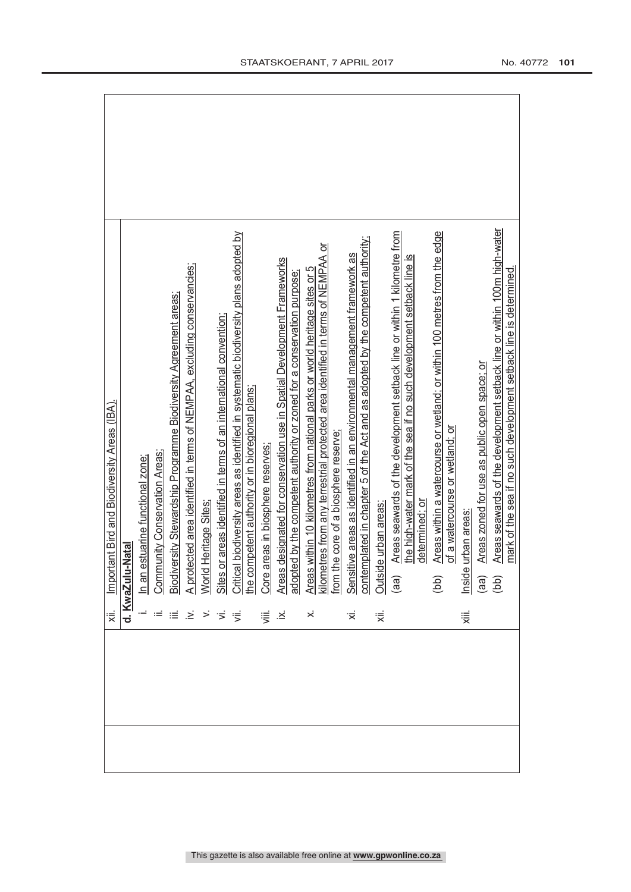| Important Bird and Biodiversity Areas (IBA) |                  |  |  |                                                                                                                                                                                                                                                                                                                                                                                                                                           | i. In <u>an estuarine functional zone:</u><br>ii. <u>Gommunity Conservation Areas:</u><br>ii. <u>Gordiversity Stewardship Programme Biodiversity Agreement areas:</u><br>A. A protected area identified in terms of an international convention;<br>ii. G |        |  |                |  |    |    | the high-water mark of the sea if no such development setback line is | Areas within a watercourse or wetland; or within 100 metres from the edge | of a watercourse or wetland; or |               | Areas zoned for use as public open space; or | Areas seawards of the development setback line or within 100m high-water | mark of the sea if no such development setback line is determined. |
|---------------------------------------------|------------------|--|--|-------------------------------------------------------------------------------------------------------------------------------------------------------------------------------------------------------------------------------------------------------------------------------------------------------------------------------------------------------------------------------------------------------------------------------------------|-----------------------------------------------------------------------------------------------------------------------------------------------------------------------------------------------------------------------------------------------------------|--------|--|----------------|--|----|----|-----------------------------------------------------------------------|---------------------------------------------------------------------------|---------------------------------|---------------|----------------------------------------------|--------------------------------------------------------------------------|--------------------------------------------------------------------|
|                                             | d. KwaZulu-Natal |  |  |                                                                                                                                                                                                                                                                                                                                                                                                                                           |                                                                                                                                                                                                                                                           |        |  |                |  |    |    | determined; or                                                        | (bb)                                                                      |                                 | e urban areas |                                              |                                                                          |                                                                    |
| ₩.                                          |                  |  |  | $\mathcal{A}^{\mathcal{A}}\mathcal{A}^{\mathcal{B}}\mathcal{B}^{\mathcal{C}}\mathcal{B}^{\mathcal{C}}\mathcal{B}^{\mathcal{C}}\mathcal{B}^{\mathcal{C}}\mathcal{B}^{\mathcal{C}}\mathcal{B}^{\mathcal{C}}\mathcal{B}^{\mathcal{C}}\mathcal{B}^{\mathcal{C}}\mathcal{B}^{\mathcal{C}}\mathcal{B}^{\mathcal{C}}\mathcal{B}^{\mathcal{C}}\mathcal{B}^{\mathcal{C}}\mathcal{B}^{\mathcal{C}}\mathcal{B}^{\mathcal{C}}\mathcal{B}^{\mathcal{C$ |                                                                                                                                                                                                                                                           | ' iiii |  | $\dot{\times}$ |  | ∵, | हं |                                                                       |                                                                           |                                 | ₩.            |                                              |                                                                          |                                                                    |
|                                             |                  |  |  |                                                                                                                                                                                                                                                                                                                                                                                                                                           |                                                                                                                                                                                                                                                           |        |  |                |  |    |    |                                                                       |                                                                           |                                 |               |                                              |                                                                          |                                                                    |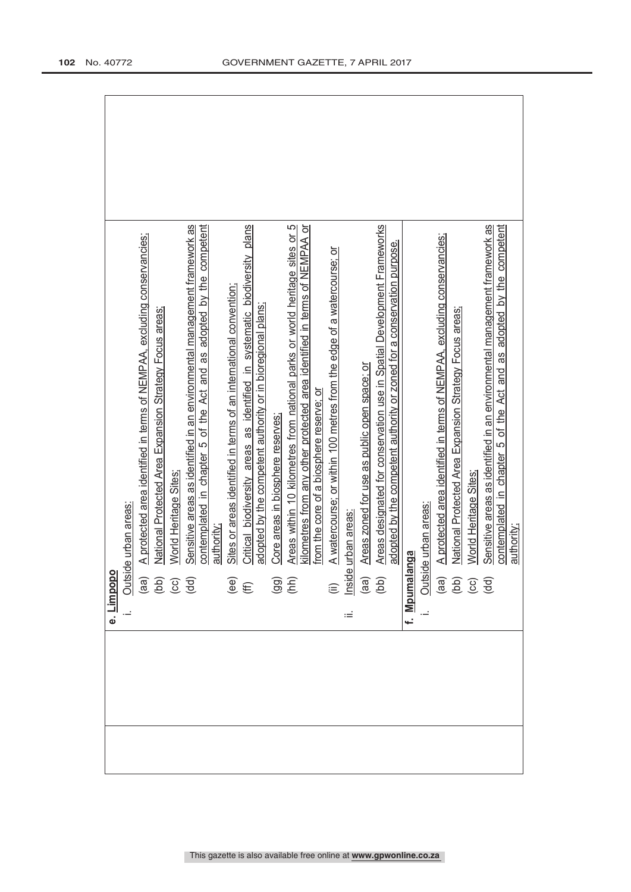| e. Limpopo                                                                                    |                                                                             |
|-----------------------------------------------------------------------------------------------|-----------------------------------------------------------------------------|
|                                                                                               | Outside urban areas:                                                        |
|                                                                                               | A protected area identified in terms of NEMPAA, excluding conservancies;    |
|                                                                                               | National Protected Area Expansion Strategy Focus areas;                     |
| $\begin{array}{c} \n\text{(a)} \\ \n\text{(b)} \\ \n\text{(c)} \\ \n\text{(d)} \n\end{array}$ | World Heritage Sites                                                        |
|                                                                                               | Sensitive areas as identified in an environmental management framework as   |
|                                                                                               | contemplated in chapter 5 of the Act and as adopted by the competent        |
|                                                                                               | authority:                                                                  |
|                                                                                               | Sites or areas identified in terms of an international convention;          |
| $\overset{\text{\tiny{(e)}}}{\mathfrak{E}}$                                                   | Critical biodiversity areas as identified in systematic biodiversity plans  |
|                                                                                               | adopted by the competent authority or in bioregional plans;                 |
| $\widehat{\mathcal{G}}(B)$                                                                    | Core areas in biosphere reserves;                                           |
|                                                                                               | Areas within 10 kilometres from national parks or world heritage sites or 5 |
|                                                                                               | kilometres from any other protected area identified in terms of NEMPAA or   |
|                                                                                               | from the core of a biosphere reserve; or                                    |
|                                                                                               | A watercourse; or within 100 metres from the edge of a watercourse; or      |
| (ii)<br>Inside<br>ωĖ                                                                          | urban areas                                                                 |
|                                                                                               | Areas zoned for use as public open space; or                                |
| $\begin{array}{c} \text{(as)}\\ \text{(b)} \end{array}$                                       | Areas designated for conservation use in Spatial Development Frameworks     |
|                                                                                               | adopted by the competent authority or zoned for a conservation purpose.     |
| f. Mpumalanga                                                                                 |                                                                             |
|                                                                                               | Outside urban areas:                                                        |
|                                                                                               | A protected area identified in terms of NEMPAA, excluding conservancies;    |
|                                                                                               | National Protected Area Expansion Strategy Focus areas;                     |
| $\begin{array}{c} \n\text{(a)} \\ \n\text{(b)} \\ \n\text{(c)} \\ \n\text{(d)} \n\end{array}$ | World Heritage Sites:                                                       |
|                                                                                               | Sensitive areas as identified in an environmental management framework as   |
|                                                                                               | contemplated in chapter 5 of the Act and as adopted by the competent        |
|                                                                                               | authority;                                                                  |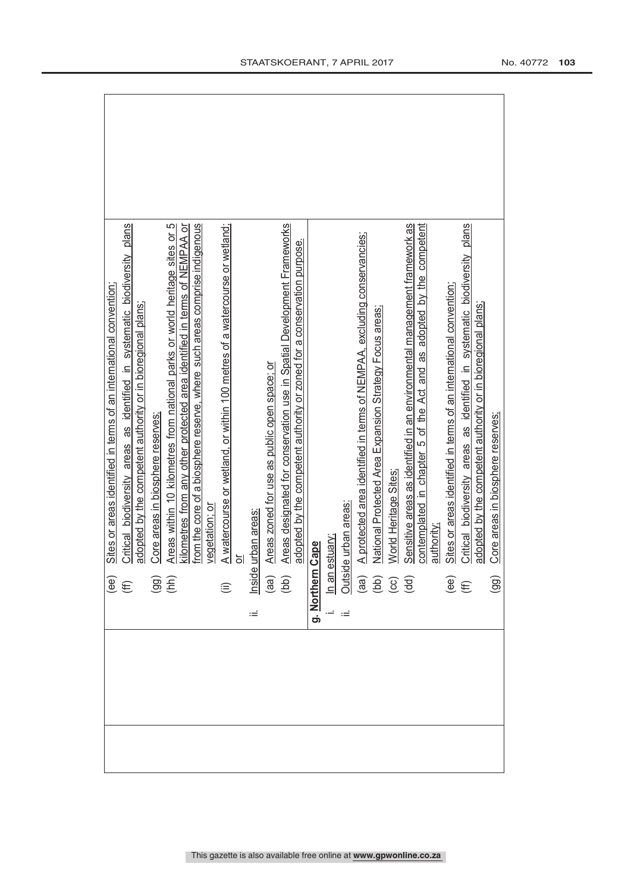| Sites or areas identified in terms of an international convention;                                                                                                                                                                    |
|---------------------------------------------------------------------------------------------------------------------------------------------------------------------------------------------------------------------------------------|
| Critical biodiversity areas as identified in systematic biodiversity plans<br>$\widehat{H}(\widehat{\mathsf{H}})$                                                                                                                     |
| adopted by the competent authority or in bioregional plans;                                                                                                                                                                           |
| Core areas in biosphere reserves;<br>$\widehat{99} \widehat{E}$                                                                                                                                                                       |
| Areas within 10 kilometres from national parks or world heritage sites or 5                                                                                                                                                           |
| kilometres from any other protected area identified in terms of NEMPAA or                                                                                                                                                             |
| from the core of a biosphere reserve, where such areas comprise indigenous                                                                                                                                                            |
| vegetation; or                                                                                                                                                                                                                        |
| A watercourse or wetland, or within 100 metres of a watercourse or wetland;<br>$\widehat{\equiv}$                                                                                                                                     |
| ៑                                                                                                                                                                                                                                     |
| urban areas<br>Inside<br>Ξ                                                                                                                                                                                                            |
| Areas zoned for use as public open space; or<br>$\begin{pmatrix} 1 & 0 \\ 0 & 0 \end{pmatrix}$                                                                                                                                        |
| Areas designated for conservation use in Spatial Development Frameworks                                                                                                                                                               |
| adopted by the competent authority or zoned for a conservation purpose.                                                                                                                                                               |
| g. Northern                                                                                                                                                                                                                           |
|                                                                                                                                                                                                                                       |
|                                                                                                                                                                                                                                       |
| le urban areas:                                                                                                                                                                                                                       |
| A protected area identified in terms of NEMPAA, excluding conservancies;                                                                                                                                                              |
| National Protected Area Expansion Strategy Focus areas;                                                                                                                                                                               |
| World Heritage Sites<br>$\frac{\text{them } \frac{1}{\text{them } \text{cm}}}{\text{Unan estuary:}}$ $\frac{\text{Outside under}}{\text{(aa)}} = \frac{\text{A per}}{\text{Mg}t}$ (bb) $\frac{\text{Na}t}{\text{Mg}t}$ (dd) (dd) (dd) |
| Sensitive areas as identified in an environmental management framework as                                                                                                                                                             |
| contemplated in chapter 5 of the Act and as adopted by the competent                                                                                                                                                                  |
| authority.                                                                                                                                                                                                                            |
| Sites or areas identified in terms of an international convention;                                                                                                                                                                    |
| Critical biodiversity areas as identified in systematic biodiversity plans<br>$\overset{\text{\tiny{(ee)}}}{\oplus}$                                                                                                                  |
| adopted by the competent authority or in bioregional plans;                                                                                                                                                                           |
| Core areas in biosphere reserves;<br>(99)                                                                                                                                                                                             |
|                                                                                                                                                                                                                                       |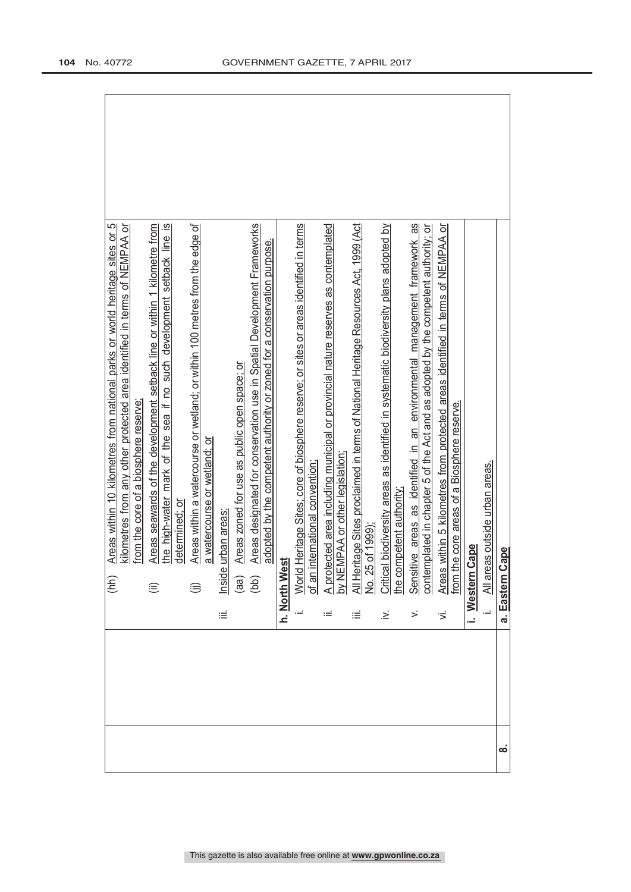| eas outside urban areas.<br>Cape<br>$\frac{\text{All}}{\text{all}}$ |                                |
|---------------------------------------------------------------------|--------------------------------|
|                                                                     |                                |
|                                                                     | Cape<br>a. Eastern<br>$\infty$ |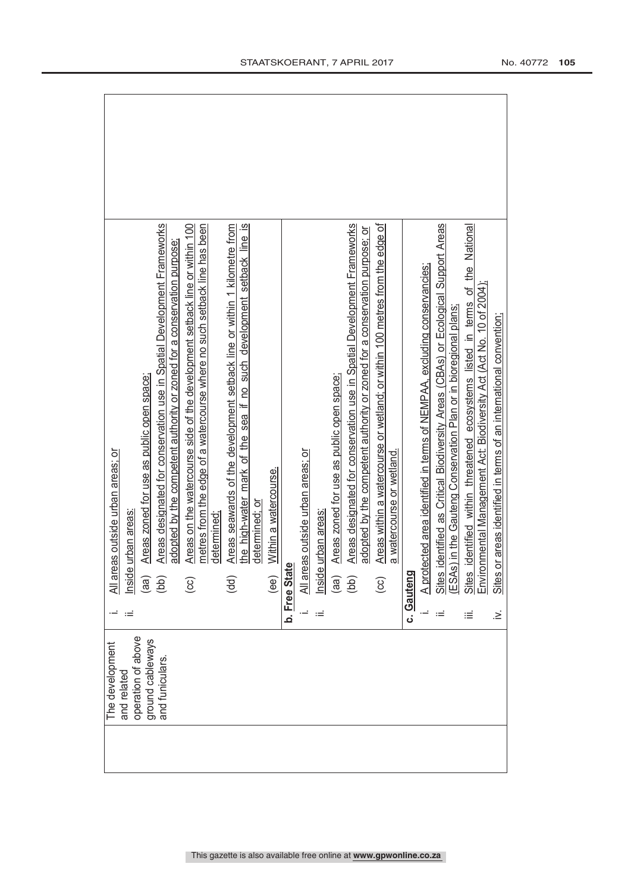| The development                        |    |                                                                                                                                                            |
|----------------------------------------|----|------------------------------------------------------------------------------------------------------------------------------------------------------------|
|                                        |    | All areas outside urban areas; or                                                                                                                          |
| and related                            |    | urban areas<br>Inside                                                                                                                                      |
| operation of above<br>ground cableways |    | Areas zoned for use as public open space;<br>(aa)                                                                                                          |
| and funiculars.                        |    | Areas designated for conservation use in Spatial Development Frameworks<br>adopted by the competent authority or zoned for a conservation purpose;<br>(bb) |
|                                        |    | Areas on the watercourse side of the development setback line or within 100<br>ල                                                                           |
|                                        |    | metres from the edge of a watercourse where no such setback line has been                                                                                  |
|                                        |    | determined:                                                                                                                                                |
|                                        |    | Areas seawards of the development setback line or within 1 kilometre from<br>(dd)                                                                          |
|                                        |    | the high-water mark of the sea if no such development setback line is<br>determined; oı                                                                    |
|                                        |    | Within a watercourse.<br>(ee)                                                                                                                              |
|                                        |    | b. Free Stat                                                                                                                                               |
|                                        |    | All areas outside urban areas; or                                                                                                                          |
|                                        | Ξ  | urban areas<br>Inside                                                                                                                                      |
|                                        |    | Areas zoned for use as public open space;<br>(aa)                                                                                                          |
|                                        |    | Areas designated for conservation use in Spatial Development Frameworks<br>(bb)                                                                            |
|                                        |    | adopted by the competent authority or zoned for a conservation purpose; or                                                                                 |
|                                        |    | Areas within a watercourse or wetland; or within 100 metres from the edge of<br>$\left($ cc)                                                               |
|                                        |    | a watercourse or wetland.                                                                                                                                  |
|                                        |    | c. Gauteng                                                                                                                                                 |
|                                        |    | A protected area identified in terms of NEMPAA, excluding conservancies;                                                                                   |
|                                        |    | identified as Critical Biodiversity Areas (CBAs) or Ecological Support Areas<br>ESAs) in the Gauteng Conservation Plan or in bioregional plans;<br>Sites   |
|                                        |    |                                                                                                                                                            |
|                                        | ≡  | identified within threatened ecosystems listed in terms of the National<br>Environmental Management Act: Biodiversity Act (Act No. 10 of 2004);<br>Sites   |
|                                        | ∹. | or areas identified in terms of an international convention;<br><b>Sites</b>                                                                               |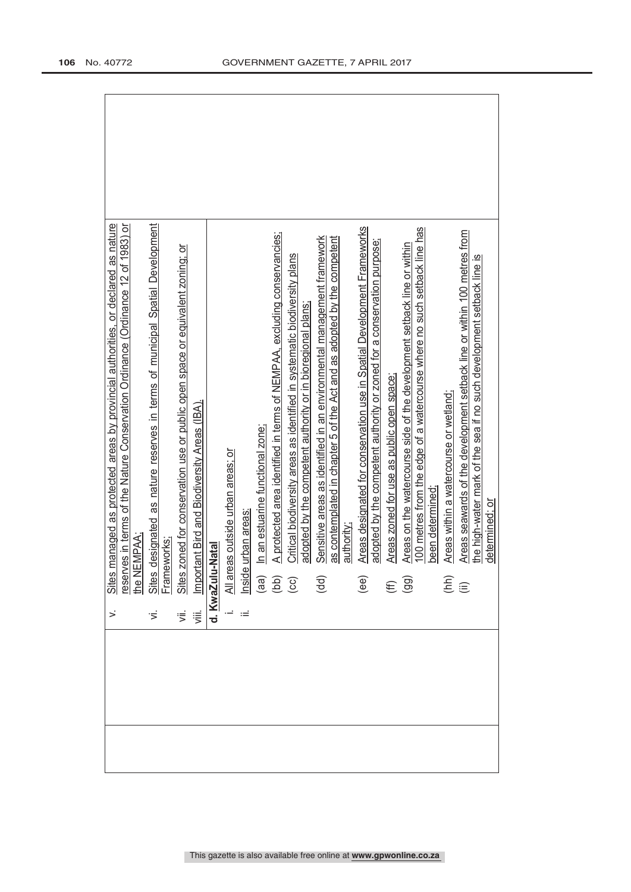|  |                          | Sites managed as protected areas by provincial authorities, or declared as nature<br>reserves in terms of the Nature Conservation Ordinance (Ordinance 12 of 1983) or<br>the NEMPAA;                                                                                                                                                                                                 |
|--|--------------------------|--------------------------------------------------------------------------------------------------------------------------------------------------------------------------------------------------------------------------------------------------------------------------------------------------------------------------------------------------------------------------------------|
|  |                          |                                                                                                                                                                                                                                                                                                                                                                                      |
|  |                          |                                                                                                                                                                                                                                                                                                                                                                                      |
|  |                          |                                                                                                                                                                                                                                                                                                                                                                                      |
|  |                          | vi. Sites designated as nature reserves in terms of municipal Spatial Development<br>Frameworks;<br>vii. Sites zoned for conservation use or public open space or equivalent zoning; or<br>wii. Important Bird and Biodiversity Areas (                                                                                                                                              |
|  |                          |                                                                                                                                                                                                                                                                                                                                                                                      |
|  |                          |                                                                                                                                                                                                                                                                                                                                                                                      |
|  |                          |                                                                                                                                                                                                                                                                                                                                                                                      |
|  |                          | In an estuarine functional zone;                                                                                                                                                                                                                                                                                                                                                     |
|  |                          | A protected area identified in terms of NEMPAA, excluding conservancies;                                                                                                                                                                                                                                                                                                             |
|  |                          | Critical biodiversity areas as identified in systematic biodiversity plans<br>adopted by the competent authority or in bioregional plans;<br>All areas outside urban areas; or<br>Inside urban areas:<br>(aa) In an estuarine functional zo<br>(bb) A protected area identified ir<br>(cc) Critical biodiversity areas as<br>adopted by the competent a<br>dopted by the competent a |
|  |                          | Sensitive areas as identified in an environmental management framework                                                                                                                                                                                                                                                                                                               |
|  |                          | as contemplated in chapter 5 of the Act and as adopted by the competent                                                                                                                                                                                                                                                                                                              |
|  |                          | authority                                                                                                                                                                                                                                                                                                                                                                            |
|  | $\overline{e}$           | Areas designated for conservation use in Spatial Development Frameworks<br>adopted by the competent authority or zoned for a conservation purpose;                                                                                                                                                                                                                                   |
|  |                          | Areas zoned for use as public open space;                                                                                                                                                                                                                                                                                                                                            |
|  | $\widehat{\mathfrak{g}}$ | Areas on the watercourse side of the development setback line or within                                                                                                                                                                                                                                                                                                              |
|  |                          | 100 metres from the edge of a watercourse where no such setback line has                                                                                                                                                                                                                                                                                                             |
|  |                          | been determined:                                                                                                                                                                                                                                                                                                                                                                     |
|  | $E \oplus$               | Areas within a watercourse or wetland;                                                                                                                                                                                                                                                                                                                                               |
|  |                          | Areas seawards of the development setback line or within 100 metres from                                                                                                                                                                                                                                                                                                             |
|  |                          | the high-water mark of the sea if no such development setback line is<br>determined; or                                                                                                                                                                                                                                                                                              |
|  |                          |                                                                                                                                                                                                                                                                                                                                                                                      |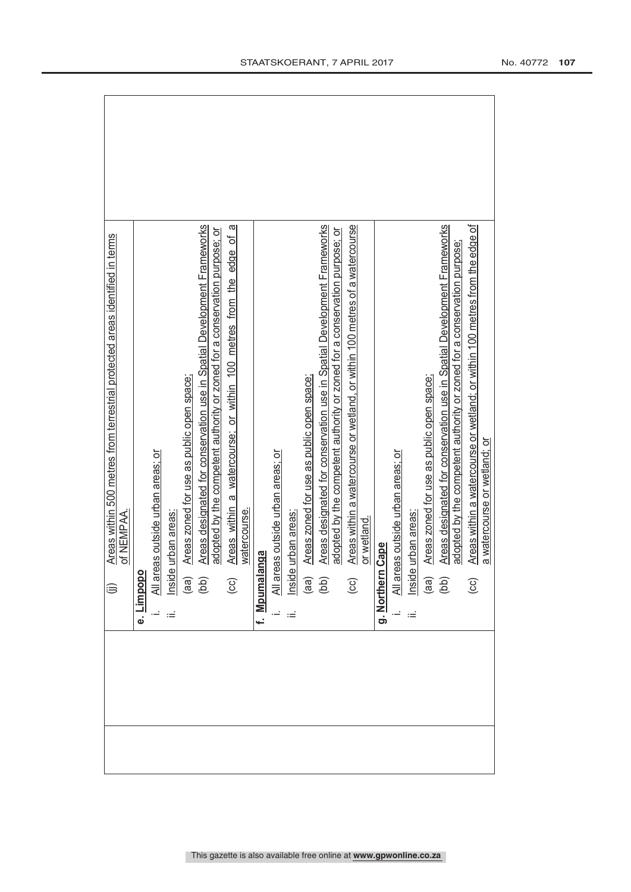|                                                                                                        |            |  |                                           |                                                                                                                                                                                                                                                                                         | ω                                                                                      |              |           |                              |               |                                           |                                                                                                                                                                                                                                                                                                                                   |                                                                                                |            |                  |                              |               |                                           |                                                                                                                              |                                                                        |                                                                                                                         |
|--------------------------------------------------------------------------------------------------------|------------|--|-------------------------------------------|-----------------------------------------------------------------------------------------------------------------------------------------------------------------------------------------------------------------------------------------------------------------------------------------|----------------------------------------------------------------------------------------|--------------|-----------|------------------------------|---------------|-------------------------------------------|-----------------------------------------------------------------------------------------------------------------------------------------------------------------------------------------------------------------------------------------------------------------------------------------------------------------------------------|------------------------------------------------------------------------------------------------|------------|------------------|------------------------------|---------------|-------------------------------------------|------------------------------------------------------------------------------------------------------------------------------|------------------------------------------------------------------------|-------------------------------------------------------------------------------------------------------------------------|
| Areas within 500 metres from terrestrial protected areas identified in terms<br>of NEMPAA.<br><b>S</b> |            |  | Areas zoned for use as public open space; | Areas designated for conservation use in Spatial Development Frameworks<br>adopted by the competent authority or zoned for a conservation purpose; or<br>All areas outside urban areas; or<br>Inside urban areas:<br>(aa) Areas zoned for use as pub<br>(bb) Areas designated for conse | edge of<br>Areas within a watercourse; or within 100 metres from the<br>$\overline{c}$ | watercourse. | anga      | reas outside urban areas; or | e urban areas | Areas zoned for use as public open space; | Areas designated for conservation use in Spatial Development Frameworks<br>adopted by the competent authority or zoned for a conservation purpose; or<br>$\frac{\overline{AB}}{\overline{AB}}\frac{\overline{AB}}{\overline{AB}}$ $\overline{AB}$ $\overline{AB}$ $\overline{AB}$ $\overline{AB}$ $\overline{AB}$ $\overline{AB}$ | Areas within a watercourse or wetland, or within 100 metres of a watercourse<br>$\overline{c}$ | or wetland | g. Northern Cape | reas outside urban areas: or | e urban areas | Areas zoned for use as public open space; | Areas designated for conservation use in Spatial Development Frameworks<br>$\frac{\text{All}}{\text{Insid}}$<br>(ad)<br>(bb) | adopted by the competent authority or zoned for a conservation purpose | Areas within a watercourse or wetland; or within 100 metres from the edge of<br>a watercourse or wetland; or<br>$\odot$ |
|                                                                                                        | e. Limpopo |  |                                           |                                                                                                                                                                                                                                                                                         |                                                                                        |              | f. Mpumal |                              |               |                                           |                                                                                                                                                                                                                                                                                                                                   |                                                                                                |            |                  |                              |               |                                           |                                                                                                                              |                                                                        |                                                                                                                         |
|                                                                                                        |            |  |                                           |                                                                                                                                                                                                                                                                                         |                                                                                        |              |           |                              |               |                                           |                                                                                                                                                                                                                                                                                                                                   |                                                                                                |            |                  |                              |               |                                           |                                                                                                                              |                                                                        |                                                                                                                         |

 $\blacksquare$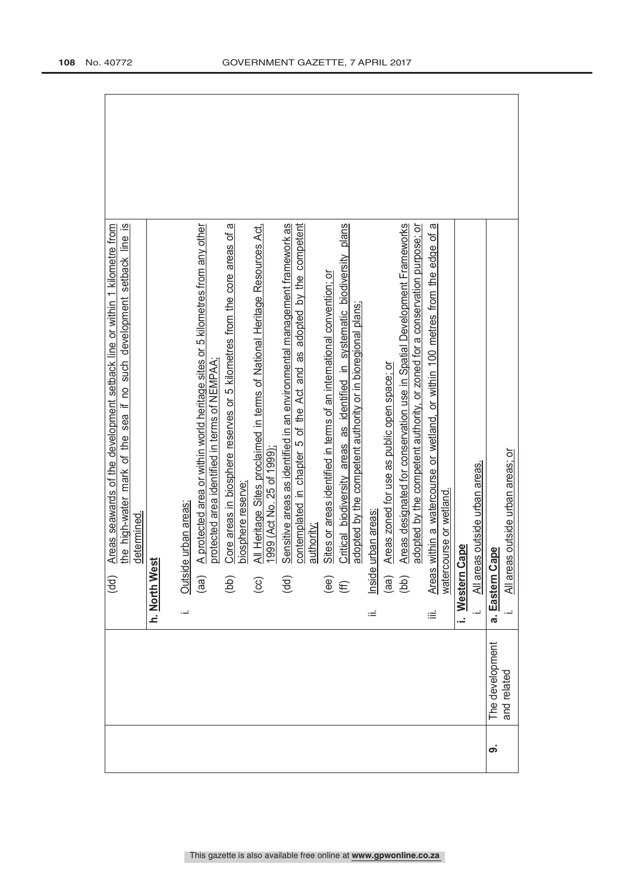|   |                 | $\overline{\omega}$<br>Areas seawards of the development setback line or within 1 kilometre from<br>line<br>sea if no such development setback<br>mark of the<br>the high-water<br>(dd) |
|---|-----------------|-----------------------------------------------------------------------------------------------------------------------------------------------------------------------------------------|
|   |                 | determined.                                                                                                                                                                             |
|   |                 | h. North West                                                                                                                                                                           |
|   |                 |                                                                                                                                                                                         |
|   |                 | Outside urban areas:<br>j,                                                                                                                                                              |
|   |                 | A protected area or within world heritage sites or 5 kilometres from any other<br>protected area identified in terms of NEMPAA<br>(aa)                                                  |
|   |                 | Core areas in biosphere reserves or 5 kilometres from the core areas of a<br>(bb)                                                                                                       |
|   |                 | biosphere reserve;                                                                                                                                                                      |
|   |                 | All Heritage Sites proclaimed in terms of National Heritage Resources Act,<br>1999 (Act No. 25 of 1999)<br>$\odot$                                                                      |
|   |                 | Sensitive areas as identified in an environmental management framework as                                                                                                               |
|   |                 | contemplated in chapter 5 of the Act and as adopted by the competent<br>(dd)                                                                                                            |
|   |                 | authority:                                                                                                                                                                              |
|   |                 | Sites or areas identified in terms of an international convention; or<br>$\widehat{\mathsf{e}}$ ee)                                                                                     |
|   |                 | Critical biodiversity areas as identified in systematic biodiversity plans<br>$\widehat{\mathbb{E}}$                                                                                    |
|   |                 | adopted by the competent authority or in bioregional plans;                                                                                                                             |
|   |                 | urban areas<br>Inside<br>Ξ                                                                                                                                                              |
|   |                 | Areas zoned for use as public open space; or<br>(aa)                                                                                                                                    |
|   |                 | Areas designated for conservation use in Spatial Development Frameworks<br>(bb)                                                                                                         |
|   |                 | adopted by the competent authority, or zoned for a conservation purpose; or                                                                                                             |
|   |                 | ω<br>Areas within a watercourse or wetland, or within 100 metres from the edge of<br>iΞ                                                                                                 |
|   |                 | watercourse or wetland.                                                                                                                                                                 |
|   |                 | Cape<br>i. Western                                                                                                                                                                      |
|   |                 | eas outside urban areas.<br>All are<br>Ļ,                                                                                                                                               |
| တ | The development | Cape<br>a. Eastern                                                                                                                                                                      |
|   | and related     | eas outside urban areas; or<br>All ar                                                                                                                                                   |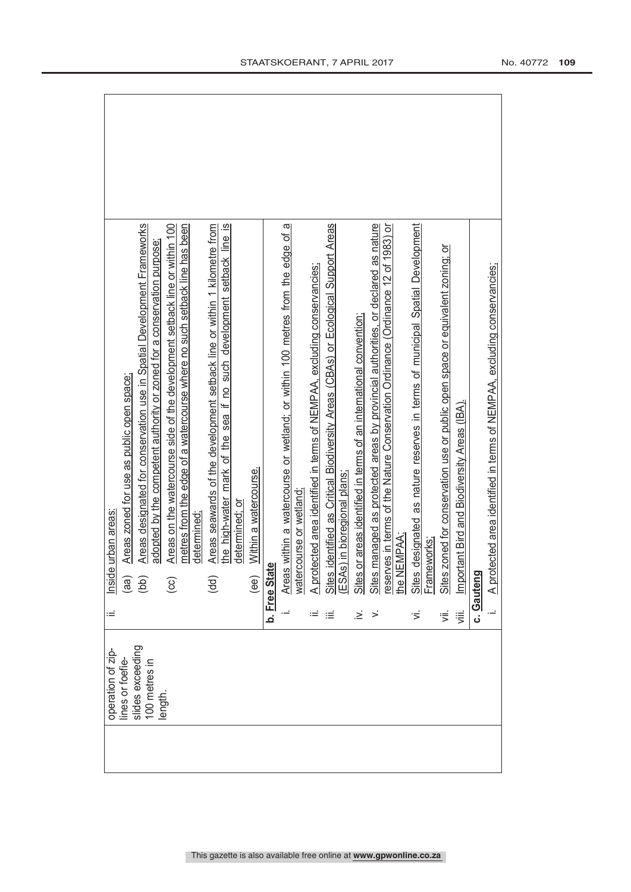| operation of zip-                 | Ξ     | urban areas:<br>Inside                                                                                                                                               |
|-----------------------------------|-------|----------------------------------------------------------------------------------------------------------------------------------------------------------------------|
| lines or foefie-                  |       | Areas zoned for use as public open space;<br>(aa)                                                                                                                    |
| slides exceeding<br>100 metres in |       | Areas designated for conservation use in Spatial Development Frameworks<br>adopted by the competent authority or zoned for a conservation purpose;<br>(bb)           |
| length.                           |       | Areas on the watercourse side of the development setback line or within 100<br>$\overline{c}$                                                                        |
|                                   |       | metres from the edge of a watercourse where no such setback line has been                                                                                            |
|                                   |       | determined                                                                                                                                                           |
|                                   |       | Areas seawards of the development setback line or within 1 kilometre from<br>the high-water mark of the sea if no such development setback line is<br>$\overline{6}$ |
|                                   |       | determined; or                                                                                                                                                       |
|                                   |       | Within a watercourse.<br>$\widehat{e}$                                                                                                                               |
|                                   |       | Φ<br>b. Free Stat                                                                                                                                                    |
|                                   |       | Areas within a watercourse or wetland; or within 100 metres from the edge of a                                                                                       |
|                                   |       | watercourse or wetland                                                                                                                                               |
|                                   |       | A protected area identified in terms of NEMPAA, excluding conservancies                                                                                              |
|                                   | ≔     | identified as Critical Biodiversity Areas (CBAs) or Ecological Support Areas<br><b>Sites</b>                                                                         |
|                                   |       | ESAs) in bioregional plans;                                                                                                                                          |
|                                   | ∹.    | Sites or areas identified in terms of an international convention;                                                                                                   |
|                                   | ➢     | Sites managed as protected areas by provincial authorities, or declared as nature                                                                                    |
|                                   |       | reserves in terms of the Nature Conservation Ordinance (Ordinance 12 of 1983) or                                                                                     |
|                                   |       | he NEMPAA;                                                                                                                                                           |
|                                   | ゙゙゚゙゙ | designated as nature reserves in terms of municipal Spatial Development<br>Sites                                                                                     |
|                                   |       | Frameworks;                                                                                                                                                          |
|                                   | 亏     | Sites zoned for conservation use or public open space or equivalent zoning; or                                                                                       |
|                                   | ΪÏ.   | tant Bird and Biodiversity Areas (IBA).<br>Import                                                                                                                    |
|                                   |       | c. Gauteng                                                                                                                                                           |
|                                   |       | A protected area identified in terms of NEMPAA, excluding conservancies;                                                                                             |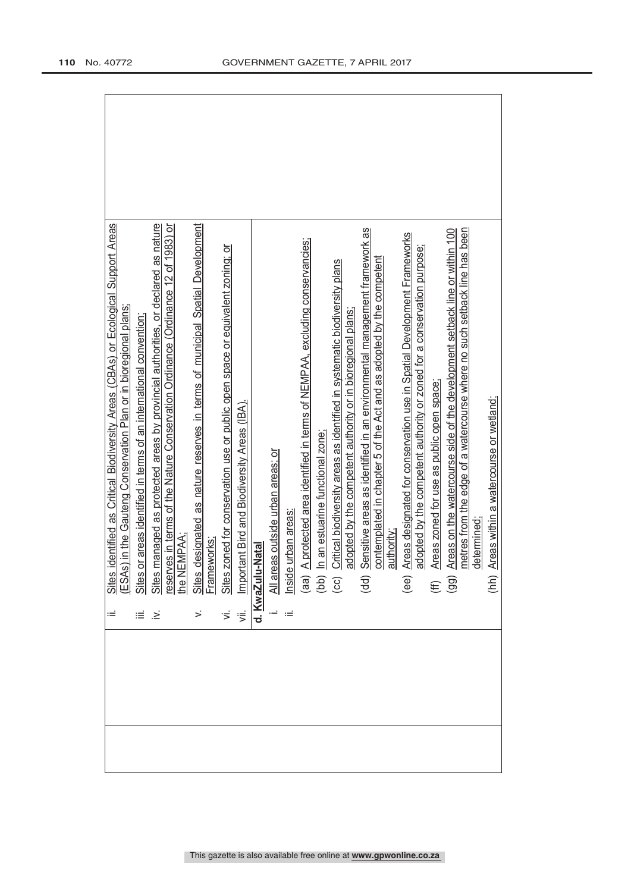|                     | identified as Critical Biodiversity Areas (CBAs) or Ecological Support Areas                                                                                                                                                                                                                                                                                                                    |
|---------------------|-------------------------------------------------------------------------------------------------------------------------------------------------------------------------------------------------------------------------------------------------------------------------------------------------------------------------------------------------------------------------------------------------|
|                     | Sites identified as Critical Biodiversity Areas (CBAs) or Ecologic<br>(ESAs) in the Gauteng Conservation Plan or in bioregional plans;                                                                                                                                                                                                                                                          |
|                     |                                                                                                                                                                                                                                                                                                                                                                                                 |
| $\dot{\geq}$        | Sites or areas identified in terms of an international convention;<br>Sites managed as protected areas by provincial authorities, or declared as nature<br>reserves in terms of the Nature Conservation Ordinance (Ordinance 12 of 1                                                                                                                                                            |
|                     |                                                                                                                                                                                                                                                                                                                                                                                                 |
|                     |                                                                                                                                                                                                                                                                                                                                                                                                 |
|                     |                                                                                                                                                                                                                                                                                                                                                                                                 |
| $\vec{z}$ $\vec{z}$ |                                                                                                                                                                                                                                                                                                                                                                                                 |
|                     | Sites designated as nature reserves in terms of municipal Spatial Development<br>Frameworks:<br>Sites zoned for conservation use or public open space or equivalent zoning; or<br>Important Bird and Biodiversity Areas (IBA).                                                                                                                                                                  |
|                     | d. KwaZulu-Natal                                                                                                                                                                                                                                                                                                                                                                                |
|                     |                                                                                                                                                                                                                                                                                                                                                                                                 |
|                     |                                                                                                                                                                                                                                                                                                                                                                                                 |
|                     |                                                                                                                                                                                                                                                                                                                                                                                                 |
|                     |                                                                                                                                                                                                                                                                                                                                                                                                 |
|                     |                                                                                                                                                                                                                                                                                                                                                                                                 |
|                     |                                                                                                                                                                                                                                                                                                                                                                                                 |
|                     | Sensitive areas as identified in an environmental management framework as<br>All areas outside urban areas; or<br>Inside urban areas:<br>(aa) A protected area identified in terms of NEMPAA, excluding conservancies;<br>(bb) In an estuarine functional zone;<br>(cc) Critical biodiversity areas as identified in sy<br>contemplated in chapter 5 of the Act and as adopted by the competent |
|                     | authority;                                                                                                                                                                                                                                                                                                                                                                                      |
|                     | Areas designated for conservation use in Spatial Development Frameworks<br>(ee)                                                                                                                                                                                                                                                                                                                 |
|                     | adopted by the competent authority or zoned for a conservation purpose;                                                                                                                                                                                                                                                                                                                         |
|                     | Areas zoned for use as public open space;<br>$(E \n99)$                                                                                                                                                                                                                                                                                                                                         |
|                     | Areas on the watercourse side of the development setback line or within 100                                                                                                                                                                                                                                                                                                                     |
|                     | metres from the edge of a watercourse where no such setback line has been                                                                                                                                                                                                                                                                                                                       |
|                     | determined:                                                                                                                                                                                                                                                                                                                                                                                     |
|                     | Areas within a watercourse or wetland;<br>(hh)                                                                                                                                                                                                                                                                                                                                                  |
|                     |                                                                                                                                                                                                                                                                                                                                                                                                 |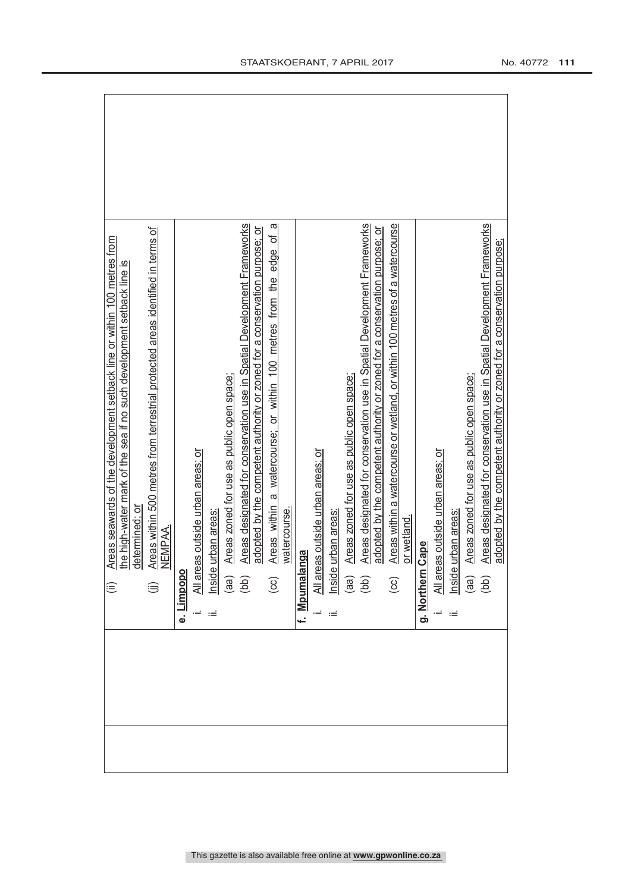|      | Areas seawards of the development setback line or within 100 metres from<br>the high-water mark of the sea if no such development setback line is<br>⊜     |
|------|------------------------------------------------------------------------------------------------------------------------------------------------------------|
|      | determined; or                                                                                                                                             |
|      | Areas within 500 metres from terrestrial protected areas identified in terms of<br>NEMPAA.<br>⊜                                                            |
|      |                                                                                                                                                            |
| نه   | Limpopo                                                                                                                                                    |
|      | All areas outside urban areas; or                                                                                                                          |
| ιÊ   | nside urban areas                                                                                                                                          |
|      | Areas zoned for use as public open space;                                                                                                                  |
|      | Areas designated for conservation use in Spatial Development Frameworks<br>$\begin{pmatrix} 1 & 0 \\ 0 & 0 \end{pmatrix}$                                  |
|      | adopted by the competent authority or zoned for a conservation purpose; or                                                                                 |
|      | ω<br>Areas within a watercourse; or within 100 metres from the edge of<br>$\left( \infty \right)$                                                          |
|      | watercourse.                                                                                                                                               |
|      | f. Mpumalanga                                                                                                                                              |
|      | All areas outside urban areas; or                                                                                                                          |
| Ξ    | urban areas<br>Inside                                                                                                                                      |
|      | Areas zoned for use as public open space;                                                                                                                  |
|      | Areas designated for conservation use in Spatial Development Frameworks<br>$\begin{pmatrix} 1 & 0 \\ 0 & 0 \end{pmatrix}$                                  |
|      | adopted by the competent authority or zoned for a conservation purpose; or                                                                                 |
|      | Areas within a watercourse or wetland, or within 100 metres of a watercourse<br>$\odot$                                                                    |
|      | or wetland.                                                                                                                                                |
|      | Cape<br>g. Northern                                                                                                                                        |
|      | All areas outside urban areas; or                                                                                                                          |
| $:=$ | nside urban areas                                                                                                                                          |
|      | Areas zoned for use as public open space;<br>(aa)                                                                                                          |
|      | Areas designated for conservation use in Spatial Development Frameworks<br>adopted by the competent authority or zoned for a conservation purpose;<br>(bb) |
|      |                                                                                                                                                            |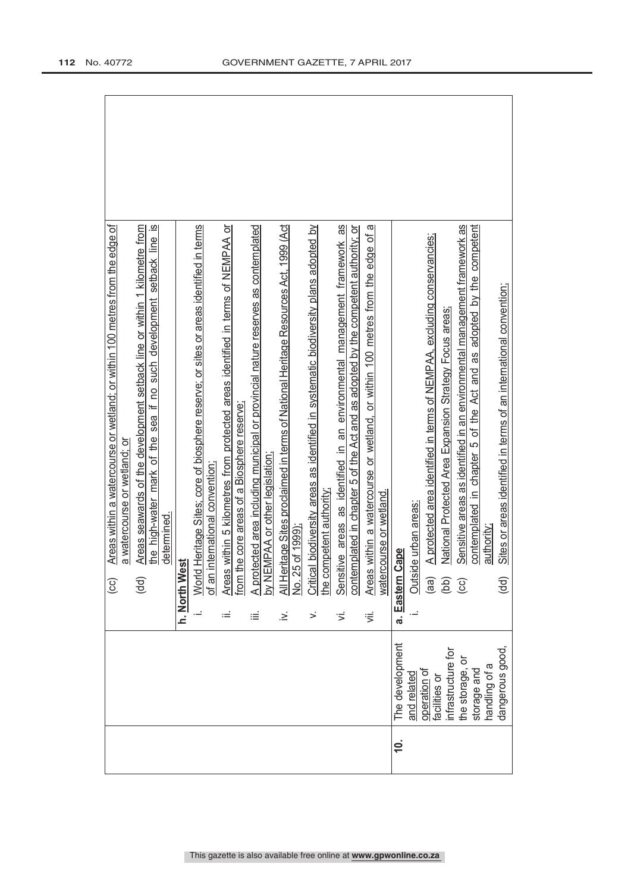|          |                               |      | Areas within a watercourse or wetland; or within 100 metres from the edge of<br>$\overline{c}$               |
|----------|-------------------------------|------|--------------------------------------------------------------------------------------------------------------|
|          |                               |      | a watercourse or wetland; or                                                                                 |
|          |                               |      | Areas seawards of the development setback line or within 1 kilometre from<br>$\overline{a}$                  |
|          |                               |      | the high-water mark of the sea if no such development setback line is                                        |
|          |                               |      | determined.                                                                                                  |
|          |                               |      | ಕ<br>h. North We                                                                                             |
|          |                               |      | Heritage Sites; core of biosphere reserve; or sites or areas identified in terms<br>World                    |
|          |                               |      | international convention:<br>of an i                                                                         |
|          |                               | $:=$ | Areas within 5 kilometres from protected areas identified in terms of NEMPAA or                              |
|          |                               |      | he core areas of a Biosphere reserve.<br>from $t$                                                            |
|          |                               | ≝    | A protected area including municipal or provincial nature reserves as contemplated                           |
|          |                               |      | by NEMPAA or other legislation                                                                               |
|          |                               | ∹    | All Heritage Sites proclaimed in terms of National Heritage Resources Act, 1999 (Act                         |
|          |                               |      | No. 25 of 1999)                                                                                              |
|          |                               | ≶    | Critical biodiversity areas as identified in systematic biodiversity plans adopted by                        |
|          |                               |      | he competent authority                                                                                       |
|          |                               | ιŠ.  | tive areas as identified in an environmental management framework as<br>Sensit                               |
|          |                               |      | contemplated in chapter 5 of the Act and as adopted by the competent authority; or                           |
|          |                               | ぎ    | ო<br>Areas within a watercourse or wetland, or within 100 metres from the edge of<br>watercourse or wetland. |
|          |                               |      |                                                                                                              |
| <u>¢</u> | The development               |      | Cape<br>a. Eastern (                                                                                         |
|          | and related                   |      | Outside urban areas:                                                                                         |
|          | operation of<br>facilities or |      | A protected area identified in terms of NEMPAA, excluding conservancies;<br>(aa)                             |
|          | nfrastructure for             |      | National Protected Area Expansion Strategy Focus areas:<br>(bb)                                              |
|          | the storage, or               |      | Sensitive areas as identified in an environmental management framework as<br>GS)                             |
|          | storage and                   |      | adopted by the competent<br>contemplated in chapter 5 of the Act and as                                      |
|          | handling of a                 |      | authority;                                                                                                   |
|          | dangerous good                |      | Sites or areas identified in terms of an international convention;<br>$\overline{a}$                         |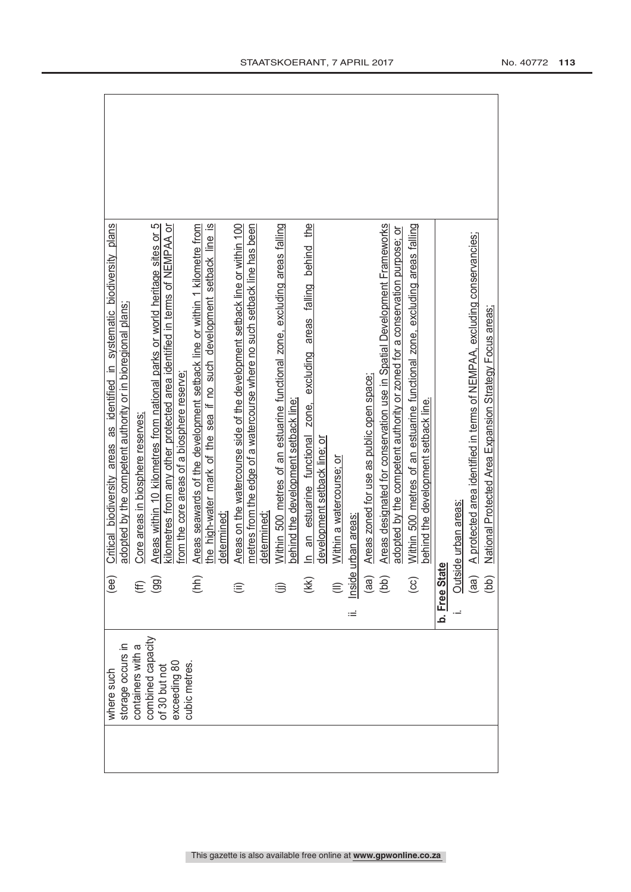| where such                         | (ee)           | Critical biodiversity areas as identified in systematic biodiversity plans                                                                               |
|------------------------------------|----------------|----------------------------------------------------------------------------------------------------------------------------------------------------------|
| storage occurs in                  |                | adopted by the competent authority or in bioregional plans;                                                                                              |
| containers with a                  | €              | Core areas in biosphere reserves;                                                                                                                        |
| combined capacity<br>of 30 but not | (99)           | Areas within 10 kilometres from national parks or world heritage sites or 5<br>kilometres from any other protected area identified in terms of NEMPAA or |
| exceeding 80<br>cubic metres.      |                | from the core areas of a biosphere reserve:                                                                                                              |
|                                    | (hh)           | Areas seawards of the development setback line or within 1 kilometre from                                                                                |
|                                    |                | the high-water mark of the sea if no such development setback line is<br>determined:                                                                     |
|                                    |                |                                                                                                                                                          |
|                                    | ⊜              | Areas on the watercourse side of the development setback line or within 100<br>metres from the edge of a watercourse where no such setback line has been |
|                                    |                | determined                                                                                                                                               |
|                                    |                | Within 500 metres of an estuarine functional zone, excluding areas falling                                                                               |
|                                    |                | behind the development setback line;                                                                                                                     |
|                                    | (K)            | the<br>estuarine functional zone, excluding areas falling behind<br>ສ<br>$\equiv$                                                                        |
|                                    |                | development setback line; or                                                                                                                             |
|                                    |                | Within a watercourse; or                                                                                                                                 |
|                                    | ≔              | Inside urban areas                                                                                                                                       |
|                                    | (a)            | Areas zoned for use as public open space;                                                                                                                |
|                                    | (bb)           | Areas designated for conservation use in Spatial Development Frameworks                                                                                  |
|                                    |                | adopted by the competent authority or zoned for a conservation purpose; or                                                                               |
|                                    | $\overline{c}$ | Within 500 metres of an estuarine functional zone, excluding areas falling                                                                               |
|                                    |                | behind the development setback line.                                                                                                                     |
|                                    | b. Free Stat   |                                                                                                                                                          |
|                                    |                | Outside urban areas:                                                                                                                                     |
|                                    | (aa)           | A protected area identified in terms of NEMPAA, excluding conservancies;                                                                                 |
|                                    | (bb)           | National Protected Area Expansion Strategy Focus areas;                                                                                                  |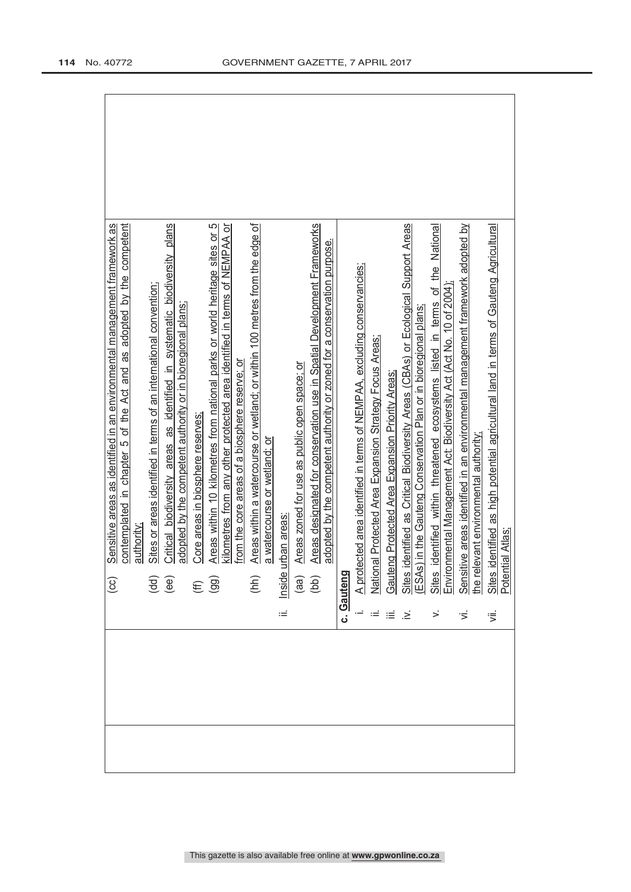|            | Sensitive areas as identified in an environmental management framework as<br>$\odot$                                                                                                                                   |
|------------|------------------------------------------------------------------------------------------------------------------------------------------------------------------------------------------------------------------------|
|            | contemplated in chapter 5 of the Act and as adopted by the competent<br>authority                                                                                                                                      |
|            | Sites or areas identified in terms of an international convention;                                                                                                                                                     |
|            | Critical biodiversity areas as identified in systematic biodiversity plans<br>$\overline{AB}$                                                                                                                          |
|            | adopted by the competent authority or in bioregional plans;                                                                                                                                                            |
|            | Core areas in biosphere reserves;<br>$\widehat{\mathfrak{g}}$                                                                                                                                                          |
|            | Areas within 10 kilometres from national parks or world heritage sites or 5                                                                                                                                            |
|            | kilometres from any other protected area identified in terms of NEMPAA or<br>from the core areas of a biosphere reserve; or                                                                                            |
|            | Areas within a watercourse or wetland; or within 100 metres from the edge of<br>(hh)                                                                                                                                   |
|            | a watercourse or wetland; or                                                                                                                                                                                           |
| Ξ          | urban areas<br>Inside u                                                                                                                                                                                                |
|            | Areas zoned for use as public open space; or<br>$\begin{pmatrix} 1 & 0 \\ 0 & 0 \\ 0 & 0 \end{pmatrix}$                                                                                                                |
|            | Areas designated for conservation use in Spatial Development Frameworks                                                                                                                                                |
|            | adopted by the competent authority or zoned for a conservation purpose.                                                                                                                                                |
| c. Gauteng |                                                                                                                                                                                                                        |
|            |                                                                                                                                                                                                                        |
|            | A protected area identified in terms of NEMPAA, excluding conservancies;<br>National Protected Area Expansion Strategy Focus Areas;                                                                                    |
| ਾ≡         | Gauteng Protected Area Expansion Priority Areas:                                                                                                                                                                       |
| ા≥ં        | identified as Critical Biodiversity Areas (CBAs) or Ecological Support Areas<br>Sites identified as Critical Biodiversity Areas (CBAs) or Ecologic<br>(ESAs) in the Gauteng Conservation Plan or in bioregional plans; |
|            |                                                                                                                                                                                                                        |
|            | identified within threatened ecosystems listed in terms of the National<br>Sites identified within threatened ecosystems listed in terms of<br>Environmental Management Act: Biodiversity Act (Act No. 10 of 2004)     |
|            |                                                                                                                                                                                                                        |
| Ξ.         | Sensitive areas identified in an environmental management framework adopted by                                                                                                                                         |
|            | the relevant environmental authority;                                                                                                                                                                                  |
| ιË.        | identified as high potential agricultural land in terms of Gauteng Agricultural<br>tial Atlas:<br>Sites i<br>Potent                                                                                                    |
|            |                                                                                                                                                                                                                        |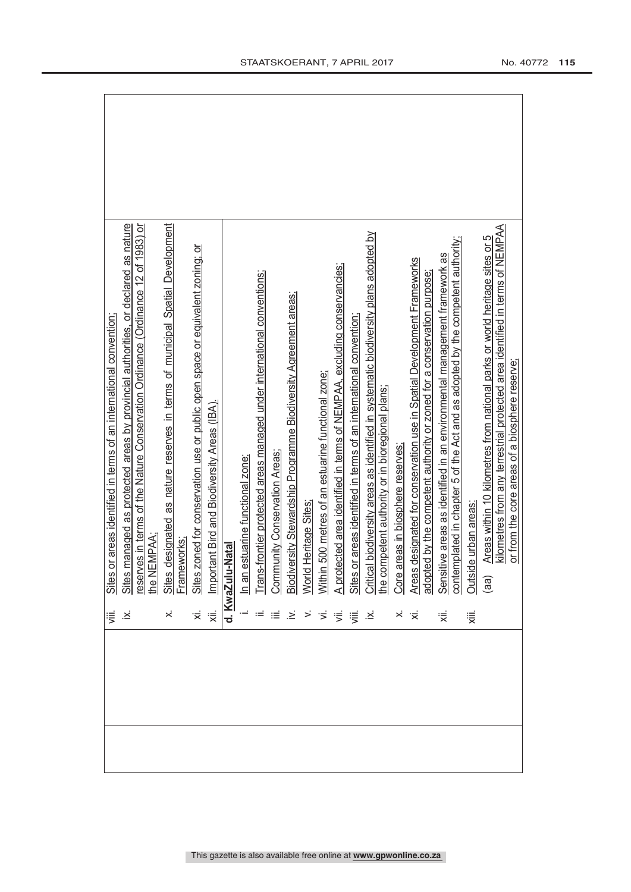|  | 這                                                                                                                           | or areas identified in terms of an international convention<br>Sites o                                                                                       |
|--|-----------------------------------------------------------------------------------------------------------------------------|--------------------------------------------------------------------------------------------------------------------------------------------------------------|
|  | Σ.                                                                                                                          | managed as protected areas by provincial authorities, or declared as nature<br>Sites <sub>I</sub>                                                            |
|  |                                                                                                                             | res in terms of the Nature Conservation Ordinance (Ordinance 12 of 1983) or<br>reserv                                                                        |
|  |                                                                                                                             | the NEMPAA                                                                                                                                                   |
|  | ×                                                                                                                           | designated as nature reserves in terms of municipal Spatial Development<br>Sites designa<br>Frameworks;                                                      |
|  |                                                                                                                             |                                                                                                                                                              |
|  |                                                                                                                             | Sites zoned for conservation use or public open space or equivalent zoning; or                                                                               |
|  | ं≅ं                                                                                                                         | tant Bird and Biodiversity Areas (IBA).<br>Import                                                                                                            |
|  |                                                                                                                             | d. KwaZulu-Natal                                                                                                                                             |
|  |                                                                                                                             | estuarine functional zone;<br>$\frac{1}{2}$                                                                                                                  |
|  |                                                                                                                             | Trans-frontier protected areas managed under international conventions;                                                                                      |
|  | ा≡                                                                                                                          | Community Conservation Areas;                                                                                                                                |
|  | $\geq$                                                                                                                      |                                                                                                                                                              |
|  |                                                                                                                             | <u>Biodiversity Stewardship Programme Biodiversity Agreement areas;</u><br>World Heritage Sites <u>;</u>                                                     |
|  | $\begin{array}{c} > \alpha \leq \alpha \leq \alpha \leq \alpha \leq \alpha \leq \alpha \leq \alpha \leq \alpha \end{array}$ | 1500 metres of an estuarine functional zone;<br><b>Within</b>                                                                                                |
|  |                                                                                                                             | A protected area identified in terms of NEMPAA, excluding conservancies;<br>Sites or areas identified in terms of an international convention;               |
|  |                                                                                                                             |                                                                                                                                                              |
|  |                                                                                                                             | Critical biodiversity areas as identified in systematic biodiversity plans adopted by<br>the competent authority or in bioregional plans;                    |
|  |                                                                                                                             |                                                                                                                                                              |
|  | $\times$                                                                                                                    | Core areas in biosphere reserves                                                                                                                             |
|  | ·京                                                                                                                          | designated for conservation use in Spatial Development Frameworks<br>ed by the competent authority or zoned for a conservation purpose<br>Areas<br>adopte    |
|  | ₹                                                                                                                           | contemplated in chapter 5 of the Act and as adopted by the competent authority;<br>Sensitive areas as identified in an environmental management framework as |
|  | χiii.                                                                                                                       | de urban areas:<br><b>Outsic</b>                                                                                                                             |
|  |                                                                                                                             | Areas within 10 kilometres from national parks or world heritage sites or 5<br>(aa)                                                                          |
|  |                                                                                                                             | kilometres from any terrestrial protected area identified in terms of NEMPAA                                                                                 |
|  |                                                                                                                             | or from the core areas of a biosphere reserve;                                                                                                               |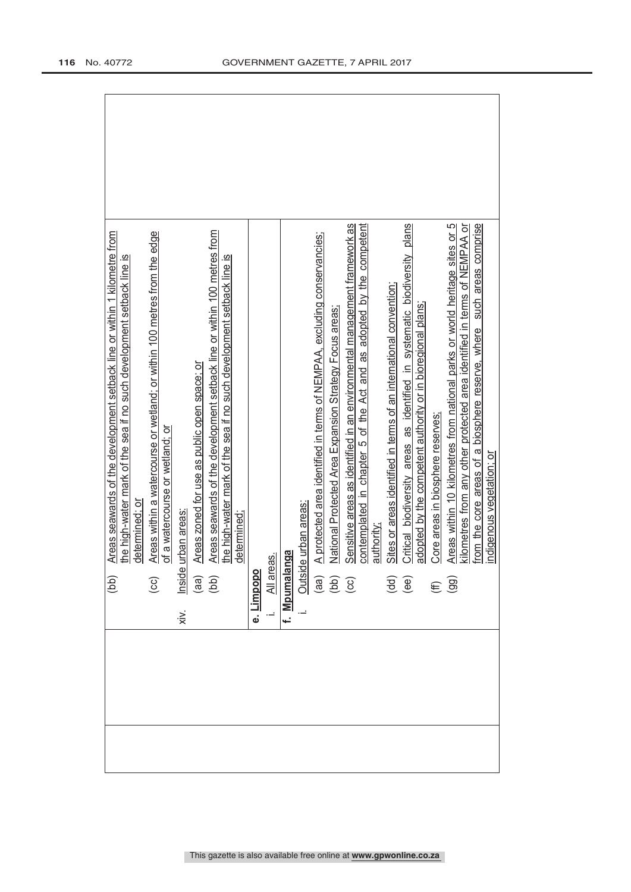| Areas within a watercourse or wetland; or within 100 metres from the edge<br>Areas seawards of the development setback line or within 1 kilometre from<br>the high-water mark of the sea if no such development setback line is<br>of a watercourse or wetland; or<br>determined: or<br>(bb)<br>$\odot$ |
|---------------------------------------------------------------------------------------------------------------------------------------------------------------------------------------------------------------------------------------------------------------------------------------------------------|
| Areas seawards of the development setback line or within 100 metres from<br>the high-water mark of the sea if no such development setback line is<br>Areas zoned for use as public open space: or<br>urban areas<br>determined;<br>$\frac{2}{\frac{1}{2}}$<br>(aa)<br>(bb)<br>$x^2$                     |
| All areas.<br><b>Limpopo</b><br>ė.                                                                                                                                                                                                                                                                      |
| le urban areas:<br>f. Mpumalanga                                                                                                                                                                                                                                                                        |
| A protected area identified in terms of NEMPAA, excluding conservancies;<br>National Protected Area Expansion Strategy Focus areas;<br>Outsid<br>(aa)<br>(cc)<br>(cc)                                                                                                                                   |
| Sensitive areas as identified in an environmental management framework as<br>contemplated in chapter 5 of the Act and as adopted by the competent<br>authority;                                                                                                                                         |
| Critical biodiversity areas as identified in systematic biodiversity plans<br>Sites or areas identified in terms of an international convention,<br>adopted by the competent authority or in bioregional plans;<br>$\begin{pmatrix} d & d \\ e & e \end{pmatrix}$                                       |
| Areas within 10 kilometres from national parks or world heritage sites or 5<br>kilometres from any other protected area identified in terms of NEMPAA or<br>such areas comprise<br>from the core areas of a biosphere reserve, where<br>Core areas in biosphere reserves;<br>$(E \n9$                   |
| indigenous vegetation; or                                                                                                                                                                                                                                                                               |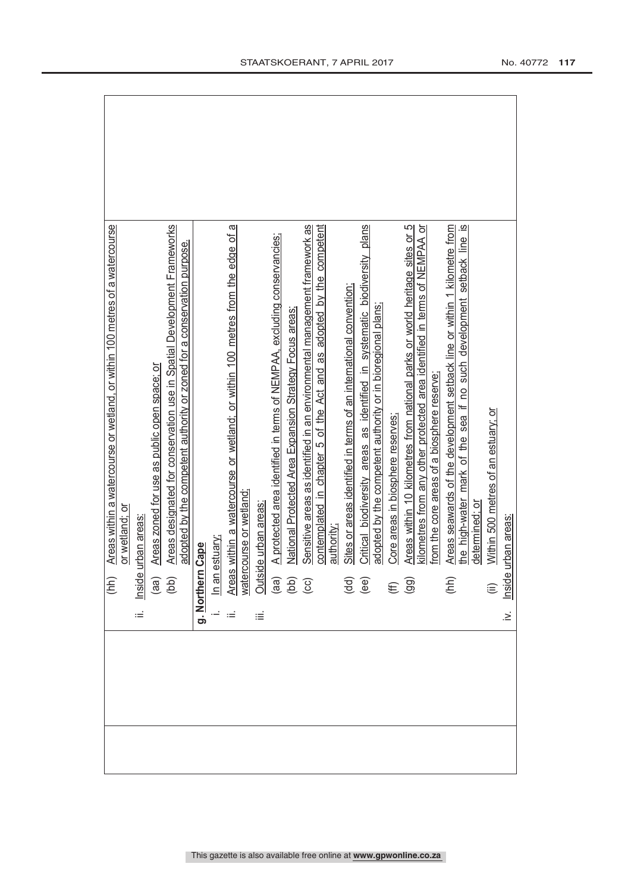| Areas designated for conservation use in Spatial Development Frameworks<br>Areas within a watercourse or wetland, or within 100 metres of a watercourse<br>adopted by the competent authority or zoned for a conservation purpose.<br>Areas zoned for use as public open space; or<br>or wetland; or<br>urban areas<br>Inside<br>$\sqrt{\frac{1}{2}}$<br>$\begin{pmatrix} \text{d}\text{d} \\ \text{d}\text{d} \end{pmatrix}$<br>÷ | g. Northern Cape | In an estuary;<br>Areas within a watercourse or wetland; or within 100 metres from the edge of a<br>watercourse or wetland;<br>Outside urban areas:<br>(aa) A protected area identified in terms of NEMPAA, excluding conservancies;<br>(bb) | iΞ |  | contemplated in chapter 5 of the Act and as adopted by the competent<br>authority. | Sites or areas identified in terms of an international convention; | Critical biodiversity areas as identified in systematic biodiversity plans<br>adopted by the competent authority or in bioregional plans:<br>$\begin{pmatrix} d & d \\ e & d \end{pmatrix}$ | Core areas in biosphere reserves | Areas within 10 kilometres from national parks or world heritage sites or 5<br>kilometres from any other protected area identified in terms of NEMPAA or<br>$(E \n9$ | from the core areas of a biosphere reserver | Areas seawards of the development setback line or within 1 kilometre from<br>(hh) | the high-water mark of the sea if no such development setback line is<br>determined: or | Within 500 metres of an estuary; or | urban areas:<br>$\frac{1}{\sin \theta}$<br>$\geq$ |
|------------------------------------------------------------------------------------------------------------------------------------------------------------------------------------------------------------------------------------------------------------------------------------------------------------------------------------------------------------------------------------------------------------------------------------|------------------|----------------------------------------------------------------------------------------------------------------------------------------------------------------------------------------------------------------------------------------------|----|--|------------------------------------------------------------------------------------|--------------------------------------------------------------------|---------------------------------------------------------------------------------------------------------------------------------------------------------------------------------------------|----------------------------------|----------------------------------------------------------------------------------------------------------------------------------------------------------------------|---------------------------------------------|-----------------------------------------------------------------------------------|-----------------------------------------------------------------------------------------|-------------------------------------|---------------------------------------------------|
|                                                                                                                                                                                                                                                                                                                                                                                                                                    |                  |                                                                                                                                                                                                                                              |    |  |                                                                                    |                                                                    |                                                                                                                                                                                             |                                  |                                                                                                                                                                      |                                             |                                                                                   |                                                                                         |                                     |                                                   |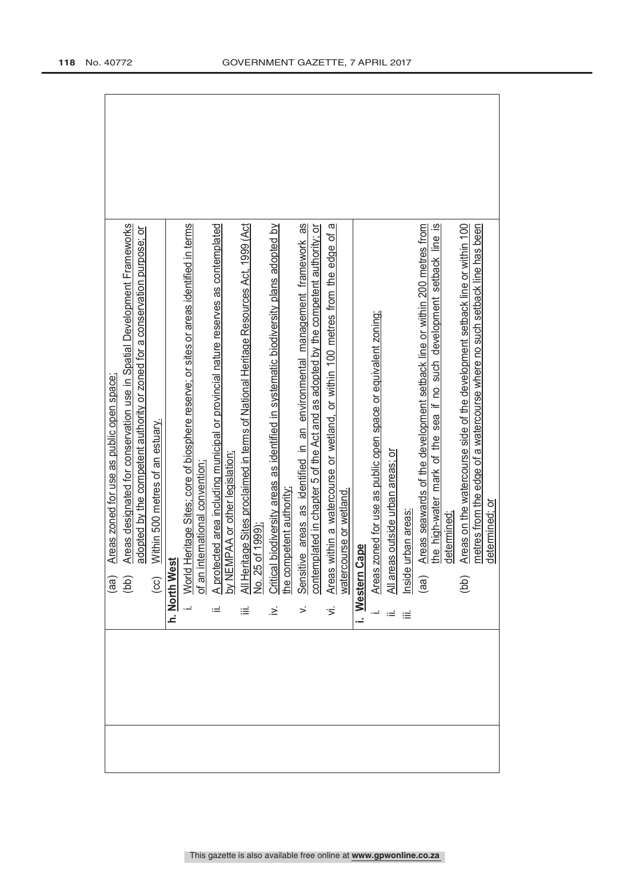|                                                   | Areas designated for conservation use in Spatial Development Frameworks<br>adopted by the competent authority or zoned for a conservation purpose; or |                                                  |               | World Heritage Sites; core of biosphere reserve; or sites or areas identified in terms |                                   | A protected area including municipal or provincial nature reserves as contemplated |                                 | All Heritage Sites proclaimed in terms of National Heritage Resources Act, 1999 (Act | Critical biodiversity areas as identified in systematic biodiversity plans adopted by |                         | Sensitive areas as identified in an environmental management framework as | contemplated in chapter 5 of the Act and as adopted by the competent authority; or | Areas within a watercourse or wetland, or within 100 metres from the edge of a<br>watercourse or wetland. |                           |                                                                |                                                     |                        | Areas seawards of the development setback line or within 200 metres from | the high-water mark of the sea if no such development setback line is | Areas on the watercourse side of the development setback line or within 100<br>metres from the edge of a watercourse where no such setback line has been |                |
|---------------------------------------------------|-------------------------------------------------------------------------------------------------------------------------------------------------------|--------------------------------------------------|---------------|----------------------------------------------------------------------------------------|-----------------------------------|------------------------------------------------------------------------------------|---------------------------------|--------------------------------------------------------------------------------------|---------------------------------------------------------------------------------------|-------------------------|---------------------------------------------------------------------------|------------------------------------------------------------------------------------|-----------------------------------------------------------------------------------------------------------|---------------------------|----------------------------------------------------------------|-----------------------------------------------------|------------------------|--------------------------------------------------------------------------|-----------------------------------------------------------------------|----------------------------------------------------------------------------------------------------------------------------------------------------------|----------------|
| Areas zoned for use as public open space;<br>(as) | (bb)                                                                                                                                                  | Within 500 metres of an estuary.<br>$\left($ cc) | h. North West |                                                                                        | international convention<br>of an |                                                                                    | by NEMPAA or other legislation; | No. 25 of 1999);                                                                     | .<br>خ                                                                                | the competent authority |                                                                           |                                                                                    |                                                                                                           | <b>Cape</b><br>i. Western | Areas zoned for use as public open space or equivalent zoning; | eas outside urban areas; or<br>$\frac{2}{\sqrt{2}}$ | e urban areas:<br>hsid | (aa)                                                                     | determined:                                                           | (bb)                                                                                                                                                     | determined; or |
|                                                   |                                                                                                                                                       |                                                  |               |                                                                                        |                                   |                                                                                    |                                 |                                                                                      |                                                                                       |                         |                                                                           |                                                                                    |                                                                                                           |                           |                                                                |                                                     |                        |                                                                          |                                                                       |                                                                                                                                                          |                |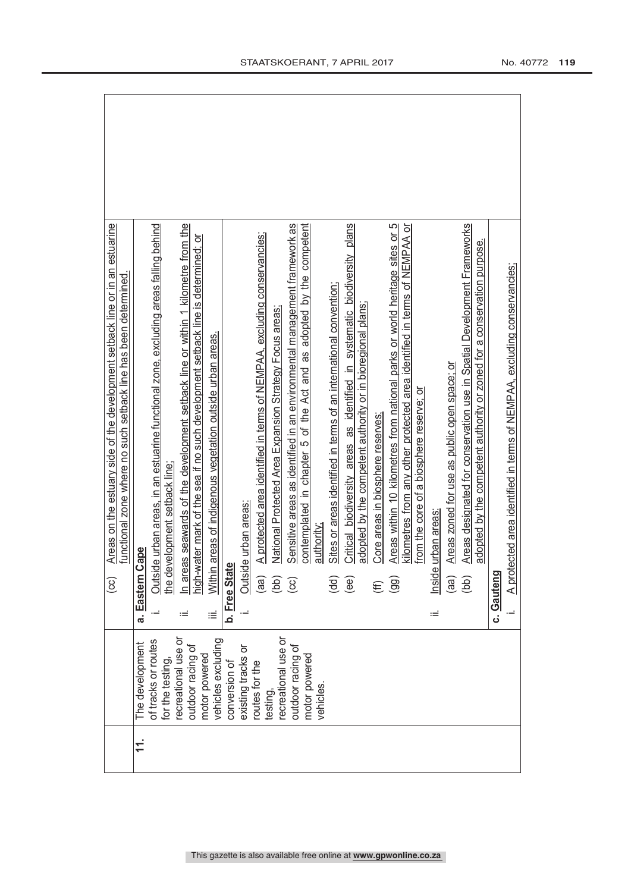|     |                                                            |    | Areas on the estuary side of the development setback line or in an estuarine<br>functional zone where no such setback line has been determined.<br>$\left( \infty \right)$ |
|-----|------------------------------------------------------------|----|----------------------------------------------------------------------------------------------------------------------------------------------------------------------------|
| 11. | of tracks or routes<br>The development<br>for the testing. |    | le urban areas, in an estuarine functional zone, excluding areas falling behind<br>cape<br>Outsid<br>a. Eastern (                                                          |
|     | recreational use or<br>outdoor racing of                   |    | n areas seawards of the development setback line or within 1 kilometre from the<br>he development setback line:                                                            |
|     | vehicles excluding<br>motor powered                        | iΞ | high-water mark of the sea if no such development setback line is determined; or<br>areas of indigenous vegetation outside urban areas.<br>Within                          |
|     | conversion of                                              |    | b. Free Stat                                                                                                                                                               |
|     | existing tracks or                                         |    | le urban areas:<br>Outsid                                                                                                                                                  |
|     | routes for the                                             |    | A protected area identified in terms of NEMPAA, excluding conservancies;<br>(aa)                                                                                           |
|     | recreational use or<br>testing,                            |    | National Protected Area Expansion Strategy Focus areas:<br>(bb)                                                                                                            |
|     | outdoor racing of<br>motor powered                         |    | contemplated in chapter 5 of the Act and as adopted by the competent<br>Sensitive areas as identified in an environmental management framework as<br>$\odot$               |
|     | vehicles.                                                  |    | authority.                                                                                                                                                                 |
|     |                                                            |    | Sites or areas identified in terms of an international convention;<br>(dd)                                                                                                 |
|     |                                                            |    | Critical biodiversity areas as identified in systematic biodiversity plans<br>(ee)                                                                                         |
|     |                                                            |    | adopted by the competent authority or in bioregional plans;                                                                                                                |
|     |                                                            |    | Core areas in biosphere reserves:<br>E                                                                                                                                     |
|     |                                                            |    | Areas within 10 kilometres from national parks or world heritage sites or 5<br>(99)                                                                                        |
|     |                                                            |    | kilometres from any other protected area identified in terms of NEMPAA or<br>from the core of a biosphere reserve; or                                                      |
|     |                                                            | ïШ | urban areas<br>Inside                                                                                                                                                      |
|     |                                                            |    | Areas zoned for use as public open space; or<br>(aa                                                                                                                        |
|     |                                                            |    | Areas designated for conservation use in Spatial Development Frameworks<br>adopted by the competent authority or zoned for a conservation purpose.<br>(bb)                 |
|     |                                                            |    | c. Gauteng                                                                                                                                                                 |
|     |                                                            |    | A protected area identified in terms of NEMPAA, excluding conservancies;                                                                                                   |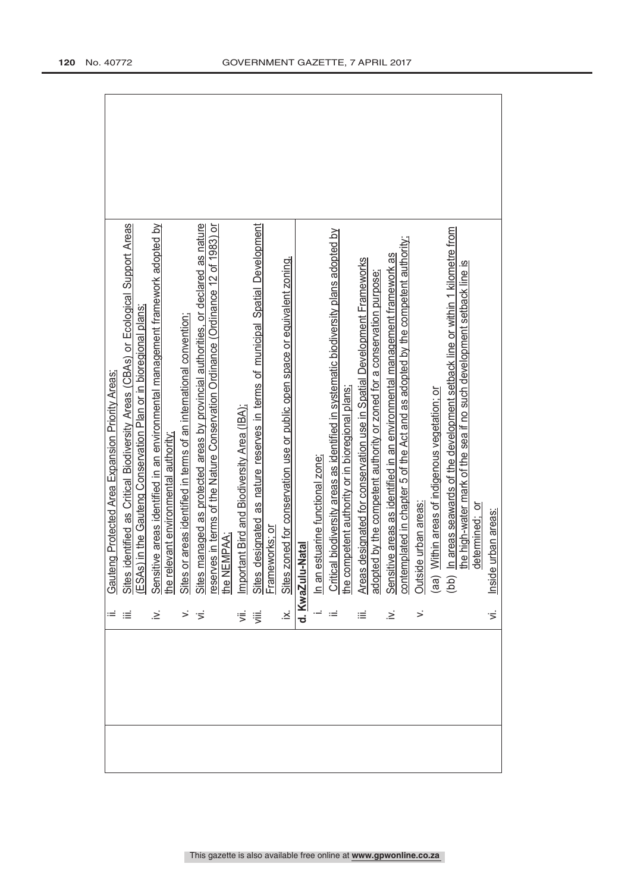|                 | Gauteng Protected Area Expansion Priority Areas:                                                                                                                                                                       |
|-----------------|------------------------------------------------------------------------------------------------------------------------------------------------------------------------------------------------------------------------|
| ≡               | identified as Critical Biodiversity Areas (CBAs) or Ecological Support Areas<br>Sites identified as Critical Biodiversity Areas (CBAs) or Ecologic<br>(ESAs) in the Gauteng Conservation Plan or in bioregional plans; |
|                 |                                                                                                                                                                                                                        |
| ∴.              | Sensitive areas identified in an environmental management framework adopted by                                                                                                                                         |
|                 | the relevant environmental authority                                                                                                                                                                                   |
|                 | or areas identified in terms of an international convention;<br>Sites                                                                                                                                                  |
|                 | managed as protected areas by provincial authorities, or declared as nature<br>Sites                                                                                                                                   |
|                 | ves in terms of the Nature Conservation Ordinance (Ordinance 12 of 1983) or<br>reserves in ter<br>the NEMPAA;                                                                                                          |
|                 |                                                                                                                                                                                                                        |
| ⋚               | Important Bird and Biodiversity Area (IBA);                                                                                                                                                                            |
| 這               | designated as nature reserves in terms of municipal Spatial Development                                                                                                                                                |
|                 | Sites designated<br>Frameworks; or                                                                                                                                                                                     |
| $\dot{\approx}$ | zoned for conservation use or public open space or equivalent zoning.<br>Sites                                                                                                                                         |
|                 | d. KwaZulu-Natal                                                                                                                                                                                                       |
|                 | estuarine functional zone:<br>In an                                                                                                                                                                                    |
|                 | Critical biodiversity areas as identified in systematic biodiversity plans adopted by                                                                                                                                  |
|                 | the competent authority or in bioregional plans;                                                                                                                                                                       |
| ≡               | Areas designated for conservation use in Spatial Development Frameworks                                                                                                                                                |
|                 | adopted by the competent authority or zoned for a conservation purpose;                                                                                                                                                |
| $\geq$          | Sensitive areas as identified in an environmental management framework as<br>contemplated in chapter 5 of the Act and as adopted by the competent authority;                                                           |
|                 |                                                                                                                                                                                                                        |
| $\leq$          | de urban areas:<br>Outsic                                                                                                                                                                                              |
|                 | Within areas of indigenous vegetation; or<br>$\begin{pmatrix} 1 & 0 \\ 0 & 0 \end{pmatrix}$                                                                                                                            |
|                 | In areas seawards of the development setback line or within 1 kilometre from                                                                                                                                           |
|                 | the high-water mark of the sea if no such development setback line is                                                                                                                                                  |
|                 | determined; or                                                                                                                                                                                                         |
| $\overline{5}$  | Inside urban areas:                                                                                                                                                                                                    |
|                 |                                                                                                                                                                                                                        |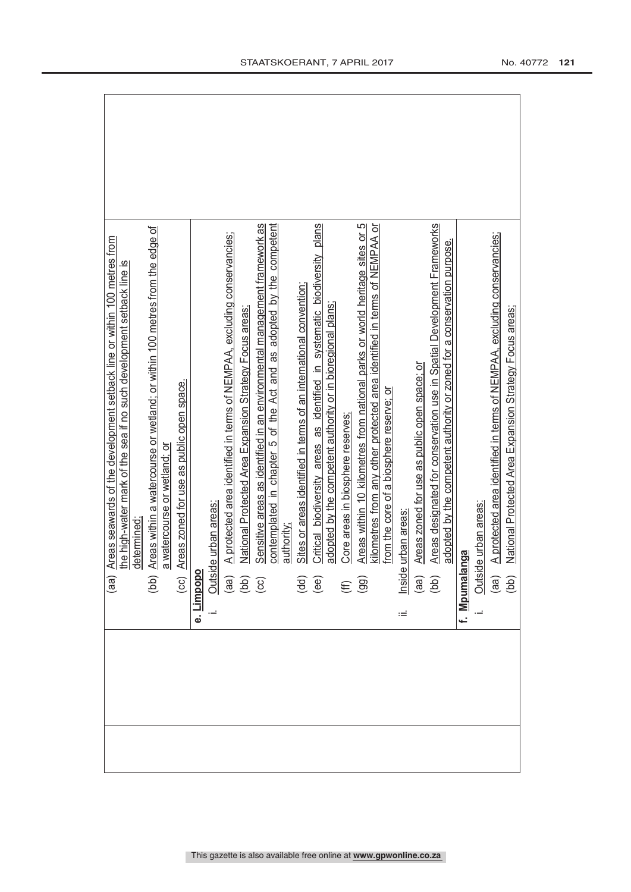|  | Areas seawards of the development setback line or within 100 metres from<br>(aa)                                                                                                                                                                                                                                                                                                                                                                                                                      |
|--|-------------------------------------------------------------------------------------------------------------------------------------------------------------------------------------------------------------------------------------------------------------------------------------------------------------------------------------------------------------------------------------------------------------------------------------------------------------------------------------------------------|
|  | the high-water mark of the sea if no such development setback line is                                                                                                                                                                                                                                                                                                                                                                                                                                 |
|  | determined:                                                                                                                                                                                                                                                                                                                                                                                                                                                                                           |
|  | Areas within a watercourse or wetland; or within 100 metres from the edge of                                                                                                                                                                                                                                                                                                                                                                                                                          |
|  | a watercourse or wetland; or                                                                                                                                                                                                                                                                                                                                                                                                                                                                          |
|  | Areas zoned for use as public open space.<br>$\begin{tabular}{ c c } \hline \textbf{}= & \textbf{}= & \textbf{}\\ \hline \textbf{} & \textbf{} & \textbf{}\\ \hline \textbf{} & \textbf{}\\ \hline \textbf{} & \textbf{}\\ \hline \textbf{} & \textbf{}\\ \hline \textbf{} & \textbf{}\\ \hline \textbf{} & \textbf{}\\ \hline \textbf{}\\ \hline \textbf{}\\ \hline \textbf{}\\ \hline \textbf{}\\ \hline \textbf{}\\ \hline \textbf{}\\ \hline \textbf{}\\ \hline \textbf{}\\ \hline \textbf{}\\ \$ |
|  |                                                                                                                                                                                                                                                                                                                                                                                                                                                                                                       |
|  |                                                                                                                                                                                                                                                                                                                                                                                                                                                                                                       |
|  | A protected area identified in terms of NEMPAA, excluding conservancies;                                                                                                                                                                                                                                                                                                                                                                                                                              |
|  | National Protected Area Expansion Strategy Focus areas;                                                                                                                                                                                                                                                                                                                                                                                                                                               |
|  | Sensitive areas as identified in an environmental management framework as                                                                                                                                                                                                                                                                                                                                                                                                                             |
|  | contemplated in chapter 5 of the Act and as adopted by the competent                                                                                                                                                                                                                                                                                                                                                                                                                                  |
|  | authority;                                                                                                                                                                                                                                                                                                                                                                                                                                                                                            |
|  | Sites or areas identified in terms of an international convention;<br>$\overline{\mathbf{H}}$<br>$\overline{\mathbf{H}}$                                                                                                                                                                                                                                                                                                                                                                              |
|  | Critical biodiversity areas as identified in systematic biodiversity plans                                                                                                                                                                                                                                                                                                                                                                                                                            |
|  | adopted by the competent authority or in bioregional plans;                                                                                                                                                                                                                                                                                                                                                                                                                                           |
|  | Core areas in biosphere reserves:                                                                                                                                                                                                                                                                                                                                                                                                                                                                     |
|  | Areas within 10 kilometres from national parks or world heritage sites or 5<br>$(E \n99)$                                                                                                                                                                                                                                                                                                                                                                                                             |
|  | kilometres from any other protected area identified in terms of NEMPAA or                                                                                                                                                                                                                                                                                                                                                                                                                             |
|  | from the core of a biosphere reserve; or                                                                                                                                                                                                                                                                                                                                                                                                                                                              |
|  | urban areas<br>Inside                                                                                                                                                                                                                                                                                                                                                                                                                                                                                 |
|  | Areas zoned for use as public open space; or                                                                                                                                                                                                                                                                                                                                                                                                                                                          |
|  | Areas designated for conservation use in Spatial Development Frameworks<br>$\begin{pmatrix} a & b \\ c & d \end{pmatrix}$                                                                                                                                                                                                                                                                                                                                                                             |
|  | adopted by the competent authority or zoned for a conservation purpose.                                                                                                                                                                                                                                                                                                                                                                                                                               |
|  | f. Mpumalanga                                                                                                                                                                                                                                                                                                                                                                                                                                                                                         |
|  | de urban areas:<br>Outsic                                                                                                                                                                                                                                                                                                                                                                                                                                                                             |
|  | A protected area identified in terms of NEMPAA, excluding conservancies;                                                                                                                                                                                                                                                                                                                                                                                                                              |
|  | National Protected Area Expansion Strategy Focus areas;<br>$\begin{pmatrix} 1 & 0 \\ 0 & 0 \end{pmatrix}$                                                                                                                                                                                                                                                                                                                                                                                             |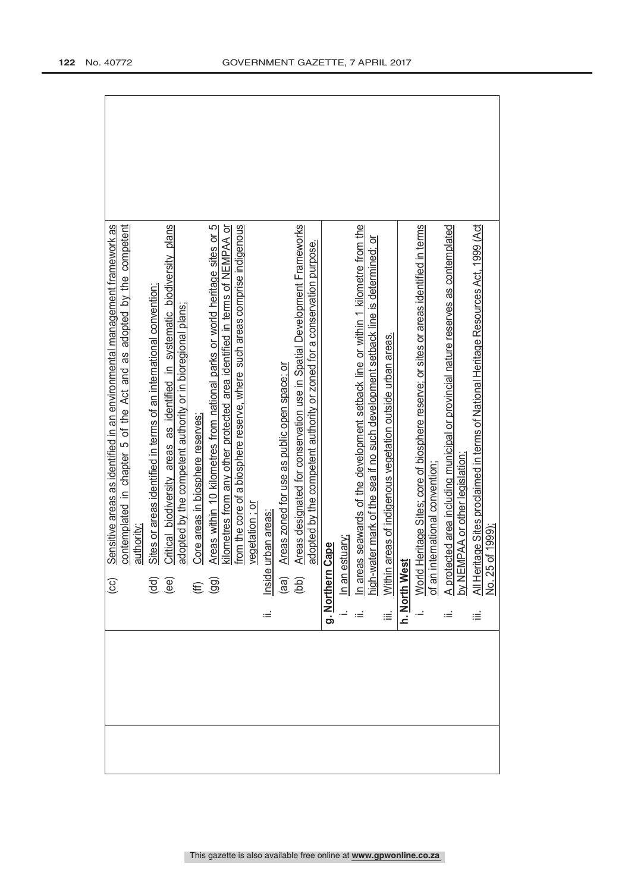| Critical biodiversity areas as identified in systematic biodiversity plans<br>contemplated in chapter 5 of the Act and as adopted by the competent<br>Sensitive areas as identified in an environmental management framework as<br>Sites or areas identified in terms of an international convention;<br>adopted by the competent authority or in bioregional plans;<br>authority<br>$\begin{pmatrix} d & d \\ e & e \end{pmatrix}$<br>(cc) | Areas within 10 kilometres from national parks or world heritage sites or 5<br>kilometres from any other protected area identified in terms of NEMPAA or<br>from the core of a biosphere reserve, where such areas comprise indigenous<br>Core areas in biosphere reserves:<br>vegetation: or<br>nside urban areas<br>$(E \n9$<br>≔ | Areas designated for conservation use in Spatial Development Frameworks<br>adopted by the competent authority or zoned for a conservation purpose.<br>Areas zoned for use as public open space; or<br>$\begin{pmatrix} a & b \\ c & d \end{pmatrix}$ | n areas seawards of the development setback line or within 1 kilometre from the<br><u>high-water mark of the sea if no such development setback line is determined; or</u><br>Within areas of indigenous vegetation outside urban areas.<br>estuary;<br>Cape<br>g. Northern<br>$\overline{\mathsf{m}}$<br>iΞ | World Heritage Sites; core of biosphere reserve; or sites or areas identified in terms<br>of an international convention;<br>h. North West | A protected area including municipal or provincial nature reserves as contemplated<br>by NEMPAA or other legislation;<br>All Heritage Sites proclaimed in terms of National Heritage Resources Act, 1999 (Act<br>No. 25 of 1999);<br>≝<br>≔ |
|---------------------------------------------------------------------------------------------------------------------------------------------------------------------------------------------------------------------------------------------------------------------------------------------------------------------------------------------------------------------------------------------------------------------------------------------|-------------------------------------------------------------------------------------------------------------------------------------------------------------------------------------------------------------------------------------------------------------------------------------------------------------------------------------|------------------------------------------------------------------------------------------------------------------------------------------------------------------------------------------------------------------------------------------------------|--------------------------------------------------------------------------------------------------------------------------------------------------------------------------------------------------------------------------------------------------------------------------------------------------------------|--------------------------------------------------------------------------------------------------------------------------------------------|---------------------------------------------------------------------------------------------------------------------------------------------------------------------------------------------------------------------------------------------|
|                                                                                                                                                                                                                                                                                                                                                                                                                                             |                                                                                                                                                                                                                                                                                                                                     |                                                                                                                                                                                                                                                      |                                                                                                                                                                                                                                                                                                              |                                                                                                                                            |                                                                                                                                                                                                                                             |
|                                                                                                                                                                                                                                                                                                                                                                                                                                             |                                                                                                                                                                                                                                                                                                                                     |                                                                                                                                                                                                                                                      |                                                                                                                                                                                                                                                                                                              |                                                                                                                                            |                                                                                                                                                                                                                                             |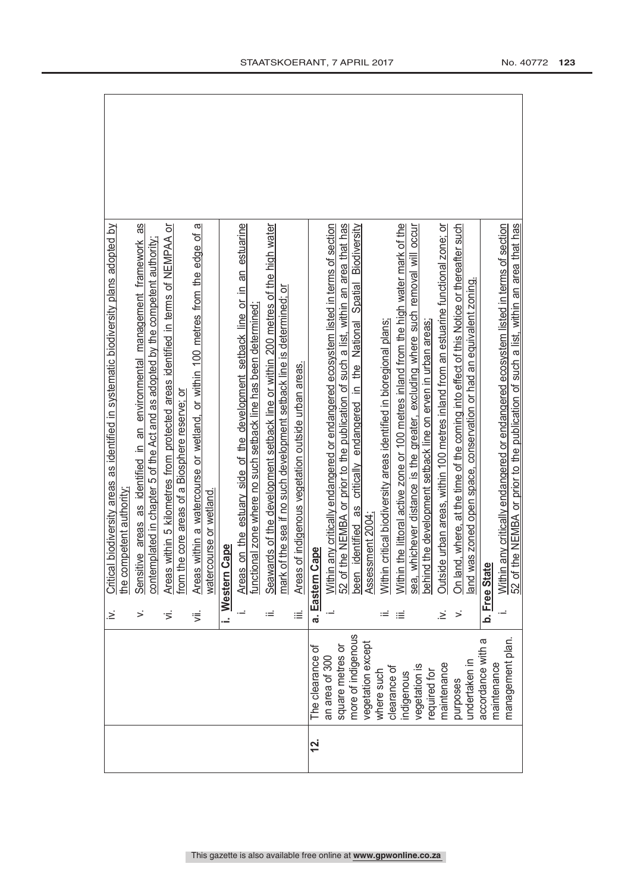|          |                                 | .≥́      | Critical biodiversity areas as identified in systematic biodiversity plans adopted by                                                                           |
|----------|---------------------------------|----------|-----------------------------------------------------------------------------------------------------------------------------------------------------------------|
|          |                                 |          | he competent authority.                                                                                                                                         |
|          |                                 | $\leq$   | as<br>Sensitive areas as identified in an environmental management framework<br>contemplated in chapter 5 of the Act and as adopted by the competent authority; |
|          |                                 |          |                                                                                                                                                                 |
|          |                                 | ιή.      | Areas within 5 kilometres from protected areas identified in terms of NEMPAA or                                                                                 |
|          |                                 |          | rom the core areas of a Biosphere reserve; or                                                                                                                   |
|          |                                 | ιË.      | Areas within a watercourse or wetland, or within 100 metres from the edge of a                                                                                  |
|          |                                 |          | watercourse or wetland.                                                                                                                                         |
|          |                                 |          | Cape<br>i. Western                                                                                                                                              |
|          |                                 |          | Areas on the estuary side of the development setback line or in an estuarine                                                                                    |
|          |                                 |          | functional zone where no such setback line has been determined;                                                                                                 |
|          |                                 | $\equiv$ | Seawards of the development setback line or within 200 metres of the high water                                                                                 |
|          |                                 |          | mark of the sea if no such development setback line is determined; or                                                                                           |
|          |                                 | iΞ       | Areas of indigenous vegetation outside urban areas.                                                                                                             |
| <u>s</u> | The clearance of                |          | Cape<br>a. Eastern                                                                                                                                              |
|          | an area of 300                  |          | Within any critically endangered or endangered ecosystem listed in terms of section                                                                             |
|          | square metres or                |          | the NEMBA or prior to the publication of such a list, within an area that has<br>52 of 1                                                                        |
|          | more of indigenous              |          | Biodiversity<br>critically endangered in the National Spatial<br>identified as<br>been                                                                          |
|          | vegetation except               |          | Assessment 2004;                                                                                                                                                |
|          | where such                      |          | Within critical biodiversity areas identified in bioregional plans;                                                                                             |
|          | clearance of<br>indigenous      | ≔        | Within the littoral active zone or 100 metres inland from the high water mark of the                                                                            |
|          | vegetation is                   |          | sea, whichever distance is the greater, excluding where such removal will occur                                                                                 |
|          | required for                    |          | behind the development setback line on erven in urban areas;                                                                                                    |
|          | maintenance                     | .≥       | Outside urban areas, within 100 metres inland from an estuarine functional zone; or                                                                             |
|          | purposes                        | >        | On land, where, at the time of the coming into effect of this Notice or thereafter such                                                                         |
|          | undertaken in                   |          | and was zoned open space, conservation or had an equivalent zoning.                                                                                             |
|          | accordance with a               |          | b. Free State                                                                                                                                                   |
|          | management plan.<br>naintenance |          | any critically endangered or endangered ecosystem listed in terms of section<br>Within                                                                          |
|          |                                 |          | the NEMBA or prior to the publication of such a list, within an area that has<br>52 of                                                                          |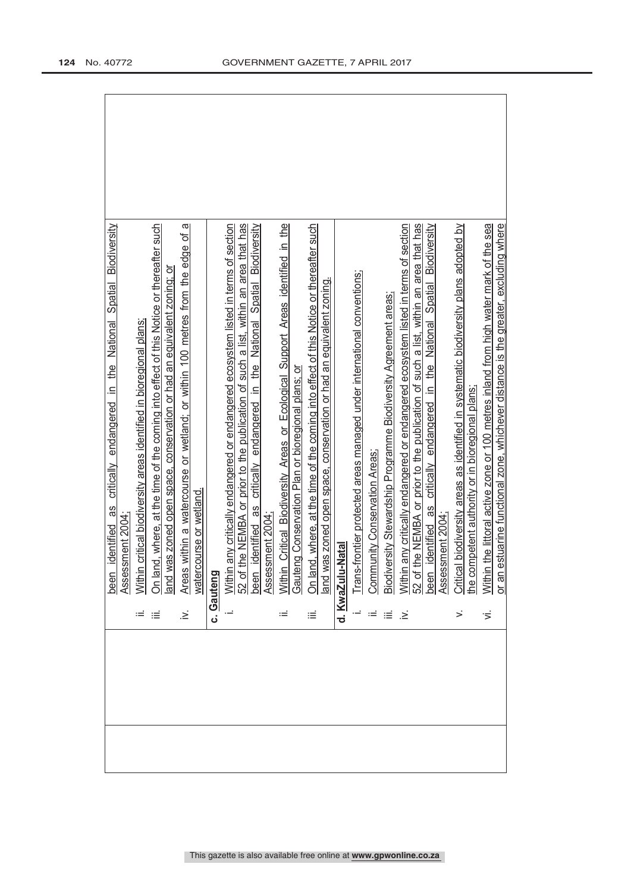|     | Biodiversity<br>Spatial<br>critically endangered in the National<br>identified as<br>been                                                                                           |
|-----|-------------------------------------------------------------------------------------------------------------------------------------------------------------------------------------|
|     | Assessment 2004;                                                                                                                                                                    |
|     | n critical biodiversity areas identified in bioregional plans;<br>Withir                                                                                                            |
| ≔   | nd, where, at the time of the coming into effect of this Notice or thereafter such<br>On lai                                                                                        |
|     | was zoned open space, conservation or had an equivalent zoning; or<br>land v                                                                                                        |
| .≥ં | ω<br>Areas within a watercourse or wetland; or within 100 metres from the edge of                                                                                                   |
|     | course or wetland.<br>water                                                                                                                                                         |
|     | c. Gauteng                                                                                                                                                                          |
|     | n any critically endangered or endangered ecosystem listed in terms of section<br>the NEMBA or prior to the publication of such a list, within an area that has<br>52 of<br>Withir  |
|     | critically endangered in the National Spatial Biodiversity<br>8g<br>identified<br>been                                                                                              |
|     | Assessment 2004                                                                                                                                                                     |
| ≔   | n Critical Biodiversity Areas or Ecological Support Areas identified in the<br>Withir                                                                                               |
|     | Gauteng Conservation Plan or bioregional plans; or                                                                                                                                  |
| ≔   | nd, where, at the time of the coming into effect of this Notice or thereafter such<br>อิท lai                                                                                       |
|     | was zoned open space, conservation or had an equivalent zoning.<br>land v                                                                                                           |
|     | -Natal<br>d. KwaZulu                                                                                                                                                                |
|     | Trans-frontier protected areas managed under international conventions;                                                                                                             |
|     | nunity Conservation Areas;<br><b>Comp</b>                                                                                                                                           |
|     | versity Stewardship Programme Biodiversity Agreement areas;<br>Biodi                                                                                                                |
| ∹.  | n any critically endangered or endangered ecosystem listed in terms of section<br>Withir                                                                                            |
|     | the NEMBA or prior to the publication of such a list, within an area that has<br>52 of                                                                                              |
|     | identified as critically endangered in the National Spatial Biodiversity<br>Assessment 2004<br>been                                                                                 |
| ≍   | Critical biodiversity areas as identified in systematic biodiversity plans adopted by                                                                                               |
|     | ompetent authority or in bioregional plans;<br>the cc                                                                                                                               |
| Ϊ.  | n the littoral active zone or 100 metres inland from high water mark of the sea<br>estuarine functional zone, whichever distance is the greater, excluding where<br>Withir<br>or an |
|     |                                                                                                                                                                                     |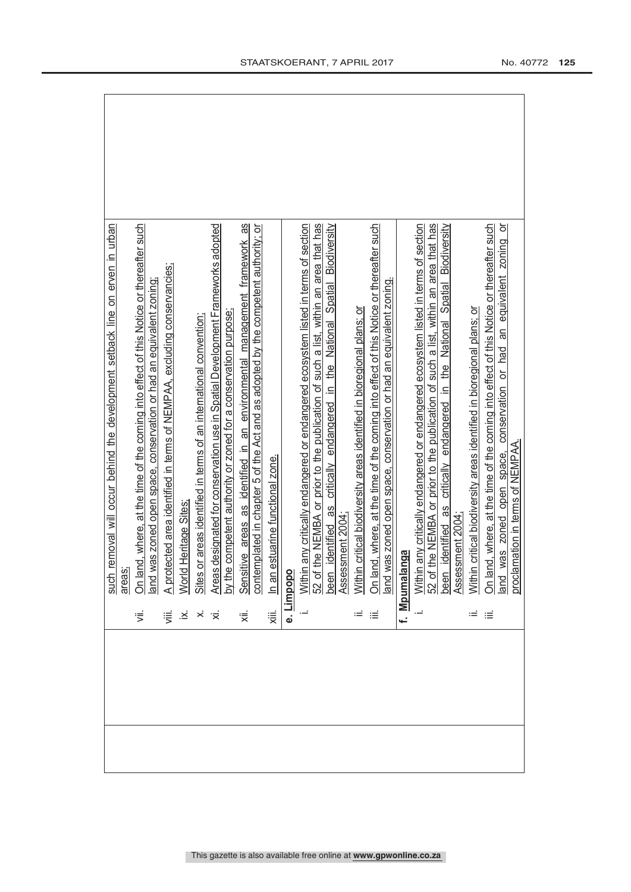|  |              | removal will occur behind the development setback line on erven in urban<br>such                                                        |
|--|--------------|-----------------------------------------------------------------------------------------------------------------------------------------|
|  |              | areas;                                                                                                                                  |
|  | ず            | nd, where, at the time of the coming into effect of this Notice or thereafter such<br>On lar                                            |
|  |              | and was zoned open space, conservation or had an equivalent zoning                                                                      |
|  | 這            | A protected area identified in terms of NEMPAA, excluding conservancies;                                                                |
|  | $\cdot \leq$ | World Heritage Sites                                                                                                                    |
|  |              | Sites or areas identified in terms of an international convention;                                                                      |
|  |              | Areas designated for conservation use in Spatial Development Frameworks adopted                                                         |
|  |              | competent authority or zoned for a conservation purpose.<br>by the                                                                      |
|  | ₹            | 8<br>Sensitive areas as identified in an environmental management framework                                                             |
|  |              | contemplated in chapter 5 of the Act and as adopted by the competent authority; or                                                      |
|  | 浸            | estuarine functional zone.<br>$\ln$ an                                                                                                  |
|  | نه           | Limpopo                                                                                                                                 |
|  |              | any critically endangered or endangered ecosystem listed in terms of section<br>Withir                                                  |
|  |              | the NEMBA or prior to the publication of such a list, within an area that has<br>52 of                                                  |
|  |              | identified as critically endangered in the National Spatial Biodiversity<br>been                                                        |
|  |              | Assessment 2004;                                                                                                                        |
|  | ≔            | critical biodiversity areas identified in bioregional plans; or<br>Within                                                               |
|  | ≔            | On land, where, at the time of the coming into effect of this Notice or thereafter such                                                 |
|  |              | and was zoned open space, conservation or had an equivalent zoning.                                                                     |
|  |              | f. Mpumalanga                                                                                                                           |
|  |              | Within any critically endangered or endangered ecosystem listed in terms of section                                                     |
|  |              | the NEMBA or prior to the publication of such a list, within an area that has<br>52 of                                                  |
|  |              | Biodiversity<br>Spatial<br>critically endangered in the National<br>identified as<br>Assessment 2004;<br>been                           |
|  | ι≓           | Within critical biodiversity areas identified in bioregional plans; or                                                                  |
|  | $\equiv$     | id, where, at the time of the coming into effect of this Notice or thereafter such<br>On lar                                            |
|  |              | $\overline{5}$<br>zoning<br>an equivalent<br>conservation or had<br>oroclamation in terms of NEMPAA.<br>space.<br>was zoned open<br>pue |
|  |              |                                                                                                                                         |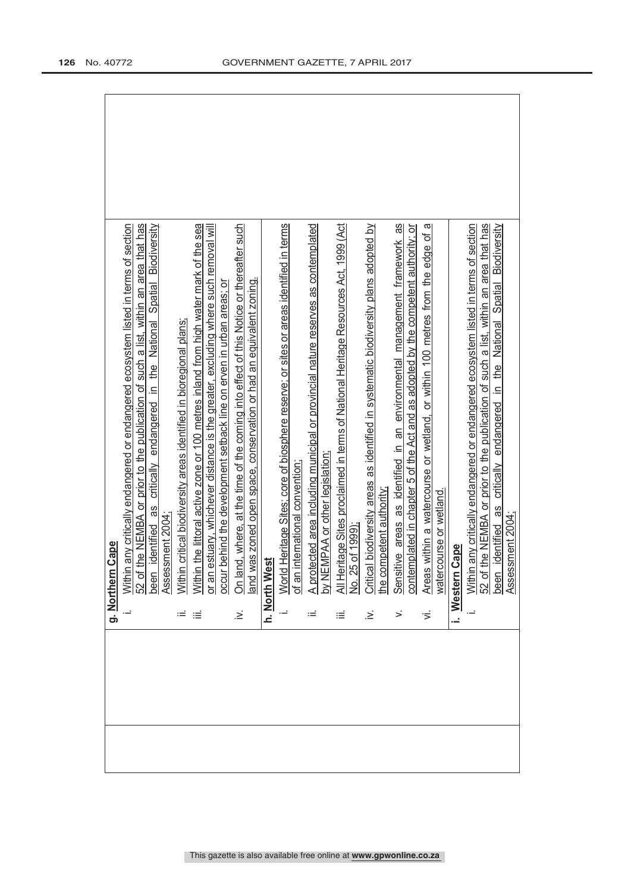|  |      | Cape<br>g. Northern                                                                                  |
|--|------|------------------------------------------------------------------------------------------------------|
|  |      |                                                                                                      |
|  |      | any critically endangered or endangered ecosystem listed in terms of section<br>Within               |
|  |      | the NEMBA or prior to the publication of such a list, within an area that has<br>52 of               |
|  |      | identified as critically endangered in the National Spatial Biodiversity<br>been                     |
|  |      | Assessment 2004;                                                                                     |
|  | ≔    | critical biodiversity areas identified in bioregional plans;<br>Within                               |
|  | ≔    | the littoral active zone or 100 metres inland from high water mark of the sea<br>Within              |
|  |      | sstuary, whichever distance is the greater, excluding where such removal will<br>or an               |
|  |      | behind the development setback line on erven in urban areas; or<br>occur                             |
|  | .≥́  | On land, where, at the time of the coming into effect of this Notice or thereafter such              |
|  |      | and was zoned open space, conservation or had an equivalent zoning.                                  |
|  |      | h. North West                                                                                        |
|  |      | Heritage Sites; core of biosphere reserve; or sites or areas identified in terms<br>World            |
|  |      | nternational convention;<br>of an i                                                                  |
|  | ≔    | ected area including municipal or provincial nature reserves as contemplated<br>$\overline{A}$ prote |
|  |      | by NEMPAA or other legislation;                                                                      |
|  | ≔    | All Heritage Sites proclaimed in terms of National Heritage Resources Act, 1999 (Act                 |
|  |      | No. 25 of 1999);                                                                                     |
|  | .≥́  | Critical biodiversity areas as identified in systematic biodiversity plans adopted by                |
|  |      | the competent authority.                                                                             |
|  | >    | Sensitive areas as identified in an environmental management framework as                            |
|  |      | contemplated in chapter 5 of the Act and as adopted by the competent authority; or                   |
|  | ゙゙゚゙ | within a watercourse or wetland, or within 100 metres from the edge of a<br>Areas                    |
|  |      | watercourse or wetland.                                                                              |
|  |      | Cape<br>i. Western                                                                                   |
|  |      | any critically endangered or endangered ecosystem listed in terms of section<br>Within               |
|  |      | the NEMBA or prior to the publication of such a list, within an area that has<br>52 of               |
|  |      | identified as critically endangered in the National Spatial Biodiversity<br>Assessment 2004;<br>been |
|  |      |                                                                                                      |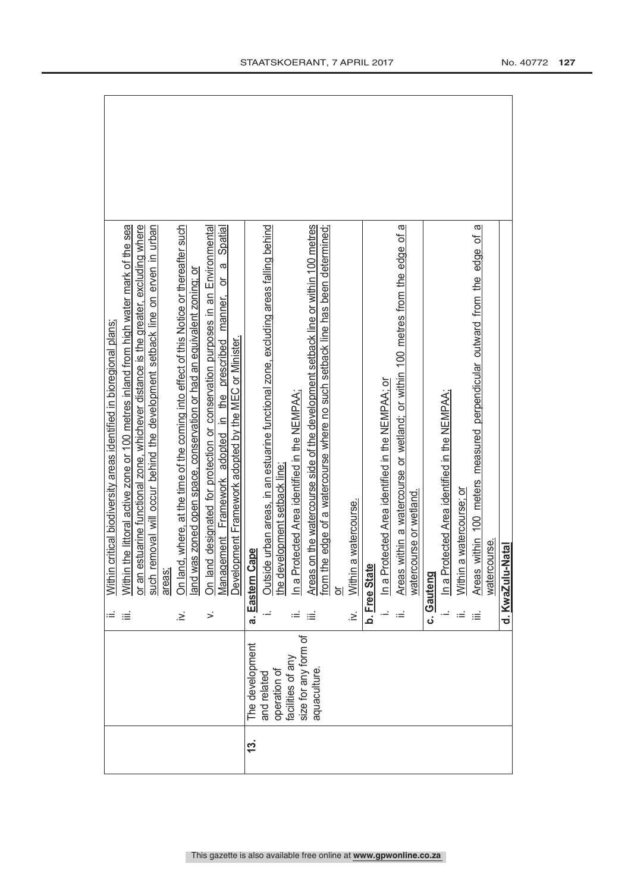|            |                             |           | critical biodiversity areas identified in bioregional plans;<br>Within                                                                       |
|------------|-----------------------------|-----------|----------------------------------------------------------------------------------------------------------------------------------------------|
|            |                             | ≡         | Within the littoral active zone or 100 metres inland from high water mark of the sea                                                         |
|            |                             |           | or an estuarine functional zone, whichever distance is the greater, excluding where                                                          |
|            |                             |           | removal will occur behind the development setback line on erven in urban<br>such                                                             |
|            |                             |           | areas;                                                                                                                                       |
|            |                             | .≥        | On land, where, at the time of the coming into effect of this Notice or thereafter such                                                      |
|            |                             |           | and was zoned open space, conservation or had an equivalent zoning; or                                                                       |
|            |                             | $\dot{ }$ | On land designated for protection or conservation purposes in an Environmental                                                               |
|            |                             |           | Spatial<br>$\sigma$<br>manner, or<br>Management Framework adopted in the prescribed<br>Development Framework adopted by the MEC or Minister. |
| <u>13.</u> | The development             |           | Cape<br>a. Eastern (                                                                                                                         |
|            |                             |           |                                                                                                                                              |
|            | operation of<br>and related |           | Outside urban areas, in an estuarine functional zone, excluding areas falling behind<br>the development setback line                         |
|            | facilities of any           |           |                                                                                                                                              |
|            | size for any form of        |           | n a Protected Area identified in the NEMPAA;                                                                                                 |
|            | aquaculture                 | ιÉ        | Areas on the watercourse side of the development setback line or within 100 metres                                                           |
|            |                             |           | he edge of a watercourse where no such setback line has been determined;<br>from t                                                           |
|            |                             |           | ៦                                                                                                                                            |
|            |                             | $\geq$    | a watercourse.<br>Within                                                                                                                     |
|            |                             |           | b. Free State                                                                                                                                |
|            |                             |           | In a Protected Area identified in the NEMPAA; or                                                                                             |
|            |                             | ьĖ        | Areas within a watercourse or wetland; or within 100 metres from the edge of a                                                               |
|            |                             |           | watercourse or wetland.                                                                                                                      |
|            |                             |           | c. Gauteng                                                                                                                                   |
|            |                             |           | In a Protected Area identified in the NEMPAA;                                                                                                |
|            |                             |           | a watercourse; or<br>Within                                                                                                                  |
|            |                             |           | ā<br>Areas within 100 meters measured perpendicular outward from the edge of                                                                 |
|            |                             |           | watercourse.                                                                                                                                 |
|            |                             |           | d. KwaZulu-Natal                                                                                                                             |
|            |                             |           |                                                                                                                                              |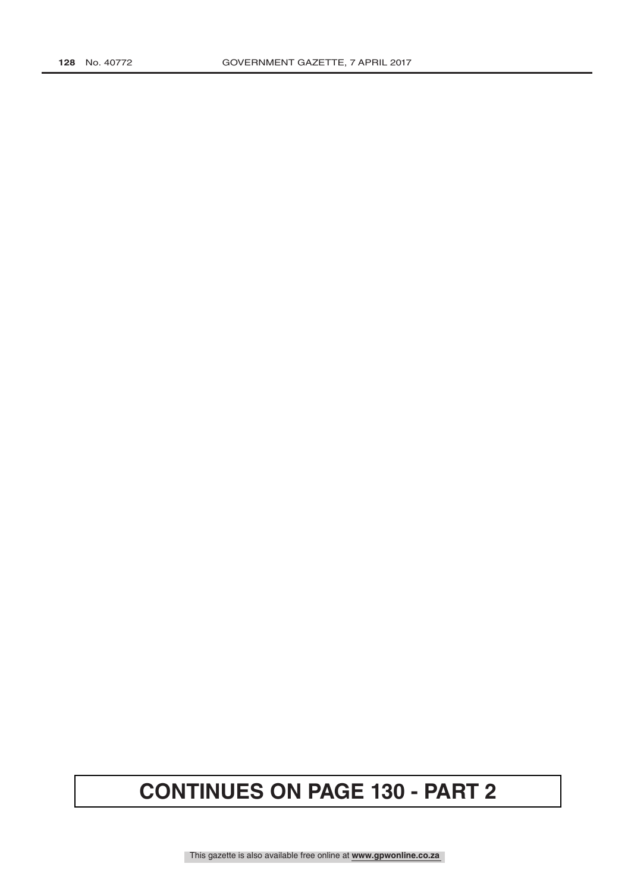## **CONTINUES ON PAGE 130 - PART 2**

This gazette is also available free online at **www.gpwonline.co.za**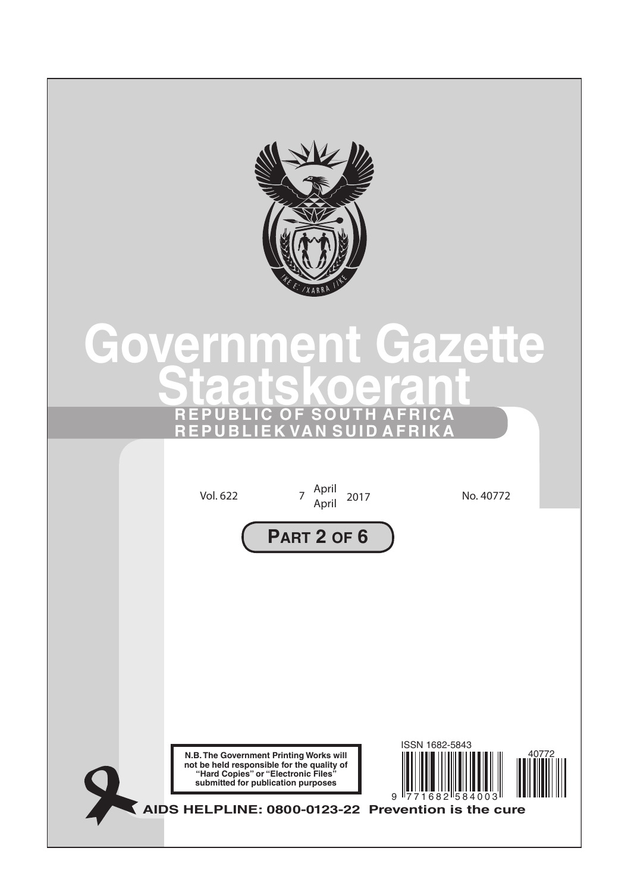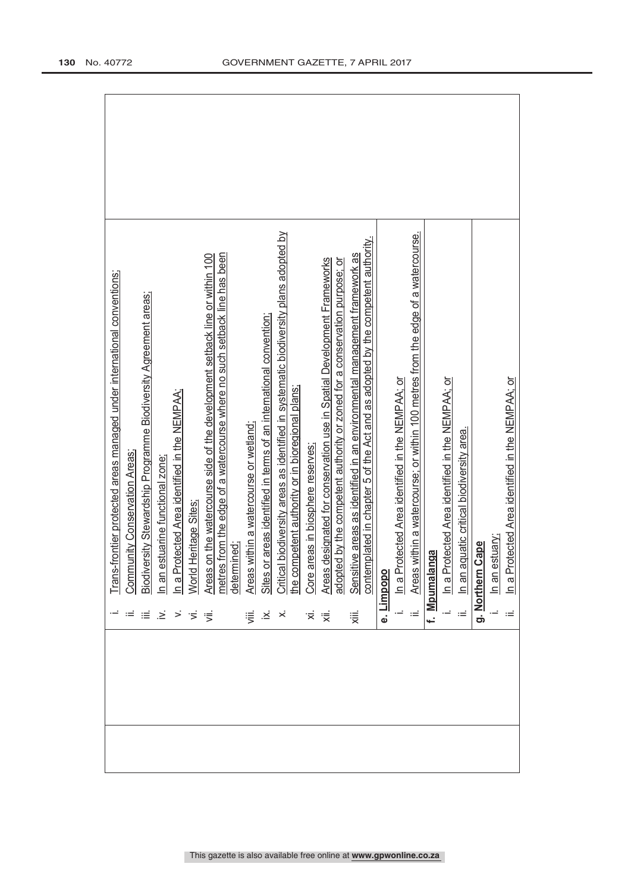|  |                 | frontier protected areas managed under international conventions;<br>Trans-1                                                                                 |
|--|-----------------|--------------------------------------------------------------------------------------------------------------------------------------------------------------|
|  | $=$ $\equiv$    | unity Conservation Areas;<br>Comm                                                                                                                            |
|  |                 | Biodiversity Stewardship Programme Biodiversity Agreement areas;                                                                                             |
|  | $\geq$ > $\leq$ | in an estuarine functional zone;                                                                                                                             |
|  |                 | In a Protected Area identified in the NEMPAA;                                                                                                                |
|  |                 | Heritage Sites;<br>World                                                                                                                                     |
|  | ਂ≡              | on the watercourse side of the development setback line or within 100<br>Areas                                                                               |
|  |                 | metres from the edge of a watercourse where no such setback line has been<br>determined;                                                                     |
|  | ₩.              | within a watercourse or wetland;<br>Areas <sup>1</sup>                                                                                                       |
|  | ∴≚              | Sites or areas identified in terms of an international convention;                                                                                           |
|  | $\dot{\times}$  | Critical biodiversity areas as identified in systematic biodiversity plans adopted by                                                                        |
|  |                 | the competent authority or in bioregional plans;                                                                                                             |
|  | '≍              | Core areas in biosphere reserves;                                                                                                                            |
|  | ₹               | designated for conservation use in Spatial Development Frameworks<br>Areas                                                                                   |
|  |                 | adopted by the competent authority or zoned for a conservation purpose; or                                                                                   |
|  | 澴               | contemplated in chapter 5 of the Act and as adopted by the competent authority.<br>Sensitive areas as identified in an environmental management framework as |
|  |                 | e. Limpopo                                                                                                                                                   |
|  |                 | In a Protected Area identified in the NEMPAA; or                                                                                                             |
|  | Ξ               | within a watercourse; or within 100 metres from the edge of a watercourse.<br>Areas                                                                          |
|  |                 | nga<br>f. Mpumala                                                                                                                                            |
|  |                 | In a Protected Area identified in the NEMPAA; or                                                                                                             |
|  |                 | In an aquatic critical biodiversity area.                                                                                                                    |
|  |                 | Cape<br>g. Northern                                                                                                                                          |
|  |                 | In an estuary;                                                                                                                                               |
|  | ≔               | In a Protected Area identified in the NEMPAA; or                                                                                                             |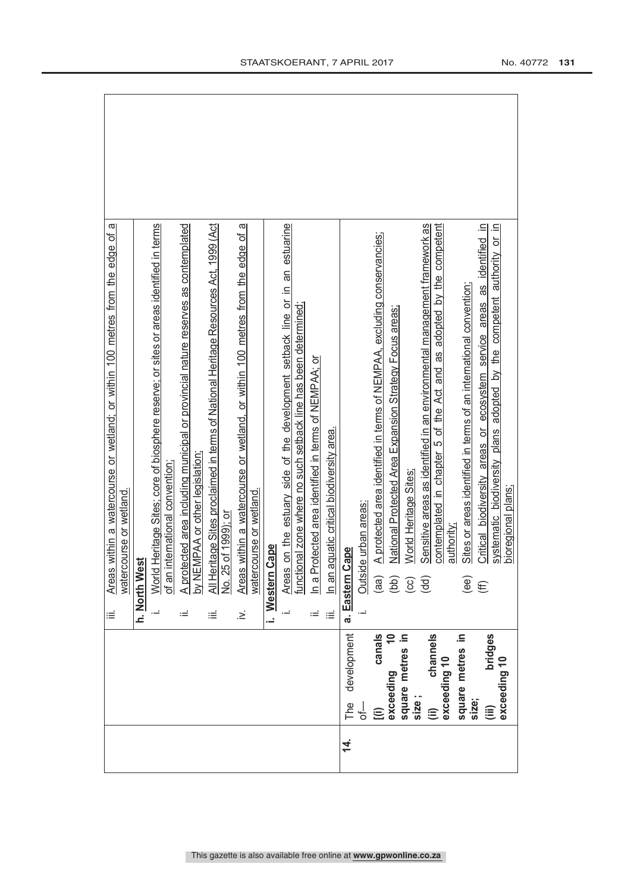|                |                           | iΞ            | ω<br>within a watercourse or wetland; or within 100 metres from the edge of<br>Areas         |
|----------------|---------------------------|---------------|----------------------------------------------------------------------------------------------|
|                |                           |               | watercourse or wetland.                                                                      |
|                |                           | h. North West |                                                                                              |
|                |                           | į.            | World Heritage Sites; core of biosphere reserve; or sites or areas identified in terms       |
|                |                           |               | international convention<br>of an                                                            |
|                |                           | $\coloneqq$   | A protected area including municipal or provincial nature reserves as contemplated           |
|                |                           |               | by NEMPAA or other legislation;                                                              |
|                |                           | ≡             | All Heritage Sites proclaimed in terms of National Heritage Resources Act, 1999 (Act         |
|                |                           |               | No. 25 of 1999); or                                                                          |
|                |                           | خ.            | within a watercourse or wetland, or within 100 metres from the edge of a<br>Areas            |
|                |                           |               | watercourse or wetland.                                                                      |
|                |                           | i. Western    | Cape                                                                                         |
|                |                           |               | on the estuary side of the development setback line or in an estuarine<br>Areas              |
|                |                           |               | functional zone where no such setback line has been determined;                              |
|                |                           | $\coloneqq$   | In a Protected area identified in terms of NEMPAA; or                                        |
|                |                           | iΞ            | In an aquatic critical biodiversity area.                                                    |
| $\overline{4}$ | development<br>PU<br>L    | a. Eastern    | Cape                                                                                         |
|                |                           |               | le urban areas:<br>Outsid                                                                    |
|                | canals<br>$\widehat{\Xi}$ |               | A protected area identified in terms of NEMPAA, excluding conservancies;<br>(aa)             |
|                | $\tilde{=}$<br>exceeding  |               | National Protected Area Expansion Strategy Focus areas;<br>(bb)                              |
|                | square metres in          |               | World Heritage Sites:<br>$\left(\begin{matrix} 6 & 1 \\ 6 & 1 \end{matrix}\right)$           |
|                | size;                     |               | Sensitive areas as identified in an environmental management framework as                    |
|                | channels<br>$\widehat{=}$ |               | contemplated in chapter 5 of the Act and as adopted by the competent                         |
|                | exceeding 10              |               | authority                                                                                    |
|                | square metres in<br>size; |               | Sites or areas identified in terms of an international convention;<br>(ee)                   |
|                | bridges<br>(iii)          |               | Critical biodiversity areas or ecosystem service areas as identified in<br>$f(\mathbf{f})$   |
|                | exceeding 10              |               | systematic biodiversity plans adopted by the competent authority or in<br>bioregional plans; |
|                |                           |               |                                                                                              |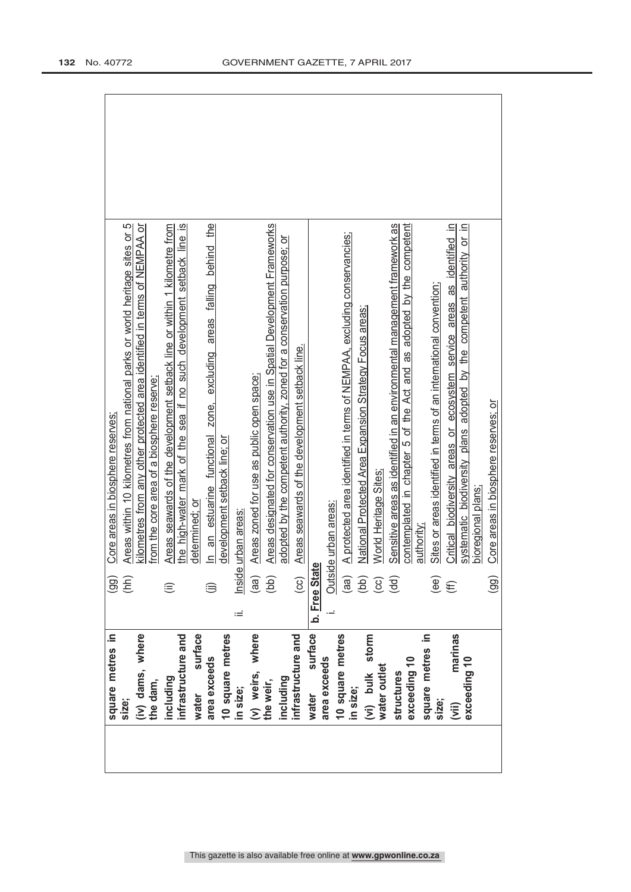| square metres in   | (99)           | Core areas in biosphere reserves:                                           |  |
|--------------------|----------------|-----------------------------------------------------------------------------|--|
| size;              | (hh)           | Areas within 10 kilometres from national parks or world heritage sites or 5 |  |
| (iv) dams, where   |                | kilometres from any other protected area identified in terms of NEMPAA or   |  |
| the dam,           |                | from the core area of a biosphere reserve:                                  |  |
| including          | ⊜              | Areas seawards of the development setback line or within 1 kilometre from   |  |
| infrastructure and |                | the high-water mark of the sea if no such development setback line is       |  |
| surface<br>water   |                | determined: or                                                              |  |
| area exceeds       |                | In an estuarine functional zone, excluding areas falling behind the         |  |
| 10 square metres   |                | development setback line; or                                                |  |
| in size;           | ≔              | Inside urban areas                                                          |  |
| (v) weirs, where   | (a)            | Areas zoned for use as public open space;                                   |  |
| the weir,          | (bb)           | Areas designated for conservation use in Spatial Development Frameworks     |  |
| including          |                | adopted by the competent authority, zoned for a conservation purpose; or    |  |
| infrastructure and | $\overline{c}$ | Areas seawards of the development setback line.                             |  |
| surface<br>water   | b. Free Stat   | φ                                                                           |  |
| area exceeds       |                | Outside urban areas:                                                        |  |
| 10 square metres   |                |                                                                             |  |
| in size;           | (aa)           | A protected area identified in terms of NEMPAA, excluding conservancies;    |  |
| (vi) bulk storm    | (bb)           | National Protected Area Expansion Strategy Focus areas;                     |  |
| water outlet       | $\overline{c}$ | World Heritage Sites:                                                       |  |
| structures         | (dd)           | Sensitive areas as identified in an environmental management framework as   |  |
| exceeding 10       |                | contemplated in chapter 5 of the Act and as adopted by the competent        |  |
| square metres in   |                | authority:                                                                  |  |
| size;              | (ee)           | Sites or areas identified in terms of an international convention;          |  |
| marinas<br>(iii)   | €              | Critical biodiversity areas or ecosystem service areas as identified in     |  |
| exceeding 10       |                | systematic biodiversity plans adopted by the competent authority or in      |  |
|                    |                | bioregional plans:                                                          |  |
|                    | (99)           | Core areas in biosphere reserves; or                                        |  |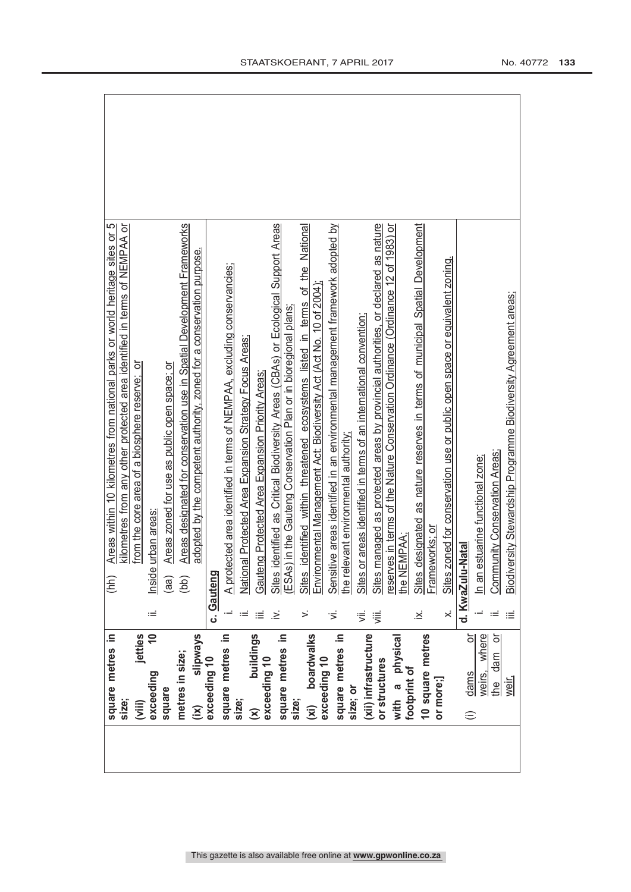| square metres in                                | (hh)                                             | ഥ<br>Areas within 10 kilometres from national parks or world heritage sites or     |
|-------------------------------------------------|--------------------------------------------------|------------------------------------------------------------------------------------|
| size;                                           |                                                  | kilometres from any other protected area identified in terms of NEMPAA or          |
| jetties<br>(iii)                                |                                                  | from the core area of a biosphere reserve; or                                      |
| $\overline{a}$<br>exceeding                     | urban areas<br>Inside<br>≔                       |                                                                                    |
| square                                          | (aa)                                             | Areas zoned for use as public open space; or                                       |
| metres in size;                                 | (bb)                                             | Areas designated for conservation use in Spatial Development Frameworks            |
| slipways<br>$\overline{(\mathsf{i}\mathsf{x})}$ |                                                  | adopted by the competent authority, zoned for a conservation purpose.              |
| exceeding 10                                    | c. Gauteng                                       |                                                                                    |
| square metres in                                |                                                  | A protected area identified in terms of NEMPAA, excluding conservancies;           |
| size;                                           |                                                  | National Protected Area Expansion Strategy Focus Areas;                            |
| buildings<br>$\widehat{\mathsf{x}}$             | Gauteng Protected Area Expansion Priority Areas; |                                                                                    |
| exceeding 10                                    | ż                                                | Sites identified as Critical Biodiversity Areas (CBAs) or Ecological Support Areas |
| square metres in<br>size;                       |                                                  | ESAs) in the Gauteng Conservation Plan or in bioregional plans;                    |
| boardwalks<br>(xi)                              | Sites<br>>                                       | identified within threatened ecosystems listed in terms of the National            |
| exceeding 10                                    |                                                  | Environmental Management Act: Biodiversity Act (Act No. 10 of 2004)                |
|                                                 | Ξ                                                | Sensitive areas identified in an environmental management framework adopted by     |
| square metres in<br>size; or                    | the relevant environmental authority.            |                                                                                    |
| (xii) infrastructure                            | $\ddot{=}$                                       | Sites or areas identified in terms of an international convention;                 |
| or structures                                   | 泻                                                | Sites managed as protected areas by provincial authorities, or declared as nature  |
| with a physical                                 |                                                  | eserves in terms of the Nature Conservation Ordinance (Ordinance 12 of 1983) or    |
| footprint of                                    | the NEMPAA;                                      |                                                                                    |
| 10 square metres                                | Sites (<br>.×<br>∴                               | designated as nature reserves in terms of municipal Spatial Development            |
| or more;]                                       | Frameworks; or                                   |                                                                                    |
|                                                 | ×                                                | Sites zoned for conservation use or public open space or equivalent zoning.        |
| ŏ<br>dams<br>$\oplus$                           | d. KwaZulu-Natal                                 |                                                                                    |
| where<br>weirs,                                 | In an estuarine functional zone;                 |                                                                                    |
| ŏ<br>$d$ am<br>e4                               | Community Conservation Areas;                    |                                                                                    |
| weir,                                           | ≔                                                | Biodiversity Stewardship Programme Biodiversity Agreement areas;                   |
|                                                 |                                                  |                                                                                    |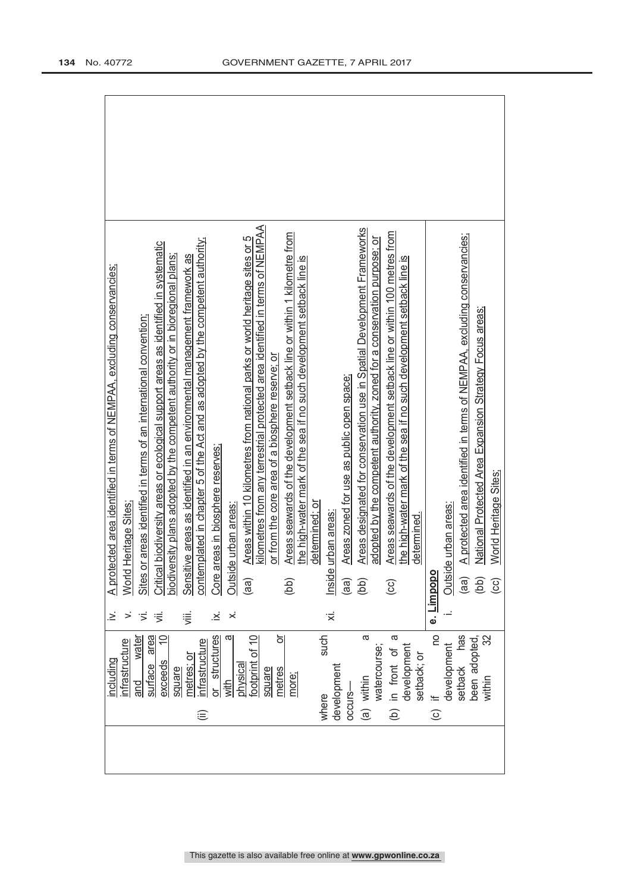| including                 | خ              | A prot         | tected area identified in terms of NEMPAA, excluding conservancies;                 |  |
|---------------------------|----------------|----------------|-------------------------------------------------------------------------------------|--|
| infrastructure            |                |                | World Heritage Sites                                                                |  |
| water<br>surface<br>and   | ιή.            |                | Sites or areas identified in terms of an international convention;                  |  |
| area<br>exceeds           | ゚゚             |                | Critical biodiversity areas or ecological support areas as identified in systematic |  |
| square                    |                |                | biodiversity plans adopted by the competent authority or in bioregional plans;      |  |
| netres; or                | ⋚              |                | Sensitive areas as identified in an environmental management framework as           |  |
| nfrastructure<br>⊜        |                |                | contemplated in chapter 5 of the Act and as adopted by the competent authority;     |  |
| or structures             | ∴≥             | Core           | areas in biosphere reserves;                                                        |  |
| σ<br>with                 | $\dot{\times}$ |                | Outside urban areas                                                                 |  |
| physica                   |                | (aa            | Areas within 10 kilometres from national parks or world heritage sites or 5         |  |
| footprint of 10           |                |                | kilometres from any terrestrial protected area identified in terms of NEMPAA        |  |
| ŏ<br>metres<br>square     |                |                | or from the core area of a biosphere reserve; or                                    |  |
| more;                     |                | (bb)           | Areas seawards of the development setback line or within 1 kilometre from           |  |
|                           |                |                | the high-water mark of the sea if no such development setback line is               |  |
|                           |                |                | determined: or                                                                      |  |
| such<br>where             | '≍́            | Inside         | urban areas                                                                         |  |
| development               |                |                |                                                                                     |  |
| occurs-                   |                | (aa)           | Areas zoned for use as public open space;                                           |  |
| a<br>(a) within           |                | (bb)           | Areas designated for conservation use in Spatial Development Frameworks             |  |
| watercourse;              |                |                | adopted by the competent authority, zoned for a conservation purpose; or            |  |
| ω<br>(b) in front of      |                | $\overline{c}$ | Areas seawards of the development setback line or within 100 metres from            |  |
| development               |                |                | the high-water mark of the sea if no such development setback line is               |  |
| setback; or               |                |                | determined                                                                          |  |
| <b>DO</b><br>$\equiv$ (c) |                | e. Limpopo     |                                                                                     |  |
| development               |                |                | Outside urban areas:                                                                |  |
| has<br>setback            |                | (aa)           | A protected area identified in terms of NEMPAA, excluding conservancies;            |  |
| been adopted,             |                | (bb)           | National Protected Area Expansion Strategy Focus areas;                             |  |
| within                    |                | $\odot$        | World Heritage Sites;                                                               |  |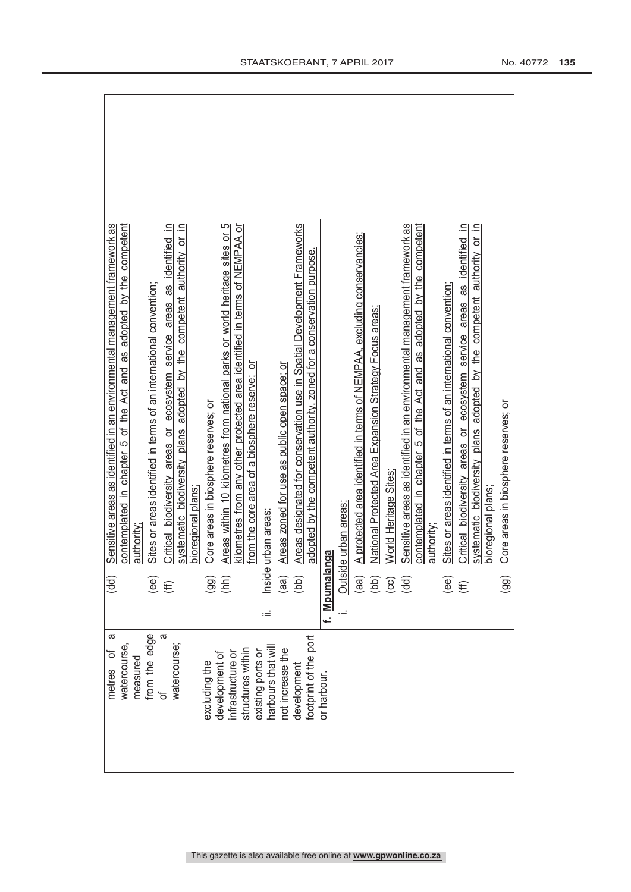| metres of                              | ω | (dd)                                                      | Sensitive areas as identified in an environmental management framework as    |
|----------------------------------------|---|-----------------------------------------------------------|------------------------------------------------------------------------------|
| watercourse,                           |   |                                                           | contemplated in chapter 5 of the Act and as adopted by the competent         |
| measured                               |   |                                                           | authority                                                                    |
| from the edge<br>of                    |   |                                                           | Sites or areas identified in terms of an international convention;           |
|                                        | a | $\widehat{\mathfrak{g}}$                                  | Critical biodiversity areas or ecosystem service areas as identified in      |
| watercourse;                           |   |                                                           | systematic biodiversity plans adopted by the competent authority or in       |
|                                        |   |                                                           | bioregional plans                                                            |
| excluding the                          |   | $\overline{99}$                                           | Core areas in biosphere reserves; or                                         |
| development of                         |   | (hh)                                                      | Areas within 10 kilometres from national parks or world heritage sites or 5  |
| structures within<br>infrastructure or |   |                                                           | kilometres from any other protected area identified in terms of NEMPAA or    |
| existing ports or                      |   |                                                           | from the core area of a biosphere reserve; or                                |
| harbours that wil                      | ≔ | Inside                                                    | urban areas                                                                  |
| not increase the                       |   | (aa)                                                      | Areas zoned for use as public open space; or                                 |
| development                            |   | (bb)                                                      | Areas designated for conservation use in Spatial Development Frameworks      |
| footprint of the port                  |   |                                                           | adopted by the competent authority, zoned for a conservation purpose.        |
| or harbour.                            |   | f. Mpumalanga                                             |                                                                              |
|                                        |   | Outsid                                                    | le urban areas:                                                              |
|                                        |   | (aa)                                                      | A protected area identified in terms of NEMPAA, excluding conservancies;     |
|                                        |   |                                                           | National Protected Area Expansion Strategy Focus areas;                      |
|                                        |   | $\left(\begin{matrix} 2 & 0 \\ 0 & 0 \end{matrix}\right)$ | World Heritage Sites:                                                        |
|                                        |   | (dd)                                                      | Sensitive areas as identified in an environmental management framework as    |
|                                        |   |                                                           | contemplated in chapter 5 of the Act and as adopted by the competent         |
|                                        |   |                                                           | authority                                                                    |
|                                        |   | (ee)                                                      | Sites or areas identified in terms of an international convention;           |
|                                        |   | $f(\mathbf{f})$                                           | Critical biodiversity areas or ecosystem service areas as identified in      |
|                                        |   |                                                           | authority or in<br>adopted by the competent<br>systematic biodiversity plans |
|                                        |   |                                                           | bioregional plans;                                                           |
|                                        |   | $\overline{9}$                                            | Core areas in biosphere reserves; or                                         |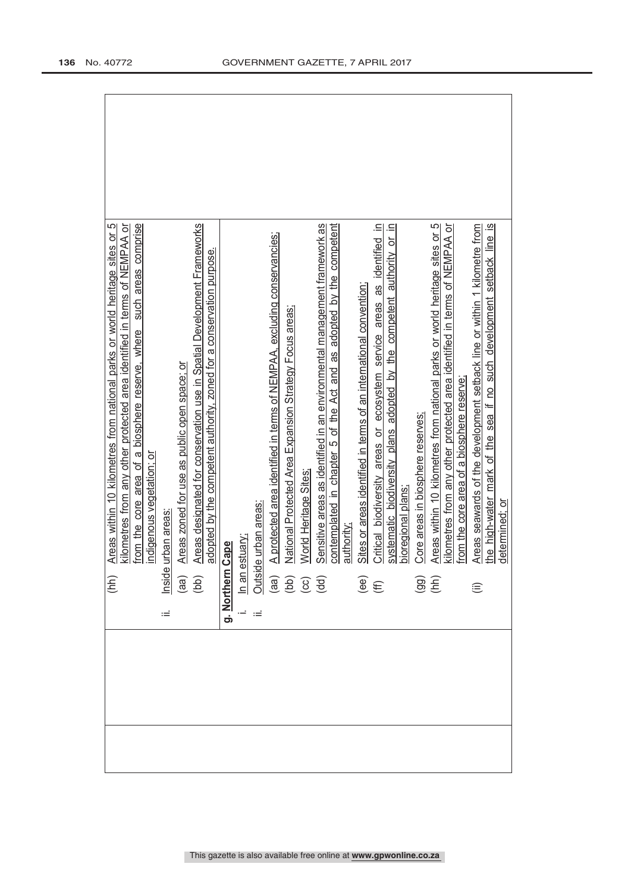|   | (hh)                                           | ഥ<br>Areas within 10 kilometres from national parks or world heritage sites or                                                                                                                                                                           |  |
|---|------------------------------------------------|----------------------------------------------------------------------------------------------------------------------------------------------------------------------------------------------------------------------------------------------------------|--|
|   |                                                | kilometres from any other protected area identified in terms of NEMPAA or                                                                                                                                                                                |  |
|   |                                                | such areas comprise<br>from the core area of a biosphere reserve, where                                                                                                                                                                                  |  |
|   |                                                | indigenous vegetation; or                                                                                                                                                                                                                                |  |
| Ξ |                                                | Inside urban areas                                                                                                                                                                                                                                       |  |
|   |                                                | Areas zoned for use as public open space; or                                                                                                                                                                                                             |  |
|   | $\begin{pmatrix} a & b \\ c & d \end{pmatrix}$ | Areas designated for conservation use in Spatial Development Frameworks                                                                                                                                                                                  |  |
|   |                                                | adopted by the competent authority, zoned for a conservation purpose.                                                                                                                                                                                    |  |
|   | <u>g. Northern</u>                             | Cape                                                                                                                                                                                                                                                     |  |
|   |                                                |                                                                                                                                                                                                                                                          |  |
|   |                                                |                                                                                                                                                                                                                                                          |  |
|   |                                                | A protected area identified in terms of NEMPAA, excluding conservancies;                                                                                                                                                                                 |  |
|   |                                                | National Protected Area Expansion Strategy Focus areas;                                                                                                                                                                                                  |  |
|   |                                                | World Heritage Sites<br>In an estuary:<br>Outside urban areas:<br>(aa) A protected are<br>(bb) National Protecc<br>(cc) World Heritage<br>(dd) Sensitive areas<br>authority:<br>(ee) Sites or areas io<br>(ff) Critical biodive<br>(ff) Critical biodive |  |
|   |                                                | Sensitive areas as identified in an environmental management framework as                                                                                                                                                                                |  |
|   |                                                | contemplated in chapter 5 of the Act and as adopted by the competent                                                                                                                                                                                     |  |
|   |                                                |                                                                                                                                                                                                                                                          |  |
|   |                                                | Sites or areas identified in terms of an international convention;                                                                                                                                                                                       |  |
|   |                                                | $\equiv$<br>Critical biodiversity areas or ecosystem service areas as identified                                                                                                                                                                         |  |
|   |                                                | $\equiv$<br>authority or<br>adopted by the competent<br>systematic biodiversity plans                                                                                                                                                                    |  |
|   |                                                | bioregional plans:                                                                                                                                                                                                                                       |  |
|   | $\left(\frac{1}{2} \right)$                    | Core areas in biosphere reserves:                                                                                                                                                                                                                        |  |
|   |                                                | Areas within 10 kilometres from national parks or world heritage sites or 5                                                                                                                                                                              |  |
|   |                                                | kilometres from any other protected area identified in terms of NEMPAA or                                                                                                                                                                                |  |
|   |                                                | from the core area of a biosphere reserve:                                                                                                                                                                                                               |  |
|   | $\widehat{\equiv}$                             | Areas seawards of the development setback line or within 1 kilometre from                                                                                                                                                                                |  |
|   |                                                | sea if no such development setback line is<br>the high-water mark of the                                                                                                                                                                                 |  |
|   |                                                | determined: or                                                                                                                                                                                                                                           |  |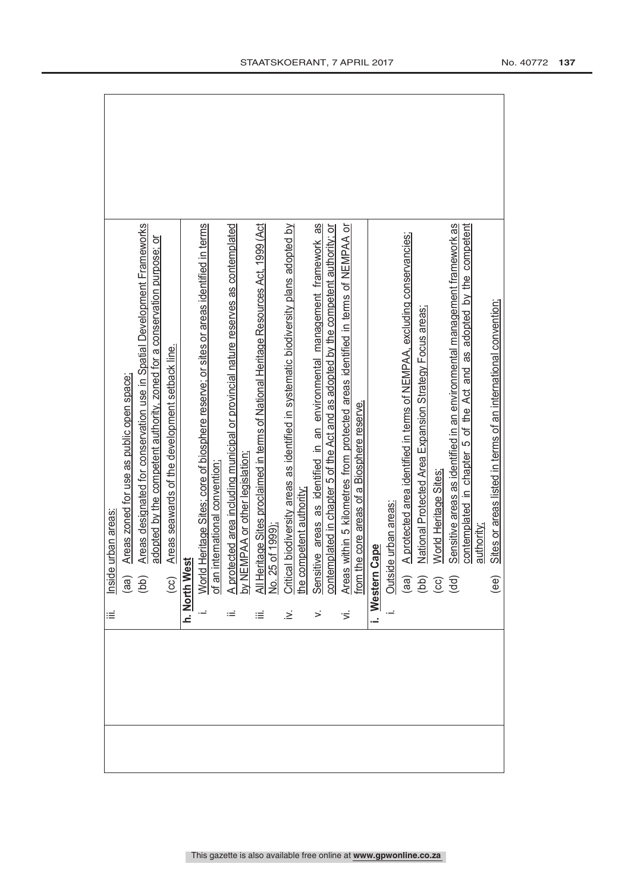|                        | Areas zoned for use as public open space; | Areas designated for conservation use in Spatial Development Frameworks<br>adopted by the competent authority, zoned for a conservation purpose; or | Areas seawards of the development setback line. |      |  |  |  |  |  |  |  |  |  | 1. World Heritage Sites; core u weenees.<br>1. World Heritage Sites core universitions<br>2. Of an international convention;<br>2. Of EMPEAA or other legislation;<br>2. Of EMPEAA or other legislation;<br>2. Of EMPEAA or other le | Sites or areas listed in terms of an international convention; |
|------------------------|-------------------------------------------|-----------------------------------------------------------------------------------------------------------------------------------------------------|-------------------------------------------------|------|--|--|--|--|--|--|--|--|--|--------------------------------------------------------------------------------------------------------------------------------------------------------------------------------------------------------------------------------------|----------------------------------------------------------------|
| e urban areas<br>Insid | (a)                                       | (bb)                                                                                                                                                |                                                 | lest |  |  |  |  |  |  |  |  |  |                                                                                                                                                                                                                                      | (ee)                                                           |
| ≡                      |                                           |                                                                                                                                                     | $rac{(CC)}{n.$ North We                         |      |  |  |  |  |  |  |  |  |  |                                                                                                                                                                                                                                      |                                                                |
|                        |                                           |                                                                                                                                                     |                                                 |      |  |  |  |  |  |  |  |  |  |                                                                                                                                                                                                                                      |                                                                |
|                        |                                           |                                                                                                                                                     |                                                 |      |  |  |  |  |  |  |  |  |  |                                                                                                                                                                                                                                      |                                                                |
|                        |                                           |                                                                                                                                                     |                                                 |      |  |  |  |  |  |  |  |  |  |                                                                                                                                                                                                                                      |                                                                |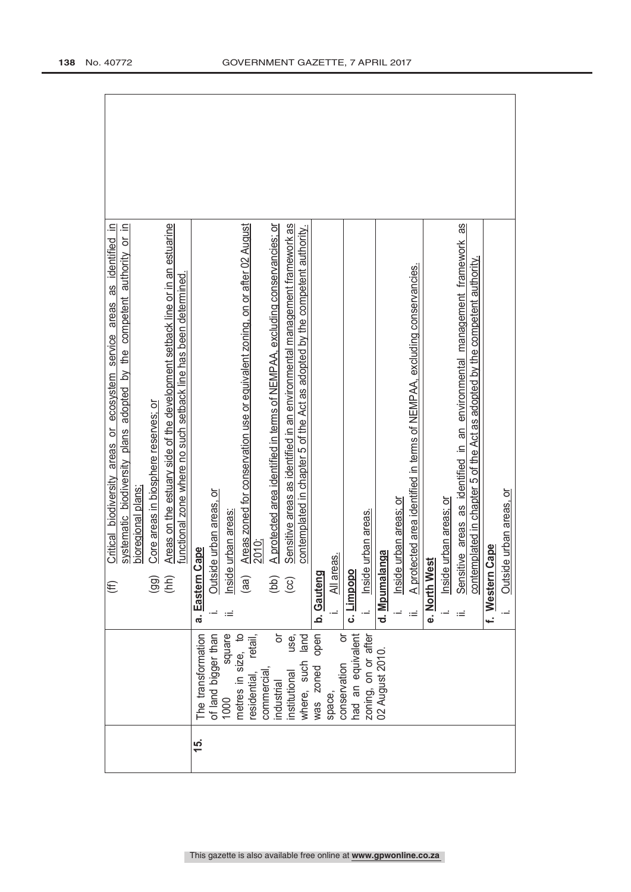| Areas on the estuary side of the development setback line or in an estuarine<br>adopted by the competent authority or in<br>Critical biodiversity areas or ecosystem service areas as identified in<br>functional zone where no such setback line has been determined.<br>Core areas in biosphere reserves; or<br>systematic biodiversity plans<br>bioregional plans<br>(hh)<br>$\overline{99}$<br>€ | Sensitive areas as identified in an environmental management framework as<br>Sensitive areas as identified in an environmental management framework as<br>Areas zoned for conservation use or equivalent zoning, on or after 02 August<br>A protected area identified in terms of NEMPAA, excluding conservancies; or<br>contemplated in chapter 5 of the Act as adopted by the competent authority.<br>contemplated in chapter 5 of the Act as adopted by the competent authority.<br>A protected area identified in terms of NEMPAA, excluding conservancies.<br>Outside urban areas, or<br>Outside urban areas, or<br>Inside urban areas; or<br>Inside urban areas; or<br>Inside urban areas.<br>Inside urban areas.<br>2010;<br>Cape<br>Cape<br>langa<br>reas.<br>e. North West<br>b. Gauteng<br>$\frac{2}{\sqrt{2}}$<br>c. Limpopo<br>f. Western<br>d. Mpumal<br>a. Eastern<br>(bb)<br>(aa)<br>$\overline{c}$<br>ιË |
|------------------------------------------------------------------------------------------------------------------------------------------------------------------------------------------------------------------------------------------------------------------------------------------------------------------------------------------------------------------------------------------------------|--------------------------------------------------------------------------------------------------------------------------------------------------------------------------------------------------------------------------------------------------------------------------------------------------------------------------------------------------------------------------------------------------------------------------------------------------------------------------------------------------------------------------------------------------------------------------------------------------------------------------------------------------------------------------------------------------------------------------------------------------------------------------------------------------------------------------------------------------------------------------------------------------------------------------|
|                                                                                                                                                                                                                                                                                                                                                                                                      | was zoned open<br>of land bigger than<br>ŏ<br>The transformation<br>had an equivalent<br>zoning, on or after<br>metres in size, to<br>square<br>ŏ<br>retail,<br>where, such land<br>use,<br>02 August 2010.<br>conservation<br>commercial<br>residential,<br>institutional<br>industrial<br>space,<br>1000                                                                                                                                                                                                                                                                                                                                                                                                                                                                                                                                                                                                               |
|                                                                                                                                                                                                                                                                                                                                                                                                      | 15.                                                                                                                                                                                                                                                                                                                                                                                                                                                                                                                                                                                                                                                                                                                                                                                                                                                                                                                      |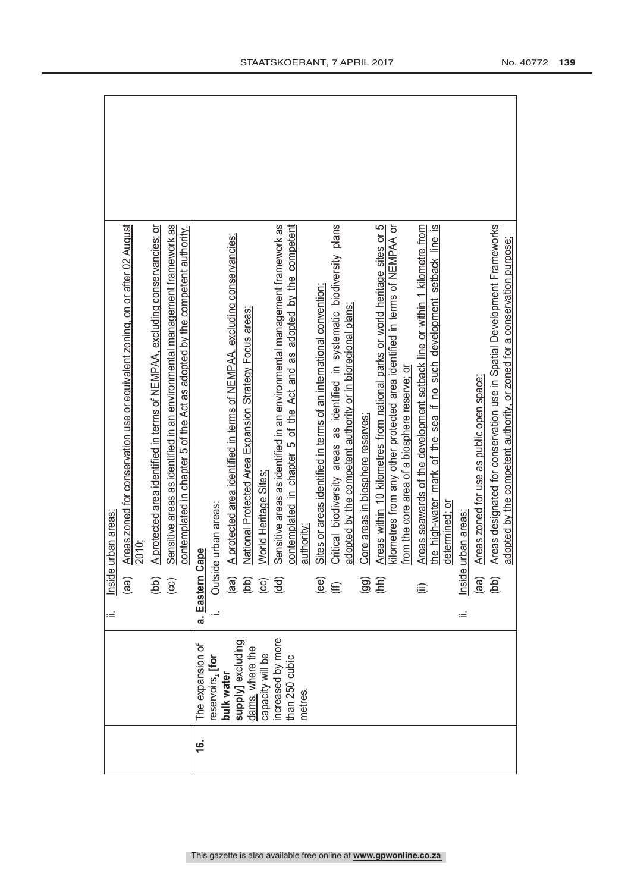|           |                                      | ò, | Inside                                                       | urban areas:                                                                 |
|-----------|--------------------------------------|----|--------------------------------------------------------------|------------------------------------------------------------------------------|
|           |                                      |    | (aa)                                                         | Areas zoned for conservation use or equivalent zoning, on or after 02 August |
|           |                                      |    |                                                              | 2010;                                                                        |
|           |                                      |    | (bb)                                                         | A protected area identified in terms of NEMPAA, excluding conservancies: or  |
|           |                                      |    | $\overline{c}$                                               | Sensitive areas as identified in an environmental management framework as    |
|           |                                      |    |                                                              | contemplated in chapter 5 of the Act as adopted by the competent authority.  |
| <u>به</u> | The expansion of                     |    | a. Eastern (                                                 | cape?                                                                        |
|           | eservoirs, [for                      |    | Outsic                                                       | te urban areas:                                                              |
|           | bulk water                           |    |                                                              | A protected area identified in terms of NEMPAA, excluding conservancies;     |
|           | supply] excluding<br>dams, where the |    | $\begin{pmatrix} a & b \\ c & d \end{pmatrix}$               | National Protected Area Expansion Strategy Focus areas;                      |
|           | capacity will be                     |    |                                                              | World Heritage Sites:                                                        |
|           | ncreased by more                     |    |                                                              | Sensitive areas as identified in an environmental management framework as    |
|           | than 250 cubic                       |    |                                                              | contemplated in chapter 5 of the Act and as adopted by the competent         |
|           | metres                               |    |                                                              | authority.                                                                   |
|           |                                      |    | $\overset{\text{\tiny{\textsf{(ee)}}}}{\mathbb{\textsf{f}}}$ | Sites or areas identified in terms of an international convention;           |
|           |                                      |    |                                                              | Critical biodiversity areas as identified in systematic biodiversity plans   |
|           |                                      |    |                                                              | adopted by the competent authority or in bioregional plans;                  |
|           |                                      |    | $\overline{96}$                                              | Core areas in biosphere reserves;                                            |
|           |                                      |    |                                                              | Areas within 10 kilometres from national parks or world heritage sites or 5  |
|           |                                      |    |                                                              | kilometres from any other protected area identified in terms of NEMPAA or    |
|           |                                      |    |                                                              | from the core area of a biosphere reserve; or                                |
|           |                                      |    | ⊜                                                            | Areas seawards of the development setback line or within 1 kilometre from    |
|           |                                      |    |                                                              | the high-water mark of the sea if no such development setback line is        |
|           |                                      |    |                                                              | determined; or                                                               |
|           |                                      | ωĖ | Inside                                                       | urban areas                                                                  |
|           |                                      |    | (aa)                                                         | Areas zoned for use as public open space;                                    |
|           |                                      |    | (bb)                                                         | Areas designated for conservation use in Spatial Development Frameworks      |
|           |                                      |    |                                                              | adopted by the competent authority, or zoned for a conservation purpose;     |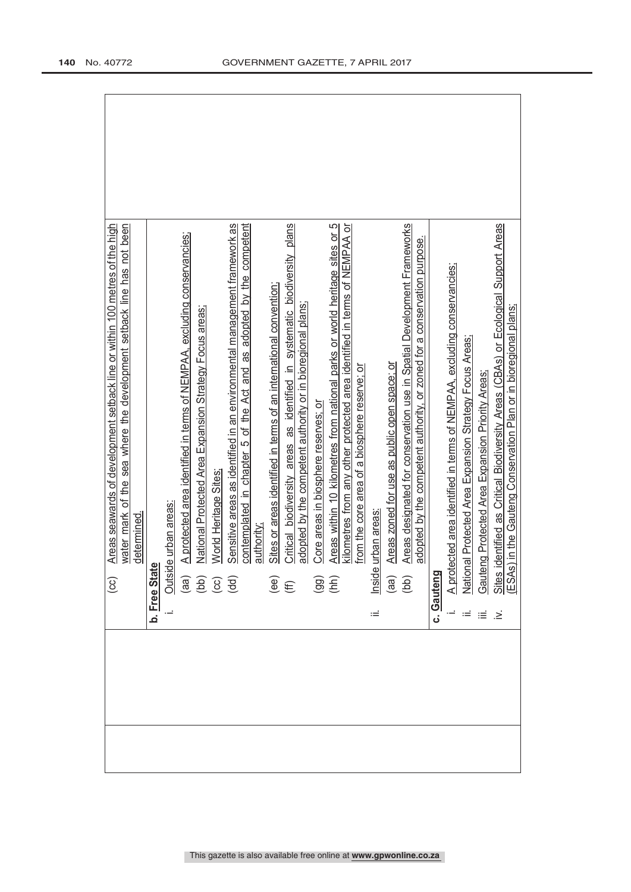| $\odot$                                                                                       | Areas seawards of development setback line or within 100 metres of the high                                                                                                                                                             |
|-----------------------------------------------------------------------------------------------|-----------------------------------------------------------------------------------------------------------------------------------------------------------------------------------------------------------------------------------------|
|                                                                                               | water mark of the sea where the development setback line has not been                                                                                                                                                                   |
| determined.                                                                                   |                                                                                                                                                                                                                                         |
| b. Free Stat                                                                                  |                                                                                                                                                                                                                                         |
| le urban areas:<br>Outsid                                                                     |                                                                                                                                                                                                                                         |
|                                                                                               | A protected area identified in terms of NEMPAA, excluding conservancies;                                                                                                                                                                |
|                                                                                               | National Protected Area Expansion Strategy Focus areas;                                                                                                                                                                                 |
| World Heritage Sites                                                                          |                                                                                                                                                                                                                                         |
| $\begin{array}{c} \n\text{(a)} \\ \n\text{(b)} \\ \n\text{(c)} \\ \n\text{(d)} \n\end{array}$ | Sensitive areas as identified in an environmental management framework as<br>contemplated in chapter 5 of the Act and as adopted by the competent                                                                                       |
| authority;                                                                                    |                                                                                                                                                                                                                                         |
|                                                                                               | Sites or areas identified in terms of an international convention;                                                                                                                                                                      |
| $\widehat{\mathop{\mathsf{ee}}\nolimits}$                                                     | Critical biodiversity areas as identified in systematic biodiversity plans                                                                                                                                                              |
|                                                                                               | adopted by the competent authority or in bioregional plans;                                                                                                                                                                             |
| Core areas in biosphere reserves; or                                                          |                                                                                                                                                                                                                                         |
| $\widehat{99}$                                                                                | Areas within 10 kilometres from national parks or world heritage sites or 5                                                                                                                                                             |
|                                                                                               | kilometres from any other protected area identified in terms of NEMPAA or                                                                                                                                                               |
| from the core area of a biosphere reserve; or                                                 |                                                                                                                                                                                                                                         |
| urban areas<br>Inside<br>ιÊ                                                                   |                                                                                                                                                                                                                                         |
| Areas zoned for use as public open space; or                                                  |                                                                                                                                                                                                                                         |
| $\begin{pmatrix} 1 & 0 \\ 0 & 0 \end{pmatrix}$                                                | Areas designated for conservation use in Spatial Development Frameworks                                                                                                                                                                 |
|                                                                                               | adopted by the competent authority, or zoned for a conservation purpose.                                                                                                                                                                |
| c. Gauteng                                                                                    |                                                                                                                                                                                                                                         |
|                                                                                               | A protected area identified in terms of NEMPAA, excluding conservancies;                                                                                                                                                                |
|                                                                                               |                                                                                                                                                                                                                                         |
| $\equiv \begin{array}{cc} \Xi & \Xi \end{array}$                                              |                                                                                                                                                                                                                                         |
|                                                                                               | National Protected Area Expansion Strategy Focus Areas;<br>Gauteng Protected Area Expansion Priority Areas;<br>Sites identified as Critical Biodiversity Areas (CBAs) or Ecological Support Areas<br>(ESAs) in the Gauteng Conservation |
|                                                                                               |                                                                                                                                                                                                                                         |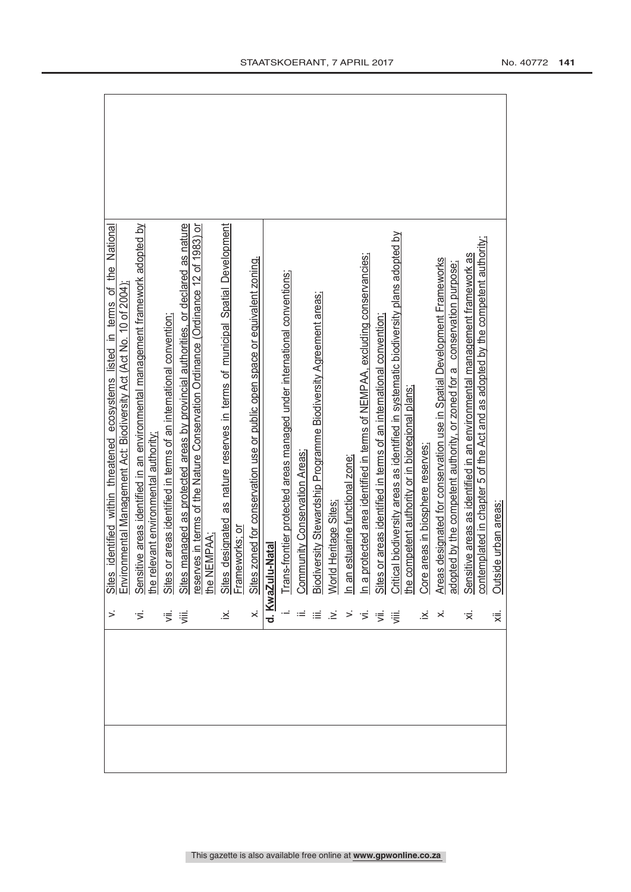|                | identified within threatened ecosystems listed in terms of the National<br>Sites                                                                                                      |
|----------------|---------------------------------------------------------------------------------------------------------------------------------------------------------------------------------------|
|                | ormental Management Act: Biodiversity Act (Act No. 10 of 2004)<br>E <sub>n</sub>                                                                                                      |
|                | Sensitive areas identified in an environmental management framework adopted by<br>he relevant environmental authority;                                                                |
|                | or areas identified in terms of an international convention;<br>Sites                                                                                                                 |
| 引引             |                                                                                                                                                                                       |
|                | Sites managed as protected areas by provincial authorities, or declared as nature<br>reserves in terms of the Nature Conservation Ordinance (Ordinance 12 of 1983) or<br>the NEMPAA;  |
| ×.             | designated as nature reserves in terms of municipal Spatial Development                                                                                                               |
|                | Sites designated<br>Frameworks; or                                                                                                                                                    |
| $\dot{\times}$ | Sites zoned for conservation use or public open space or equivalent zoning.                                                                                                           |
|                | d. KwaZulu-Natal                                                                                                                                                                      |
|                | Trans-frontier protected areas managed under international conventions;                                                                                                               |
|                | Community Conservation Areas;                                                                                                                                                         |
|                | Biodiversity Stewardship Programme Biodiversity Agreement areas;                                                                                                                      |
| .≥ં            | World Heritage Sites                                                                                                                                                                  |
| $\geq$         | In an estuarine functional zone;<br>In a protected area identified in terms of NEMPAA, excluding conservancies;<br>Sites or areas identified in terms of an international convention; |
| $\preceq$      |                                                                                                                                                                                       |
| ΪË.            |                                                                                                                                                                                       |
| ∰.             |                                                                                                                                                                                       |
|                | Critical biodiversity areas as identified in systematic biodiversity plans adopted by<br>the competent authority or in bioregional plans;<br>Core areas in biosphere reserves;        |
| $\dot{\times}$ |                                                                                                                                                                                       |
|                | Areas designated for conservation use in Spatial Development Frameworks                                                                                                               |
|                | ed by the competent authority, or zoned for a conservation purpose;<br>adopte                                                                                                         |
| $\dot{\times}$ | contemplated in chapter 5 of the Act and as adopted by the competent authority;<br>Sensitive areas as identified in an environmental management framework as                          |
| '≅             | de urban areas:<br>Outsic                                                                                                                                                             |
|                |                                                                                                                                                                                       |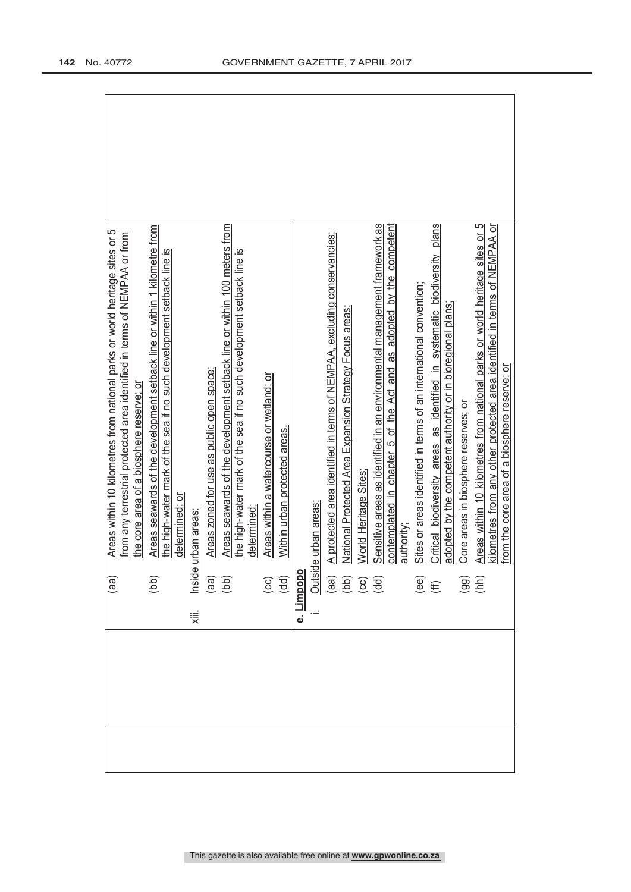|       | (aa)                                                                             | Areas within 10 kilometres from national parks or world heritage sites or 5                                                                                                                                              |
|-------|----------------------------------------------------------------------------------|--------------------------------------------------------------------------------------------------------------------------------------------------------------------------------------------------------------------------|
|       |                                                                                  | from any terrestrial protected area identified in terms of NEMPAA or from<br>the core area of a biosphere reserve; or                                                                                                    |
|       |                                                                                  |                                                                                                                                                                                                                          |
|       | (bb)                                                                             | Areas seawards of the development setback line or within 1 kilometre from                                                                                                                                                |
|       |                                                                                  | the high-water mark of the sea if no such development setback line is                                                                                                                                                    |
|       |                                                                                  | determined; or                                                                                                                                                                                                           |
| χiii. |                                                                                  | urban areas                                                                                                                                                                                                              |
|       |                                                                                  | Areas zoned for use as public open space;                                                                                                                                                                                |
|       | lnside<br>(aa)<br>(bb)                                                           | Areas seawards of the development setback line or within 100 meters from                                                                                                                                                 |
|       |                                                                                  | the high-water mark of the sea if no such development setback line is                                                                                                                                                    |
|       |                                                                                  | determined                                                                                                                                                                                                               |
|       |                                                                                  | Areas within a watercourse or wetland; or                                                                                                                                                                                |
|       |                                                                                  | Within urban protected areas.                                                                                                                                                                                            |
|       |                                                                                  |                                                                                                                                                                                                                          |
|       |                                                                                  |                                                                                                                                                                                                                          |
|       |                                                                                  | A protected area identified in terms of NEMPAA, excluding conservancies;                                                                                                                                                 |
|       |                                                                                  | National Protected Area Expansion Strategy Focus areas;                                                                                                                                                                  |
|       |                                                                                  | World Heritage Sites:<br>(cc)<br>(dd) With<br>i. Outside urban areas:<br>(aa) A protected areas:<br>(aa) A protected areas:<br>(b) National Protected areas:<br>(cc) Nord Protected areas:<br>(cc) Nord Protected areas: |
|       |                                                                                  | Sensitive areas as identified in an environmental management framework as                                                                                                                                                |
|       |                                                                                  | adopted by the competent<br>contemplated in chapter 5 of the Act and as                                                                                                                                                  |
|       |                                                                                  |                                                                                                                                                                                                                          |
|       | $\overset{\text{\tiny{\textcircled{\tiny{1}}}}}{\oplus} \, \widehat{\mathbb{E}}$ | Sites or areas identified in terms of an international convention;                                                                                                                                                       |
|       |                                                                                  | Critical biodiversity areas as identified in systematic biodiversity plans                                                                                                                                               |
|       |                                                                                  | adopted by the competent authority or in bioregional plans;                                                                                                                                                              |
|       | $\overline{90}$                                                                  | Core areas in biosphere reserves; or                                                                                                                                                                                     |
|       |                                                                                  | Areas within 10 kilometres from national parks or world heritage sites or 5                                                                                                                                              |
|       |                                                                                  | dometres from any other protected area identified in terms of NEMPAA or<br>from the core area of a biosphere reserve; or                                                                                                 |
|       |                                                                                  |                                                                                                                                                                                                                          |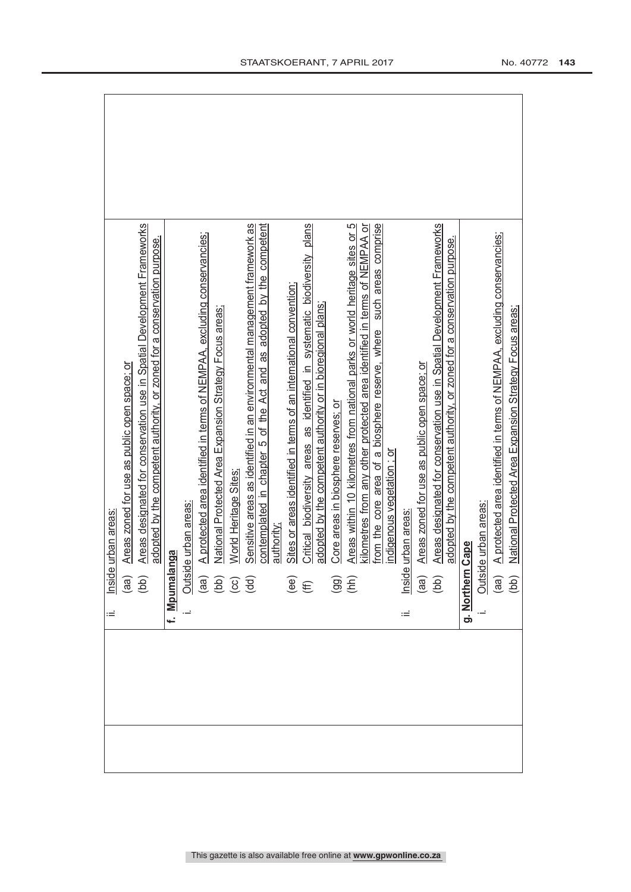| lnsid<br>ιË                                             | e urban areas                                                                                                                                                                                      |  |
|---------------------------------------------------------|----------------------------------------------------------------------------------------------------------------------------------------------------------------------------------------------------|--|
|                                                         | Areas zoned for use as public open space; or                                                                                                                                                       |  |
| $\begin{pmatrix} 1 & 0 \\ 0 & 0 \\ 0 & 0 \end{pmatrix}$ | Areas designated for conservation use in Spatial Development Frameworks<br>adopted by the competent authority, or zoned for a conservation purpose.                                                |  |
| f. Mpumal                                               | anga                                                                                                                                                                                               |  |
|                                                         |                                                                                                                                                                                                    |  |
|                                                         | A protected area identified in terms of NEMPAA, excluding conservancies;                                                                                                                           |  |
|                                                         | National Protected Area Expansion Strategy Focus areas;                                                                                                                                            |  |
|                                                         | World Heritage Sites                                                                                                                                                                               |  |
|                                                         | Sensitive areas as identified in an environmental management framework as<br>Outside urban areas:<br>(aa) A protected are:<br>(bb) National Protect<br>(cc) World Heritage<br>(dd) Sensitive areas |  |
|                                                         | contemplated in chapter 5 of the Act and as adopted by the competent<br>authority:                                                                                                                 |  |
|                                                         | Sites or areas identified in terms of an international convention;                                                                                                                                 |  |
| $\overset{\text{\tiny{\textregistered}}}{\oplus}$       | Critical biodiversity areas as identified in systematic biodiversity plans                                                                                                                         |  |
|                                                         | adopted by the competent authority or in bioregional plans;                                                                                                                                        |  |
|                                                         | Core areas in biosphere reserves; or                                                                                                                                                               |  |
| (36)<br>(14)                                            | Areas within 10 kilometres from national parks or world heritage sites or 5                                                                                                                        |  |
|                                                         | kilometres from any other protected area identified in terms of NEMPAA or                                                                                                                          |  |
|                                                         | such areas comprise<br>from the core area of a biosphere reserve, where                                                                                                                            |  |
|                                                         | indigenous vegetation; or                                                                                                                                                                          |  |
| ίË                                                      |                                                                                                                                                                                                    |  |
|                                                         | Areas zoned for use as public open space; or                                                                                                                                                       |  |
|                                                         | Areas designated for conservation use in Spatial Development Frameworks<br>Inside urban areas:<br>(aa) Areas zoned<br>(bb) Areas design                                                            |  |
|                                                         | adopted by the competent authority, or zoned for a conservation purpose.                                                                                                                           |  |
| g. Norther                                              | n Cape                                                                                                                                                                                             |  |
|                                                         |                                                                                                                                                                                                    |  |
|                                                         | A protected area identified in terms of NEMPAA, excluding conservancies;                                                                                                                           |  |
|                                                         | National Protected Area Expansion Strategy Focus areas;<br>Outside urban areas:<br>(aa) A protected are<br>(bb) National Protec                                                                    |  |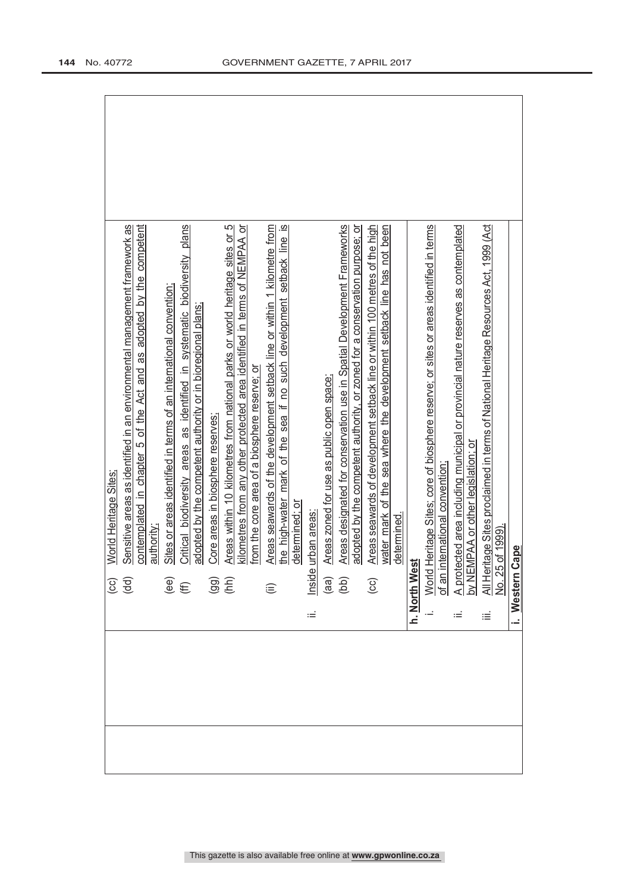|                                                            | World Heritage Sites:                                                                                                                                    |
|------------------------------------------------------------|----------------------------------------------------------------------------------------------------------------------------------------------------------|
| (cc)<br>(dd)                                               | Sensitive areas as identified in an environmental management framework as                                                                                |
|                                                            | contemplated in chapter 5 of the Act and as adopted by the competent                                                                                     |
|                                                            | authority;                                                                                                                                               |
| $\overset{\text{\tiny{(e)}}}{\oplus}$                      | Sites or areas identified in terms of an international convention;                                                                                       |
|                                                            | Critical biodiversity areas as identified in systematic biodiversity plans                                                                               |
|                                                            | adopted by the competent authority or in bioregional plans;                                                                                              |
| $\overline{9}$ $\overline{1}$                              | Core areas in biosphere reserves;                                                                                                                        |
|                                                            | Areas within 10 kilometres from national parks or world heritage sites or 5                                                                              |
|                                                            | kilometres from any other protected area identified in terms of NEMPAA or                                                                                |
|                                                            | from the core area of a biosphere reserve; or                                                                                                            |
| $\widehat{\equiv}$                                         | Areas seawards of the development setback line or within 1 kilometre from                                                                                |
|                                                            | the high-water mark of the sea if no such development setback line is                                                                                    |
|                                                            | determined; or                                                                                                                                           |
| Inside<br>Ξ                                                | urban areas                                                                                                                                              |
| $\begin{array}{c} \text{(ge)}\\ \text{(left)} \end{array}$ | Areas zoned for use as public open space;                                                                                                                |
|                                                            | Areas designated for conservation use in Spatial Development Frameworks                                                                                  |
|                                                            | adopted by the competent authority, or zoned for a conservation purpose; or                                                                              |
| $\overline{c}$                                             | Areas seawards of development setback line or within 100 metres of the high                                                                              |
|                                                            | water mark of the sea where the development setback line has not been                                                                                    |
|                                                            | determined.                                                                                                                                              |
| h. North West                                              |                                                                                                                                                          |
| World<br>of an i                                           | Heritage Sites; core of biosphere reserve; or sites or areas identified in terms                                                                         |
|                                                            | nternational convention                                                                                                                                  |
|                                                            | ected area including municipal or provincial nature reserves as contemplated<br>A protected area including municip<br>by NEMPAA or other legislation; or |
|                                                            |                                                                                                                                                          |
| ≔                                                          | All Heritage Sites proclaimed in terms of National Heritage Resources Act, 1999 (Act<br>No. 25 of 1999).                                                 |
|                                                            |                                                                                                                                                          |
| i. Western                                                 | Cape                                                                                                                                                     |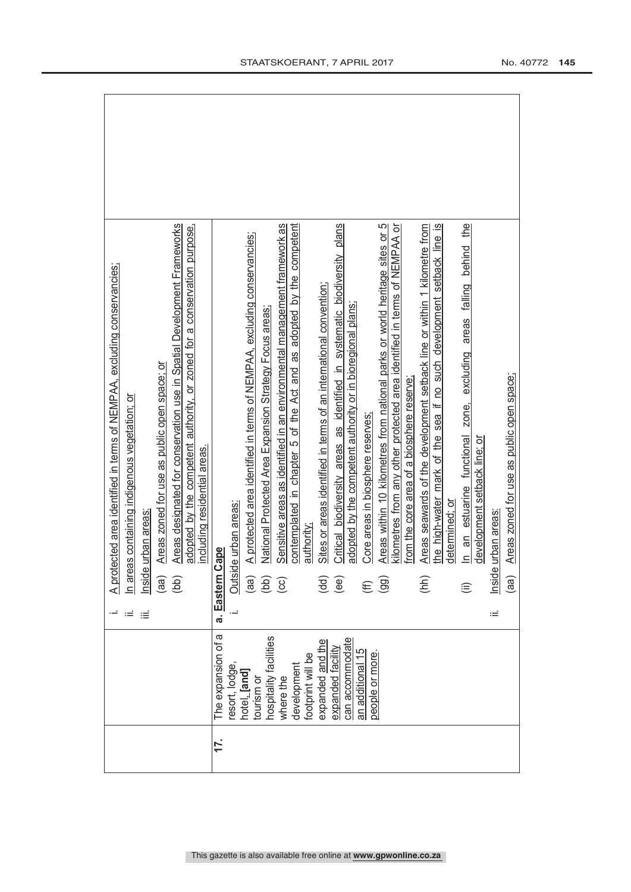|                                  |               |               | A protected area identified in terms of NEMPAA, excluding conservancies;                                                                        |
|----------------------------------|---------------|---------------|-------------------------------------------------------------------------------------------------------------------------------------------------|
|                                  |               | ≔             | n areas containing indigenous vegetation; or                                                                                                    |
|                                  |               | ≔             | nside urban areas                                                                                                                               |
|                                  |               |               | Areas zoned for use as public open space; or<br>(aa)                                                                                            |
|                                  |               |               | Areas designated for conservation use in Spatial Development Frameworks<br>(bb)                                                                 |
|                                  |               |               | adopted by the competent authority, or zoned for a conservation purpose,<br>including residential areas.                                        |
| The expansion of a<br>17.        |               | Eastern<br>a. | cape                                                                                                                                            |
| resort, lodge,                   |               |               | le urban areas:<br>Outsic                                                                                                                       |
| hotel, [and]<br>tourism or       |               |               | A protected area identified in terms of NEMPAA, excluding conservancies;<br>(aa)                                                                |
| hospitality facilities           |               |               | National Protected Area Expansion Strategy Focus areas                                                                                          |
| where the                        |               |               | Sensitive areas as identified in an environmental management framework as<br>$\left(\begin{matrix} 1 & 0 \\ 0 & 0 \\ 0 & 0 \end{matrix}\right)$ |
| development                      |               |               | contemplated in chapter 5 of the Act and as adopted by the competent                                                                            |
| footprint will be                |               |               | authority                                                                                                                                       |
| expanded and the                 |               |               | Sites or areas identified in terms of an international convention;<br>(dd)                                                                      |
| expanded facility                |               |               | Critical biodiversity areas as identified in systematic biodiversity plans<br>(ee)                                                              |
| can accommodate<br>an additional | $\frac{5}{3}$ |               | adopted by the competent authority or in bioregional plans;                                                                                     |
| people or more.                  |               |               | Core areas in biosphere reserves;<br>E                                                                                                          |
|                                  |               |               | Areas within 10 kilometres from national parks or world heritage sites or 5<br>$\left($ gg)                                                     |
|                                  |               |               | kilometres from any other protected area identified in terms of NEMPAA or                                                                       |
|                                  |               |               | from the core area of a biosphere reserve                                                                                                       |
|                                  |               |               | Areas seawards of the development setback line or within 1 kilometre from<br>(hh)                                                               |
|                                  |               |               | the high-water mark of the sea if no such development setback line is                                                                           |
|                                  |               |               | determined: or                                                                                                                                  |
|                                  |               |               | the<br>excluding areas falling behind<br>an estuarine functional zone,<br>$\overline{a}$<br>ίË                                                  |
|                                  |               |               | development setback line; or                                                                                                                    |
|                                  |               | Ξ             | urban areas<br>Inside                                                                                                                           |
|                                  |               |               | Areas zoned for use as public open space;<br>(aa)                                                                                               |
|                                  |               |               |                                                                                                                                                 |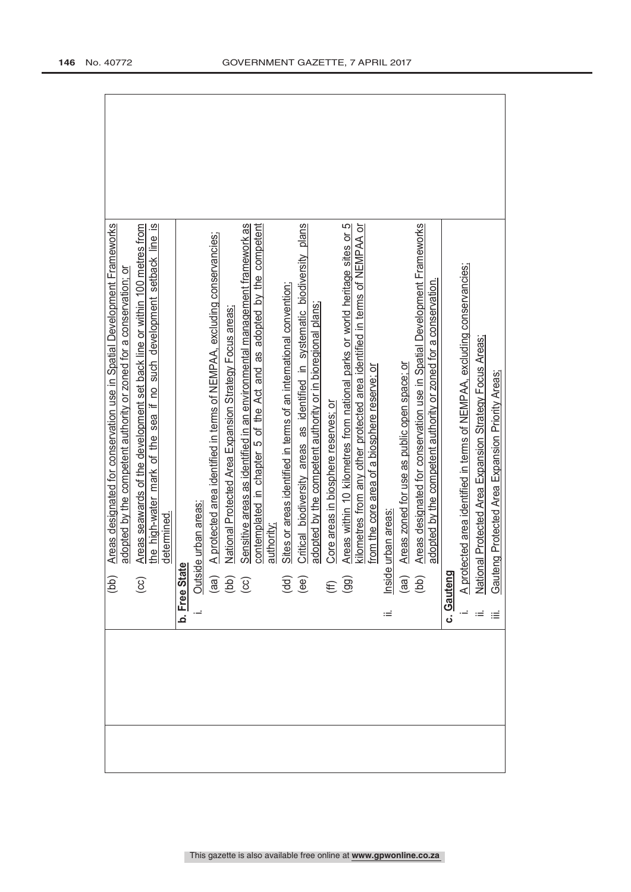| Areas designated for conservation use in Spatial Development Frameworks<br>(bb)                                                                                          |
|--------------------------------------------------------------------------------------------------------------------------------------------------------------------------|
| adopted by the competent authority or zoned for a conservation; or                                                                                                       |
| Areas seawards of the development set back line or within 100 metres from<br>$\overline{c}$                                                                              |
| $\overline{\omega}$<br>the high-water mark of the sea if no such development setback line                                                                                |
| determined.                                                                                                                                                              |
| Φ<br>b. Free Stat                                                                                                                                                        |
|                                                                                                                                                                          |
| A protected area identified in terms of NEMPAA, excluding conservancies;<br>Outside urban areas:<br>(aa) A protected are<br>(bb) National Protec<br>(cc) Sensitive areas |
| National Protected Area Expansion Strategy Focus areas                                                                                                                   |
| Sensitive areas as identified in an environmental management framework as                                                                                                |
| contemplated in chapter 5 of the Act and as adopted by the competent                                                                                                     |
| authority:                                                                                                                                                               |
| Sites or areas identified in terms of an international convention:                                                                                                       |
| Critical biodiversity areas as identified in systematic biodiversity plans<br>$\begin{pmatrix} d & d \\ e & e \end{pmatrix}$                                             |
| adopted by the competent authority or in bioregional plans;                                                                                                              |
| Core areas in biosphere reserves; or<br>$(E \n99)$                                                                                                                       |
| Areas within 10 kilometres from national parks or world heritage sites or 5                                                                                              |
| kilometres from any other protected area identified in terms of NEMPAA or                                                                                                |
| from the core area of a biosphere reserve; or                                                                                                                            |
| nside urban areas<br>ιÊ                                                                                                                                                  |
| Areas zoned for use as public open space; or                                                                                                                             |
| Areas designated for conservation use in Spatial Development Frameworks<br>$\begin{array}{c} \text{(ge)}\\ \text{(be)} \end{array}$                                      |
| adopted by the competent authority or zoned for a conservation.                                                                                                          |
| c. Gauteng                                                                                                                                                               |
|                                                                                                                                                                          |
| A protected area identified in terms of NEMPAA, excluding conservancies;<br>National Protected Area Expansion Strategy Focus Areas;                                      |
| Gauteng Protected Area Expansion Priority Areas;                                                                                                                         |
|                                                                                                                                                                          |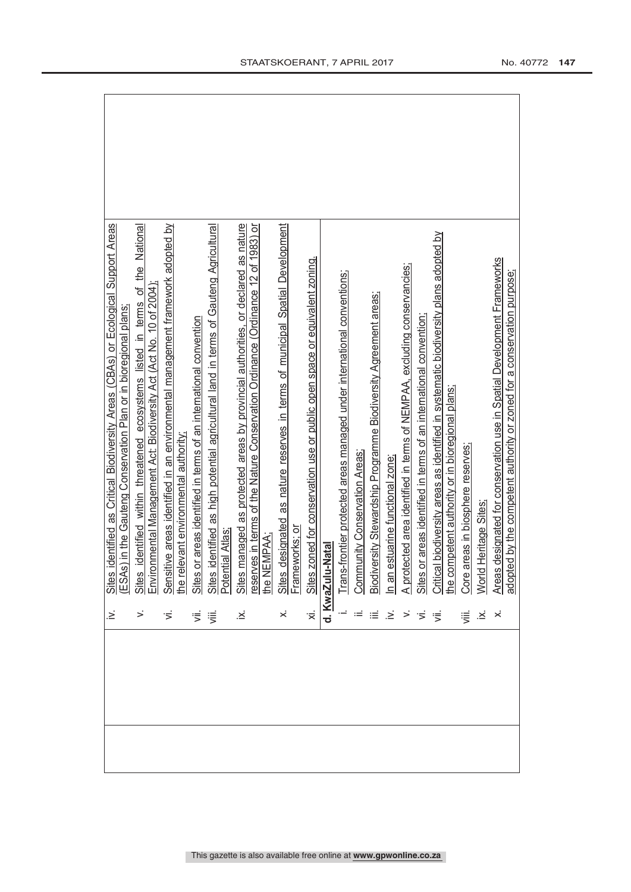| .≤                  | identified as Critical Biodiversity Areas (CBAs) or Ecological Support Areas<br>Sites                                                                   |
|---------------------|---------------------------------------------------------------------------------------------------------------------------------------------------------|
|                     | ESAs) in the Gauteng Conservation Plan or in bioregional plans                                                                                          |
| >                   | identified within threatened ecosystems listed in terms of the National<br>Environmental Management Act: Biodiversity Act (Act No. 10 of 2004)<br>Sites |
| ゙゙゚゙                | ive areas identified in an environmental management framework adopted by<br>Sensit                                                                      |
|                     | levant environmental authority<br>the rel                                                                                                               |
| ず                   | or areas identified in terms of an international convention<br>Sites c                                                                                  |
| 這                   | identified as high potential agricultural land in terms of Gauteng Agricultural<br>Sites identified<br>Potential Atlas;                                 |
| .×                  | managed as protected areas by provincial authorities, or declared as nature<br>Sites <sub>1</sub>                                                       |
|                     | reserves in terms of the Nature Conservation Ordinance (Ordinance 12 of 1983) or<br>the NEMPAA;                                                         |
| $\dot{\times}$      | designated as nature reserves in terms of municipal Spatial Development<br>Sites                                                                        |
|                     | Frameworks; or                                                                                                                                          |
| $\overline{\times}$ | Sites zoned for conservation use or public open space or equivalent zoning                                                                              |
|                     | d. KwaZulu-Natal                                                                                                                                        |
|                     | Trans-frontier protected areas managed under international conventions;                                                                                 |
|                     | <b>Community Conservation Areas:</b>                                                                                                                    |
|                     | Biodiversity Stewardship Programme Biodiversity Agreement areas;                                                                                        |
| $\dot{\geq}$        | <u>In an estuarine functional zone;</u>                                                                                                                 |
|                     | A protected area identified in terms of NEMPAA, excluding conservancies;                                                                                |
|                     | Sites or areas identified in terms of an international convention;                                                                                      |
|                     | Critical biodiversity areas as identified in systematic biodiversity plans adopted by                                                                   |
|                     | he competent authority or in bioregional plans;                                                                                                         |
|                     | Core areas in biosphere reserves;                                                                                                                       |
| $\dot{\varkappa}$   | Heritage Sites<br>World                                                                                                                                 |
|                     | Areas designated for conservation use in Spatial Development Frameworks                                                                                 |
|                     | adopted by the competent authority or zoned for a conservation purpose;                                                                                 |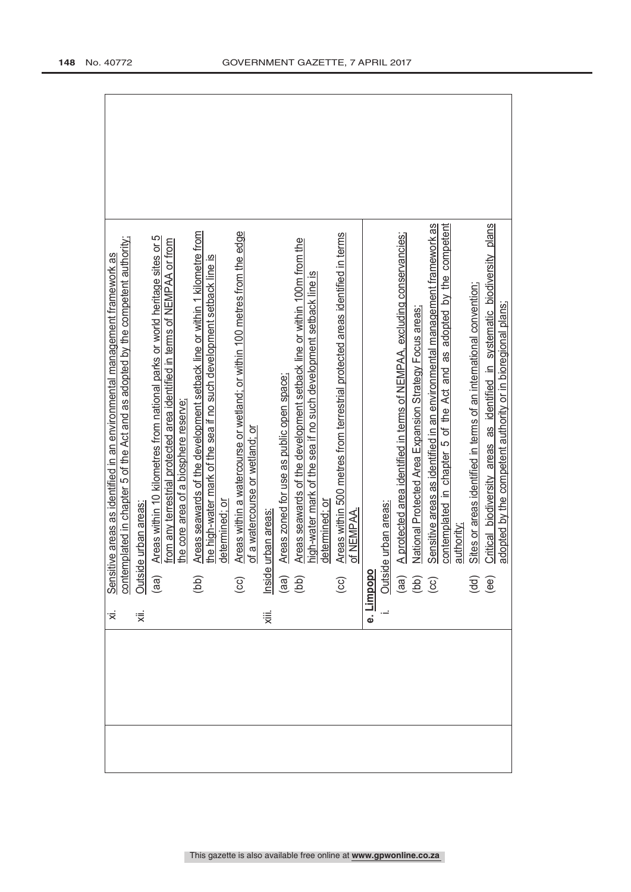| $\dot{\times}$ |                                                     | Sensitive areas as identified in an environmental management framework as<br>contemplated in chapter 5 of the Act and as adopted by the competent authority;<br>Outside urban areas:<br>(aa) Areas within 10 kilometres from national p |  |
|----------------|-----------------------------------------------------|-----------------------------------------------------------------------------------------------------------------------------------------------------------------------------------------------------------------------------------------|--|
| 、<br>※         |                                                     |                                                                                                                                                                                                                                         |  |
|                |                                                     | from any terrestrial protected area identified in terms of NEMPAA or from                                                                                                                                                               |  |
|                |                                                     | the core area of a biosphere reserve;                                                                                                                                                                                                   |  |
|                | (bb)                                                | Areas seawards of the development setback line or within 1 kilometre from                                                                                                                                                               |  |
|                |                                                     | the high-water mark of the sea if no such development setback line is<br>determined: or                                                                                                                                                 |  |
|                | $\odot$                                             | Areas within a watercourse or wetland; or within 100 metres from the edge                                                                                                                                                               |  |
|                |                                                     | of a watercourse or wetland; or                                                                                                                                                                                                         |  |
| Χiii.          |                                                     | Inside urban areas:<br>(aa) Areas zoned<br>(bb) Areas seawa                                                                                                                                                                             |  |
|                |                                                     | Areas zoned for use as public open space;                                                                                                                                                                                               |  |
|                |                                                     | Areas seawards of the development setback line or within 100m from the                                                                                                                                                                  |  |
|                |                                                     | ഗ<br>high-water mark of the sea if no such development setback line                                                                                                                                                                     |  |
|                |                                                     | determined: or                                                                                                                                                                                                                          |  |
|                | $\overline{\text{c}}$                               | Areas within 500 metres from terrestrial protected areas identified in terms                                                                                                                                                            |  |
|                |                                                     | of NEMPAA.                                                                                                                                                                                                                              |  |
|                | e. <u>Limpopo</u>                                   |                                                                                                                                                                                                                                         |  |
|                |                                                     | de urban areas:                                                                                                                                                                                                                         |  |
|                |                                                     | A protected area identified in terms of NEMPAA, excluding conservancies;                                                                                                                                                                |  |
|                | $\frac{\text{Outsic}}{\text{(aa)}}$<br>(ad)<br>(cc) | National Protected Area Expansion Strategy Focus areas;                                                                                                                                                                                 |  |
|                |                                                     | Sensitive areas as identified in an environmental management framework as                                                                                                                                                               |  |
|                |                                                     | contemplated in chapter 5 of the Act and as adopted by the competent                                                                                                                                                                    |  |
|                |                                                     | authority                                                                                                                                                                                                                               |  |
|                |                                                     | Sites or areas identified in terms of an international convention;                                                                                                                                                                      |  |
|                | $\overline{3}$<br>$\overline{1}$<br>$\overline{4}$  | Critical biodiversity areas as identified in systematic biodiversity plans<br>adopted by the competent authority or in bioregional plans;                                                                                               |  |
|                |                                                     |                                                                                                                                                                                                                                         |  |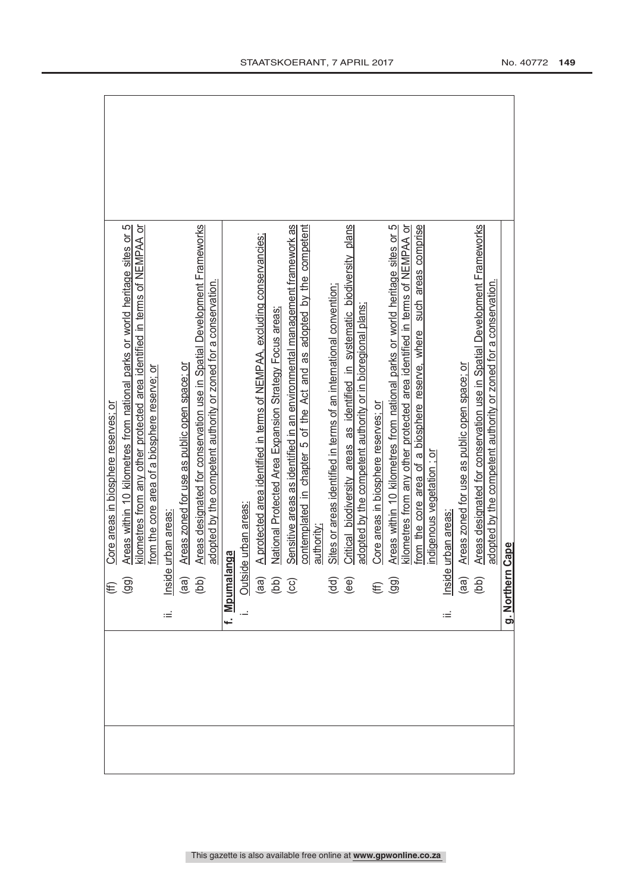$\Gamma$ 

7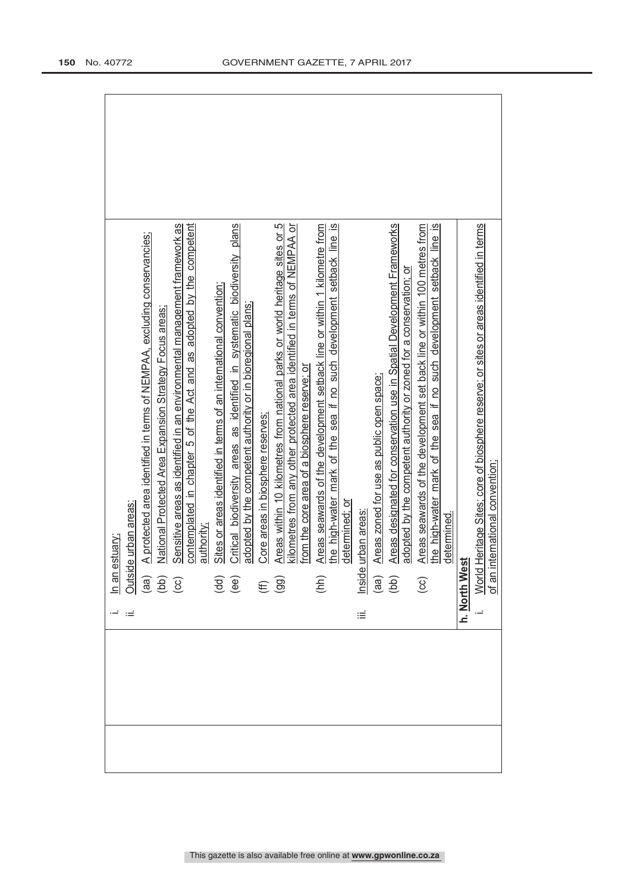| A protected area identified in terms of NEMPAA, excluding conservancies;<br>In an estuary:<br>Outside urban areas:<br>(aa) A protected are<br>(bb) Mational Protec<br>(cc) Sensitive areas |
|--------------------------------------------------------------------------------------------------------------------------------------------------------------------------------------------|
| National Protected Area Expansion Strategy Focus areas                                                                                                                                     |
| Sensitive areas as identified in an environmental management framework as                                                                                                                  |
| contemplated in chapter 5 of the Act and as adopted by the competent                                                                                                                       |
| authority;                                                                                                                                                                                 |
| Sites or areas identified in terms of an international convention;                                                                                                                         |
| Critical biodiversity areas as identified in systematic biodiversity plans<br>$\begin{pmatrix} d & d \\ e & d \end{pmatrix}$                                                               |
| adopted by the competent authority or in bioregional plans;                                                                                                                                |
| Core areas in biosphere reserves;                                                                                                                                                          |
| Areas within 10 kilometres from national parks or world heritage sites or 5<br>$(E\oplus$                                                                                                  |
| kilometres from any other protected area identified in terms of NEMPAA or<br>from the core area of a biosphere reserve; or                                                                 |
|                                                                                                                                                                                            |
| Areas seawards of the development setback line or within 1 kilometre from<br>the high-water mark of the sea if no such development setback line is<br>(hh)                                 |
| determined; or                                                                                                                                                                             |
| urban areas<br>Inside<br>πÉ                                                                                                                                                                |
| Areas zoned for use as public open space;                                                                                                                                                  |
| $\begin{array}{c} \text{(ge)}\\ \text{(pe)} \end{array}$                                                                                                                                   |
| Areas designated for conservation use in Spatial Development Frameworks<br>adopted by the competent authority or zoned for a conservation; or                                              |
| Areas seawards of the development set back line or within 100 metres from<br>$\bigodot$                                                                                                    |
| the high-water mark of the sea if no such development setback line is                                                                                                                      |
| determined.                                                                                                                                                                                |
| h. North West                                                                                                                                                                              |
| Heritage Sites; core of biosphere reserve; or sites or areas identified in terms<br>nternational convention;<br>of an ir<br><b>World</b>                                                   |
|                                                                                                                                                                                            |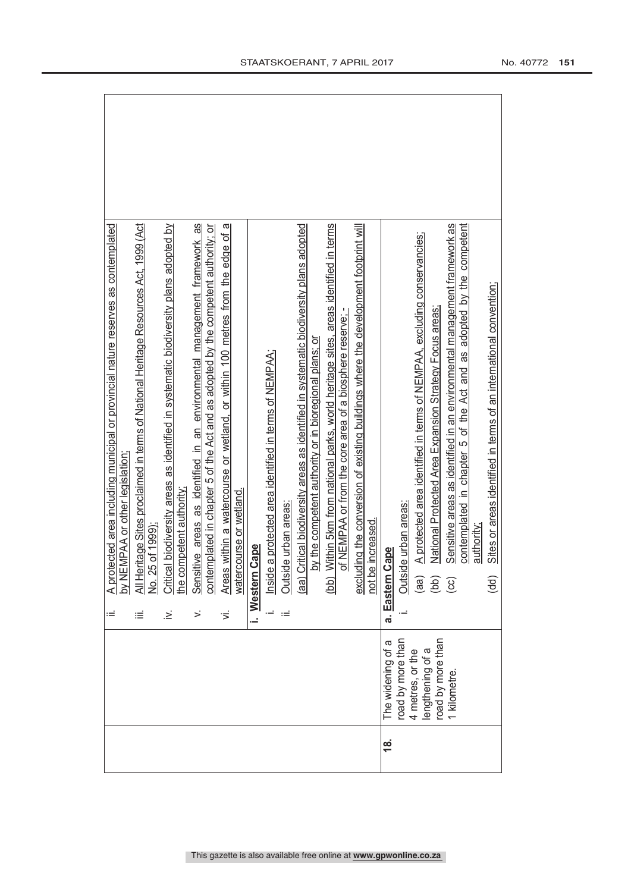|               |                                      | ≔     | A protected area including municipal or provincial nature reserves as contemplated<br>by NEMPAA or other legislation;                                           |
|---------------|--------------------------------------|-------|-----------------------------------------------------------------------------------------------------------------------------------------------------------------|
|               |                                      | ≡     | All Heritage Sites proclaimed in terms of National Heritage Resources Act, 1999 (Act<br>No. 25 of 1999)                                                         |
|               |                                      | :∠    | Critical biodiversity areas as identified in systematic biodiversity plans adopted by<br>he competent authority.                                                |
|               |                                      | >     | Sensitive areas as identified in an environmental management framework as<br>contemplated in chapter 5 of the Act and as adopted by the competent authority; or |
|               |                                      | ゙゙゚゙゙ | a<br>within a watercourse or wetland, or within 100 metres from the edge of<br>watercourse or wetland.<br>Areas                                                 |
|               |                                      | į.    | Cape<br>Western                                                                                                                                                 |
|               |                                      | ÷     | a protected area identified in terms of NEMPAA;<br>Inside                                                                                                       |
|               |                                      | Ξ     | le urban areas:<br>Outsid                                                                                                                                       |
|               |                                      |       | (aa) Critical biodiversity areas as identified in systematic biodiversity plans adopted                                                                         |
|               |                                      |       | by the competent authority or in bioregional plans; or                                                                                                          |
|               |                                      |       | (bb) Within 5km from national parks, world heritage sites, areas identified in terms<br>of NEMPAA or from the core area of a biosphere reserve;                 |
|               |                                      |       | excluding the conversion of existing buildings where the development footprint will<br>not be increased.                                                        |
| $\frac{8}{1}$ | The widening of a                    |       | Cape<br>a. Eastern                                                                                                                                              |
|               | road by more than                    |       | le urban areas:<br>Outsid                                                                                                                                       |
|               | lengthening of a<br>4 metres, or the |       | A protected area identified in terms of NEMPAA, excluding conservancies;<br>(aa)                                                                                |
|               | road by more than                    |       | National Protected Area Expansion Strategy Focus areas<br>(bb)                                                                                                  |
|               | 1 kilometre                          |       | Sensitive areas as identified in an environmental management framework as<br>ලි                                                                                 |
|               |                                      |       | contemplated in chapter 5 of the Act and as adopted by the competent<br>authority;                                                                              |
|               |                                      |       | Sites or areas identified in terms of an international convention;<br>$\overline{a}$                                                                            |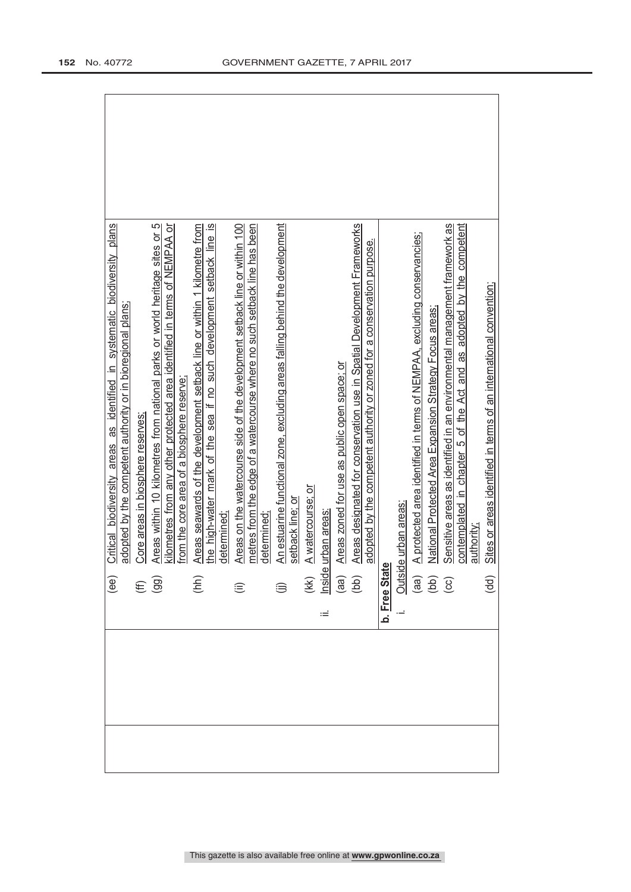| (ee)                                                                                              | Critical biodiversity areas as identified in systematic biodiversity plans                                                                               |
|---------------------------------------------------------------------------------------------------|----------------------------------------------------------------------------------------------------------------------------------------------------------|
|                                                                                                   | adopted by the competent authority or in bioregional plans;                                                                                              |
|                                                                                                   | Core areas in biosphere reserves;                                                                                                                        |
| $(E \n9$                                                                                          | Areas within 10 kilometres from national parks or world heritage sites or 5<br>kilometres from any other protected area identified in terms of NEMPAA or |
|                                                                                                   | from the core area of a biosphere reserve:                                                                                                               |
| (hh)                                                                                              | Areas seawards of the development setback line or within 1 kilometre from                                                                                |
|                                                                                                   | the high-water mark of the sea if no such development setback line is<br>determined                                                                      |
| $\widehat{=}$                                                                                     | Areas on the watercourse side of the development setback line or within 100                                                                              |
|                                                                                                   | metres from the edge of a watercourse where no such setback line has been<br>determined                                                                  |
|                                                                                                   | An estuarine functional zone, excluding areas falling behind the development                                                                             |
|                                                                                                   | setback line; or                                                                                                                                         |
|                                                                                                   | A watercourse; or                                                                                                                                        |
| ωĖ                                                                                                | urban areas                                                                                                                                              |
|                                                                                                   | Areas zoned for use as public open space; or                                                                                                             |
| (kk)<br><u>Inside</u><br>(ad)<br>(bb)                                                             | Areas designated for conservation use in Spatial Development Frameworks<br>adopted by the competent authority or zoned for a conservation purpose.       |
|                                                                                                   |                                                                                                                                                          |
|                                                                                                   | le urban areas:                                                                                                                                          |
|                                                                                                   |                                                                                                                                                          |
|                                                                                                   | A protected area identified in terms of NEMPAA, excluding conservancies;                                                                                 |
| <b>b.</b> Free State<br>i. Outside<br>(aa) $\triangleq$<br>(bb) $\triangleq$<br>(cc) $\triangleq$ | National Protected Area Expansion Strategy Focus areas;                                                                                                  |
|                                                                                                   | Sensitive areas as identified in an environmental management framework as                                                                                |
|                                                                                                   | adopted by the competent<br>contemplated in chapter 5 of the Act and as<br>authority;                                                                    |
| (dd)                                                                                              | Sites or areas identified in terms of an international convention;                                                                                       |
|                                                                                                   |                                                                                                                                                          |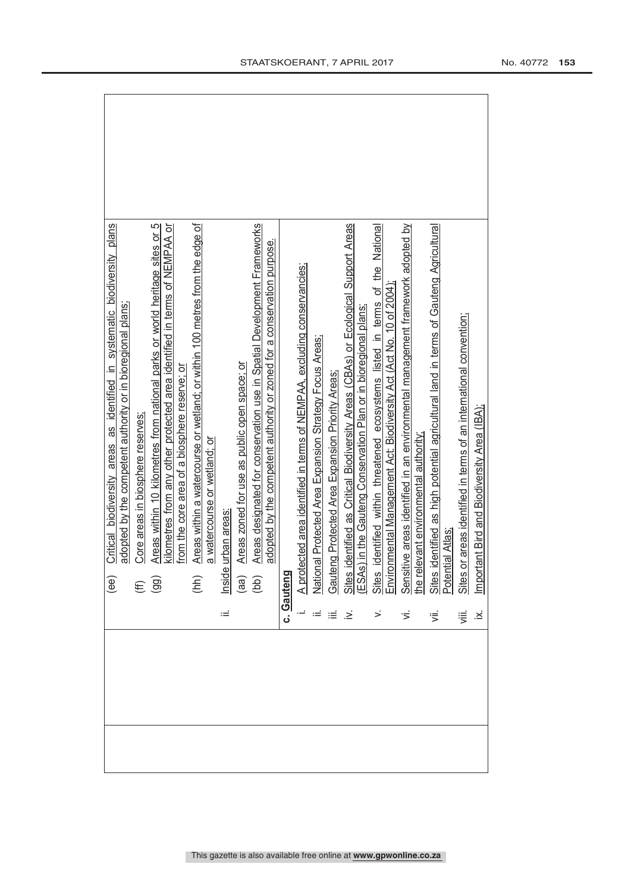|  |              | Critical biodiversity areas as identified in systematic biodiversity plans<br>$\widehat{\mathsf{e}}$ e)                                                                                                             |
|--|--------------|---------------------------------------------------------------------------------------------------------------------------------------------------------------------------------------------------------------------|
|  |              | adopted by the competent authority or in bioregional plans;                                                                                                                                                         |
|  |              | Core areas in biosphere reserves;                                                                                                                                                                                   |
|  |              | Areas within 10 kilometres from national parks or world heritage sites or 5<br>$\widehat{\Xi}$                                                                                                                      |
|  |              | kilometres from any other protected area identified in terms of NEMPAA or<br>from the core area of a biosphere reserve; or                                                                                          |
|  |              | Areas within a watercourse or wetland; or within 100 metres from the edge of<br>(hh)                                                                                                                                |
|  |              | a watercourse or wetland; or                                                                                                                                                                                        |
|  | Ξ            | urban areas<br>Inside                                                                                                                                                                                               |
|  |              | Areas zoned for use as public open space; or                                                                                                                                                                        |
|  |              | Areas designated for conservation use in Spatial Development Frameworks<br>$\begin{pmatrix} a & b \\ c & d \end{pmatrix}$                                                                                           |
|  |              | adopted by the competent authority or zoned for a conservation purpose.                                                                                                                                             |
|  |              | c. Gauteng                                                                                                                                                                                                          |
|  |              | A protected area identified in terms of NEMPAA, excluding conservancies;                                                                                                                                            |
|  |              | nal Protected Area Expansion Strategy Focus Areas;<br>Nation                                                                                                                                                        |
|  |              | Gauteng Protected Area Expansion Priority Areas                                                                                                                                                                     |
|  | خ.           | identified as Critical Biodiversity Areas (CBAs) or Ecological Support Areas                                                                                                                                        |
|  |              | Sites identified as Critical Biodiversity Areas (CBAs) or Ecologic<br>[ESAs) in the Gauteng Conservation Plan or in bioregional plans;                                                                              |
|  | $\leq$       | identified within threatened ecosystems listed in terms of the National<br>Sites identified within threatened ecosystems listed in terms of<br>Environmental Management Act: Biodiversity Act (Act No. 10 of 2004); |
|  |              |                                                                                                                                                                                                                     |
|  |              | Sensitive areas identified in an environmental management framework adopted by<br>the relevant environmental authority <u>:</u>                                                                                     |
|  |              |                                                                                                                                                                                                                     |
|  | ず            | identified as high potential agricultural land in terms of Gauteng Agricultural<br>tial Atlas<br>Sites i                                                                                                            |
|  |              |                                                                                                                                                                                                                     |
|  | 這            | or areas identified in terms of an international convention;<br>Sites o                                                                                                                                             |
|  | $\ddot{\le}$ | tant Bird and Biodiversity Area (IBA);<br>Import                                                                                                                                                                    |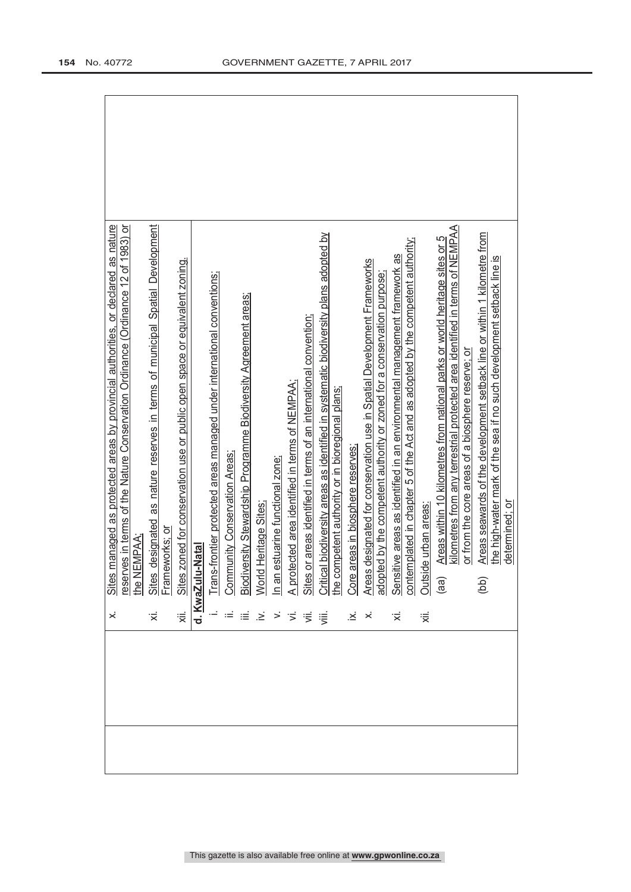|                                               | managed as protected areas by provincial authorities, or declared as nature                                                                                                                                                                   |
|-----------------------------------------------|-----------------------------------------------------------------------------------------------------------------------------------------------------------------------------------------------------------------------------------------------|
|                                               | res in terms of the Nature Conservation Ordinance (Ordinance 12 of 1983) or<br>EMPAA<br>Sites<br><u>reserv</u><br>the NE                                                                                                                      |
| '≍́                                           | designated as nature reserves in terms of municipal Spatial Development                                                                                                                                                                       |
|                                               | Sites designated as nature reserves in terms of municipal Spatial Devel<br>Frameworks: or<br>Sites zoned for conservation use or public open space or equivalent zoning.                                                                      |
|                                               |                                                                                                                                                                                                                                               |
|                                               | d. KwaZulu-Natal                                                                                                                                                                                                                              |
|                                               |                                                                                                                                                                                                                                               |
|                                               |                                                                                                                                                                                                                                               |
|                                               |                                                                                                                                                                                                                                               |
| $\geq$                                        | i. Trans-frontier protected areas managed under international conventions;<br>ii. Community Conservation Areas;<br>v. World Heritage Sites;<br>v. Mord Heritage Sites;<br>ii. A protected area identified in terms of NEMPAA;<br>ii. Sites or |
|                                               |                                                                                                                                                                                                                                               |
|                                               |                                                                                                                                                                                                                                               |
| $>$ $\frac{1}{2}$ $\frac{1}{2}$ $\frac{1}{2}$ |                                                                                                                                                                                                                                               |
|                                               |                                                                                                                                                                                                                                               |
|                                               |                                                                                                                                                                                                                                               |
| $\dot{\mathbf{z}}$                            |                                                                                                                                                                                                                                               |
| $\dot{\times}$                                |                                                                                                                                                                                                                                               |
|                                               |                                                                                                                                                                                                                                               |
|                                               | Sensitive areas as identified in an environmental management framework as<br>contemplated in chapter 5 of the Act and as adopted by the competent authority;                                                                                  |
| '≅                                            | de urban areas<br><b>Outsi</b>                                                                                                                                                                                                                |
|                                               | Areas within 10 kilometres from national parks or world heritage sites or 5<br>(aa)                                                                                                                                                           |
|                                               | kilometres from any terrestrial protected area identified in terms of NEMPAA                                                                                                                                                                  |
|                                               | or from the core areas of a biosphere reserve; or                                                                                                                                                                                             |
|                                               | Areas seawards of the development setback line or within 1 kilometre from<br>(b q)                                                                                                                                                            |
|                                               | the high-water mark of the sea if no such development setback line is<br>determined; or                                                                                                                                                       |
|                                               |                                                                                                                                                                                                                                               |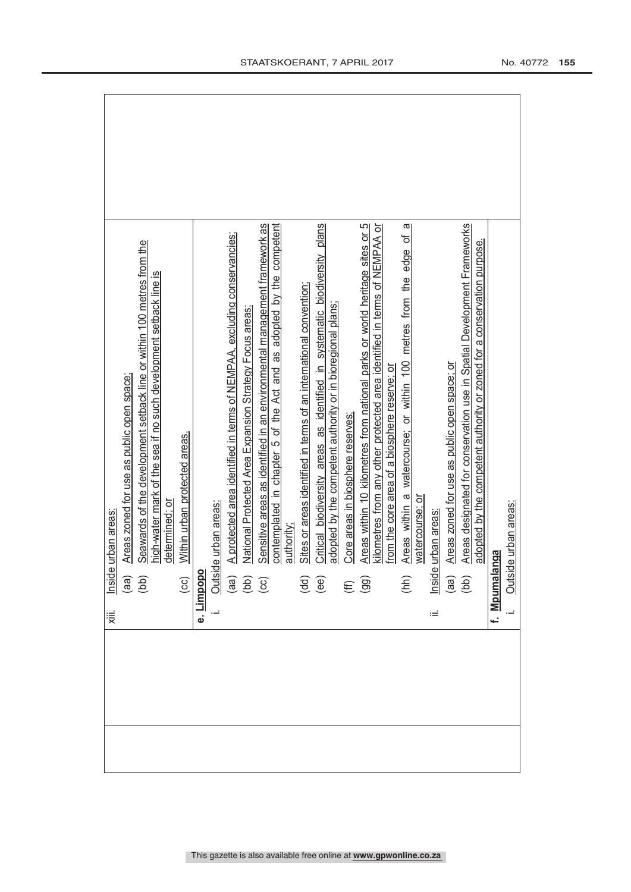| .iii |                                                    | Inside urban areas                                                          |  |
|------|----------------------------------------------------|-----------------------------------------------------------------------------|--|
|      | $\begin{pmatrix} 1 & 0 \\ 0 & 0 \end{pmatrix}$     | Areas zoned for use as public open space;                                   |  |
|      |                                                    | Seawards of the development setback line or within 100 metres from the      |  |
|      |                                                    | high-water mark of the sea if no such development setback line is           |  |
|      |                                                    | determined; or                                                              |  |
|      | $\overline{c}$                                     | Within urban protected areas.                                               |  |
|      | Dimpopo                                            |                                                                             |  |
|      |                                                    | de urban areas:                                                             |  |
|      |                                                    | A protected area identified in terms of NEMPAA, excluding conservancies;    |  |
|      | $\frac{\text{Outs}}{\text{(aa)}}$<br>(ad)<br>(cc)  | National Protected Area Expansion Strategy Focus areas                      |  |
|      |                                                    | Sensitive areas as identified in an environmental management framework as   |  |
|      |                                                    | contemplated in chapter 5 of the Act and as adopted by the competent        |  |
|      |                                                    | authority:                                                                  |  |
|      | $\overline{\mathbf{g}}$<br>$\overline{\mathbf{g}}$ | Sites or areas identified in terms of an international convention           |  |
|      |                                                    | Critical biodiversity areas as identified in systematic biodiversity plans  |  |
|      |                                                    | adopted by the competent authority or in bioregional plans;                 |  |
|      | $\widehat{\mathfrak{g}}$                           | Core areas in biosphere reserves;                                           |  |
|      |                                                    | Areas within 10 kilometres from national parks or world heritage sites or 5 |  |
|      |                                                    | kilometres from any other protected area identified in terms of NEMPAA or   |  |
|      |                                                    | from the core area of a biosphere reserve; or                               |  |
|      | (hh)                                               | a<br>Areas within a watercourse; or within 100 metres from the edge of      |  |
|      |                                                    | watercourse; or                                                             |  |
| Ξ    |                                                    | Inside urban areas:                                                         |  |
|      | $\begin{pmatrix} a & b \\ c & d \end{pmatrix}$     | Areas zoned for use as public open space; or                                |  |
|      |                                                    | Areas designated for conservation use in Spatial Development Frameworks     |  |
|      |                                                    | adopted by the competent authority or zoned for a conservation purpose.     |  |
|      | f. Mpumalanga                                      |                                                                             |  |
|      | Outsi                                              | de urban areas:                                                             |  |
|      |                                                    |                                                                             |  |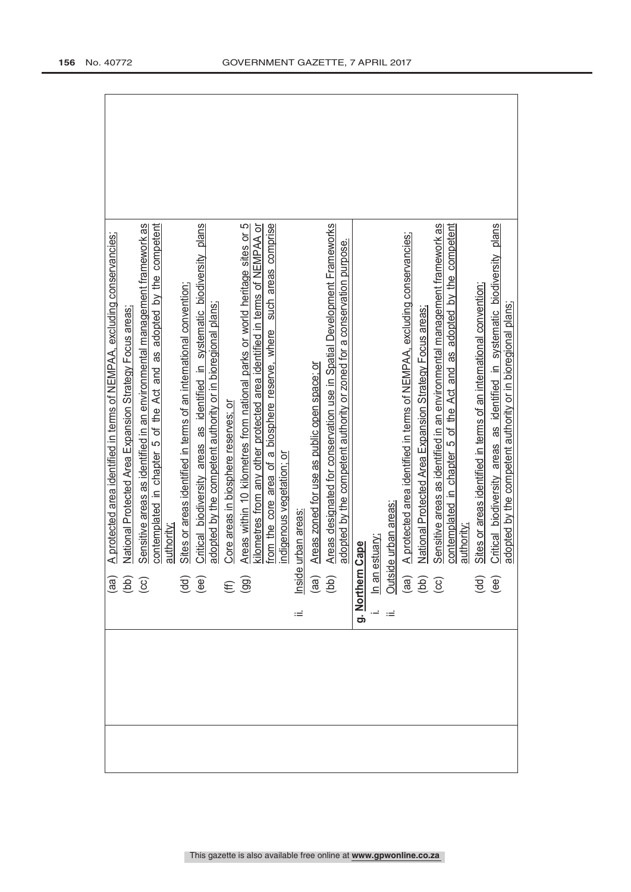|                                                           | A protected area identified in terms of NEMPAA, excluding conservancies;                                                                     |
|-----------------------------------------------------------|----------------------------------------------------------------------------------------------------------------------------------------------|
| $\begin{pmatrix} 0 \\ 0 \\ 0 \\ 0 \\ 0 \end{pmatrix}$     | National Protected Area Expansion Strategy Focus areas                                                                                       |
|                                                           | Sensitive areas as identified in an environmental management framework as                                                                    |
|                                                           | contemplated in chapter 5 of the Act and as adopted by the competent                                                                         |
|                                                           | authority                                                                                                                                    |
| $\overline{\mathbf{g}}$<br>$\overline{\mathbf{g}}$        | Sites or areas identified in terms of an international convention;                                                                           |
|                                                           | Critical biodiversity areas as identified in systematic biodiversity plans                                                                   |
|                                                           | adopted by the competent authority or in bioregional plans;                                                                                  |
| $(\widehat{\mathbf{H}})$                                  | Core areas in biosphere reserves; or                                                                                                         |
|                                                           | Areas within 10 kilometres from national parks or world heritage sites or 5                                                                  |
|                                                           | kilometres from any other protected area identified in terms of NEMPAA or                                                                    |
|                                                           | such areas comprise<br>from the core area of a biosphere reserve, where                                                                      |
|                                                           | indigenous vegetation; or                                                                                                                    |
| Inside<br>Ξ                                               | urban areas                                                                                                                                  |
| $\begin{array}{c} \text{(ne)} \\ \text{(be)} \end{array}$ | Areas zoned for use as public open space; or                                                                                                 |
|                                                           | Areas designated for conservation use in Spatial Development Frameworks                                                                      |
|                                                           | adopted by the competent authority or zoned for a conservation purpose.                                                                      |
| g. Northern                                               | Cape                                                                                                                                         |
|                                                           |                                                                                                                                              |
|                                                           | le urban areas:                                                                                                                              |
|                                                           | A protected area identified in terms of NEMPAA, excluding conservancies;                                                                     |
|                                                           | National Protected Area Expansion Strategy Focus areas:<br>In an estuary:<br>Outside urban<br>(aa) A protec<br>(bb) Nationa<br>(cc) Sensitiv |
|                                                           | Sensitive areas as identified in an environmental management framework as                                                                    |
|                                                           | contemplated in chapter 5 of the Act and as adopted by the competent                                                                         |
|                                                           | authority                                                                                                                                    |
| $\overline{\mathbf{g}}\ \mathbf{e}$                       | Sites or areas identified in terms of an international convention;                                                                           |
|                                                           | Critical biodiversity areas as identified in systematic biodiversity plans<br>adopted by the competent authority or in bioregional plans;    |
|                                                           |                                                                                                                                              |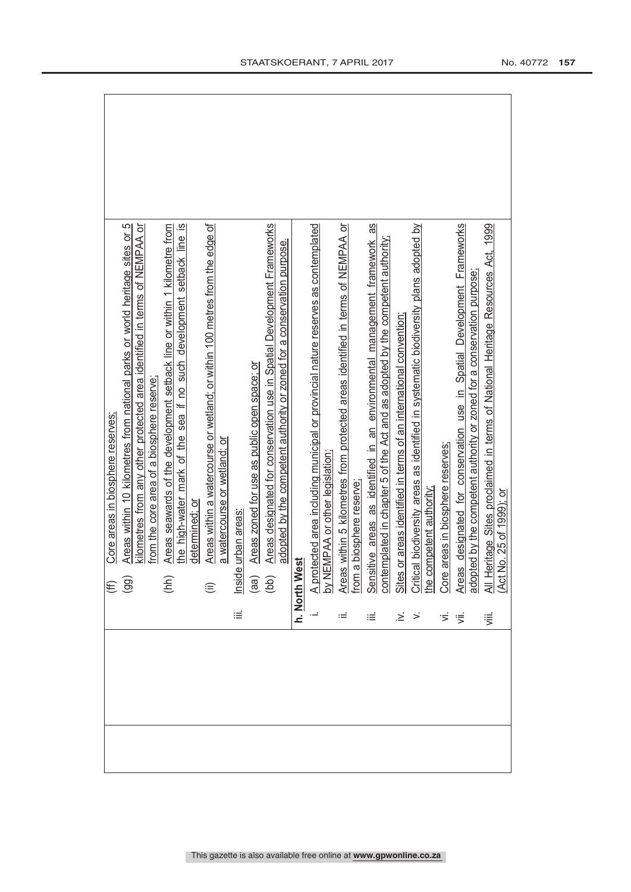|                                           | Core areas in biosphere reserves;                                                                                                                      |
|-------------------------------------------|--------------------------------------------------------------------------------------------------------------------------------------------------------|
|                                           | Areas within 10 kilometres from national parks or world heritage sites or 5<br>$(\widehat{\mathfrak{g}})$                                              |
|                                           | kilometres from any other protected area identified in terms of NEMPAA or                                                                              |
|                                           | from the core area of a biosphere reserve:                                                                                                             |
|                                           | Areas seawards of the development setback line or within 1 kilometre from<br>(hh)                                                                      |
|                                           | the high-water mark of the sea if no such development setback line is                                                                                  |
|                                           | determined; or                                                                                                                                         |
|                                           | Areas within a watercourse or wetland; or within 100 metres from the edge of<br>$\widehat{\equiv}$                                                     |
|                                           | a watercourse or wetland; or                                                                                                                           |
| iΞ                                        | urban areas<br>Inside                                                                                                                                  |
|                                           | Areas zoned for use as public open space; or                                                                                                           |
|                                           | Areas designated for conservation use in Spatial Development Frameworks<br>$\begin{pmatrix} a & b \\ c & d \end{pmatrix}$                              |
|                                           | adopted by the competent authority or zoned for a conservation purpose.                                                                                |
|                                           | h. North West                                                                                                                                          |
|                                           | A protected area including municipal or provincial nature reserves as contemplated<br>by NEMPAA or other legislation;                                  |
|                                           |                                                                                                                                                        |
|                                           | Areas within 5 kilometres from protected areas identified in terms of NEMPAA or                                                                        |
|                                           | from a biosphere reserve                                                                                                                               |
| ≡                                         | Sensitive areas as identified in an environmental management framework as                                                                              |
|                                           |                                                                                                                                                        |
| .≥                                        | contemplated in chapter 5 of the Act and as adopted by the competent authority;<br>Sites or areas identified in terms of an international convention;  |
|                                           |                                                                                                                                                        |
|                                           |                                                                                                                                                        |
| $\overrightarrow{5}$ $\overrightarrow{5}$ | Critical biodiversity areas as identified in systematic biodiversity plans adopted by<br>the competent authority:<br>Core areas in biosphere reserves; |
|                                           | designated for conservation use in Spatial Development Frameworks<br><b>Areas</b>                                                                      |
|                                           | adopted by the competent authority or zoned for a conservation purpose                                                                                 |
| 這                                         | All Heritage Sites proclaimed in terms of National Heritage Resources Act, 1999<br>(Act No. 25 of 1999); or                                            |
|                                           |                                                                                                                                                        |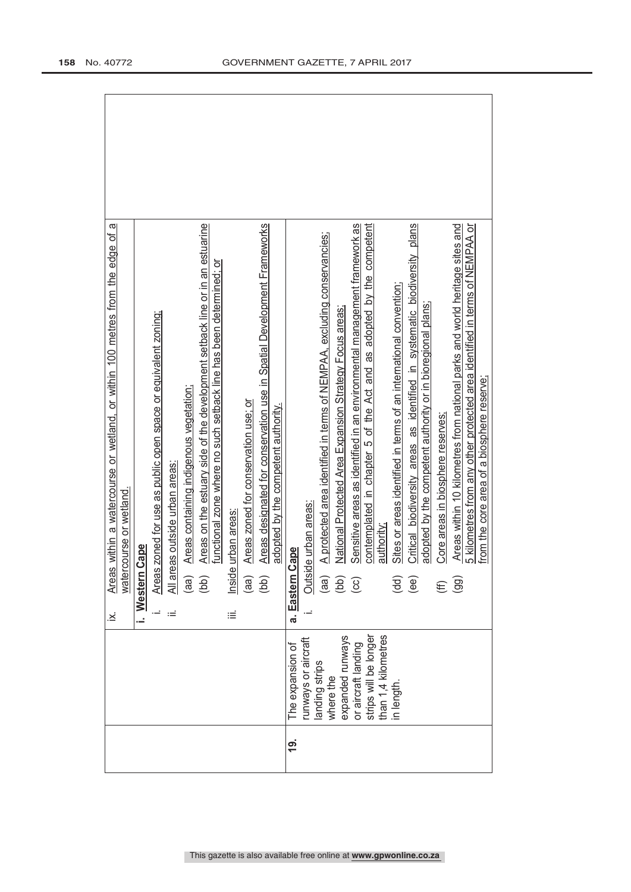|               |                                              | $\dot{\mathbf{z}}$ | Areas within a watercourse or wetland, or within 100 metres from the edge of a                                                                             |  |
|---------------|----------------------------------------------|--------------------|------------------------------------------------------------------------------------------------------------------------------------------------------------|--|
|               |                                              |                    | watercourse or wetland.                                                                                                                                    |  |
|               |                                              |                    | Cape<br>i. Western                                                                                                                                         |  |
|               |                                              |                    | Areas zoned for use as public open space or equivalent zoning;                                                                                             |  |
|               |                                              | ωĖ                 | eas outside urban areas:<br>$\frac{a}{\sqrt{2}}$                                                                                                           |  |
|               |                                              |                    | Areas containing indigenous vegetation;<br>(aa)                                                                                                            |  |
|               |                                              |                    | Areas on the estuary side of the development setback line or in an estuarine<br>functional zone where no such setback line has been determined; or<br>(bb) |  |
|               |                                              | ≔                  | nside urban areas                                                                                                                                          |  |
|               |                                              |                    | Areas zoned for conservation use: or<br>(aa)                                                                                                               |  |
|               |                                              |                    | Areas designated for conservation use in Spatial Development Frameworks<br>(bb)                                                                            |  |
|               |                                              |                    | adopted by the competent authority.                                                                                                                        |  |
| $\frac{9}{1}$ | The expansion of                             |                    | Cape<br>a. Eastern                                                                                                                                         |  |
|               | runways or aircraft                          |                    | de urban areas:<br>Outsi                                                                                                                                   |  |
|               | landing strips<br>where the                  |                    | A protected area identified in terms of NEMPAA, excluding conservancies;<br>(aa)                                                                           |  |
|               | expanded runways                             |                    | National Protected Area Expansion Strategy Focus areas;<br>$\left(\begin{matrix} 1 & 0 \\ 0 & 0 \\ 0 & 0 \end{matrix}\right)$                              |  |
|               | or aircraft landing                          |                    | Sensitive areas as identified in an environmental management framework as                                                                                  |  |
|               | than 1,4 kilometres<br>strips will be longer |                    | contemplated in chapter 5 of the Act and as adopted by the competent<br>authority;                                                                         |  |
|               | in length.                                   |                    | Sites or areas identified in terms of an international convention;<br>(dd)                                                                                 |  |
|               |                                              |                    | Critical biodiversity areas as identified in systematic biodiversity plans<br>(ee)                                                                         |  |
|               |                                              |                    | adopted by the competent authority or in bioregional plans;                                                                                                |  |
|               |                                              |                    | Core areas in biosphere reserves;                                                                                                                          |  |
|               |                                              |                    | Areas within 10 kilometres from national parks and world heritage sites and<br>$\overline{99}$                                                             |  |
|               |                                              |                    | 5 kilometres from any other protected area identified in terms of NEMPAA or<br>from the core area of a biosphere reserve;                                  |  |
|               |                                              |                    |                                                                                                                                                            |  |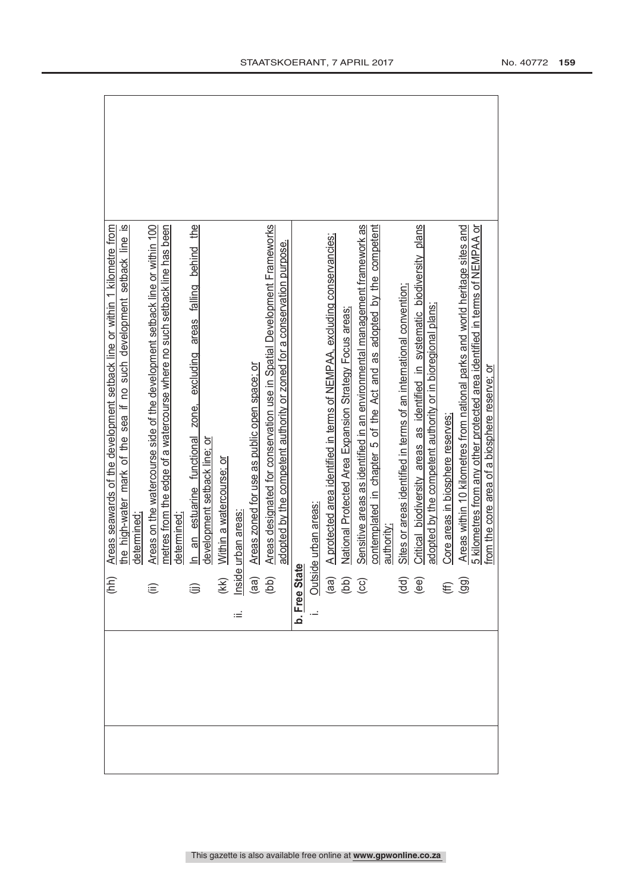| (hh)                                  | Areas seawards of the development setback line or within 1 kilometre from       |
|---------------------------------------|---------------------------------------------------------------------------------|
|                                       | the high-water mark of the sea if no such development setback line is           |
|                                       | determined                                                                      |
| $\widehat{\equiv}$                    | Areas on the watercourse side of the development setback line or within 100     |
|                                       | metres from the edge of a watercourse where no such setback line has been       |
|                                       | determined                                                                      |
| $\widehat{\mathbb{B}}$                | areas falling behind the<br>an estuarine functional zone, excluding<br>$\equiv$ |
|                                       | development setback line; or                                                    |
| (KK)<br><u>Inside</u><br>(aa)<br>(bb) | Within a watercourse; or                                                        |
| .≟                                    | urban areas                                                                     |
|                                       | Areas zoned for use as public open space; or                                    |
|                                       | Areas designated for conservation use in Spatial Development Frameworks         |
|                                       | adopted by the competent authority or zoned for a conservation purpose.         |
| b. Free Stat                          |                                                                                 |
|                                       | le urban areas                                                                  |
|                                       | A protected area identified in terms of NEMPAA, excluding conservancies;        |
| Outsid<br>(aa)<br>(cc)<br>(cc)        | National Protected Area Expansion Strategy Focus areas:                         |
|                                       | Sensitive areas as identified in an environmental management framework as       |
|                                       | contemplated in chapter 5 of the Act and as adopted by the competent            |
|                                       | authority;                                                                      |
| $(dd)$<br>$(ee)$                      | Sites or areas identified in terms of an international convention;              |
|                                       | Critical biodiversity areas as identified in systematic biodiversity plans      |
|                                       | adopted by the competent authority or in bioregional plans;                     |
| $\widehat{\Xi}$                       | Core areas in biosphere reserves;                                               |
|                                       | Areas within 10 kilometres from national parks and world heritage sites and     |
|                                       | 5 kilometres from any other protected area identified in terms of NEMPAA or     |
|                                       | from the core area of a biosphere reserve; or                                   |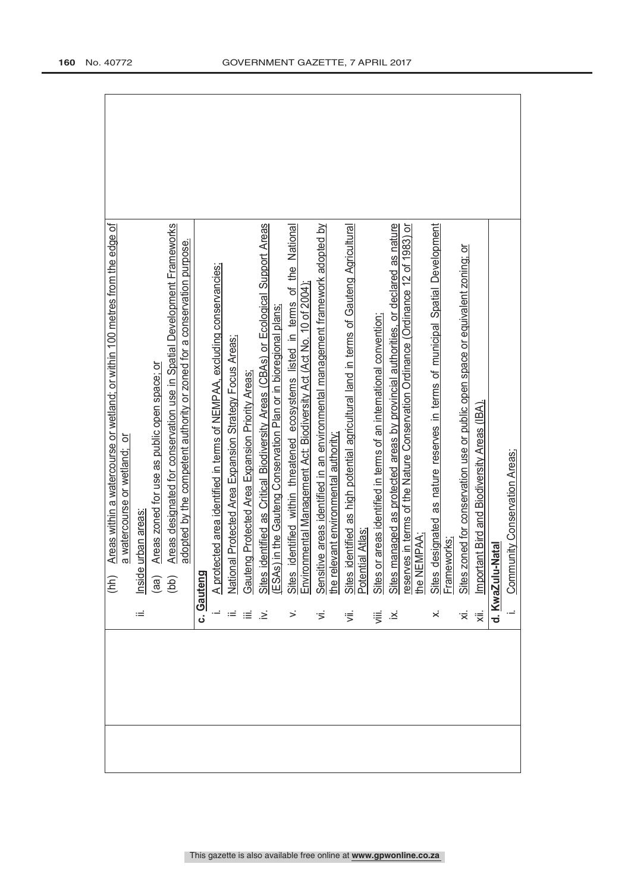|         | Areas within a watercourse or wetland; or within 100 metres from the edge of<br>(hh)      |
|---------|-------------------------------------------------------------------------------------------|
|         | a watercourse or wetland; or                                                              |
| ιË      | urban areas<br>Inside                                                                     |
|         | Areas zoned for use as public open space; or<br>(aa)                                      |
|         | Areas designated for conservation use in Spatial Development Frameworks<br>(bb)           |
|         | adopted by the competent authority or zoned for a conservation purpose.                   |
|         | c. Gauteng                                                                                |
|         | A protected area identified in terms of NEMPAA, excluding conservancies;                  |
|         | National Protected Area Expansion Strategy Focus Areas;                                   |
| ≡       | Gauteng Protected Area Expansion Priority Areas;                                          |
| .≥      | dentified as Critical Biodiversity Areas (CBAs) or Ecological Support Areas<br>Sites i    |
|         | ESAs) in the Gauteng Conservation Plan or in bioregional plans;                           |
| >       | identified within threatened ecosystems listed in terms of the National<br><b>Sites</b>   |
|         | Environmental Management Act: Biodiversity Act (Act No. 10 of 2004);                      |
| ゙゙゚゙゙   | ive areas identified in an environmental management framework adopted by<br>Sensiti       |
|         | evant environmental authority:<br>the rel                                                 |
| ⋚       | dentified as high potential agricultural land in terms of Gauteng Agricultural<br>Sites i |
|         | Potential Atlas                                                                           |
| 這       | Sites or areas identified in terms of an international convention;                        |
| ∴.<br>∴ | managed as protected areas by provincial authorities, or declared as nature<br>Sites n    |
|         | reserves in terms of the Nature Conservation Ordinance (Ordinance 12 of 1983) or          |
|         | the NEMPAA;                                                                               |
| ×       | Sites designated as nature reserves in terms of municipal Spatial Development             |
|         | Frameworks;                                                                               |
| '≍      | Sites zoned for conservation use or public open space or equivalent zoning; or            |
| 'ह्रं   | Important Bird and Biodiversity Areas (IBA).                                              |
|         | d. KwaZulu-Nata                                                                           |
|         | unity Conservation Areas;<br>Comm                                                         |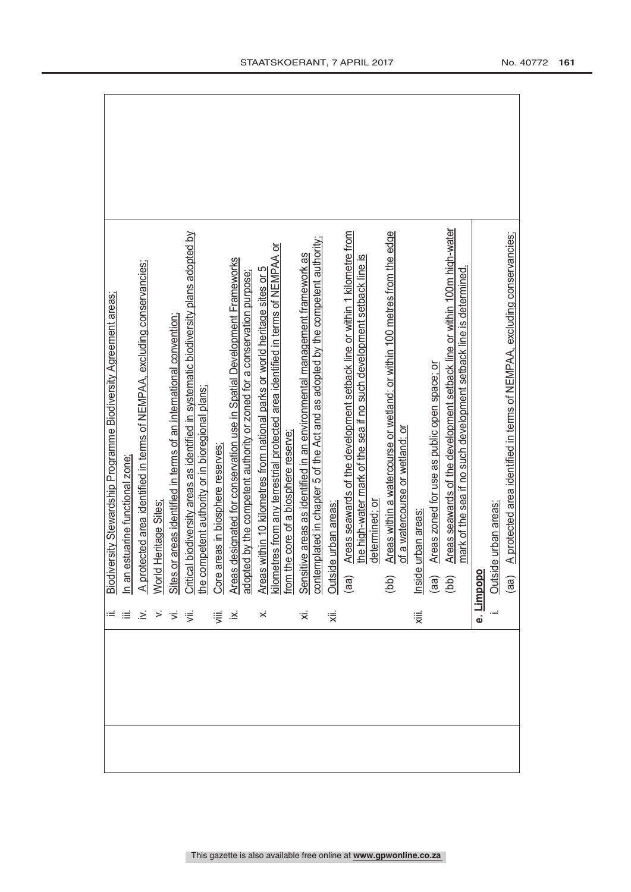| $\mathcal{A}^{\mathcal{A}}\mathcal{A}^{\mathcal{B}}\mathcal{B}^{\mathcal{B}}\mathcal{B}^{\mathcal{B}}\mathcal{B}^{\mathcal{B}}\mathcal{B}^{\mathcal{B}}\mathcal{B}^{\mathcal{B}}$ |  |  |  | $\equiv$ $\times$ | $\dot{\times}$ | ii. B <u>iodiversity Stewardship Programme Biodiversity Agreement areas;</u><br>ii. In an estuarine functional zone;<br>v. A protected area identified in terms of an international convention;<br>ii. Sites or areas identified in terms of<br>Ϊ×. | ΪÏ. | the high-water mark of the sea if no such development setback line is | determined; or | Areas within a watercourse or wetland; or within 100 metres from the edge<br>of a watercourse or wetland; or<br>(bb) | e urban areas<br>、 | Areas zoned for use as public open space; or | Areas seawards of the development setback line or within 100m high-water<br>mark of the sea if no such development setback line is determined.<br>$\frac{1}{\sqrt{10}}$<br>(aa) | e. <u>Limpop</u> | Outside urban areas: | A protected area identified in terms of NEMPAA, excluding conservancies;<br>(aa) |
|-----------------------------------------------------------------------------------------------------------------------------------------------------------------------------------|--|--|--|-------------------|----------------|-----------------------------------------------------------------------------------------------------------------------------------------------------------------------------------------------------------------------------------------------------|-----|-----------------------------------------------------------------------|----------------|----------------------------------------------------------------------------------------------------------------------|--------------------|----------------------------------------------|---------------------------------------------------------------------------------------------------------------------------------------------------------------------------------|------------------|----------------------|----------------------------------------------------------------------------------|
|                                                                                                                                                                                   |  |  |  |                   |                |                                                                                                                                                                                                                                                     |     |                                                                       |                |                                                                                                                      |                    |                                              |                                                                                                                                                                                 |                  |                      |                                                                                  |
|                                                                                                                                                                                   |  |  |  |                   |                |                                                                                                                                                                                                                                                     |     |                                                                       |                |                                                                                                                      |                    |                                              |                                                                                                                                                                                 |                  |                      |                                                                                  |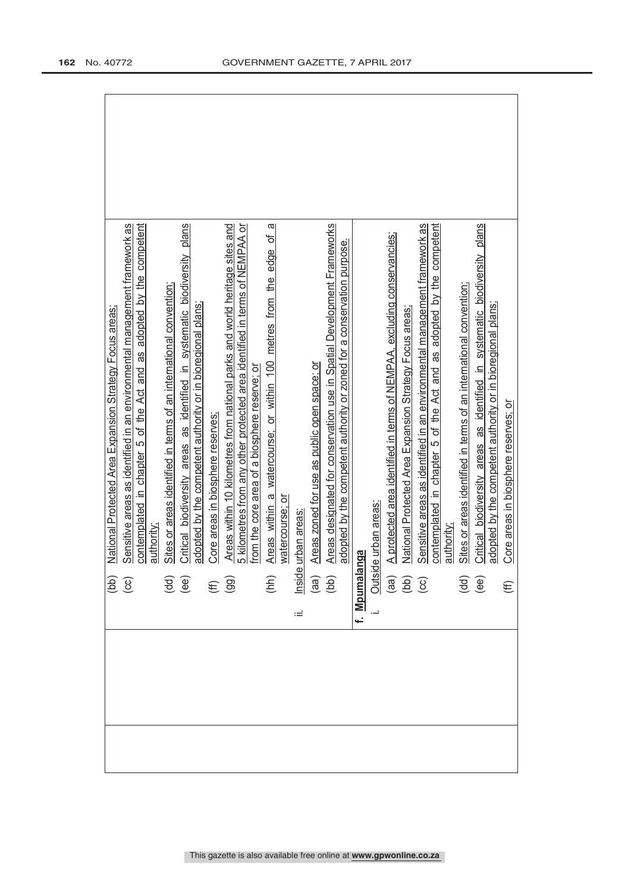|                                                                                                                                                                                                                                                                                                                                     | National Protected Area Expansion Strategy Focus areas                      |
|-------------------------------------------------------------------------------------------------------------------------------------------------------------------------------------------------------------------------------------------------------------------------------------------------------------------------------------|-----------------------------------------------------------------------------|
|                                                                                                                                                                                                                                                                                                                                     |                                                                             |
| $\left(\frac{3}{10}\right)$                                                                                                                                                                                                                                                                                                         | Sensitive areas as identified in an environmental management framework as   |
|                                                                                                                                                                                                                                                                                                                                     | contemplated in chapter 5 of the Act and as adopted by the competent        |
|                                                                                                                                                                                                                                                                                                                                     | authority:                                                                  |
|                                                                                                                                                                                                                                                                                                                                     | Sites or areas identified in terms of an international convention:          |
|                                                                                                                                                                                                                                                                                                                                     | Critical biodiversity areas as identified in systematic biodiversity plans  |
|                                                                                                                                                                                                                                                                                                                                     | adopted by the competent authority or in bioregional plans;                 |
|                                                                                                                                                                                                                                                                                                                                     | Core areas in biosphere reserves:                                           |
| $\begin{pmatrix} 1 & 0 & 0 \\ 0 & 0 & 0 \\ 0 & 0 & 0 \\ 0 & 0 & 0 \\ 0 & 0 & 0 \\ 0 & 0 & 0 \\ 0 & 0 & 0 \\ 0 & 0 & 0 \\ 0 & 0 & 0 \\ 0 & 0 & 0 \\ 0 & 0 & 0 \\ 0 & 0 & 0 \\ 0 & 0 & 0 \\ 0 & 0 & 0 \\ 0 & 0 & 0 \\ 0 & 0 & 0 & 0 \\ 0 & 0 & 0 & 0 \\ 0 & 0 & 0 & 0 \\ 0 & 0 & 0 & 0 \\ 0 & 0 & 0 & 0 & 0 \\ 0 & 0 & 0 & 0 & 0 \\ $ | Areas within 10 kilometres from national parks and world heritage sites and |
|                                                                                                                                                                                                                                                                                                                                     | 5 kilometres from any other protected area identified in terms of NEMPAA or |
|                                                                                                                                                                                                                                                                                                                                     | from the core area of a biosphere reserve; or                               |
| (hh)                                                                                                                                                                                                                                                                                                                                | ω<br>Areas within a watercourse; or within 100 metres from the edge of      |
|                                                                                                                                                                                                                                                                                                                                     | watercourse; or                                                             |
| Ξ                                                                                                                                                                                                                                                                                                                                   | urban areas                                                                 |
| lnside<br>(aa)<br>(bb)                                                                                                                                                                                                                                                                                                              | Areas zoned for use as public open space; or                                |
|                                                                                                                                                                                                                                                                                                                                     | Areas designated for conservation use in Spatial Development Frameworks     |
|                                                                                                                                                                                                                                                                                                                                     | adopted by the competent authority or zoned for a conservation purpose.     |
| f. <u>Mpumalang</u> a                                                                                                                                                                                                                                                                                                               |                                                                             |
| outsid<br>(aa)<br>(b)<br>(cc)                                                                                                                                                                                                                                                                                                       | e urban areas:                                                              |
|                                                                                                                                                                                                                                                                                                                                     | A protected area identified in terms of NEMPAA, excluding conservancies;    |
|                                                                                                                                                                                                                                                                                                                                     | National Protected Area Expansion Strategy Focus areas:                     |
|                                                                                                                                                                                                                                                                                                                                     | Sensitive areas as identified in an environmental management framework as   |
|                                                                                                                                                                                                                                                                                                                                     | contemplated in chapter 5 of the Act and as adopted by the competent        |
|                                                                                                                                                                                                                                                                                                                                     | authority;                                                                  |
| $\overline{\mathbf{H}}$<br>$\overline{\mathbf{H}}$                                                                                                                                                                                                                                                                                  | Sites or areas identified in terms of an international convention;          |
|                                                                                                                                                                                                                                                                                                                                     | Critical biodiversity areas as identified in systematic biodiversity plans  |
|                                                                                                                                                                                                                                                                                                                                     | adopted by the competent authority or in bioregional plans;                 |
| $\widehat{\mathbf{f}}$                                                                                                                                                                                                                                                                                                              | Core areas in biosphere reserves; or                                        |
|                                                                                                                                                                                                                                                                                                                                     |                                                                             |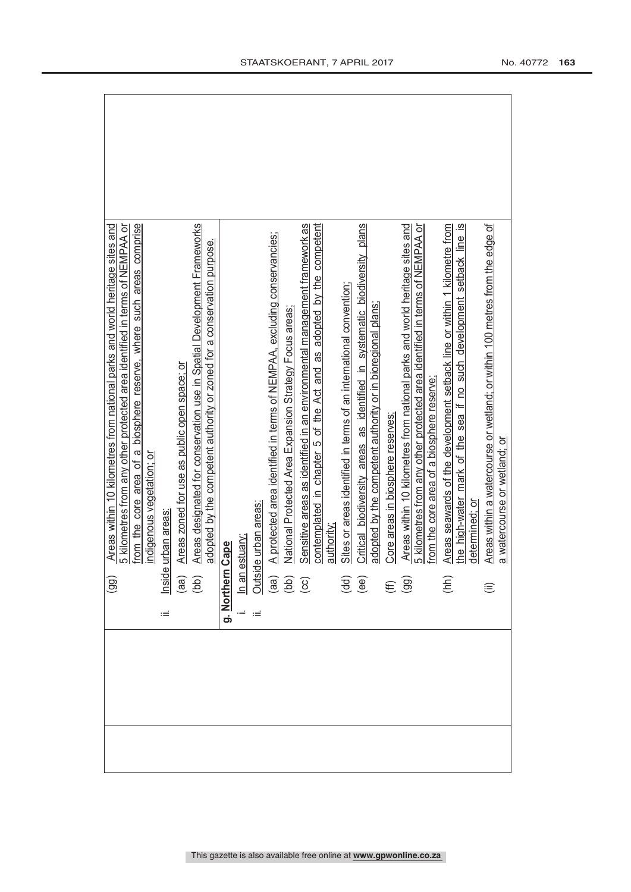| (99)                                               | from the core area of a biosphere reserve, where such areas comprise<br>Areas within 10 kilometres from national parks and world heritage sites and<br>5 kilometres from any other protected area identified in terms of NEMPAA or |
|----------------------------------------------------|------------------------------------------------------------------------------------------------------------------------------------------------------------------------------------------------------------------------------------|
| Inside<br>Ξ                                        | indigenous vegetation; or<br>urban areas                                                                                                                                                                                           |
|                                                    | Areas zoned for use as public open space; or                                                                                                                                                                                       |
| $\begin{pmatrix} a & b \\ c & d \end{pmatrix}$     | Areas designated for conservation use in Spatial Development Frameworks<br>adopted by the competent authority or zoned for a conservation purpose.                                                                                 |
| g. Northern                                        | Cape                                                                                                                                                                                                                               |
|                                                    |                                                                                                                                                                                                                                    |
| Ξ                                                  | le urban areas:                                                                                                                                                                                                                    |
|                                                    | A protected area identified in terms of NEMPAA, excluding conservancies;                                                                                                                                                           |
|                                                    | National Protected Area Expansion Strategy Focus areas<br>In an estuary:<br>Outside urban<br>(aa) A protected<br>(cc) Sensitive                                                                                                    |
|                                                    | Sensitive areas as identified in an environmental management framework as                                                                                                                                                          |
|                                                    | contemplated in chapter 5 of the Act and as adopted by the competent<br>authority                                                                                                                                                  |
|                                                    |                                                                                                                                                                                                                                    |
|                                                    | Sites or areas identified in terms of an international convention;                                                                                                                                                                 |
| $\overline{\mathbf{g}}$<br>$\overline{\mathbf{g}}$ | Critical biodiversity areas as identified in systematic biodiversity plans                                                                                                                                                         |
|                                                    | adopted by the competent authority or in bioregional plans;                                                                                                                                                                        |
|                                                    | Core areas in biosphere reserves;                                                                                                                                                                                                  |
| $(E \n9)$                                          | Areas within 10 kilometres from national parks and world heritage sites and                                                                                                                                                        |
|                                                    | 5 kilometres from any other protected area identified in terms of NEMPAA or<br>from the core area of a biosphere reserve                                                                                                           |
| (hh)                                               | Areas seawards of the development setback line or within 1 kilometre from                                                                                                                                                          |
|                                                    | the high-water mark of the sea if no such development setback line is                                                                                                                                                              |
|                                                    | determined: or                                                                                                                                                                                                                     |
| €                                                  | Areas within a watercourse or wetland; or within 100 metres from the edge of                                                                                                                                                       |
|                                                    | a watercourse or wetland; or                                                                                                                                                                                                       |

 $\overline{\mathbf{1}}$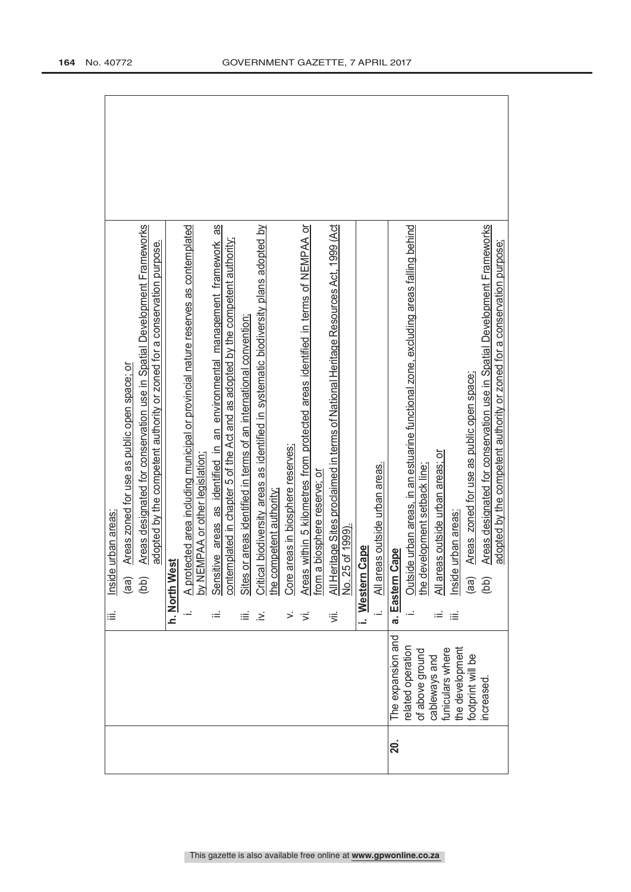| Sensitive areas as identified in an environmental management framework as<br>Areas designated for conservation use in Spatial Development Frameworks<br>Critical biodiversity areas as identified in systematic biodiversity plans adopted by<br>Areas within 5 kilometres from protected areas identified in terms of NEMPAA or<br>A protected area including municipal or provincial nature reserves as contemplated<br>All Heritage Sites proclaimed in terms of National Heritage Resources Act, 1999 (Act<br>contemplated in chapter 5 of the Act and as adopted by the competent authority;<br>adopted by the competent authority or zoned for a conservation purpose.<br>Sites or areas identified in terms of an international convention;<br>Areas zoned for use as public open space; or<br>Core areas in biosphere reserves;<br>EMPAA or other legislation<br>eas outside urban areas.<br>a biosphere reserve; or<br>the competent authority;<br>e urban areas<br>No. 25 of 1999).<br>i. Western Cape<br>est<br>by NE<br>Inside<br>h. North W<br>All ar<br>from<br>(bb)<br>(aa)<br>≡<br>≡<br>∹.<br>><br>$\dot{\equiv}$<br>≔<br>≔. | Outside urban areas, in an estuarine functional zone, excluding areas falling behind<br>Areas designated for conservation use in Spatial Development Frameworks<br>adopted by the competent authority or zoned for a conservation purpose;<br>Areas zoned for use as public open space;<br>eas outside urban areas; or<br>evelopment setback line;<br>Inside urban areas<br>Cape<br>the d<br>ة الAll<br>a. Eastern<br>(aa)<br>$\left($ db)<br>≡ |
|----------------------------------------------------------------------------------------------------------------------------------------------------------------------------------------------------------------------------------------------------------------------------------------------------------------------------------------------------------------------------------------------------------------------------------------------------------------------------------------------------------------------------------------------------------------------------------------------------------------------------------------------------------------------------------------------------------------------------------------------------------------------------------------------------------------------------------------------------------------------------------------------------------------------------------------------------------------------------------------------------------------------------------------------------------------------------------------------------------------------------------------------|-------------------------------------------------------------------------------------------------------------------------------------------------------------------------------------------------------------------------------------------------------------------------------------------------------------------------------------------------------------------------------------------------------------------------------------------------|
|                                                                                                                                                                                                                                                                                                                                                                                                                                                                                                                                                                                                                                                                                                                                                                                                                                                                                                                                                                                                                                                                                                                                              | The expansion and<br>related operation<br>the development<br>funiculars where<br>of above ground<br>footprint will be<br>cableways and<br>ncreased                                                                                                                                                                                                                                                                                              |
|                                                                                                                                                                                                                                                                                                                                                                                                                                                                                                                                                                                                                                                                                                                                                                                                                                                                                                                                                                                                                                                                                                                                              | <b>20.</b>                                                                                                                                                                                                                                                                                                                                                                                                                                      |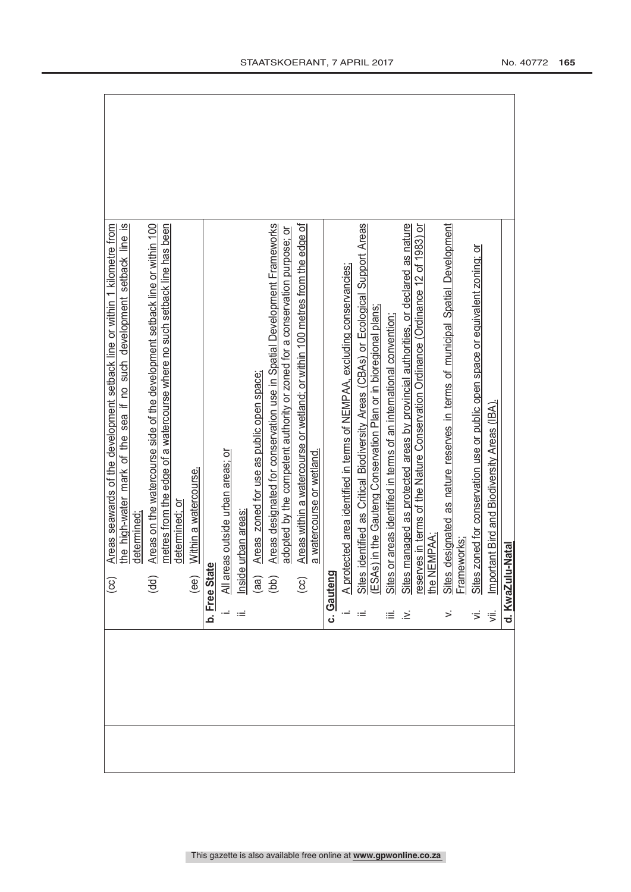|        | Areas seawards of the development setback line or within 1 kilometre from<br>$\odot$                                                                                                                                   |
|--------|------------------------------------------------------------------------------------------------------------------------------------------------------------------------------------------------------------------------|
|        | the high-water mark of the sea if no such development setback line is                                                                                                                                                  |
|        | determined                                                                                                                                                                                                             |
|        | Areas on the watercourse side of the development setback line or within 100<br>(dd)                                                                                                                                    |
|        | metres from the edge of a watercourse where no such setback line has been                                                                                                                                              |
|        | determined; or                                                                                                                                                                                                         |
|        | Within a watercourse.<br>(ee)                                                                                                                                                                                          |
|        | b. Free Stat                                                                                                                                                                                                           |
|        | All areas outside urban areas; or                                                                                                                                                                                      |
| Ξ      | urban areas<br>Inside                                                                                                                                                                                                  |
|        | Areas zoned for use as public open space;<br>(aa)                                                                                                                                                                      |
|        | Areas designated for conservation use in Spatial Development Frameworks<br>(bb)                                                                                                                                        |
|        | adopted by the competent authority or zoned for a conservation purpose; or                                                                                                                                             |
|        | Areas within a watercourse or wetland; or within 100 metres from the edge of<br>$\overline{c}$                                                                                                                         |
|        | a watercourse or wetland.                                                                                                                                                                                              |
|        | c. Gauteng                                                                                                                                                                                                             |
|        | A protected area identified in terms of NEMPAA, excluding conservancies                                                                                                                                                |
|        | identified as Critical Biodiversity Areas (CBAs) or Ecological Support Areas<br>Sites identified as Critical Biodiversity Areas (CBAs) or Ecologic<br>(ESAs) in the Gauteng Conservation Plan or in bioregional plans; |
|        |                                                                                                                                                                                                                        |
| ≝      | Sites or areas identified in terms of an international convention                                                                                                                                                      |
| .≥ં    | Sites managed as protected areas by provincial authorities, or declared as nature                                                                                                                                      |
|        | reserves in terms of the Nature Conservation Ordinance (Ordinance 12 of 1983) or                                                                                                                                       |
|        | the NEMPAA;                                                                                                                                                                                                            |
| $\leq$ | designated as nature reserves in terms of municipal Spatial Development<br><b>Sites</b>                                                                                                                                |
|        | Frameworks                                                                                                                                                                                                             |
| ゙゙゚゙   | Sites zoned for conservation use or public open space or equivalent zoning; or                                                                                                                                         |
| 、      | Important Bird and Biodiversity Areas (IBA).                                                                                                                                                                           |
|        | -Natal<br>d. KwaZulu                                                                                                                                                                                                   |
|        |                                                                                                                                                                                                                        |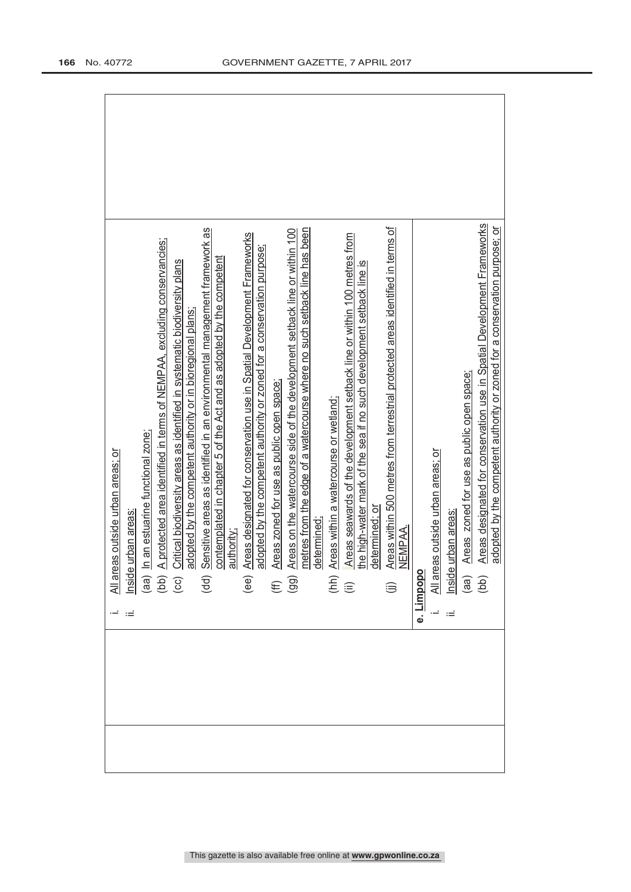| <u>All areas outside urban areas; or</u><br>Inside urban areas <u>:</u>                                                                                                                                                                 |
|-----------------------------------------------------------------------------------------------------------------------------------------------------------------------------------------------------------------------------------------|
|                                                                                                                                                                                                                                         |
|                                                                                                                                                                                                                                         |
| (aa) In an estuarine functional zone;<br>(bb) A protected area identified in terms of NEMPAA, excluding conservancies;<br>(cc) Critical biodiversity areas as identified in systematic biodiversity plans<br>(acc) adopted by the compe |
|                                                                                                                                                                                                                                         |
| adopted by the competent authority or in bioregional plans;<br>Sensitive areas as identified in an environmental management framework as<br>contemplated in chapter 5 of the Act and as adopted by the competent<br>authority;<br>(dd)  |
|                                                                                                                                                                                                                                         |
| Areas designated for conservation use in Spatial Development Frameworks<br>$\widehat{\mathsf{e}\mathsf{e}}$                                                                                                                             |
|                                                                                                                                                                                                                                         |
|                                                                                                                                                                                                                                         |
| adopted by the competent authority or zoned for a conservation purpose;<br>Areas zoned for use as public open space;<br>Areas on the watercourse side of the development setback line or within 100<br>$\widehat{\mathfrak{g}}$         |
|                                                                                                                                                                                                                                         |
|                                                                                                                                                                                                                                         |
| metres from the edge of a watercourse where no such setback line has been<br>determined;<br>Areas within a watercourse or wetland;<br>$\widehat{\widehat{\Xi}}\ \widehat{\Xi}$                                                          |
| Areas seawards of the development setback line or within 100 metres from<br>the high-water mark of the sea if no such development setback line is                                                                                       |
| determined: or                                                                                                                                                                                                                          |
|                                                                                                                                                                                                                                         |
| Areas within 500 metres from terrestrial protected areas identified in terms of<br>NEMPAA.<br>⊜                                                                                                                                         |
| ododui<br>۔<br>نه                                                                                                                                                                                                                       |
| All areas outside urban areas; or                                                                                                                                                                                                       |
| nside urban areas                                                                                                                                                                                                                       |
| Areas zoned for use as public open space;<br>$\begin{pmatrix} aq \\ bq \end{pmatrix}$                                                                                                                                                   |
| Areas designated for conservation use in Spatial Development Frameworks                                                                                                                                                                 |
| adopted by the competent authority or zoned for a conservation purpose; or                                                                                                                                                              |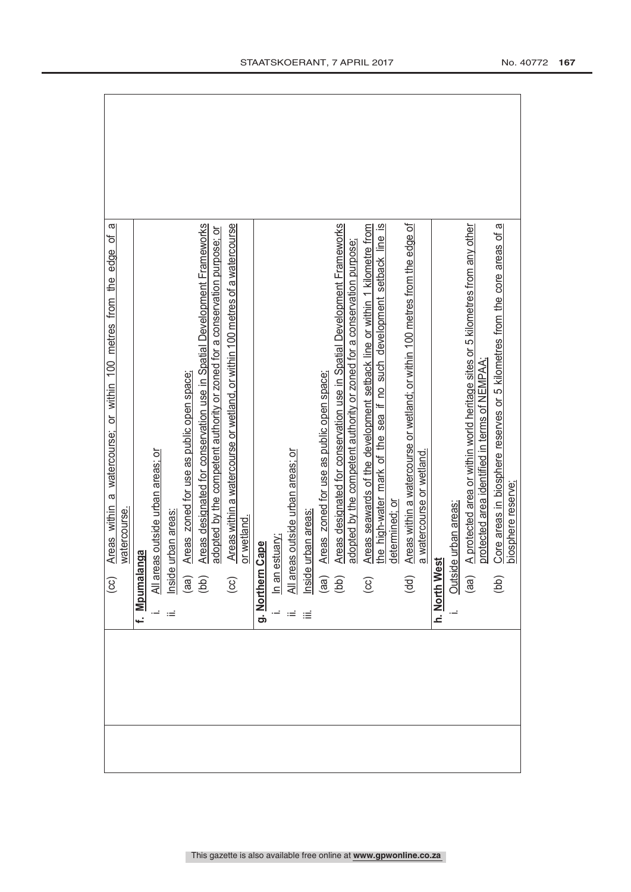| ᢐ<br>đ<br>edge<br>a watercourse; or within 100 metres from the<br>Areas within<br>$\odot$                                                  |
|--------------------------------------------------------------------------------------------------------------------------------------------|
| watercourse.                                                                                                                               |
| f. Mpumalanga                                                                                                                              |
|                                                                                                                                            |
| All areas outside urban areas; or<br>Inside urban areas <u>:</u><br>Ξ                                                                      |
| Areas zoned for use as public open space;                                                                                                  |
| Areas designated for conservation use in Spatial Development Frameworks<br>$\begin{array}{c} \text{(ge)}\\ \text{(bb)} \end{array}$        |
| adopted by the competent authority or zoned for a conservation purpose; or                                                                 |
| Areas within a watercourse or wetland, or within 100 metres of a watercourse<br>$\circ$                                                    |
| or wetland                                                                                                                                 |
| Cape<br>g. Northern                                                                                                                        |
| In an estuary;                                                                                                                             |
|                                                                                                                                            |
| All areas outside urban areas; or<br>Inside urban areas:<br>(aa) Areas zoned for use as pub<br>(bb) Areas designated for conse<br>$\equiv$ |
| Areas zoned for use as public open space;                                                                                                  |
| Areas designated for conservation use in Spatial Development Frameworks                                                                    |
| adopted by the competent authority or zoned for a conservation purpose;                                                                    |
| Areas seawards of the development setback line or within 1 kilometre from<br>$\bigodot$                                                    |
| the high-water mark of the sea if no such development setback line is                                                                      |
| determined; or                                                                                                                             |
| Areas within a watercourse or wetland; or within 100 metres from the edge of<br>(dd)                                                       |
| a watercourse or wetland.                                                                                                                  |
| h. North West                                                                                                                              |
| le urban areas:<br>Outsid                                                                                                                  |
| A protected area or within world heritage sites or 5 kilometres from any other<br>(aa)                                                     |
| protected area identified in terms of NEMPAA                                                                                               |
| Core areas in biosphere reserves or 5 kilometres from the core areas of a<br>(bb)                                                          |
| biosphere reserve;                                                                                                                         |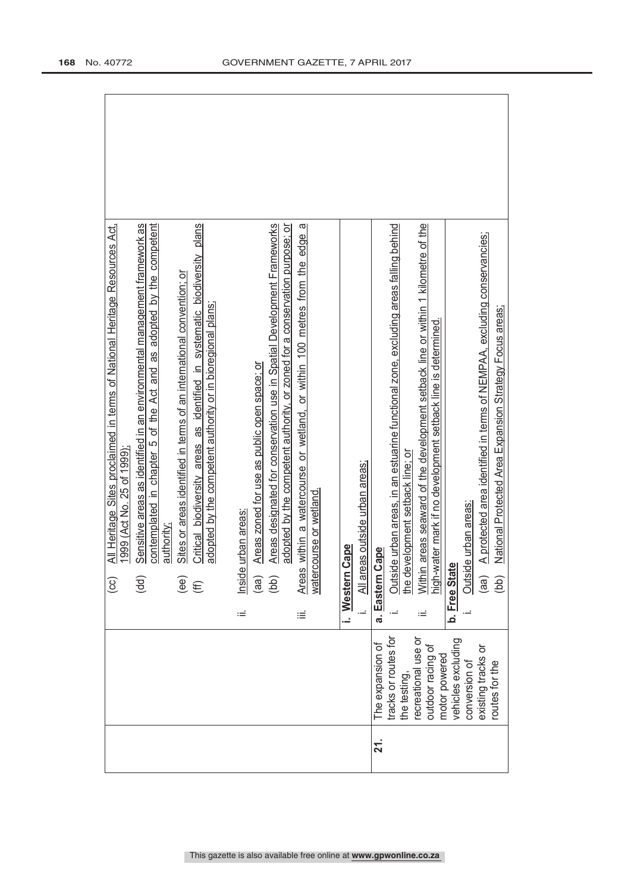| Sensitive areas as identified in an environmental management framework as<br>contemplated in chapter 5 of the Act and as adopted by the competent<br>Critical biodiversity areas as identified in systematic biodiversity plans<br>All Heritage Sites proclaimed in terms of National Heritage Resources Act,<br>Sites or areas identified in terms of an international convention; or<br>1999 (Act No. 25 of 1999)<br>authority<br>(ee) | Areas designated for conservation use in Spatial Development Frameworks<br>Areas within a watercourse or wetland, or within 100 metres from the edge a<br>adopted by the competent authority, or zoned for a conservation purpose; or<br>adopted by the competent authority or in bioregional plans;<br>Areas zoned for use as public open space; or<br>watercourse or wetland.<br>Inside urban areas<br>Cape | All areas outside urban areas; | Outside urban areas, in an estuarine functional zone, excluding areas falling behind<br>Within areas seaward of the development setback line or within 1 kilometre of the<br>A protected area identified in terms of NEMPAA, excluding conservancies;<br>National Protected Area Expansion Strategy Focus areas;<br>high-water mark if no development setback line is determined.<br>the development setback line; or<br>Outside urban areas:<br>Cape<br>بهِ<br>(bb) |
|------------------------------------------------------------------------------------------------------------------------------------------------------------------------------------------------------------------------------------------------------------------------------------------------------------------------------------------------------------------------------------------------------------------------------------------|---------------------------------------------------------------------------------------------------------------------------------------------------------------------------------------------------------------------------------------------------------------------------------------------------------------------------------------------------------------------------------------------------------------|--------------------------------|----------------------------------------------------------------------------------------------------------------------------------------------------------------------------------------------------------------------------------------------------------------------------------------------------------------------------------------------------------------------------------------------------------------------------------------------------------------------|
| (dd)<br>$\odot$<br>(E)                                                                                                                                                                                                                                                                                                                                                                                                                   | i. Western<br>(aa)<br>(bb)<br>÷Ξ<br>iΞ                                                                                                                                                                                                                                                                                                                                                                        | $\overline{a}$                 | b. Free Stat<br>a. Eastern<br>(aa)<br>Ξ                                                                                                                                                                                                                                                                                                                                                                                                                              |
|                                                                                                                                                                                                                                                                                                                                                                                                                                          |                                                                                                                                                                                                                                                                                                                                                                                                               |                                | tracks or routes for<br>vehicles excluding<br>recreational use or<br>The expansion of<br>outdoor racing of<br>existing tracks or<br>motor powered<br>conversion of<br>routes for the<br>the testing,                                                                                                                                                                                                                                                                 |
|                                                                                                                                                                                                                                                                                                                                                                                                                                          |                                                                                                                                                                                                                                                                                                                                                                                                               |                                | 21.                                                                                                                                                                                                                                                                                                                                                                                                                                                                  |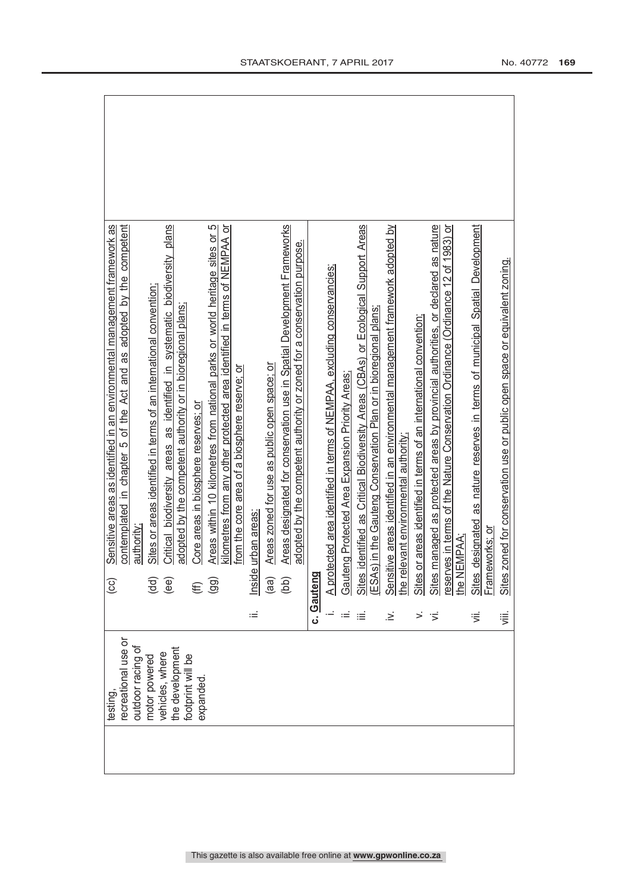| testing,                                 |        | Sensitive areas as identified in an environmental management framework as<br>$\rm_{\rm GC}$    |
|------------------------------------------|--------|------------------------------------------------------------------------------------------------|
| recreational use or<br>outdoor racing of |        | contemplated in chapter 5 of the Act and as adopted by the competent<br>authority              |
| motor powered                            |        | Sites or areas identified in terms of an international convention;<br>(dd)                     |
| vehicles, where                          |        | Critical biodiversity areas as identified in systematic biodiversity plans<br>(ee)             |
| the development<br>footprint will be     |        | adopted by the competent authority or in bioregional plans;                                    |
| expanded                                 |        | Core areas in biosphere reserves; or<br>E                                                      |
|                                          |        | Areas within 10 kilometres from national parks or world heritage sites or 5<br>$\overline{99}$ |
|                                          |        | kilometres from any other protected area identified in terms of NEMPAA or                      |
|                                          |        | from the core area of a biosphere reserve; or                                                  |
|                                          | Ξ      | urban areas<br>Inside                                                                          |
|                                          |        | Areas zoned for use as public open space; or<br>(aa)                                           |
|                                          |        | Areas designated for conservation use in Spatial Development Frameworks<br>(bb)                |
|                                          |        | adopted by the competent authority or zoned for a conservation purpose.                        |
|                                          |        | c. Gauteng                                                                                     |
|                                          |        | A protected area identified in terms of NEMPAA, excluding conservancies;                       |
|                                          |        | Gauteng Protected Area Expansion Priority Areas                                                |
|                                          | ≡      | identified as Critical Biodiversity Areas (CBAs) or Ecological Support Areas<br>Sites          |
|                                          |        | ESAs) in the Gauteng Conservation Plan or in bioregional plans;                                |
|                                          | .≥     | Sensitive areas identified in an environmental management framework adopted by                 |
|                                          |        | the relevant environmental authority                                                           |
|                                          | >      | Sites or areas identified in terms of an international convention;                             |
|                                          | Ξ,     | Sites managed as protected areas by provincial authorities, or declared as nature              |
|                                          |        | eserves in terms of the Nature Conservation Ordinance (Ordinance 12 of 1983) or                |
|                                          |        | he NEMPAA                                                                                      |
|                                          | ゙゙゚゙゚゙ | designated as nature reserves in terms of municipal Spatial Development<br>Sites               |
|                                          |        | -rameworks; or                                                                                 |
|                                          | 這      | Sites zoned for conservation use or public open space or equivalent zoning.                    |
|                                          |        |                                                                                                |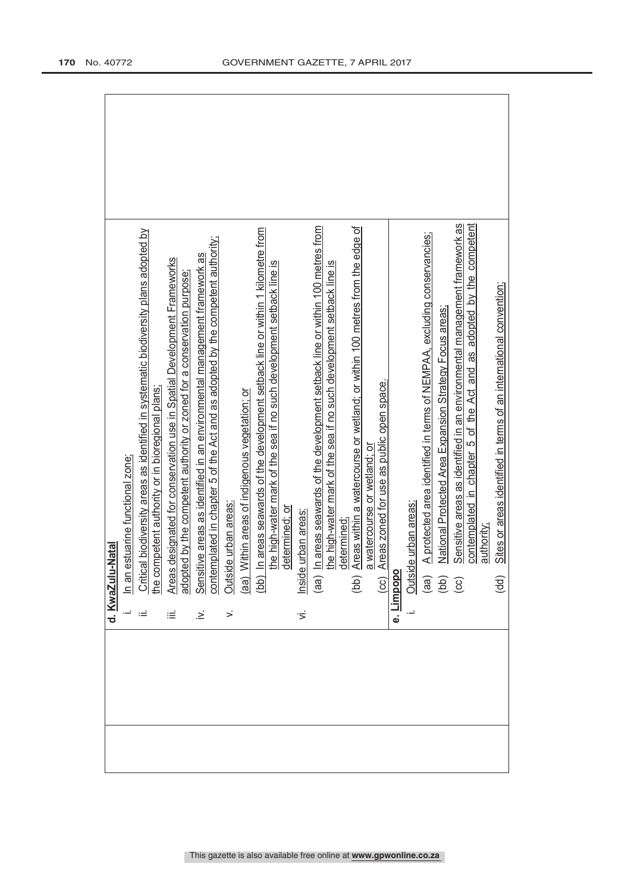| d. KwaZulu-Natal                                                                                                                                                                                                                               |
|------------------------------------------------------------------------------------------------------------------------------------------------------------------------------------------------------------------------------------------------|
| estuarine functional zone;<br>$\ln$ an $\epsilon$                                                                                                                                                                                              |
| Critical biodiversity areas as identified in systematic biodiversity plans adopted by<br>the competent authority or in bioregional plans;<br>≔                                                                                                 |
| Areas designated for conservation use in Spatial Development Frameworks<br>≔                                                                                                                                                                   |
| contemplated in chapter 5 of the Act and as adopted by the competent authority;<br>adopted by the competent authority or zoned for a conservation purpose;<br>Sensitive areas as identified in an environmental management framework as<br>.≥́ |
| Outside urban areas:<br>$\leq$                                                                                                                                                                                                                 |
| (aa) Within areas of indigenous vegetation; or                                                                                                                                                                                                 |
| (bb) In areas seawards of the development setback line or within 1 kilometre from                                                                                                                                                              |
| the high-water mark of the sea if no such development setback line is<br>determined; or                                                                                                                                                        |
| Inside urban areas.<br>$\overline{5}$                                                                                                                                                                                                          |
| (aa) In areas seawards of the development setback line or within 100 metres from                                                                                                                                                               |
| he high-water mark of the sea if no such development setback line is                                                                                                                                                                           |
| determined:<br>(bb) Areas within a watercourse or wetland; or within 100 metres from the edge of                                                                                                                                               |
| Areas zoned for use as public open space.<br>a watercourse or wetland; or<br>ब<br>(cc)<br>                                                                                                                                                     |
| impopo<br>نه                                                                                                                                                                                                                                   |
| e urban areas:<br>Outside                                                                                                                                                                                                                      |
| A protected area identified in terms of NEMPAA, excluding conservancies;                                                                                                                                                                       |
| National Protected Area Expansion Strategy Focus areas;<br>$\begin{pmatrix} 3 & 2 \\ 0 & 0 \\ 0 & 0 \end{pmatrix}$                                                                                                                             |
| Sensitive areas as identified in an environmental management framework as                                                                                                                                                                      |
| contemplated in chapter 5 of the Act and as adopted by the competent<br>authority;                                                                                                                                                             |
| Sites or areas identified in terms of an international convention;<br>(dd)                                                                                                                                                                     |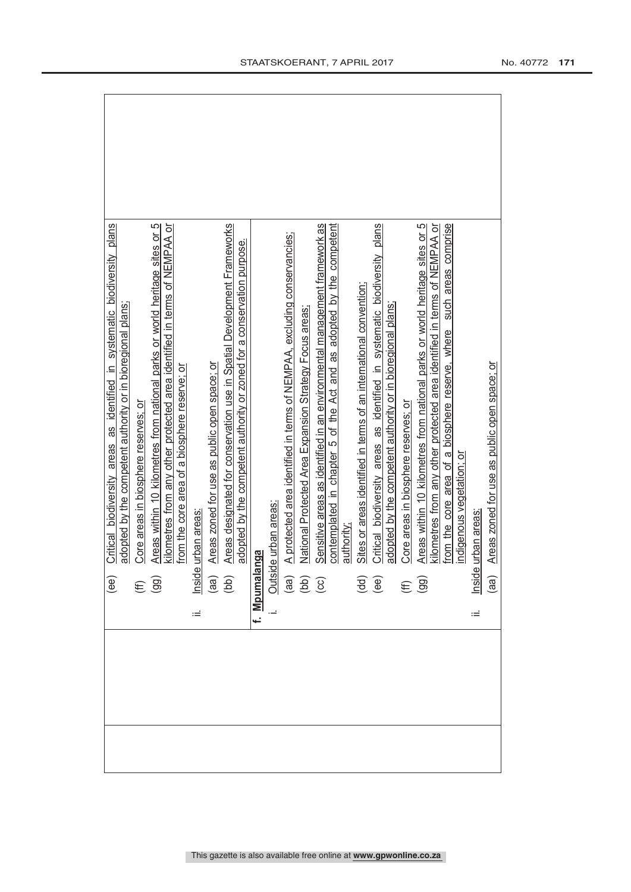| Critical biodiversity areas as identified in systematic biodiversity plans<br>(ee)                                       |
|--------------------------------------------------------------------------------------------------------------------------|
| adopted by the competent authority or in bioregional plans;                                                              |
| Core areas in biosphere reserves; or                                                                                     |
| Areas within 10 kilometres from national parks or world heritage sites or 5<br>$(E \n9$                                  |
| kilometres from any other protected area identified in terms of NEMPAA or                                                |
| from the core area of a biosphere reserve; or                                                                            |
| urban areas<br>Ξ                                                                                                         |
| Areas zoned for use as public open space; or                                                                             |
| Areas designated for conservation use in Spatial Development Frameworks<br>$\frac{2}{\frac{1}{2}}$<br>(aa)<br>(bb)       |
| adopted by the competent authority or zoned for a conservation purpose.                                                  |
| f. Mpumalanga                                                                                                            |
| e urban areas:                                                                                                           |
| A protected area identified in terms of NEMPAA, excluding conservancies;                                                 |
| National Protected Area Expansion Strategy Focus areas                                                                   |
| Sensitive areas as identified in an environmental management framework as                                                |
| contemplated in chapter 5 of the Act and as adopted by the competent                                                     |
| authority;                                                                                                               |
| Sites or areas identified in terms of an international convention;<br>$\overline{\mathbf{H}}$<br>$\overline{\mathbf{H}}$ |
| Critical biodiversity areas as identified in systematic biodiversity plans                                               |
| adopted by the competent authority or in bioregional plans;                                                              |
| Core areas in biosphere reserves; or<br>$(E\bigoplus$                                                                    |
| Areas within 10 kilometres from national parks or world heritage sites or 5                                              |
| kilometres from any other protected area identified in terms of NEMPAA or                                                |
| such areas comprise<br>from the core area of a biosphere reserve, where                                                  |
| indigenous vegetation; or                                                                                                |
| urban areas<br>Inside                                                                                                    |
| Areas zoned for use as public open space; or<br>(aa)                                                                     |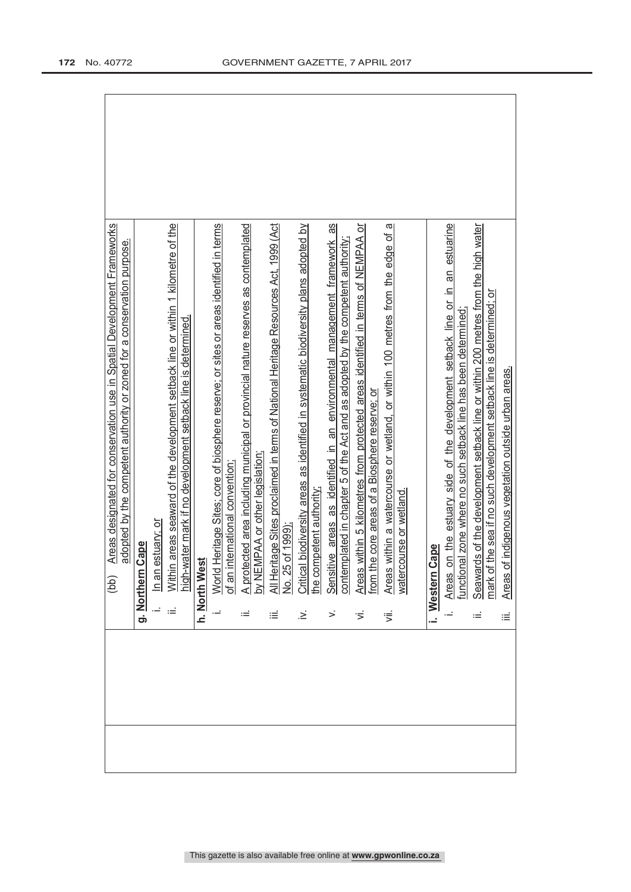|  |      | Areas designated for conservation use in Spatial Development Frameworks<br>(bb)                                                 |
|--|------|---------------------------------------------------------------------------------------------------------------------------------|
|  |      | adopted by the competent authority or zoned for a conservation purpose.                                                         |
|  |      | Cape<br>g. Northern                                                                                                             |
|  |      | estuary; or<br>In an                                                                                                            |
|  | ≔    | n areas seaward of the development setback line or within 1 kilometre of the<br>Withi                                           |
|  |      | high-water mark if no development setback line is determined.                                                                   |
|  |      | h. North West                                                                                                                   |
|  |      | World Heritage Sites; core of biosphere reserve; or sites or areas identified in terms                                          |
|  |      | international convention;<br>of an                                                                                              |
|  | ≔    | ected area including municipal or provincial nature reserves as contemplated<br>by NEMPAA or other legislation<br><u>A</u> prot |
|  | ≔    | All Heritage Sites proclaimed in terms of National Heritage Resources Act, 1999 (Act                                            |
|  |      | No. 25 of 1999);                                                                                                                |
|  | :∠   | Critical biodiversity areas as identified in systematic biodiversity plans adopted by                                           |
|  |      | he competent authority                                                                                                          |
|  | >    | Sensitive areas as identified in an environmental management framework as                                                       |
|  |      | contemplated in chapter 5 of the Act and as adopted by the competent authority;                                                 |
|  | ゙゙゚゙ | Areas within 5 kilometres from protected areas identified in terms of NEMPAA or                                                 |
|  |      | he core areas of a Biosphere reserve; or<br>$t$ om t                                                                            |
|  | 這    | Areas within a watercourse or wetland, or within 100 metres from the edge of a                                                  |
|  |      | watercourse or wetland                                                                                                          |
|  |      |                                                                                                                                 |
|  |      | Cape<br>i. Western                                                                                                              |
|  |      | on the estuary side of the development setback line or in an estuarine<br>Areas                                                 |
|  |      | functional zone where no such setback line has been determined;                                                                 |
|  | ≔    | Seawards of the development setback line or within 200 metres from the high water                                               |
|  |      | mark of the sea if no such development setback line is determined; or                                                           |
|  | ≡    | of indigenous vegetation outside urban areas.<br><b>Areas</b>                                                                   |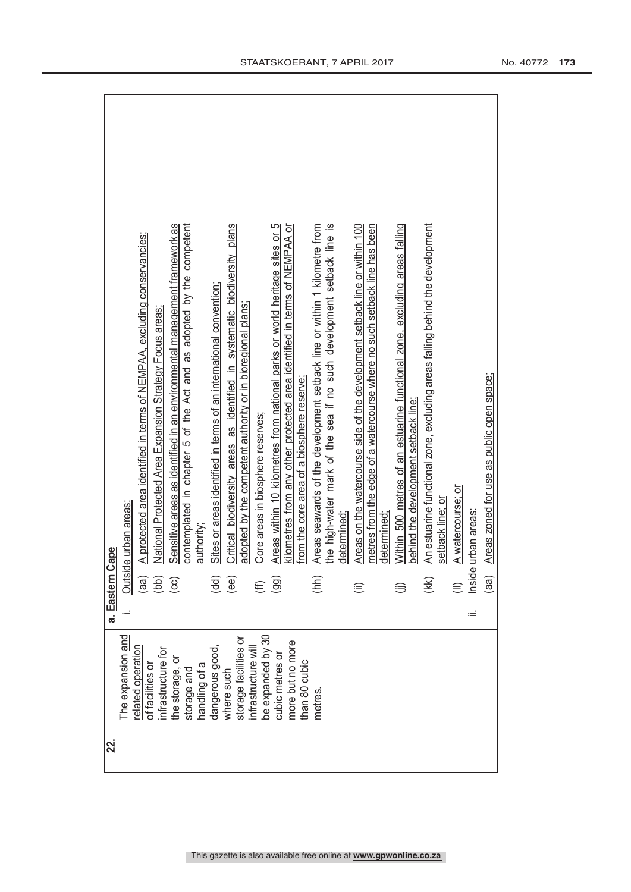| Cape<br>a. Eastern | Outside urban areas: | A protected area identified in terms of NEMPAA, excluding conservancies;<br>(aa) | National Protected Area Expansion Strategy Focus areas,<br>(bb) | Sensitive areas as identified in an environmental management framework as<br>$\odot$ | contemplated in chapter 5 of the Act and as adopted by the competent<br>authority; | Sites or areas identified in terms of an international convention;<br>(dd) | Critical biodiversity areas as identified in systematic biodiversity plans<br>(ee) | adopted by the competent authority or in bioregional plans; | Core areas in biosphere reserves<br>€    | Areas within 10 kilometres from national parks or world heritage sites or 5<br>(99) | kilometres from any other protected area identified in terms of NEMPAA or<br>from the core area of a biosphere reserve; | Areas seawards of the development setback line or within 1 kilometre from<br>(hh) | the high-water mark of the sea if no such development setback line is | determined: | Areas on the watercourse side of the development setback line or within 100 | metres from the edge of a watercourse where no such setback line has been<br>determined | Within 500 metres of an estuarine functional zone, excluding areas falling | behind the development setback line; | An estuarine functional zone, excluding areas falling behind the development<br>(K) | setback line; or | A watercourse; or | Inside urban areas | Areas zoned for use as public open space;<br>(aa) |
|--------------------|----------------------|----------------------------------------------------------------------------------|-----------------------------------------------------------------|--------------------------------------------------------------------------------------|------------------------------------------------------------------------------------|----------------------------------------------------------------------------|------------------------------------------------------------------------------------|-------------------------------------------------------------|------------------------------------------|-------------------------------------------------------------------------------------|-------------------------------------------------------------------------------------------------------------------------|-----------------------------------------------------------------------------------|-----------------------------------------------------------------------|-------------|-----------------------------------------------------------------------------|-----------------------------------------------------------------------------------------|----------------------------------------------------------------------------|--------------------------------------|-------------------------------------------------------------------------------------|------------------|-------------------|--------------------|---------------------------------------------------|
|                    |                      |                                                                                  |                                                                 |                                                                                      |                                                                                    |                                                                            |                                                                                    |                                                             |                                          |                                                                                     |                                                                                                                         |                                                                                   |                                                                       |             |                                                                             |                                                                                         |                                                                            |                                      |                                                                                     |                  |                   | ïЕ                 |                                                   |
|                    | The expansion and    | related operation<br>of facilities or                                            | infrastructure for                                              | the storage, or                                                                      | handling of a<br>storage and                                                       | dangerous good,                                                            | where such                                                                         | storage facilities or                                       | be expanded by 30<br>infrastructure will | cubic metres or                                                                     | more but no more<br>than 80 cubic                                                                                       | metres.                                                                           |                                                                       |             |                                                                             |                                                                                         |                                                                            |                                      |                                                                                     |                  |                   |                    |                                                   |
| 22.                |                      |                                                                                  |                                                                 |                                                                                      |                                                                                    |                                                                            |                                                                                    |                                                             |                                          |                                                                                     |                                                                                                                         |                                                                                   |                                                                       |             |                                                                             |                                                                                         |                                                                            |                                      |                                                                                     |                  |                   |                    |                                                   |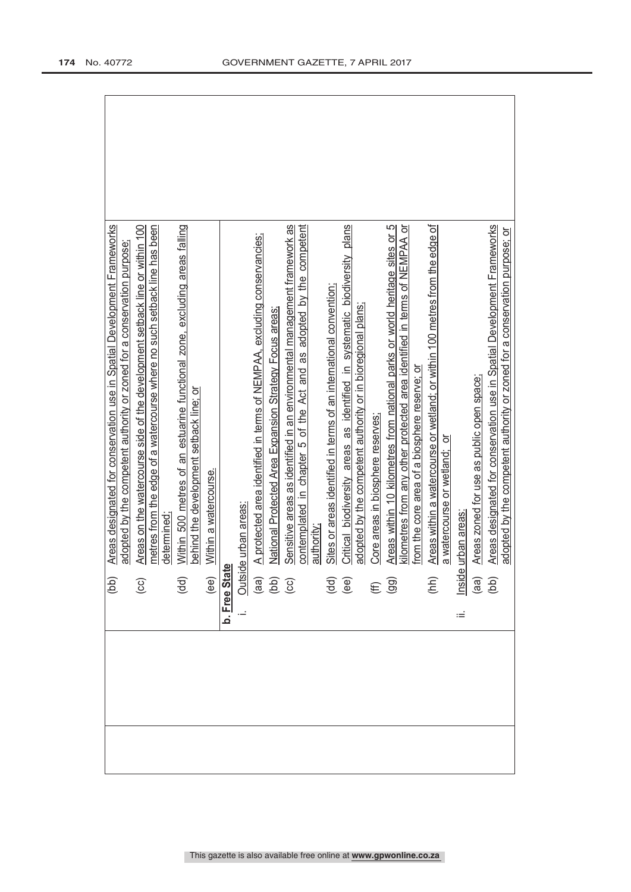| (dd)                                            | Areas designated for conservation use in Spatial Development Frameworks                                                                                                                             |  |
|-------------------------------------------------|-----------------------------------------------------------------------------------------------------------------------------------------------------------------------------------------------------|--|
|                                                 | adopted by the competent authority or zoned for a conservation purpose                                                                                                                              |  |
| $\overline{c}$                                  | Areas on the watercourse side of the development setback line or within 100                                                                                                                         |  |
|                                                 | metres from the edge of a watercourse where no such setback line has been                                                                                                                           |  |
|                                                 | determined                                                                                                                                                                                          |  |
| (dd)                                            | Within 500 metres of an estuarine functional zone, excluding areas falling                                                                                                                          |  |
|                                                 | behind the development setback line; or                                                                                                                                                             |  |
|                                                 | Within a watercourse<br>ee) <u>Within a wate</u><br><b>b. <u>Free State</u></b><br>i. <u>Outside urban areas:</u><br>(aa) <u>A protected area i.</u><br>(bb) <u>National Protectice</u><br>(cc) Ser |  |
|                                                 |                                                                                                                                                                                                     |  |
|                                                 |                                                                                                                                                                                                     |  |
|                                                 | A protected area identified in terms of NEMPAA, excluding conservancies;                                                                                                                            |  |
|                                                 | National Protected Area Expansion Strategy Focus areas                                                                                                                                              |  |
|                                                 | Sensitive areas as identified in an environmental management framework as                                                                                                                           |  |
|                                                 | contemplated in chapter 5 of the Act and as adopted by the competent<br>authority                                                                                                                   |  |
|                                                 |                                                                                                                                                                                                     |  |
|                                                 | Sites or areas identified in terms of an international convention:                                                                                                                                  |  |
| $\overline{\mathbf{g}}$ $\overline{\mathbf{e}}$ | Critical biodiversity areas as identified in systematic biodiversity plans                                                                                                                          |  |
|                                                 | adopted by the competent authority or in bioregional plans;                                                                                                                                         |  |
| $(E \n99)$                                      | Core areas in biosphere reserves:                                                                                                                                                                   |  |
|                                                 | Areas within 10 kilometres from national parks or world heritage sites or 5                                                                                                                         |  |
|                                                 | kilometres from any other protected area identified in terms of NEMPAA or                                                                                                                           |  |
|                                                 | from the core area of a biosphere reserve; or                                                                                                                                                       |  |
| (hh)                                            | Areas within a watercourse or wetland; or within 100 metres from the edge of                                                                                                                        |  |
|                                                 | ŏ<br>a watercourse or wetland:                                                                                                                                                                      |  |
| Ξ                                               |                                                                                                                                                                                                     |  |
|                                                 | Areas zoned for use as public open space;                                                                                                                                                           |  |
|                                                 | Areas designated for conservation use in Spatial Development Frameworks<br>Inside urban areas:<br>(aa) Areas zoned<br>(bb) Areas design                                                             |  |
|                                                 | adopted by the competent authority or zoned for a conservation purpose; or                                                                                                                          |  |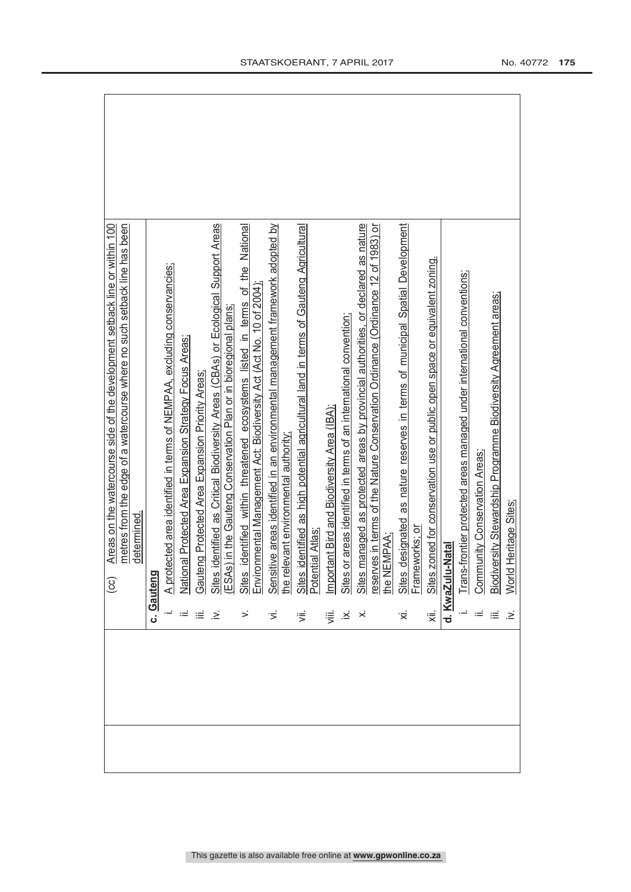| <b>I-Natal</b><br>Gauteng<br>Sites<br>Frame<br>Trang<br>Gaut<br>d. KwaZul<br>$\frac{\Delta}{2}$<br>ιË<br>崇<br>$\cdot \geq$<br>Ϊ.<br>हां | identified as Critical Biodiversity Areas (CBAs) or Ecological Support Areas<br>Sites identified within threatened ecosystems listed in terms of the National<br>Environmental Management Act: Biodiversity Act (Act No. 10 of 2004);<br>Sensitive areas identified in an environmental management framework adopted<br>otected area identified in terms of NEMPAA, excluding conservancies;<br>Sites identified as Critical Biodiversity Areas (CBAs) or Ecologia<br>(ESAs) in the Gauteng Conservation Plan or in bioregional plans;<br>National Protected Area Expansion Strategy Focus Areas:<br>eng Protected Area Expansion Priority Areas:<br>determined |
|-----------------------------------------------------------------------------------------------------------------------------------------|-----------------------------------------------------------------------------------------------------------------------------------------------------------------------------------------------------------------------------------------------------------------------------------------------------------------------------------------------------------------------------------------------------------------------------------------------------------------------------------------------------------------------------------------------------------------------------------------------------------------------------------------------------------------|
|                                                                                                                                         |                                                                                                                                                                                                                                                                                                                                                                                                                                                                                                                                                                                                                                                                 |
|                                                                                                                                         |                                                                                                                                                                                                                                                                                                                                                                                                                                                                                                                                                                                                                                                                 |
|                                                                                                                                         |                                                                                                                                                                                                                                                                                                                                                                                                                                                                                                                                                                                                                                                                 |
|                                                                                                                                         |                                                                                                                                                                                                                                                                                                                                                                                                                                                                                                                                                                                                                                                                 |
|                                                                                                                                         |                                                                                                                                                                                                                                                                                                                                                                                                                                                                                                                                                                                                                                                                 |
|                                                                                                                                         |                                                                                                                                                                                                                                                                                                                                                                                                                                                                                                                                                                                                                                                                 |
|                                                                                                                                         |                                                                                                                                                                                                                                                                                                                                                                                                                                                                                                                                                                                                                                                                 |
|                                                                                                                                         |                                                                                                                                                                                                                                                                                                                                                                                                                                                                                                                                                                                                                                                                 |
|                                                                                                                                         |                                                                                                                                                                                                                                                                                                                                                                                                                                                                                                                                                                                                                                                                 |
|                                                                                                                                         |                                                                                                                                                                                                                                                                                                                                                                                                                                                                                                                                                                                                                                                                 |
|                                                                                                                                         | or areas identified in terms of an international convention;<br>Important Bird and Biodiversity Area (IBA);<br>Sites or areas identified in terms of an inter                                                                                                                                                                                                                                                                                                                                                                                                                                                                                                   |
|                                                                                                                                         | Sites managed as protected areas by provincial authorities, or declared as nature<br>reserves in terms of the Nature Conservation Ordinance (Ordinance 12 of 1983) or<br>the NEMPAA;                                                                                                                                                                                                                                                                                                                                                                                                                                                                            |
|                                                                                                                                         | designated as nature reserves in terms of municipal Spatial Development                                                                                                                                                                                                                                                                                                                                                                                                                                                                                                                                                                                         |
|                                                                                                                                         | leworks: 01                                                                                                                                                                                                                                                                                                                                                                                                                                                                                                                                                                                                                                                     |
|                                                                                                                                         | Sites zoned for conservation use or public open space or equivalent zoning.                                                                                                                                                                                                                                                                                                                                                                                                                                                                                                                                                                                     |
|                                                                                                                                         |                                                                                                                                                                                                                                                                                                                                                                                                                                                                                                                                                                                                                                                                 |
|                                                                                                                                         | s-frontier protected areas managed under international conventions;                                                                                                                                                                                                                                                                                                                                                                                                                                                                                                                                                                                             |
| <b>Com</b>                                                                                                                              | munity Conservation Areas;                                                                                                                                                                                                                                                                                                                                                                                                                                                                                                                                                                                                                                      |
| Biodi                                                                                                                                   | versity Stewardship Programme Biodiversity Agreement areas;                                                                                                                                                                                                                                                                                                                                                                                                                                                                                                                                                                                                     |
| Worl                                                                                                                                    | d Heritage Sites;                                                                                                                                                                                                                                                                                                                                                                                                                                                                                                                                                                                                                                               |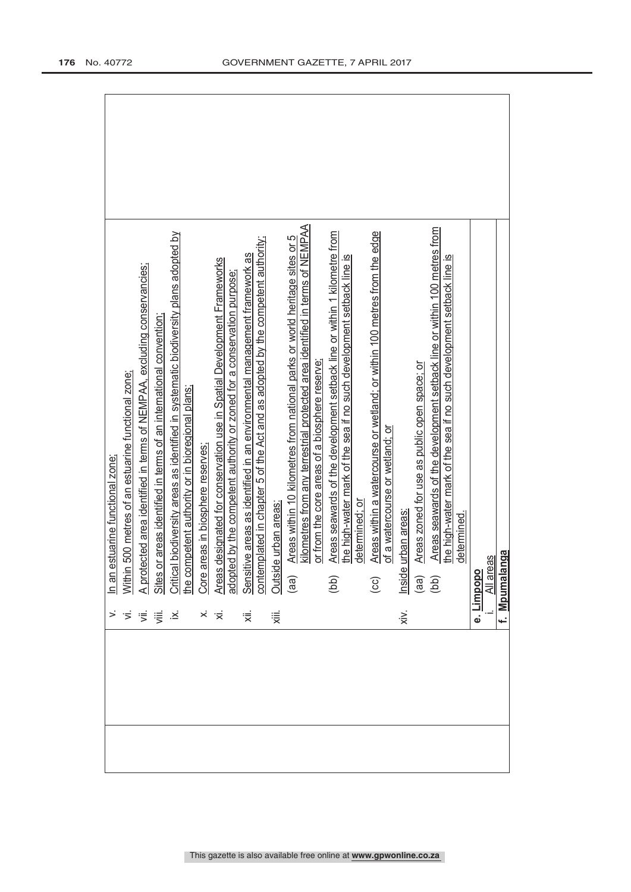|                              | In an estuarine functional zone;                                                                                                                             |
|------------------------------|--------------------------------------------------------------------------------------------------------------------------------------------------------------|
| $\overline{z}$               | 500 metres of an estuarine functional zone;<br><b>Within</b>                                                                                                 |
| <sup>完</sup> 。               | A protected area identified in terms of NEMPAA, excluding conservancies;                                                                                     |
|                              | Sites or areas identified in terms of an international convention                                                                                            |
| $\ddot{\approx}$             | I biodiversity areas as identified in systematic biodiversity plans adopted by                                                                               |
|                              | Critical biodiversity areas as identified in systen<br>the competent authority or in bioregional plans;                                                      |
|                              | Core areas in biosphere reserves;                                                                                                                            |
| $\times$ $\overline{\times}$ | Areas designated for conservation use in Spatial Development Frameworks                                                                                      |
|                              | adopted by the competent authority or zoned for a conservation purpose;                                                                                      |
| ्रं                          | contemplated in chapter 5 of the Act and as adopted by the competent authority;<br>Sensitive areas as identified in an environmental management framework as |
| χiii.                        | Outside urban areas:                                                                                                                                         |
|                              | Areas within 10 kilometres from national parks or world heritage sites or 5<br>(aa)                                                                          |
|                              | kilometres from any terrestrial protected area identified in terms of NEMPAA                                                                                 |
|                              | or from the core areas of a biosphere reserve;                                                                                                               |
|                              | Areas seawards of the development setback line or within 1 kilometre from<br>(bb)                                                                            |
|                              | the high-water mark of the sea if no such development setback line is                                                                                        |
|                              | determined; or                                                                                                                                               |
|                              | Areas within a watercourse or wetland; or within 100 metres from the edge<br>$\overline{c}$                                                                  |
|                              | of a watercourse or wetland; or                                                                                                                              |
| $\dot{x}$                    | urban areas<br>Inside                                                                                                                                        |
|                              | Areas zoned for use as public open space; or<br>$\begin{pmatrix} a & b \\ c & d \end{pmatrix}$                                                               |
|                              | Areas seawards of the development setback line or within 100 metres from                                                                                     |
|                              | the high-water mark of the sea if no such development setback line is<br>determined.                                                                         |
|                              |                                                                                                                                                              |
|                              | e. Limpopo                                                                                                                                                   |
|                              | All areas                                                                                                                                                    |
|                              | nga<br>f. Mpumala                                                                                                                                            |
|                              |                                                                                                                                                              |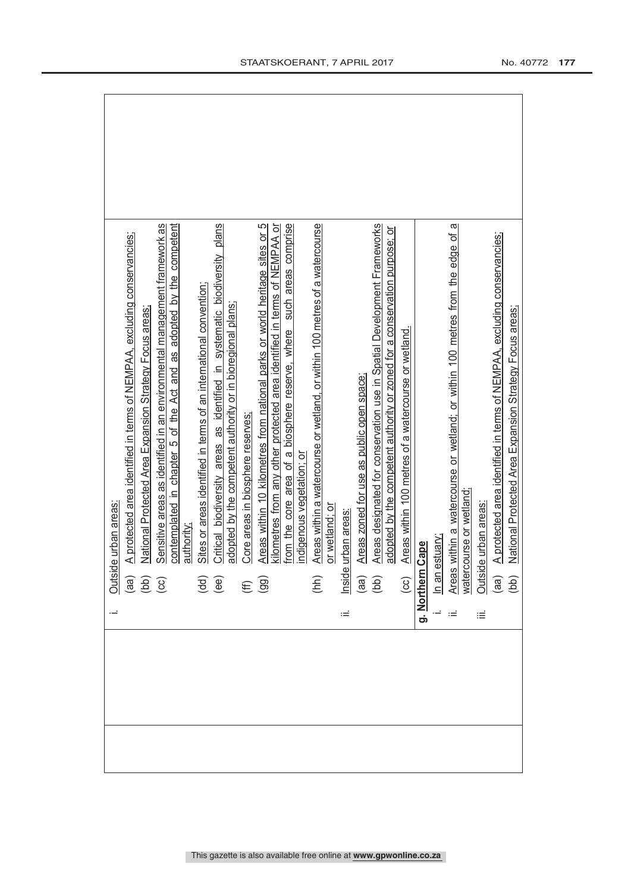|  | Outside urban areas:<br>(aa) A protected are<br>(bb) National Protec<br>(cc) Sensitive areas |                                                                                                                                                                                                                                       |  |
|--|----------------------------------------------------------------------------------------------|---------------------------------------------------------------------------------------------------------------------------------------------------------------------------------------------------------------------------------------|--|
|  |                                                                                              | A protected area identified in terms of NEMPAA, excluding conservancies;                                                                                                                                                              |  |
|  |                                                                                              | National Protected Area Expansion Strategy Focus areas                                                                                                                                                                                |  |
|  |                                                                                              | contemplated in chapter 5 of the Act and as adopted by the competent<br>Sensitive areas as identified in an environmental management framework as                                                                                     |  |
|  |                                                                                              | authority:                                                                                                                                                                                                                            |  |
|  |                                                                                              | Sites or areas identified in terms of an international convention;                                                                                                                                                                    |  |
|  | $\begin{pmatrix} d & d \\ e & d \end{pmatrix}$                                               | Critical biodiversity areas as identified in systematic biodiversity plans<br>adopted by the competent authority or in bioregional plans;                                                                                             |  |
|  | $(E \n99)$                                                                                   | Core areas in biosphere reserves;                                                                                                                                                                                                     |  |
|  |                                                                                              | Areas within 10 kilometres from national parks or world heritage sites or 5                                                                                                                                                           |  |
|  |                                                                                              | kilometres from any other protected area identified in terms of NEMPAA or                                                                                                                                                             |  |
|  |                                                                                              | such areas comprise<br>from the core area of a biosphere reserve, where<br>indigenous vegetation; or                                                                                                                                  |  |
|  | (hh)                                                                                         | Areas within a watercourse or wetland, or within 100 metres of a watercourse                                                                                                                                                          |  |
|  |                                                                                              | or wetland; or                                                                                                                                                                                                                        |  |
|  |                                                                                              |                                                                                                                                                                                                                                       |  |
|  |                                                                                              |                                                                                                                                                                                                                                       |  |
|  |                                                                                              |                                                                                                                                                                                                                                       |  |
|  |                                                                                              | edopted by the competent authority or zoned for a conservation perception of raneworks<br>(cc) Areas within 100 metres of a watercourse or wetland.<br>i. In an estuary.<br>ii. Areas within a watercourse or wetland;<br>Watercourse |  |
|  |                                                                                              |                                                                                                                                                                                                                                       |  |
|  |                                                                                              |                                                                                                                                                                                                                                       |  |
|  |                                                                                              |                                                                                                                                                                                                                                       |  |
|  |                                                                                              |                                                                                                                                                                                                                                       |  |
|  |                                                                                              |                                                                                                                                                                                                                                       |  |
|  |                                                                                              |                                                                                                                                                                                                                                       |  |
|  |                                                                                              |                                                                                                                                                                                                                                       |  |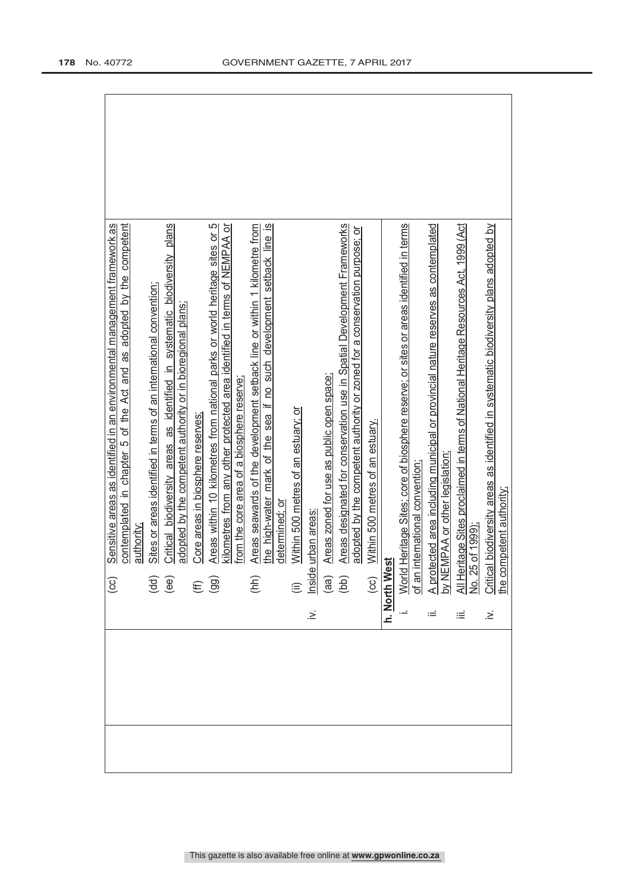| contemplated in chapter 5 of the Act and as adopted by the competent<br>Sensitive areas as identified in an environmental management framework as<br>authority<br>$\odot$ | Critical biodiversity areas as identified in systematic biodiversity plans<br>Sites or areas identified in terms of an international convention;<br>adopted by the competent authority or in bioregional plans<br>$\overline{\overline{B}}$<br>$\overline{\overline{B}}$ | Core areas in biosphere reserves:<br>$(\text{H})$ | Areas within 10 kilometres from national parks or world heritage sites or 5<br>kilometres from any other protected area identified in terms of NEMPAA or<br>from the core area of a biosphere reserve: | Areas seawards of the development setback line or within 1 kilometre from<br>the high-water mark of the sea if no such development setback line is<br>determined: or<br>(hh) | Within 500 metres of an estuary; or | $\geq$ | Areas zoned for use as public open space: | Areas designated for conservation use in Spatial Development Frameworks<br>adopted by the competent authority or zoned for a conservation purpose; or<br>(ii) Within 500 m<br>Inside urban areas:<br>(aa) <u>Areas zoned</u><br>(bb) Areas design |  |  | n. North West<br>i. World Heritage Sites; core of biosphere reserve; or sites or areas identified in terms<br>i. World Heritage Sites; core of biosphere reserve; or sites or areas identified in terms<br>of an international conve |  |
|---------------------------------------------------------------------------------------------------------------------------------------------------------------------------|--------------------------------------------------------------------------------------------------------------------------------------------------------------------------------------------------------------------------------------------------------------------------|---------------------------------------------------|--------------------------------------------------------------------------------------------------------------------------------------------------------------------------------------------------------|------------------------------------------------------------------------------------------------------------------------------------------------------------------------------|-------------------------------------|--------|-------------------------------------------|---------------------------------------------------------------------------------------------------------------------------------------------------------------------------------------------------------------------------------------------------|--|--|--------------------------------------------------------------------------------------------------------------------------------------------------------------------------------------------------------------------------------------|--|
|                                                                                                                                                                           |                                                                                                                                                                                                                                                                          |                                                   |                                                                                                                                                                                                        |                                                                                                                                                                              |                                     |        |                                           |                                                                                                                                                                                                                                                   |  |  |                                                                                                                                                                                                                                      |  |
|                                                                                                                                                                           |                                                                                                                                                                                                                                                                          |                                                   |                                                                                                                                                                                                        |                                                                                                                                                                              |                                     |        |                                           |                                                                                                                                                                                                                                                   |  |  |                                                                                                                                                                                                                                      |  |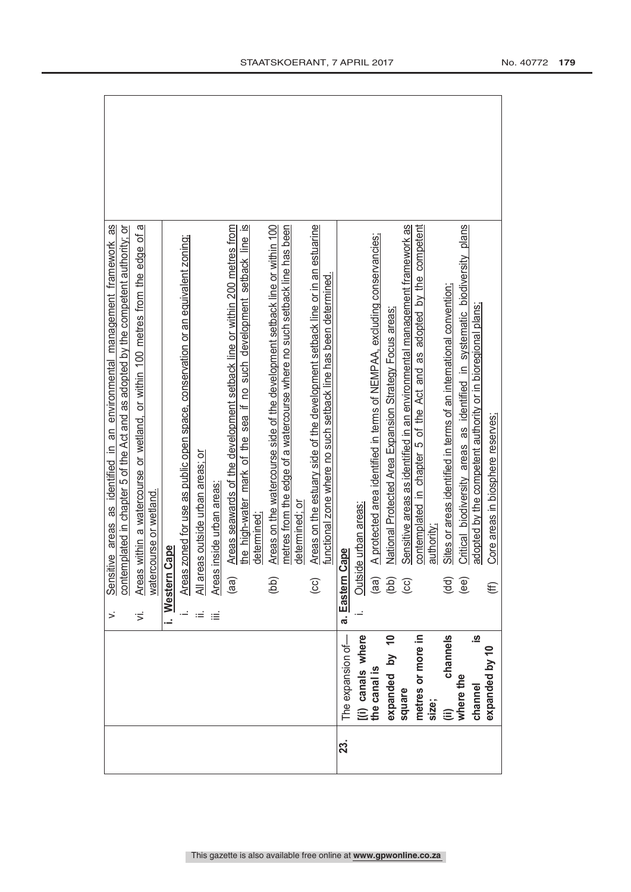|     |                      |     | 8g<br>contemplated in chapter 5 of the Act and as adopted by the competent authority; or<br>tive areas as identified in an environmental management framework<br>Sensit |
|-----|----------------------|-----|-------------------------------------------------------------------------------------------------------------------------------------------------------------------------|
|     |                      | ιή. | g<br>within a watercourse or wetland, or within 100 metres from the edge of<br>watercourse or wetland.<br>Areas                                                         |
|     |                      |     | i. Western Cape                                                                                                                                                         |
|     |                      |     | Areas zoned for use as public open space, conservation or an equivalent zoning;                                                                                         |
|     |                      |     | All areas outside urban areas; or                                                                                                                                       |
|     |                      |     | inside urban areas<br>Areas                                                                                                                                             |
|     |                      |     | Areas seawards of the development setback line or within 200 metres from<br>(aa)                                                                                        |
|     |                      |     | the high-water mark of the sea if no such development setback line is<br>determined:                                                                                    |
|     |                      |     | Areas on the watercourse side of the development setback line or within 100<br>(bb)                                                                                     |
|     |                      |     | metres from the edge of a watercourse where no such setback line has been                                                                                               |
|     |                      |     | determined; or                                                                                                                                                          |
|     |                      |     | Areas on the estuary side of the development setback line or in an estuarine<br>(CC)                                                                                    |
|     |                      |     | functional zone where no such setback line has been determined.                                                                                                         |
| 23. | The expansion of-    |     | cape?<br>a. Eastern C                                                                                                                                                   |
|     | [(i) canals where    |     | de urban areas:<br>Outsid                                                                                                                                               |
|     | the canal is         |     | A protected area identified in terms of NEMPAA, excluding conservancies;<br>(aa)                                                                                        |
|     | expanded by 10       |     | National Protected Area Expansion Strategy Focus areas;<br>(bb)                                                                                                         |
|     | square               |     | Sensitive areas as identified in an environmental management framework as<br>$\overline{c}$                                                                             |
|     | metres or more in    |     | contemplated in chapter 5 of the Act and as adopted by the competent                                                                                                    |
|     | size;                |     | authority;                                                                                                                                                              |
|     | channels<br>⊜        |     | Sites or areas identified in terms of an international convention<br>(dd)                                                                                               |
|     | where the            |     | Critical biodiversity areas as identified in systematic biodiversity plans<br>(ee)                                                                                      |
|     | <u>.თ</u><br>channel |     | adopted by the competent authority or in bioregional plans;                                                                                                             |
|     | expanded by 10       |     | Core areas in biosphere reserves;<br>€                                                                                                                                  |
|     |                      |     |                                                                                                                                                                         |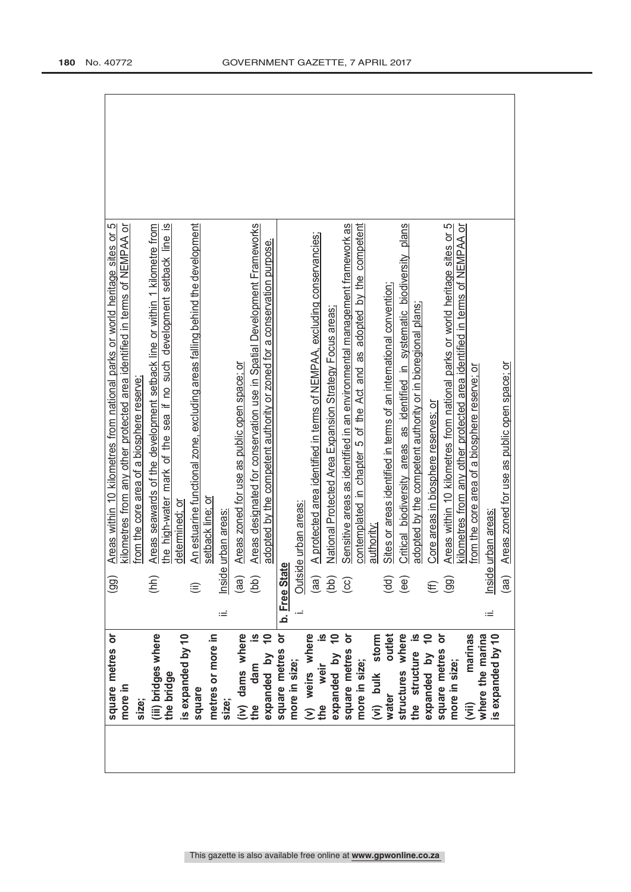| square metres or<br>more in<br>size: | $\overline{99}$    | Areas within 10 kilometres from national parks or world heritage sites or 5               |
|--------------------------------------|--------------------|-------------------------------------------------------------------------------------------|
|                                      |                    | kilometres from any other protected area identified in terms of NEMPAA or                 |
|                                      |                    |                                                                                           |
|                                      |                    | from the core area of a biosphere reserve                                                 |
| (iii) bridges where                  | (hh)               | Areas seawards of the development setback line or within 1 kilometre from                 |
| the bridge                           |                    | $\overline{\omega}$<br>the high-water mark of the sea if no such development setback line |
| is expanded by 10                    |                    | determined; or                                                                            |
| square                               | $\widehat{\equiv}$ | An estuarine functional zone, excluding areas falling behind the development              |
| metres or more in                    |                    | setback line; or                                                                          |
| size;                                | Inside<br>Ξ        | urban areas                                                                               |
|                                      | (aa)               | Areas zoned for use as public open space; or                                              |
| (iv) dams where<br>the dam is<br>dam | (bb)               | Areas designated for conservation use in Spatial Development Frameworks                   |
| expanded by 10                       |                    | adopted by the competent authority or zoned for a conservation purpose.                   |
| square metres or                     | b. Free Stat       | Φ                                                                                         |
| more in size;                        |                    | Outside urban areas:                                                                      |
|                                      |                    |                                                                                           |
| (v) weirs where<br>the weir is       | (aa)               | A protected area identified in terms of NEMPAA, excluding conservancies;                  |
| expanded by 10                       | (bb)               | National Protected Area Expansion Strategy Focus areas;                                   |
| square metres or                     | $\odot$            | Sensitive areas as identified in an environmental management framework as                 |
| more in size;                        |                    | adopted by the competent<br>contemplated in chapter 5 of the Act and as                   |
| (vi) bulk storm                      |                    | authority                                                                                 |
| outlet<br>water                      | (dd)               | Sites or areas identified in terms of an international convention                         |
| structures where                     | (ee)               | Critical biodiversity areas as identified in systematic biodiversity plans                |
| the structure                        |                    | adopted by the competent authority or in bioregional plans;                               |
| expanded by                          |                    | Core areas in biosphere reserves; or                                                      |
| square metres or<br>more in size;    | (99)               | Areas within 10 kilometres from national parks or world heritage sites or 5               |
|                                      |                    | kilometres from any other protected area identified in terms of NEMPAA or                 |
| marinas<br>where the marina<br>(iii) |                    | from the core area of a biosphere reserve; or                                             |
| is expanded by 10                    | Inside<br>Ξ        | urban areas                                                                               |
|                                      | (aa)               | Areas zoned for use as public open space; or                                              |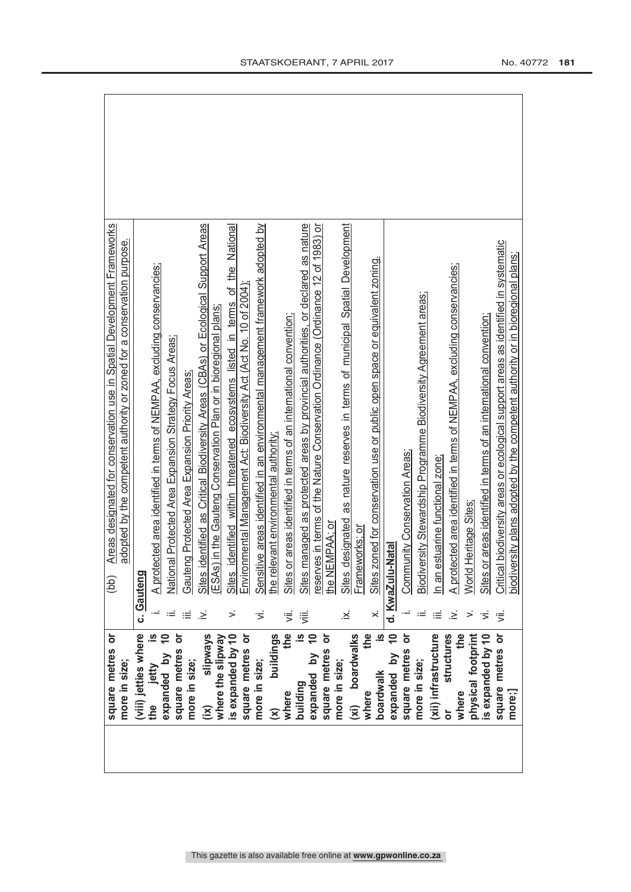| Areas designated for conservation use in Spatial Development Frameworks<br>adopted by the competent authority or zoned for a conservation purpose. |                      |                                                                          |                                                         |                                                 | Sites identified as Critical Biodiversity Areas (CBAs) or Ecological Support Areas |                                                                 | Sites identified within threatened ecosystems listed in terms of the National |                                                                      | Sensitive areas identified in an environmental management framework adopted by |                                         |                                                                            | Sites managed as protected areas by provincial authorities, or declared as nature | reserves in terms of the Nature Conservation Ordinance (Ordinance 12 of 1983) or | Sites designated as nature reserves in terms of municipal Spatial Development |                              | Sites zoned for conservation use or public open space or equivalent zoning. |                  |                               |                                                                  |                                     |                                                                               |                      |                                                                              | Critical biodiversity areas or ecological support areas as identified in systematic<br>biodiversity plans adopted by the competent authority or in bioregional plans; |
|----------------------------------------------------------------------------------------------------------------------------------------------------|----------------------|--------------------------------------------------------------------------|---------------------------------------------------------|-------------------------------------------------|------------------------------------------------------------------------------------|-----------------------------------------------------------------|-------------------------------------------------------------------------------|----------------------------------------------------------------------|--------------------------------------------------------------------------------|-----------------------------------------|----------------------------------------------------------------------------|-----------------------------------------------------------------------------------|----------------------------------------------------------------------------------|-------------------------------------------------------------------------------|------------------------------|-----------------------------------------------------------------------------|------------------|-------------------------------|------------------------------------------------------------------|-------------------------------------|-------------------------------------------------------------------------------|----------------------|------------------------------------------------------------------------------|-----------------------------------------------------------------------------------------------------------------------------------------------------------------------|
| (bb)                                                                                                                                               | Gauteng<br>ن         | A protected area identified in terms of NEMPAA, excluding conservancies; | National Protected Area Expansion Strategy Focus Areas; | Gauteng Protected Area Expansion Priority Areas | .≥                                                                                 | ESAs) in the Gauteng Conservation Plan or in bioregional plans; |                                                                               | Environmental Management Act: Biodiversity Act (Act No. 10 of 2004); | π                                                                              | the relevant environmental authority    | or areas identified in terms of an international convention;<br>Sites<br>₹ | ≡                                                                                 | the NEMPAA; or                                                                   | ∴≊                                                                            | Frameworks; or               |                                                                             | d. KwaZulu-Natal | Community Conservation Areas; | Biodiversity Stewardship Programme Biodiversity Agreement areas; | estuarine functional zone;<br>In an | A protected area identified in terms of NEMPAA, excluding conservancies;<br>≥ | World Heritage Sites | or areas identified in terms of an international convention;<br><b>Sites</b> | ₹                                                                                                                                                                     |
| square metres or<br>more in size;                                                                                                                  | (viii) jetties where | jetty<br>the                                                             | expanded by                                             | square metres or<br>more in size;               | slipways<br>$\widetilde{\mathbf{z}}$                                               | where the slipway                                               | is expanded by 10                                                             | square metres or                                                     | more in size;                                                                  | buildings<br>$\widehat{\bm{\varkappa}}$ | the<br>where                                                               | expanded by<br>building                                                           | ŏ<br>square metres                                                               | more in size;                                                                 | boardwalks<br>$\overline{x}$ | the<br>boardwalk<br>where                                                   | expanded by      | square metres                 | more in size;                                                    | (xii) infrastructure                | structures<br>the<br>where<br>ŏ                                               | physical footprint   | is expanded by 10                                                            | square metres or<br>more;]                                                                                                                                            |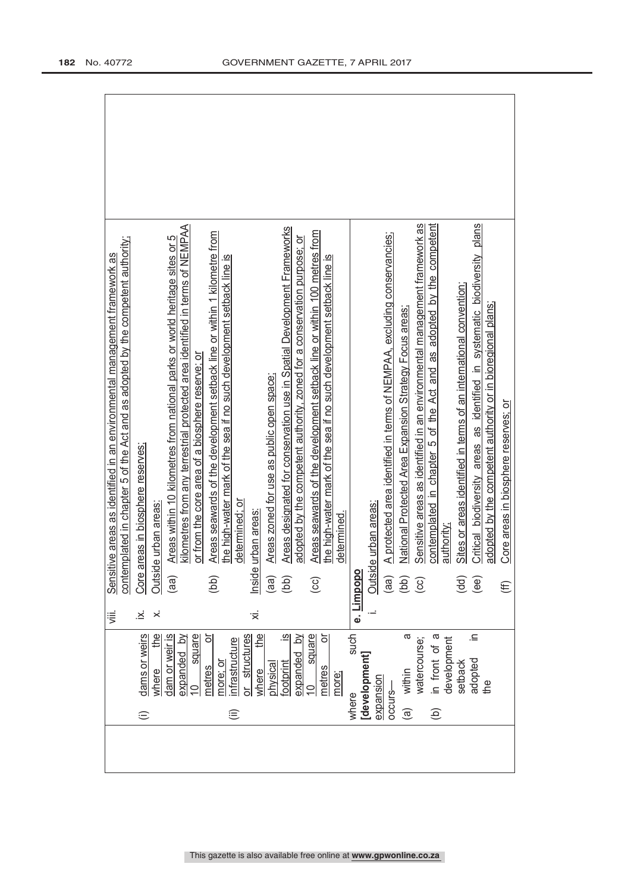|                                                   |            | 這  | contemplated in chapter 5 of the Act and as adopted by the competent authority;<br>tive areas as identified in an environmental management framework as<br>Sensit |
|---------------------------------------------------|------------|----|-------------------------------------------------------------------------------------------------------------------------------------------------------------------|
| dams or weirs<br>$\oplus$                         |            | ∴≤ | Core areas in biosphere reserves;                                                                                                                                 |
| where                                             | the        | ×  | e urban areas<br>Outsid                                                                                                                                           |
| dam or weir is                                    |            |    | Areas within 10 kilometres from national parks or world heritage sites or 5<br>(aa)                                                                               |
| square<br>expanded by<br>$\overline{\phantom{0}}$ |            |    | kilometres from any terrestrial protected area identified in terms of NEMPAA<br>or from the core area of a biosphere reserve; or                                  |
| metres                                            | ŏ          |    |                                                                                                                                                                   |
| nore; or                                          |            |    | Areas seawards of the development setback line or within 1 kilometre from<br>the high-water mark of the sea if no such development setback line is<br>(bb)        |
| structures<br>nfrastructure<br>$\widehat{\equiv}$ |            |    | determined; or                                                                                                                                                    |
| where                                             | the        | '≍ | urban areas<br>Inside                                                                                                                                             |
| physica                                           |            |    | Areas zoned for use as public open space;<br>(aa)                                                                                                                 |
| footprint                                         | <u>യ</u> . |    | Areas designated for conservation use in Spatial Development Frameworks<br>(bb)                                                                                   |
| expanded                                          | $\geq$     |    | adopted by the competent authority, zoned for a conservation purpose; or                                                                                          |
| square<br>metres<br>$\subseteq$                   |            |    | Areas seawards of the development setback line or within 100 metres from<br>(CC)                                                                                  |
| more;                                             | ŏ          |    | the high-water mark of the sea if no such development setback line is<br>determined.                                                                              |
|                                                   |            |    |                                                                                                                                                                   |
| [development]<br>where                            | such       |    | e. Limpopo                                                                                                                                                        |
| expansion                                         |            |    | e urban areas:<br>Outsid                                                                                                                                          |
| occurs-                                           |            |    | A protected area identified in terms of NEMPAA, excluding conservancies;<br>(aa)                                                                                  |
| within<br>$\widehat{\mathbf{e}}$                  | a          |    | National Protected Area Expansion Strategy Focus areas<br>(bb)                                                                                                    |
| watercourse;                                      |            |    | Sensitive areas as identified in an environmental management framework as<br>$\odot$                                                                              |
| in front of<br>$\widehat{e}$                      |            |    | contemplated in chapter 5 of the Act and as adopted by the competent                                                                                              |
| development                                       |            |    | authority;                                                                                                                                                        |
| setback                                           |            |    | Sites or areas identified in terms of an international convention;<br>(dd)                                                                                        |
| adopted                                           | Ξ.         |    | Critical biodiversity areas as identified in systematic biodiversity plans<br>$\widehat{e}$                                                                       |
| the                                               |            |    | adopted by the competent authority or in bioregional plans;                                                                                                       |
|                                                   |            |    | Core areas in biosphere reserves; or<br>€                                                                                                                         |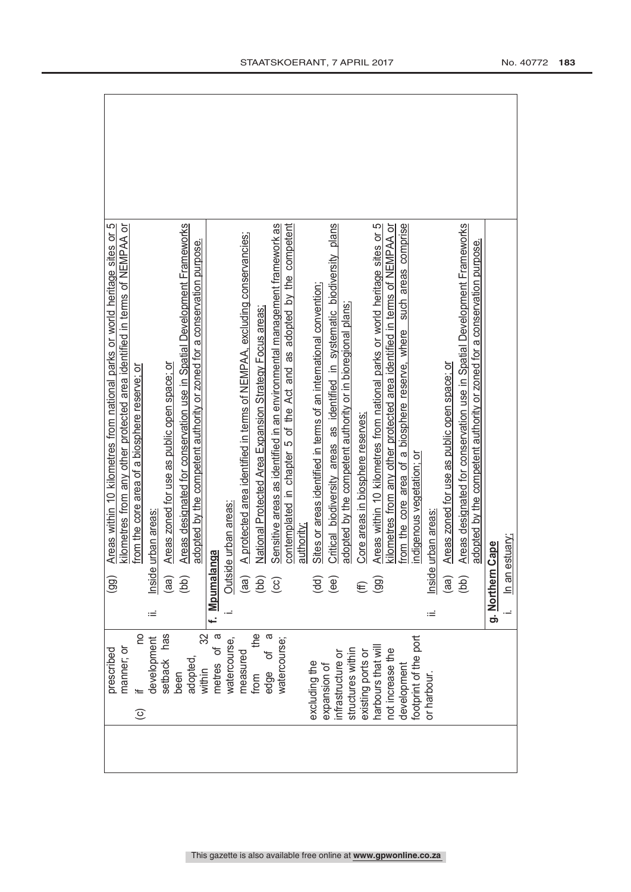| prescribed                             |    | LC<br>Areas within 10 kilometres from national parks or world heritage sites or<br>$\left($ gg) |
|----------------------------------------|----|-------------------------------------------------------------------------------------------------|
| manner; or                             |    | kilometres from any other protected area identified in terms of NEMPAA or                       |
| OU<br>$\odot$                          |    | from the core area of a biosphere reserve; or                                                   |
| development                            | ïШ | urban areas<br>Inside                                                                           |
| has<br>setback                         |    | Areas zoned for use as public open space; or<br>(aa)                                            |
| adopted,<br>been                       |    | Areas designated for conservation use in Spatial Development Frameworks<br>(bb)                 |
| 32<br>within                           |    | adopted by the competent authority or zoned for a conservation purpose.                         |
| metres of                              |    | f. Mpumalanga                                                                                   |
| watercourse,                           |    | le urban areas:<br>Outsid                                                                       |
| measured                               |    | A protected area identified in terms of NEMPAA, excluding conservancies;<br>(aa)                |
| e<br>Ha<br>from                        |    | National Protected Area Expansion Strategy Focus areas<br>(bb)                                  |
| ᢐ<br>ზ<br>ნ<br>edge                    |    | Sensitive areas as identified in an environmental management framework as<br>$\overline{c}$     |
| watercourse;                           |    | contemplated in chapter 5 of the Act and as adopted by the competent                            |
|                                        |    | authority                                                                                       |
| excluding the                          |    | Sites or areas identified in terms of an international convention;<br>(dd)                      |
| expansion of                           |    | Critical biodiversity areas as identified in systematic biodiversity plans<br>(ee)              |
| structures within<br>infrastructure or |    | adopted by the competent authority or in bioregional plans;                                     |
| existing ports or                      |    | Core areas in biosphere reserves:<br>E                                                          |
| harbours that wil                      |    | Areas within 10 kilometres from national parks or world heritage sites or 5<br>(99)             |
| not increase the                       |    | kilometres from any other protected area identified in terms of NEMPAA or                       |
| development                            |    | from the core area of a biosphere reserve, where such areas comprise                            |
| footprint of the port                  |    | indigenous vegetation; or                                                                       |
| or harbour.                            | Ξ  | urban areas:<br>Inside                                                                          |
|                                        |    | Areas zoned for use as public open space: or<br>(aa)                                            |
|                                        |    | Areas designated for conservation use in Spatial Development Frameworks<br>(bb)                 |
|                                        |    | adopted by the competent authority or zoned for a conservation purpose.                         |
|                                        |    | Cape<br>g. Northern                                                                             |
|                                        |    | In an estuary;                                                                                  |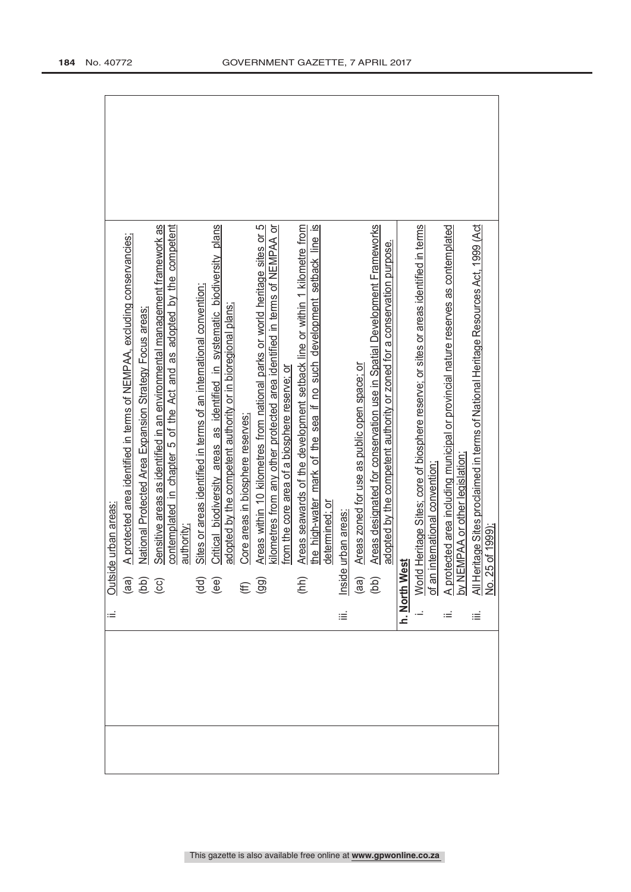|  | Ξ  | e urban areas<br>Outsid                                                                                                                                                                                                            |
|--|----|------------------------------------------------------------------------------------------------------------------------------------------------------------------------------------------------------------------------------------|
|  |    | A protected area identified in terms of NEMPAA, excluding conservancies;                                                                                                                                                           |
|  |    | National Protected Area Expansion Strategy Focus areas:                                                                                                                                                                            |
|  |    | Sensitive areas as identified in an environmental management framework as<br>contemplated in chapter 5 of the Act and as adopted by the competent<br>$\begin{array}{c} \n\text{(a)} \\ \n\text{(b)} \\ \n\text{(c)} \n\end{array}$ |
|  |    | authority;                                                                                                                                                                                                                         |
|  |    | Sites or areas identified in terms of an international convention;                                                                                                                                                                 |
|  |    | Critical biodiversity areas as identified in systematic biodiversity plans<br>$\begin{pmatrix} d & d \\ e & d \end{pmatrix}$                                                                                                       |
|  |    | adopted by the competent authority or in bioregional plans;                                                                                                                                                                        |
|  |    | Core areas in biosphere reserves;                                                                                                                                                                                                  |
|  |    | Areas within 10 kilometres from national parks or world heritage sites or 5<br>$(E \n99)$                                                                                                                                          |
|  |    | kilometres from any other protected area identified in terms of NEMPAA or<br>from the core area of a biosphere reserve; or                                                                                                         |
|  |    | Areas seawards of the development setback line or within 1 kilometre from<br>(hh)                                                                                                                                                  |
|  |    | the high-water mark of the sea if no such development setback line is                                                                                                                                                              |
|  |    | determined; or                                                                                                                                                                                                                     |
|  | iΞ | urban areas                                                                                                                                                                                                                        |
|  |    | Areas zoned for use as public open space; or                                                                                                                                                                                       |
|  |    | Areas designated for conservation use in Spatial Development Frameworks<br>lnside<br>(aa)<br>(bb)                                                                                                                                  |
|  |    | adopted by the competent authority or zoned for a conservation purpose.                                                                                                                                                            |
|  |    | h. <u>North West</u>                                                                                                                                                                                                               |
|  |    | World Heritage Sites; core of biosphere reserve; or sites or areas identified in terms<br>of an international convention;                                                                                                          |
|  |    |                                                                                                                                                                                                                                    |
|  |    |                                                                                                                                                                                                                                    |
|  |    |                                                                                                                                                                                                                                    |
|  | iΞ | A protected area including municipal or provincial nature reserves as contemplated<br>by NEMPAA or other legislation;<br>All Heritage Sites proclaimed in terms of National Heritage Resources Act, 1999 (Act<br>No. 25 of 1999);  |
|  |    |                                                                                                                                                                                                                                    |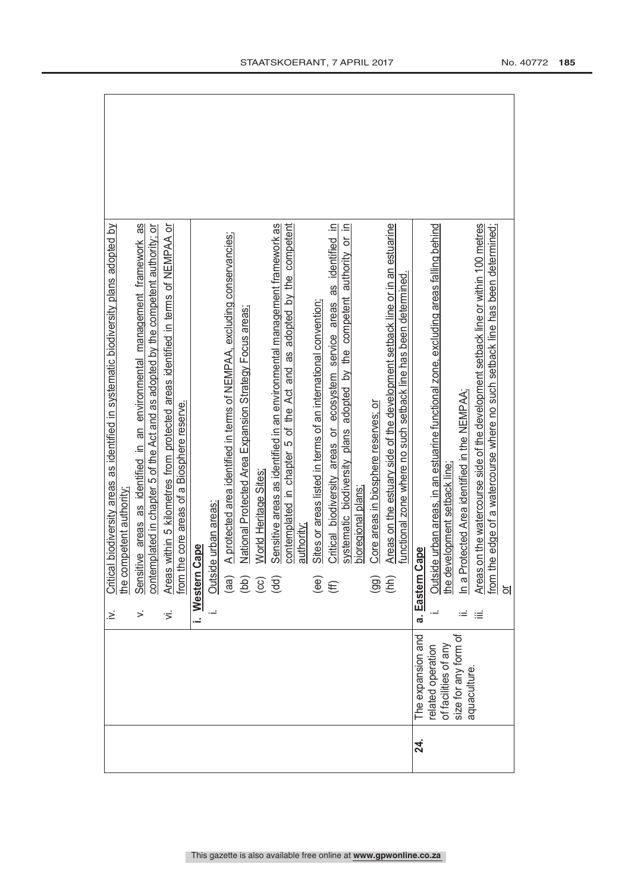|           |                      | .≥ં         | Critical biodiversity areas as identified in systematic biodiversity plans adopted by     |
|-----------|----------------------|-------------|-------------------------------------------------------------------------------------------|
|           |                      |             | the competent authority                                                                   |
|           |                      | >           | 8<br>Sensitive areas as identified in an environmental management framework               |
|           |                      |             | contemplated in chapter 5 of the Act and as adopted by the competent authority; or        |
|           |                      | ゙゙゚゙゙       | Areas within 5 kilometres from protected areas identified in terms of NEMPAA or           |
|           |                      |             | from the core areas of a Biosphere reserve.                                               |
|           |                      | Ĺ.          | Cape<br>Western                                                                           |
|           |                      |             | le urban areas:<br>Outsid                                                                 |
|           |                      |             | A protected area identified in terms of NEMPAA, excluding conservancies;<br>(aa)          |
|           |                      |             | National Protected Area Expansion Strategy Focus areas;                                   |
|           |                      |             | World Heritage Sites<br>$\begin{pmatrix} 1 & 0 \\ 0 & 0 \\ 0 & 0 \end{pmatrix}$           |
|           |                      |             | Sensitive areas as identified in an environmental management framework as                 |
|           |                      |             | contemplated in chapter 5 of the Act and as adopted by the competent                      |
|           |                      |             | authority:                                                                                |
|           |                      |             | Sites or areas listed in terms of an international convention;<br>(ee)                    |
|           |                      |             | Critical biodiversity areas or ecosystem service areas as identified in<br>(E)            |
|           |                      |             | systematic biodiversity plans adopted by the competent authority or in                    |
|           |                      |             | bioregional plans                                                                         |
|           |                      |             | Core areas in biosphere reserves: or<br>(99)                                              |
|           |                      |             | Areas on the estuary side of the development setback line or in an estuarine<br>(hh)      |
|           |                      |             | functional zone where no such setback line has been determined.                           |
| <u>শ্</u> | The expansion and    |             | cape<br>a. Eastern                                                                        |
|           | related operation    |             | de urban areas, in an estuarine functional zone, excluding areas falling behind<br>Outsid |
|           | of facilities of any |             | he development setback line                                                               |
|           | size for any form of | $\coloneqq$ | n a Protected Area identified in the NEMPAA;                                              |
|           | aquaculture          | ≡           | Areas on the watercourse side of the development setback line or within 100 metres        |
|           |                      |             | from the edge of a watercourse where no such setback line has been determined;            |
|           |                      |             | $\frac{1}{2}$                                                                             |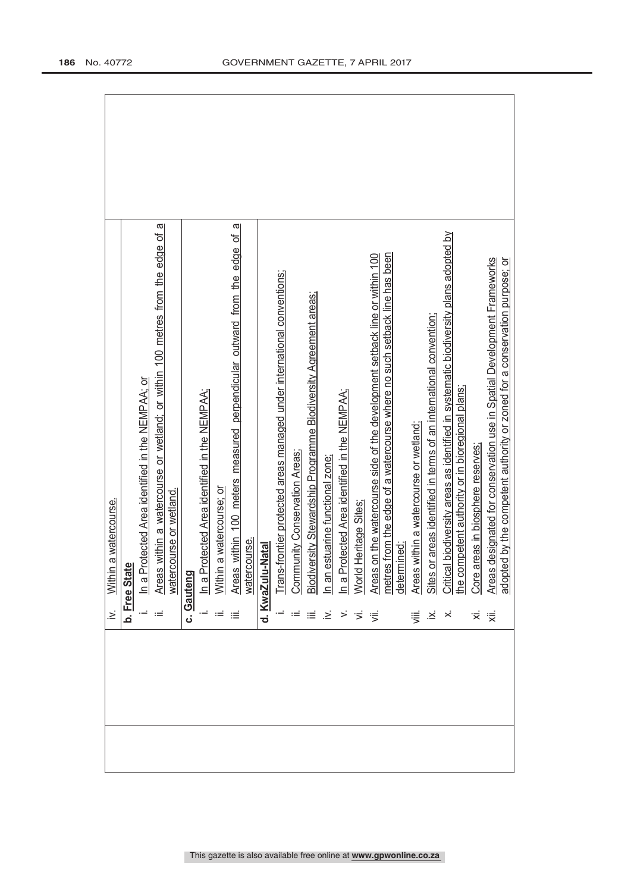|  | Σ.               | a watercourse.<br>Within                                                              |
|--|------------------|---------------------------------------------------------------------------------------|
|  |                  |                                                                                       |
|  |                  | b. Free Stat                                                                          |
|  |                  | In a Protected Area identified in the NEMPAA; or                                      |
|  |                  | Areas within a watercourse or wetland; or within 100 metres from the edge of a        |
|  |                  | watercourse or wetland.                                                               |
|  |                  | c. Gauteng                                                                            |
|  |                  | In a Protected Area identified in the NEMPAA;                                         |
|  |                  | a watercourse; or<br>Within                                                           |
|  |                  | ω<br>Areas within 100 meters measured perpendicular outward from the edge of          |
|  |                  | watercourse.                                                                          |
|  |                  | d. KwaZulu-Natal                                                                      |
|  |                  | Trans-frontier protected areas managed under international conventions;               |
|  |                  | Community Conservation Areas;                                                         |
|  | ≡                | Biodiversity Stewardship Programme Biodiversity Agreement areas;                      |
|  | .≥ં              | n an estuarine functional zone                                                        |
|  | >                | in a Protected Area identified in the NEMPAA;                                         |
|  |                  | Heritage Sites<br>World                                                               |
|  | ぎ                | Areas on the watercourse side of the development setback line or within 100           |
|  |                  | metres from the edge of a watercourse where no such setback line has been             |
|  |                  | determined;                                                                           |
|  | …                | Areas within a watercourse or wetland;                                                |
|  | $\ddot{\approx}$ | Sites or areas identified in terms of an international convention;                    |
|  | $\dot{\times}$   | Critical biodiversity areas as identified in systematic biodiversity plans adopted by |
|  |                  | he competent authority or in bioregional plans;                                       |
|  | ∵,               | Core areas in biosphere reserves;                                                     |
|  | 浸                | Areas designated for conservation use in Spatial Development Frameworks               |
|  |                  | adopted by the competent authority or zoned for a conservation purpose; or            |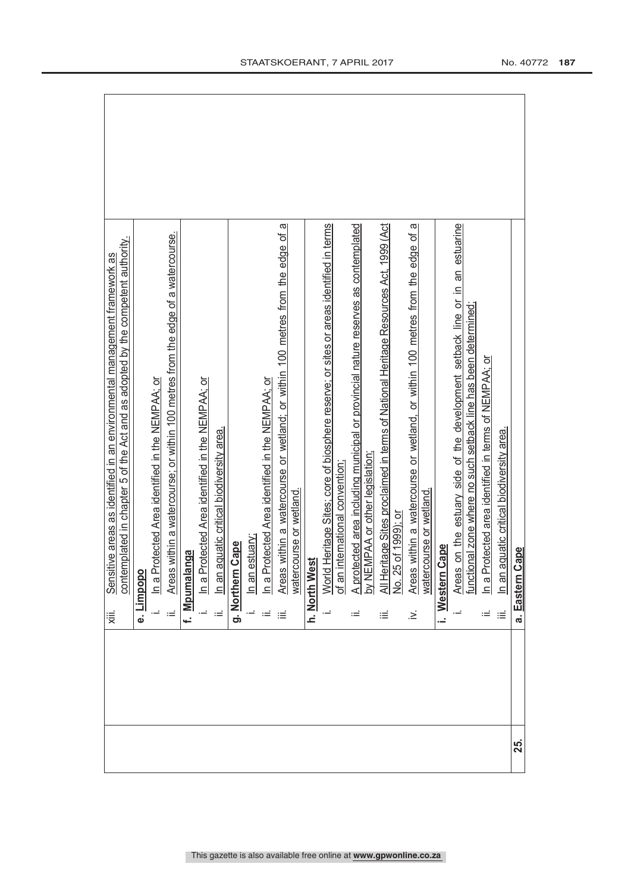|     | contemplated in chapter 5 of the Act and as adopted by the competent authority.<br>Sensitive areas as identified in an environmental management framework as<br>≋. |
|-----|--------------------------------------------------------------------------------------------------------------------------------------------------------------------|
|     | Limpopo<br>$\dot{\mathbf{e}}$                                                                                                                                      |
|     | In a Protected Area identified in the NEMPAA; or                                                                                                                   |
|     | Areas within a watercourse; or within 100 metres from the edge of a watercourse.<br>ίÉ                                                                             |
|     | f. Mpumalanga                                                                                                                                                      |
|     | In a Protected Area identified in the NEMPAA; or                                                                                                                   |
|     | In an aquatic critical biodiversity area.<br>≔                                                                                                                     |
|     | <b>Cape</b><br>g. Northern                                                                                                                                         |
|     | In an estuary;                                                                                                                                                     |
|     | in a Protected Area identified in the NEMPAA; or                                                                                                                   |
|     | Areas within a watercourse or wetland; or within 100 metres from the edge of a<br>≔                                                                                |
|     | watercourse or wetland.                                                                                                                                            |
|     | h. North West                                                                                                                                                      |
|     | Heritage Sites; core of biosphere reserve; or sites or areas identified in terms<br>World                                                                          |
|     | international convention;<br>of an                                                                                                                                 |
|     | A protected area including municipal or provincial nature reserves as contemplated<br>by NEMPAA or other legislation;<br>≔                                         |
|     | All Heritage Sites proclaimed in terms of National Heritage Resources Act, 1999 (Act<br>iΞ                                                                         |
|     | No. 25 of 1999); or                                                                                                                                                |
|     | Areas within a watercourse or wetland, or within 100 metres from the edge of a<br>watercourse or wetland.<br>∹.                                                    |
|     | Cape<br>Western                                                                                                                                                    |
|     | Areas on the estuary side of the development setback line or in an estuarine                                                                                       |
|     | onal zone where no such setback line has been determined;<br>functic                                                                                               |
|     | n a Protected area identified in terms of NEMPAA; or<br>≔                                                                                                          |
|     | In an aquatic critical biodiversity area.<br>≔                                                                                                                     |
| 25. | Cape<br>a. Eastern                                                                                                                                                 |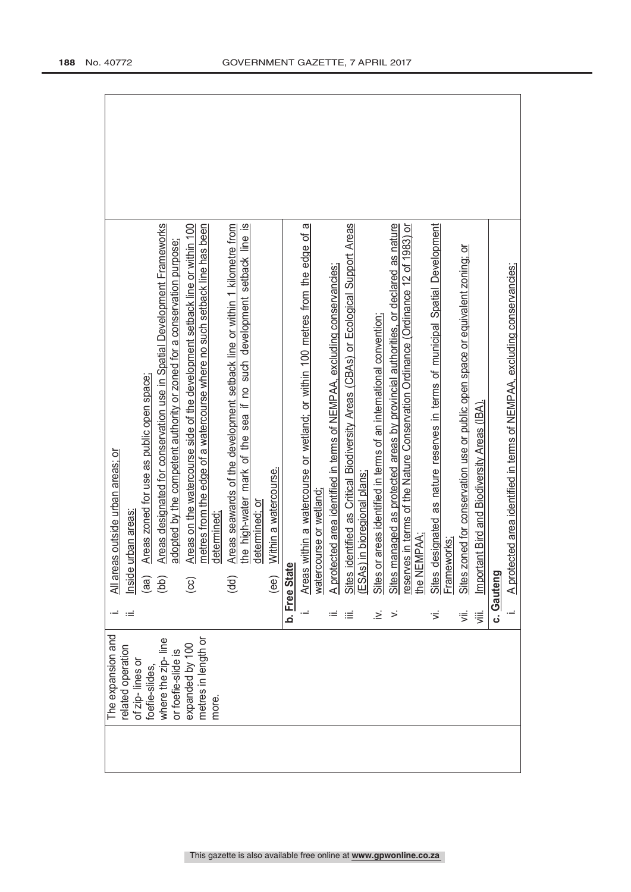| The expansion and                        |             | All areas outside urban areas; or                                                                                                                                              |
|------------------------------------------|-------------|--------------------------------------------------------------------------------------------------------------------------------------------------------------------------------|
| related operation                        |             | urban areas<br>Inside                                                                                                                                                          |
| of zip-lines or                          |             | Areas zoned for use as public open space;                                                                                                                                      |
| foefie-slides                            |             | (aa)                                                                                                                                                                           |
| where the zip-line<br>or foefie-slide is |             | Areas designated for conservation use in Spatial Development Frameworks<br>adopted by the competent authority or zoned for a conservation purpose;<br>(bb)                     |
|                                          |             |                                                                                                                                                                                |
| metres in length or<br>expanded by 100   |             | Areas on the watercourse side of the development setback line or within 100<br>metres from the edge of a watercourse where no such setback line has been<br>$\rm \overline{3}$ |
| more                                     |             | determined                                                                                                                                                                     |
|                                          |             | Areas seawards of the development setback line or within 1 kilometre from<br>(dd)                                                                                              |
|                                          |             | the high-water mark of the sea if no such development setback line is<br>determined; or                                                                                        |
|                                          |             | Within a watercourse.<br>(ee)                                                                                                                                                  |
|                                          |             | b. Free Stat                                                                                                                                                                   |
|                                          |             | ω<br>Areas within a watercourse or wetland; or within 100 metres from the edge of<br>watercourse or wetland                                                                    |
|                                          | $\coloneqq$ | A protected area identified in terms of NEMPAA, excluding conservancies;                                                                                                       |
|                                          | ≔           | identified as Critical Biodiversity Areas (CBAs) or Ecological Support Areas<br>Sites i                                                                                        |
|                                          |             | ESAs) in bioregional plans;                                                                                                                                                    |
|                                          | .≥          | Sites or areas identified in terms of an international convention;                                                                                                             |
|                                          | ➢           | managed as protected areas by provincial authorities, or declared as nature<br><b>Sites</b>                                                                                    |
|                                          |             | reserves in terms of the Nature Conservation Ordinance (Ordinance 12 of 1983) or<br>the NEMPAA;                                                                                |
|                                          | ≅           | designated as nature reserves in terms of municipal Spatial Development<br>Sites                                                                                               |
|                                          |             | -rameworks;                                                                                                                                                                    |
|                                          | 污           | Sites zoned for conservation use or public open space or equivalent zoning; or                                                                                                 |
|                                          | 泻           | tant Bird and Biodiversity Areas (IBA).<br>Import                                                                                                                              |
|                                          |             | c. Gauteng                                                                                                                                                                     |
|                                          |             | ected area identified in terms of NEMPAA, excluding conservancies;<br>A prote                                                                                                  |
|                                          |             |                                                                                                                                                                                |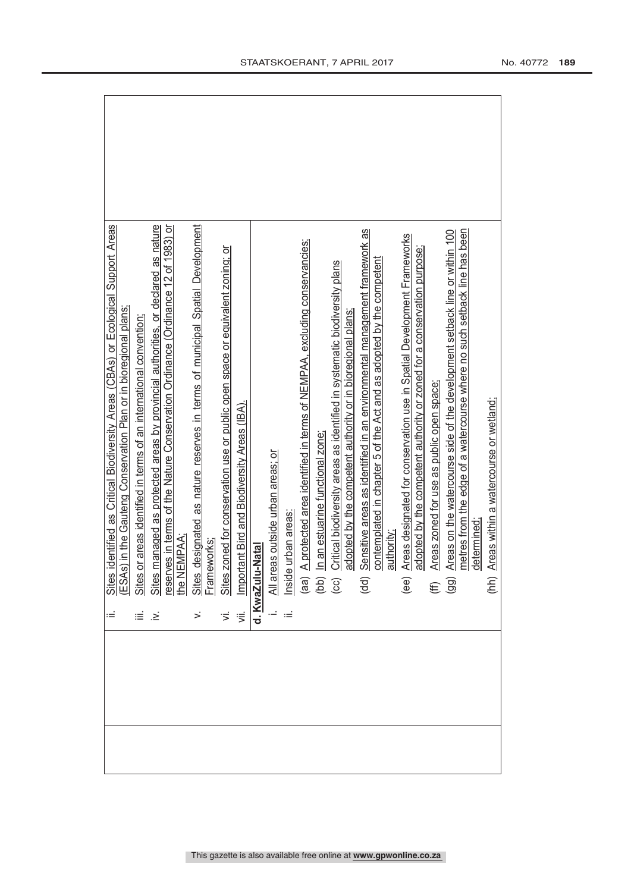|      | identified as Critical Biodiversity Areas (CBAs) or Ecological Support Areas                                                                                                         |
|------|--------------------------------------------------------------------------------------------------------------------------------------------------------------------------------------|
|      | Sites identified as Critical Biodiversity Areas (CBAs) or Ecologic<br>(ESAs) in the Gauteng Conservation Plan or in bioregional plans;                                               |
|      | Sites or areas identified in terms of an international convention,                                                                                                                   |
| ≋. ≡ | Sites managed as protected areas by provincial authorities, or declared as nature<br>reserves in terms of the Nature Conservation Ordinance (Ordinance 12 of 1983) or<br>the NEMPAA; |
|      |                                                                                                                                                                                      |
|      |                                                                                                                                                                                      |
|      | designated as nature reserves in terms of municipal Spatial Development<br>Sites designa                                                                                             |
|      |                                                                                                                                                                                      |
|      | Sites zoned for conservation use or public open space or equivalent zoning; or                                                                                                       |
|      | Important Bird and Biodiversity Areas (IBA).                                                                                                                                         |
|      | d. KwaZulu-Natal                                                                                                                                                                     |
|      | All areas outside urban areas; or                                                                                                                                                    |
|      | Inside urban areas:                                                                                                                                                                  |
|      | A protected area identified in terms of NEMPAA, excluding conservancies;                                                                                                             |
|      | In an estuarine functional zone.<br>$\begin{array}{c}\n\overrightarrow{a} \\ \overrightarrow{b} \\ \overrightarrow{c}\n\end{array}$                                                  |
|      | Critical biodiversity areas as identified in systematic biodiversity plans                                                                                                           |
|      | adopted by the competent authority or in bioregional plans                                                                                                                           |
|      | Sensitive areas as identified in an environmental management framework as<br>$\dot{a}$ (pp)                                                                                          |
|      | contemplated in chapter 5 of the Act and as adopted by the competent<br>authority                                                                                                    |
|      | Areas designated for conservation use in Spatial Development Frameworks<br>(ee)                                                                                                      |
|      | adopted by the competent authority or zoned for a conservation purpose;                                                                                                              |
|      | Areas zoned for use as public open space;                                                                                                                                            |
|      | Areas on the watercourse side of the development setback line or within 100<br>$(E\overline{S})$                                                                                     |
|      | metres from the edge of a watercourse where no such setback line has been                                                                                                            |
|      | determined:                                                                                                                                                                          |
|      | Areas within a watercourse or wetland;<br>(1)                                                                                                                                        |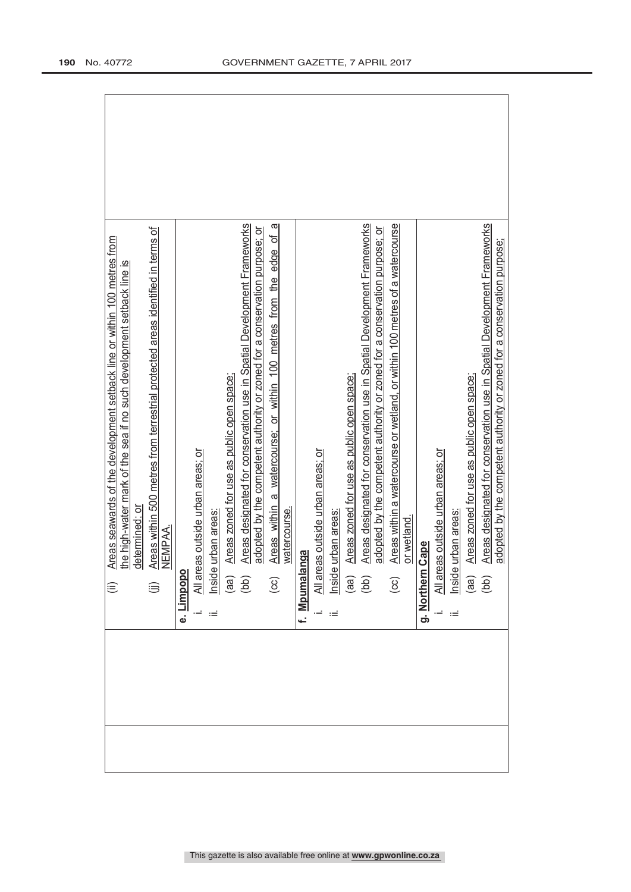| Areas seawards of the development setback line or within 100 metres from<br>the high-water mark of the sea if no such development setback line is<br>⊜ |
|--------------------------------------------------------------------------------------------------------------------------------------------------------|
| determined; or                                                                                                                                         |
| Areas within 500 metres from terrestrial protected areas identified in terms of<br>$\widehat{\mathbb{D}}$                                              |
| NEMPAA.                                                                                                                                                |
| Limpopo<br>نه                                                                                                                                          |
|                                                                                                                                                        |
| All areas outside urban areas; or<br>Inside urban areas:<br>(aa) Areas zoned for use as pub<br>(bb) Areas designated for conse<br>ωĖ                   |
| Areas zoned for use as public open space;                                                                                                              |
| Areas designated for conservation use in Spatial Development Frameworks                                                                                |
| adopted by the competent authority or zoned for a conservation purpose; or                                                                             |
| ω<br>đ<br>Areas within a watercourse; or within 100 metres from the edge<br>$\left( \infty \right)$                                                    |
| watercourse.                                                                                                                                           |
| f. <u>Mpumalanga</u>                                                                                                                                   |
| All areas outside urban areas; or                                                                                                                      |
| Inside urban areas<br>Ξ                                                                                                                                |
| Areas zoned for use as public open space;<br>$\begin{array}{c} \text{(ge)}\\ \text{(bb)} \end{array}$                                                  |
| Areas designated for conservation use in Spatial Development Frameworks                                                                                |
| adopted by the competent authority or zoned for a conservation purpose; or                                                                             |
| Areas within a watercourse or wetland, or within 100 metres of a watercourse<br>$\overline{c}$                                                         |
| or wetland.                                                                                                                                            |
| Cape<br>g. Northern                                                                                                                                    |
| All areas outside urban areas; or                                                                                                                      |
| Inside urban areas                                                                                                                                     |
| Areas zoned for use as public open space;<br>$\binom{66}{ }$                                                                                           |
| Areas designated for conservation use in Spatial Development Frameworks<br>(bb)                                                                        |
| adopted by the competent authority or zoned for a conservation purpose;                                                                                |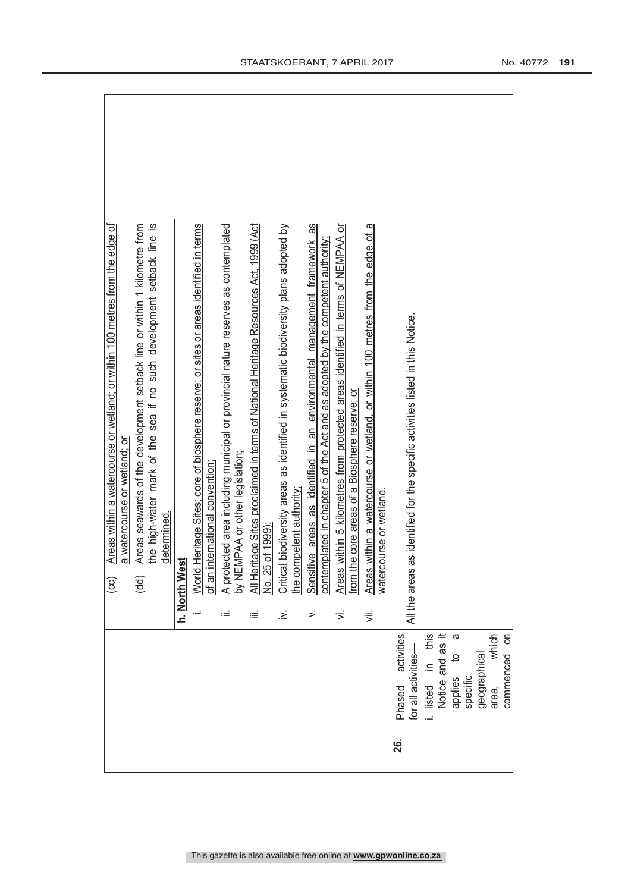|     |                                |      | Areas within a watercourse or wetland; or within 100 metres from the edge of<br>ල                                                                               |
|-----|--------------------------------|------|-----------------------------------------------------------------------------------------------------------------------------------------------------------------|
|     |                                |      | a watercourse or wetland; or                                                                                                                                    |
|     |                                |      | Areas seawards of the development setback line or within 1 kilometre from<br>$\widehat{\mathsf{gd}}$                                                            |
|     |                                |      | the high-water mark of the sea if no such development setback line is                                                                                           |
|     |                                |      | determined.                                                                                                                                                     |
|     |                                |      | h. North West                                                                                                                                                   |
|     |                                |      | World Heritage Sites; core of biosphere reserve; or sites or areas identified in terms<br>international convention;<br>of an                                    |
|     |                                | $:=$ |                                                                                                                                                                 |
|     |                                |      | A protected area including municipal or provincial nature reserves as contemplated<br>by NEMPAA or other legislation;                                           |
|     |                                | ≡    | All Heritage Sites proclaimed in terms of National Heritage Resources Act, 1999 (Act<br>Vo. 25 of 1999)                                                         |
|     |                                |      |                                                                                                                                                                 |
|     |                                | .≥́  | Critical biodiversity areas as identified in systematic biodiversity plans adopted by<br>he competent authority                                                 |
|     |                                |      |                                                                                                                                                                 |
|     |                                | >    | as<br>Sensitive areas as identified in an environmental management framework<br>contemplated in chapter 5 of the Act and as adopted by the competent authority; |
|     |                                | έ    | Areas within 5 kilometres from protected areas identified in terms of NEMPAA or                                                                                 |
|     |                                |      | he core areas of a Biosphere reserve; or<br>from $t$                                                                                                            |
|     |                                | Ϊ,   | Areas within a watercourse or wetland, or within 100 metres from the edge of a                                                                                  |
|     |                                |      | watercourse or wetland.                                                                                                                                         |
| 26. | activities<br>Phased           |      | as identified for the specific activities listed in this Notice.<br>All the areas                                                                               |
|     | for all activities-            |      |                                                                                                                                                                 |
|     | this<br>i. listed in           |      |                                                                                                                                                                 |
|     | Notice and as it               |      |                                                                                                                                                                 |
|     | ε<br>$\overline{c}$<br>applies |      |                                                                                                                                                                 |
|     | specific                       |      |                                                                                                                                                                 |
|     | geographical                   |      |                                                                                                                                                                 |
|     | which<br>area,                 |      |                                                                                                                                                                 |
|     | δ<br>commenced                 |      |                                                                                                                                                                 |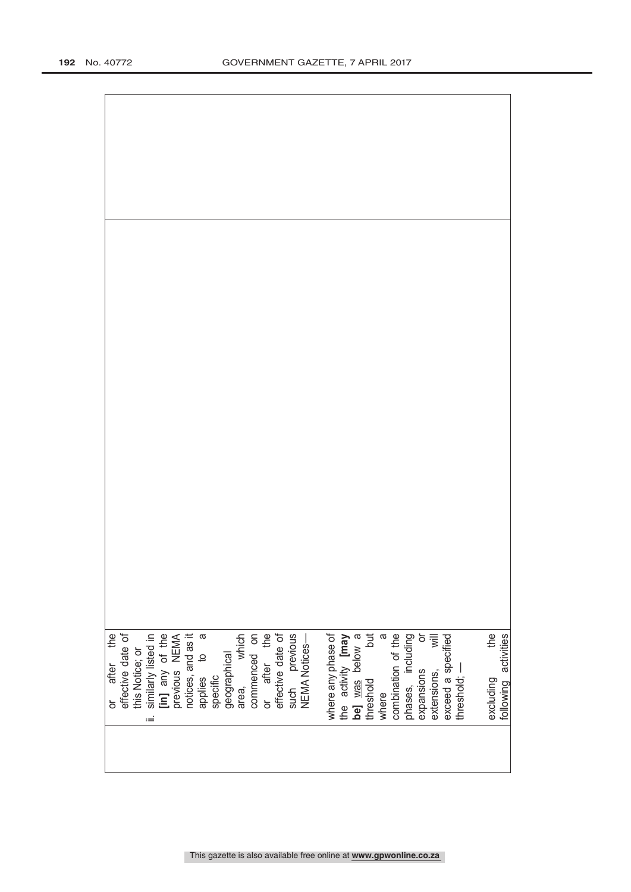| or after the<br>effective date of<br>this Notice; or<br>similarly listed in<br><b>[in]</b> any of the<br>previous NEMA<br>previous REMA<br>applies to a<br>applies to a |  |  |  |  |  |  | Francial<br>geographical<br>area, which<br>commenced on<br>or after the<br>effective date of<br>such previous<br>such previous |  | where any phase of<br>the activity <b>[may</b><br>be] <u>was</u> below a<br>threshold but<br>where a a<br>combination of the<br>combination of the<br>phases, including |  |  | 하<br>기<br>expansions<br>extensions, | exceed a specified | threshold; — | excluding the<br>following activities |  |
|-------------------------------------------------------------------------------------------------------------------------------------------------------------------------|--|--|--|--|--|--|--------------------------------------------------------------------------------------------------------------------------------|--|-------------------------------------------------------------------------------------------------------------------------------------------------------------------------|--|--|-------------------------------------|--------------------|--------------|---------------------------------------|--|